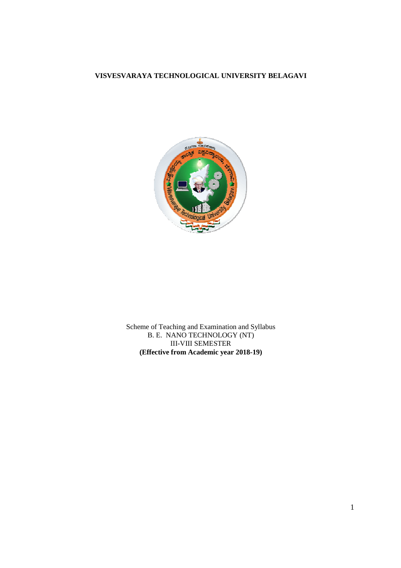#### **VISVESVARAYA TECHNOLOGICAL UNIVERSITY BELAGAVI**



Scheme of Teaching and Examination and Syllabus **(Effective from Academic year 2018 2018-19)**  B. E. NANO TECHNOLOGY (NT) III-VIII SEMESTER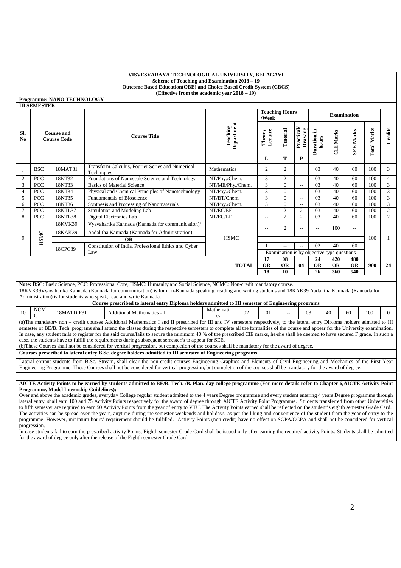|                       |                                                                                                                                                                                                                                                                                                                                                                                                                                                                                                                                                                                                                                                                                                                                                                                                                  | <b>Programme: NANO TECHNOLOGY</b>                                                        |            |                                                                                                                                                                                                                                                                                                                                           |                       |                      |                                                                        |                           |                  |                    |                          |     |                |
|-----------------------|------------------------------------------------------------------------------------------------------------------------------------------------------------------------------------------------------------------------------------------------------------------------------------------------------------------------------------------------------------------------------------------------------------------------------------------------------------------------------------------------------------------------------------------------------------------------------------------------------------------------------------------------------------------------------------------------------------------------------------------------------------------------------------------------------------------|------------------------------------------------------------------------------------------|------------|-------------------------------------------------------------------------------------------------------------------------------------------------------------------------------------------------------------------------------------------------------------------------------------------------------------------------------------------|-----------------------|----------------------|------------------------------------------------------------------------|---------------------------|------------------|--------------------|--------------------------|-----|----------------|
|                       | <b>III SEMESTER</b>                                                                                                                                                                                                                                                                                                                                                                                                                                                                                                                                                                                                                                                                                                                                                                                              |                                                                                          |            |                                                                                                                                                                                                                                                                                                                                           |                       | /Week                | <b>Teaching Hours</b>                                                  |                           |                  |                    | <b>Examination</b>       |     |                |
| SI.<br>N <sub>0</sub> |                                                                                                                                                                                                                                                                                                                                                                                                                                                                                                                                                                                                                                                                                                                                                                                                                  | Department<br>Teaching<br><b>Course and</b><br><b>Course Title</b><br><b>Course Code</b> |            | Theory<br>Lecture                                                                                                                                                                                                                                                                                                                         | Tutorial              | Practical<br>Drawing | Duration in<br>hours                                                   | <b>CIE Marks</b>          | <b>SEE Marks</b> | <b>Total Marks</b> | Credits                  |     |                |
|                       |                                                                                                                                                                                                                                                                                                                                                                                                                                                                                                                                                                                                                                                                                                                                                                                                                  |                                                                                          |            |                                                                                                                                                                                                                                                                                                                                           |                       | L                    | T                                                                      | $\mathbf{P}$              |                  |                    |                          |     |                |
| -1                    | <b>BSC</b>                                                                                                                                                                                                                                                                                                                                                                                                                                                                                                                                                                                                                                                                                                                                                                                                       | 18MAT31                                                                                  | Techniques | Transform Calculus, Fourier Series and Numerical                                                                                                                                                                                                                                                                                          | Mathematics           | $\overline{c}$       | $\overline{c}$                                                         |                           | 03               | 40                 | 60                       | 100 | 3              |
| $\overline{2}$        | PCC                                                                                                                                                                                                                                                                                                                                                                                                                                                                                                                                                                                                                                                                                                                                                                                                              | 18NT32                                                                                   |            | Foundations of Nanoscale Science and Technology                                                                                                                                                                                                                                                                                           | NT/Phy/Chem.          | 3                    | $\overline{2}$                                                         | $\sim$                    | 03               | 40                 | 60                       | 100 | $\overline{4}$ |
| 3                     | PCC                                                                                                                                                                                                                                                                                                                                                                                                                                                                                                                                                                                                                                                                                                                                                                                                              | 18NT33                                                                                   |            | <b>Basics of Material Science</b>                                                                                                                                                                                                                                                                                                         | NT/ME/Phy./Chem.      | 3                    | $\overline{0}$                                                         | $\overline{a}$            | 03               | 40                 | 60                       | 100 | 3              |
| $\overline{4}$        | PCC                                                                                                                                                                                                                                                                                                                                                                                                                                                                                                                                                                                                                                                                                                                                                                                                              | 18NT34                                                                                   |            | Physical and Chemical Principles of Nanotechnology                                                                                                                                                                                                                                                                                        | NT/Phy./Chem.         | $\mathfrak{Z}$       | $\overline{0}$                                                         | $\overline{\phantom{a}}$  | 03               | 40                 | 60                       | 100 | $\mathfrak{Z}$ |
| 5                     | PCC                                                                                                                                                                                                                                                                                                                                                                                                                                                                                                                                                                                                                                                                                                                                                                                                              | 18NT35                                                                                   |            | <b>Fundamentals of Bioscience</b>                                                                                                                                                                                                                                                                                                         | NT/BT/Chem.           | 3                    | $\overline{0}$                                                         | $\sim$                    | 03               | 40                 | 60                       | 100 | $\mathfrak{Z}$ |
| 6                     | PCC                                                                                                                                                                                                                                                                                                                                                                                                                                                                                                                                                                                                                                                                                                                                                                                                              | 18NT36                                                                                   |            | Synthesis and Processing of Nanomaterials                                                                                                                                                                                                                                                                                                 | NT/Phy./Chem.         | 3                    | $\overline{0}$                                                         | $\ddot{\phantom{a}}$      | 03               | 40                 | 60                       | 100 | 3              |
| $\overline{7}$        | PCC                                                                                                                                                                                                                                                                                                                                                                                                                                                                                                                                                                                                                                                                                                                                                                                                              | 18NTL37                                                                                  |            | Simulation and Modeling Lab                                                                                                                                                                                                                                                                                                               | NT/EC/EE              | $\overline{a}$       | $\overline{c}$                                                         | 2                         | 03               | 40                 | 60                       | 100 | $\sqrt{2}$     |
| 8                     | PCC                                                                                                                                                                                                                                                                                                                                                                                                                                                                                                                                                                                                                                                                                                                                                                                                              | 18NTL38                                                                                  |            | Digital Electronics Lab                                                                                                                                                                                                                                                                                                                   | NT/EC/EE              | $\overline{a}$       | $\overline{c}$                                                         | $\overline{c}$            | 03               | 40                 | 60                       | 100 | 2              |
|                       |                                                                                                                                                                                                                                                                                                                                                                                                                                                                                                                                                                                                                                                                                                                                                                                                                  | 18KVK39                                                                                  |            | Vyavaharika Kannada (Kannada for communication)/                                                                                                                                                                                                                                                                                          |                       | $\overline{a}$       | 2                                                                      | $\overline{\phantom{a}}$  | $\overline{a}$   | 100                | $\overline{\phantom{a}}$ |     |                |
| 9                     |                                                                                                                                                                                                                                                                                                                                                                                                                                                                                                                                                                                                                                                                                                                                                                                                                  | 18KAK39                                                                                  |            | Aadalitha Kannada (Kannada for Administration)                                                                                                                                                                                                                                                                                            | <b>HSMC</b>           |                      |                                                                        |                           |                  |                    |                          | 100 | $\mathbf{1}$   |
|                       | HSMC                                                                                                                                                                                                                                                                                                                                                                                                                                                                                                                                                                                                                                                                                                                                                                                                             |                                                                                          |            | <b>OR</b>                                                                                                                                                                                                                                                                                                                                 |                       |                      |                                                                        |                           |                  |                    |                          |     |                |
|                       |                                                                                                                                                                                                                                                                                                                                                                                                                                                                                                                                                                                                                                                                                                                                                                                                                  | 18CPC39                                                                                  | Law        | Constitution of India, Professional Ethics and Cyber                                                                                                                                                                                                                                                                                      |                       |                      | $\overline{\phantom{a}}$<br>Examination is by objective type questions | $\mathbb{L}^{\mathbb{L}}$ | 02               | 40                 | 60                       |     |                |
|                       |                                                                                                                                                                                                                                                                                                                                                                                                                                                                                                                                                                                                                                                                                                                                                                                                                  |                                                                                          |            |                                                                                                                                                                                                                                                                                                                                           |                       | 17                   | 08                                                                     |                           | 24               | 420                | 480                      |     |                |
|                       |                                                                                                                                                                                                                                                                                                                                                                                                                                                                                                                                                                                                                                                                                                                                                                                                                  |                                                                                          |            |                                                                                                                                                                                                                                                                                                                                           | <b>TOTAL</b>          | <b>OR</b>            | OR                                                                     | 04                        | <b>OR</b>        | <b>OR</b>          | <b>OR</b>                | 900 | 24             |
|                       |                                                                                                                                                                                                                                                                                                                                                                                                                                                                                                                                                                                                                                                                                                                                                                                                                  |                                                                                          |            |                                                                                                                                                                                                                                                                                                                                           |                       | 18                   | 10                                                                     |                           | 26               | 360                | 540                      |     |                |
|                       |                                                                                                                                                                                                                                                                                                                                                                                                                                                                                                                                                                                                                                                                                                                                                                                                                  |                                                                                          |            |                                                                                                                                                                                                                                                                                                                                           |                       |                      |                                                                        |                           |                  |                    |                          |     |                |
|                       |                                                                                                                                                                                                                                                                                                                                                                                                                                                                                                                                                                                                                                                                                                                                                                                                                  |                                                                                          |            | Note: BSC: Basic Science, PCC: Professional Core, HSMC: Humanity and Social Science, NCMC: Non-credit mandatory course.                                                                                                                                                                                                                   |                       |                      |                                                                        |                           |                  |                    |                          |     |                |
|                       |                                                                                                                                                                                                                                                                                                                                                                                                                                                                                                                                                                                                                                                                                                                                                                                                                  |                                                                                          |            | 18KVK39Vyavaharika Kannada (Kannada for communication) is for non-Kannada speaking, reading and writing students and 18KAK39 Aadalitha Kannada (Kannada for<br>Administration) is for students who speak, read and write Kannada.                                                                                                         |                       |                      |                                                                        |                           |                  |                    |                          |     |                |
|                       |                                                                                                                                                                                                                                                                                                                                                                                                                                                                                                                                                                                                                                                                                                                                                                                                                  |                                                                                          |            | Course prescribed to lateral entry Diploma holders admitted to III semester of Engineering programs                                                                                                                                                                                                                                       |                       |                      |                                                                        |                           |                  |                    |                          |     |                |
| 10                    | NCM<br>$\mathbf C$                                                                                                                                                                                                                                                                                                                                                                                                                                                                                                                                                                                                                                                                                                                                                                                               | 18MATDIP31                                                                               |            | Additional Mathematics - I                                                                                                                                                                                                                                                                                                                | Mathemati<br>02<br>cs | 01                   |                                                                        |                           | 03               | 40                 | 60                       | 100 | $\mathbf{0}$   |
|                       | (a) The mandatory non - credit courses Additional Mathematics I and II prescribed for III and IV semesters respectively, to the lateral entry Diploma holders admitted to III<br>semester of BE/B. Tech. programs shall attend the classes during the respective semesters to complete all the formalities of the course and appear for the University examination.<br>In case, any student fails to register for the said course/fails to secure the minimum 40 % of the prescribed CIE marks, he/she shall be deemed to have secured F grade. In such a<br>case, the students have to fulfill the requirements during subsequent semester/s to appear for SEE.<br>(b)These Courses shall not be considered for vertical progression, but completion of the courses shall be mandatory for the award of degree. |                                                                                          |            |                                                                                                                                                                                                                                                                                                                                           |                       |                      |                                                                        |                           |                  |                    |                          |     |                |
|                       |                                                                                                                                                                                                                                                                                                                                                                                                                                                                                                                                                                                                                                                                                                                                                                                                                  |                                                                                          |            | Courses prescribed to lateral entry B.Sc. degree holders admitted to III semester of Engineering programs                                                                                                                                                                                                                                 |                       |                      |                                                                        |                           |                  |                    |                          |     |                |
|                       |                                                                                                                                                                                                                                                                                                                                                                                                                                                                                                                                                                                                                                                                                                                                                                                                                  |                                                                                          |            | Lateral entrant students from B.Sc. Stream, shall clear the non-credit courses Engineering Graphics and Elements of Civil Engineering and Mechanics of the First Year<br>Engineering Programme. These Courses shall not be considered for vertical progression, but completion of the courses shall be mandatory for the award of degree. |                       |                      |                                                                        |                           |                  |                    |                          |     |                |
|                       |                                                                                                                                                                                                                                                                                                                                                                                                                                                                                                                                                                                                                                                                                                                                                                                                                  |                                                                                          |            |                                                                                                                                                                                                                                                                                                                                           |                       |                      |                                                                        |                           |                  |                    |                          |     |                |
|                       | AICTE Activity Points to be earned by students admitted to BE/B. Tech. /B. Plan. day college programme (For more details refer to Chapter 6, AICTE Activity Point<br><b>Programme, Model Internship Guidelines):</b><br>Over and above the academic grades, everyday College regular student admitted to the 4 years Degree programme and every student entering 4 years Degree programme through<br>lateral entry, shall earn 100 and 75 Activity Points respectively for the award of degree through AICTE Activity Point Programme. Students transferred from other Universities<br>to fifth semester are required to earn 50 Activity Points from the year of entry to VTU. The Activity Points earned shall be reflected on the student's eighth semester Grade Card.                                       |                                                                                          |            |                                                                                                                                                                                                                                                                                                                                           |                       |                      |                                                                        |                           |                  |                    |                          |     |                |

The activities can be spread over the years, anytime during the semester weekends and holidays, as per the liking and convenience of the student from the year of entry to the programme. However, minimum hours' requirement should be fulfilled. Activity Points (non-credit) have no effect on SGPA/CGPA and shall not be considered for vertical progression. In case students fail to earn the prescribed activity Points, Eighth semester Grade Card shall be issued only after earning the required activity Points. Students shall be admitted

for the award of degree only after the release of the Eighth semester Grade Card. I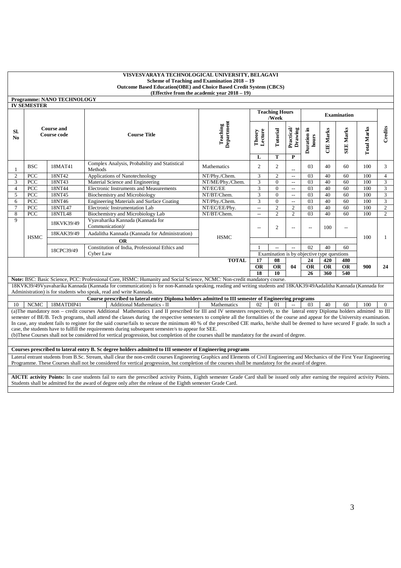|                | <b>IV SEMESTER</b>                                                                                                                                                                | <b>Programme: NANO TECHNOLOGY</b> |                                                                                                                                                                                                                                        |                        |                          |                                |                                      |                                            |                  |                          |                    |                |
|----------------|-----------------------------------------------------------------------------------------------------------------------------------------------------------------------------------|-----------------------------------|----------------------------------------------------------------------------------------------------------------------------------------------------------------------------------------------------------------------------------------|------------------------|--------------------------|--------------------------------|--------------------------------------|--------------------------------------------|------------------|--------------------------|--------------------|----------------|
|                |                                                                                                                                                                                   |                                   |                                                                                                                                                                                                                                        |                        |                          | <b>Teaching Hours</b><br>/Week |                                      |                                            |                  | <b>Examination</b>       |                    |                |
| Sl.<br>No.     | <b>Course and</b><br><b>Course code</b>                                                                                                                                           |                                   | <b>Course Title</b>                                                                                                                                                                                                                    | Department<br>Teaching | Lecture<br>Theory<br>L   | Tutorial<br>T                  | Practical<br>Drawing<br>$\mathbf{P}$ | Duration in<br>hours                       | <b>CIE Marks</b> | <b>SEE Marks</b>         | <b>Total Marks</b> | Credits        |
| $\mathbf{1}$   | <b>BSC</b>                                                                                                                                                                        | 18MAT41                           | Complex Analysis, Probability and Statistical<br>Methods                                                                                                                                                                               | Mathematics            | $\overline{2}$           | $\overline{c}$                 | $\overline{a}$                       | 03                                         | 40               | 60                       | 100                | 3              |
| $\overline{c}$ | <b>PCC</b>                                                                                                                                                                        | 18NT42                            | Applications of Nanotechnology                                                                                                                                                                                                         | NT/Phy./Chem.          | 3                        | $\overline{2}$                 | $\overline{a}$                       | 0 <sub>3</sub>                             | 40               | 60                       | 100                | $\overline{4}$ |
| 3              | PCC                                                                                                                                                                               | 18NT43                            | Material Science and Engineering                                                                                                                                                                                                       | NT/ME/Phy./Chem.       | 3                        | $\Omega$                       | $\sim$                               | 03                                         | 40               | 60                       | 100                | $\overline{3}$ |
| $\overline{4}$ | PCC                                                                                                                                                                               | 18NT44                            | Electronic Instruments and Measurements                                                                                                                                                                                                | NT/EC/EE               | 3                        | $\mathbf{0}$                   | $\overline{\phantom{a}}$             | 03                                         | 40               | 60                       | 100                | $\sqrt{3}$     |
| 5              | PCC                                                                                                                                                                               | 18NT45                            | Biochemistry and Microbiology                                                                                                                                                                                                          | NT/BT/Chem.            | 3                        | $\Omega$                       | $\sim$                               | 0 <sub>3</sub>                             | 40               | 60                       | 100                | 3              |
| 6              | <b>PCC</b>                                                                                                                                                                        | 18NT46                            | <b>Engineering Materials and Surface Coating</b>                                                                                                                                                                                       | NT/Phy./Chem.          | 3                        | $\Omega$                       | $\overline{\phantom{a}}$             | $\overline{03}$                            | 40               | 60                       | 100                | 3              |
| $\overline{7}$ | PCC                                                                                                                                                                               | 18NTL47                           | <b>Electronic Instrumentation Lab</b>                                                                                                                                                                                                  | NT/EC/EE/Phy.          | $\overline{\phantom{a}}$ | $\overline{2}$                 | $\overline{c}$                       | 0 <sub>3</sub>                             | 40               | 60                       | 100                | $\overline{2}$ |
| 8              | PCC                                                                                                                                                                               | <b>18NTL48</b>                    | Biochemistry and Microbiology Lab                                                                                                                                                                                                      | NT/BT/Chem.            | $\overline{\phantom{a}}$ | $\overline{2}$                 | $\overline{c}$                       | 0 <sub>3</sub>                             | 40               | 60                       | 100                | $\overline{2}$ |
| 9              |                                                                                                                                                                                   | 18KVK39/49                        | Vyavaharika Kannada (Kannada for<br>Communication)/                                                                                                                                                                                    |                        |                          | $\overline{c}$                 | $\overline{a}$                       | $\sim$                                     | 100              | $\overline{\phantom{a}}$ |                    |                |
|                | <b>HSMC</b>                                                                                                                                                                       | 18KAK39/49                        | Aadalitha Kannada (Kannada for Administration)                                                                                                                                                                                         | <b>HSMC</b>            |                          |                                |                                      |                                            |                  |                          | 100                | $\mathbf{1}$   |
|                |                                                                                                                                                                                   |                                   | <b>OR</b>                                                                                                                                                                                                                              |                        |                          |                                |                                      |                                            |                  |                          |                    |                |
|                |                                                                                                                                                                                   |                                   | Constitution of India, Professional Ethics and                                                                                                                                                                                         |                        | $\sim$                   |                                |                                      | 02<br>40<br>60                             |                  |                          |                    |                |
|                |                                                                                                                                                                                   | 18CPC39/49                        | Cyber Law                                                                                                                                                                                                                              |                        |                          |                                |                                      | Examination is by objective type questions |                  |                          |                    |                |
|                |                                                                                                                                                                                   |                                   |                                                                                                                                                                                                                                        | <b>TOTAL</b>           | 17                       | 08                             |                                      | 24                                         | 420              | 480                      |                    |                |
|                |                                                                                                                                                                                   |                                   |                                                                                                                                                                                                                                        |                        | <b>OR</b>                | <b>OR</b>                      | 04                                   | <b>OR</b>                                  | <b>OR</b>        | <b>OR</b>                | 900                | 24             |
|                |                                                                                                                                                                                   |                                   |                                                                                                                                                                                                                                        |                        | 18                       | 10                             |                                      | 26                                         | 360              | 540                      |                    |                |
|                |                                                                                                                                                                                   |                                   | Note: BSC: Basic Science, PCC: Professional Core, HSMC: Humanity and Social Science, NCMC: Non-credit mandatory course.                                                                                                                |                        |                          |                                |                                      |                                            |                  |                          |                    |                |
|                |                                                                                                                                                                                   |                                   | 18KVK39/49Vyavaharika Kannada (Kannada for communication) is for non-Kannada speaking, reading and writing students and 18KAK39/49Aadalitha Kannada (Kannada for<br>Administration) is for students who speak, read and write Kannada. |                        |                          |                                |                                      |                                            |                  |                          |                    |                |
|                |                                                                                                                                                                                   |                                   | Course prescribed to lateral entry Diploma holders admitted to III semester of Engineering programs                                                                                                                                    |                        |                          |                                |                                      |                                            |                  |                          |                    |                |
| 10             | <b>NCMC</b>                                                                                                                                                                       | 18MATDIP41                        | Additional Mathematics - II                                                                                                                                                                                                            | Mathematics            | 02                       | 01                             | $\overline{\phantom{a}}$             | 03                                         | 40               | 60                       | 100                | $\Omega$       |
|                |                                                                                                                                                                                   |                                   | (a) The mandatory non - credit courses Additional Mathematics I and II prescribed for III and IV semesters respectively, to the lateral entry Diploma holders admitted to III                                                          |                        |                          |                                |                                      |                                            |                  |                          |                    |                |
|                |                                                                                                                                                                                   |                                   | semester of BE/B. Tech programs, shall attend the classes during the respective semesters to complete all the formalities of the course and appear for the University examination.                                                     |                        |                          |                                |                                      |                                            |                  |                          |                    |                |
|                |                                                                                                                                                                                   |                                   | In case, any student fails to register for the said course/fails to secure the minimum 40 % of the prescribed CIE marks, he/she shall be deemed to have secured F grade. In such a                                                     |                        |                          |                                |                                      |                                            |                  |                          |                    |                |
|                | case, the students have to fulfill the requirements during subsequent semester/s to appear for SEE.                                                                               |                                   |                                                                                                                                                                                                                                        |                        |                          |                                |                                      |                                            |                  |                          |                    |                |
|                | (b)These Courses shall not be considered for vertical progression, but completion of the courses shall be mandatory for the award of degree.                                      |                                   |                                                                                                                                                                                                                                        |                        |                          |                                |                                      |                                            |                  |                          |                    |                |
|                |                                                                                                                                                                                   |                                   |                                                                                                                                                                                                                                        |                        |                          |                                |                                      |                                            |                  |                          |                    |                |
|                | Courses prescribed to lateral entry B. Sc degree holders admitted to III semester of Engineering programs                                                                         |                                   |                                                                                                                                                                                                                                        |                        |                          |                                |                                      |                                            |                  |                          |                    |                |
|                | Lateral entrant students from B.Sc. Stream, shall clear the non-credit courses Engineering Graphics and Elements of Civil Engineering and Mechanics of the First Year Engineering |                                   |                                                                                                                                                                                                                                        |                        |                          |                                |                                      |                                            |                  |                          |                    |                |
|                | Programme. These Courses shall not be considered for vertical progression, but completion of the courses shall be mandatory for the award of degree.                              |                                   |                                                                                                                                                                                                                                        |                        |                          |                                |                                      |                                            |                  |                          |                    |                |

**AICTE activity Points:** In case students fail to earn the prescribed activity Points, Eighth semester Grade Card shall be issued only after earning the required activity Points. Students shall be admitted for the award of degree only after the release of the Eighth semester Grade Card.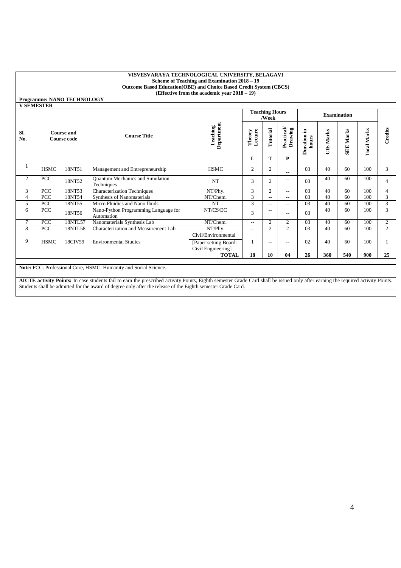|            | <b>Programme: NANO TECHNOLOGY</b> |  |
|------------|-----------------------------------|--|
| V SEMESTER |                                   |  |
|            |                                   |  |
|            |                                   |  |
|            |                                   |  |

|                |                           |         |                                                       |                                             |                   | <b>Teaching Hours</b><br>/Week |                      |                      |             | <b>Examination</b> |                    |                |
|----------------|---------------------------|---------|-------------------------------------------------------|---------------------------------------------|-------------------|--------------------------------|----------------------|----------------------|-------------|--------------------|--------------------|----------------|
| SI.<br>No.     | Course and<br>Course code |         | <b>Course Title</b>                                   | Department<br>Teaching                      | Lecture<br>Theory | Tutorial                       | Practical<br>Drawing | Duration in<br>hours | Marks<br>UE | <b>SEE Marks</b>   | <b>Total Marks</b> | Credits        |
|                |                           |         |                                                       |                                             | L                 | T                              | P                    |                      |             |                    |                    |                |
|                | <b>HSMC</b>               | 18NT51  | Management and Entrepreneurship                       | <b>HSMC</b>                                 | 2                 | 2                              | $-$                  | 03                   | 40          | 60                 | 100                | 3              |
| 2              | PCC                       | 18NT52  | <b>Quantum Mechanics and Simulation</b><br>Techniques | NT                                          | 3                 | $\overline{2}$                 | $-$                  | 03                   | 40          | 60                 | 100                | 4              |
| 3              | PCC                       | 18NT53  | <b>Characterization Techniques</b>                    | NT/Phy.                                     | 3                 | 2                              | $-$                  | 03                   | 40          | 60                 | 100                | $\overline{4}$ |
| $\overline{4}$ | PCC                       | 18NT54  | <b>Synthesis of Nanomaterials</b>                     | NT/Chem.                                    | 3                 | $\overline{\phantom{a}}$       | $-$                  | 03                   | 40          | 60                 | 100                | 3              |
| 5              | PCC                       | 18NT55  | Micro Fluidics and Nano fluids                        | <b>NT</b>                                   | 3                 | $-$                            | $-$                  | 03                   | 40          | 60                 | 100                | 3              |
| 6              | PCC                       | 18NT56  | Nano-Python Programming Language for<br>Automation    | NT/CS/EC                                    | 3                 | $- -$                          | $-$                  | 03                   | 40          | 60                 | 100                | 3              |
| $\tau$         | PCC                       | 18NTL57 | Nanomaterials Synthesis Lab                           | NT/Chem.                                    | $-$               | 2                              | 2                    | 03                   | 40          | 60                 | 100                | $\overline{2}$ |
| 8              | <b>PCC</b>                | 18NTL58 | Characterization and Measurement Lab                  | NT/Phy.                                     | $\overline{a}$    | $\overline{c}$                 | 2                    | 03                   | 40          | 60                 | 100                | 2              |
|                |                           |         |                                                       | Civil/Environmental                         |                   |                                |                      |                      |             |                    |                    |                |
| 9              | <b>HSMC</b>               | 18CIV59 | <b>Environmental Studies</b>                          | [Paper setting Board:<br>Civil Engineering] |                   | $ -$                           | $- -$                | 02                   | 40          | 60                 | 100                |                |
|                |                           |         |                                                       | <b>TOTAL</b>                                | 18                | 10                             | 04                   | 26                   | 360         | 540                | 900                | 25             |

**Note:** PCC: Professional Core, HSMC: Humanity and Social Science.

**AICTE activity Points:** In case students fail to earn the prescribed activity Points, Eighth semester Grade Card shall be issued only after earning the required activity Points. Students shall be admitted for the award of degree only after the release of the Eighth semester Grade Card.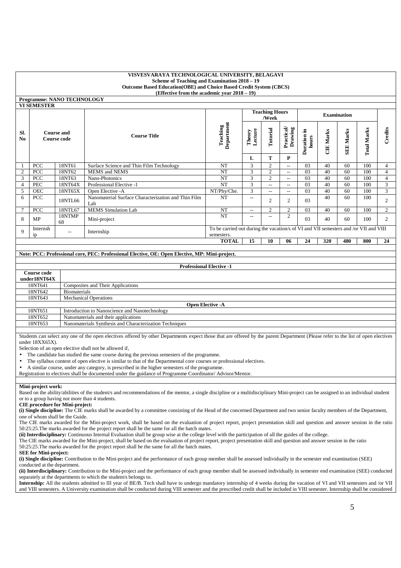**Programme: NANO TECHNOLOGY** 

|                       | <b>VI SEMESTER</b>                      |                          |                                                            |                                                                                                    |                                |                          |                      |                          |             |               |                    |                |
|-----------------------|-----------------------------------------|--------------------------|------------------------------------------------------------|----------------------------------------------------------------------------------------------------|--------------------------------|--------------------------|----------------------|--------------------------|-------------|---------------|--------------------|----------------|
|                       |                                         |                          |                                                            |                                                                                                    | <b>Teaching Hours</b><br>/Week |                          |                      |                          |             |               |                    |                |
| SI.<br>N <sub>0</sub> | <b>Course and</b><br><b>Course code</b> |                          | <b>Course Title</b>                                        | Department<br>Teaching                                                                             | Lecture<br>Theory              | Tutorial                 | Practical<br>Drawing | - 드<br>Duration<br>hours | Marks<br>UE | Marks<br>SEE. | <b>Total Marks</b> | Credits        |
|                       |                                         |                          |                                                            |                                                                                                    | L                              | T                        | P                    |                          |             |               |                    |                |
|                       | PCC                                     | 18NT61                   | Surface Science and Thin Film Technology                   | <b>NT</b>                                                                                          | 3                              | $\overline{2}$           | $- -$                | 03                       | 40          | 60            | 100                | 4              |
| 2                     | <b>PCC</b>                              | 18NT62                   | <b>MEMS</b> and <b>NEMS</b>                                | NT                                                                                                 | 3                              | $\overline{2}$           | $- -$                | 03                       | 40          | 60            | 100                | 4              |
| 3                     | <b>PCC</b>                              | 18NT63                   | Nano-Photonics                                             | NT                                                                                                 | 3                              | 2                        | --                   | 03                       | 40          | 60            | 100                | 4              |
| $\overline{4}$        | <b>PEC</b>                              | 18NT64X                  | Professional Elective -1                                   | NT                                                                                                 | 3                              | $- -$                    | $- -$                | 03                       | 40          | 60            | 100                | 3              |
| 5                     | <b>OEC</b>                              | 18NT65X                  | Open Elective -A                                           | NT/Phy/Che.                                                                                        | 3                              | $\overline{\phantom{a}}$ | $- -$                | 03                       | 40          | 60            | 100                | 3              |
| 6                     | <b>PCC</b>                              | 18NTL66                  | Nanomaterial Surface Characterization and Thin Film<br>Lab | NT                                                                                                 | $ -$                           | $\overline{2}$           | 2                    | 03                       | 40          | 60            | 100                | $\overline{2}$ |
| 7                     | PCC                                     | 18NTL67                  | <b>MEMS</b> Simulation Lab                                 | NT                                                                                                 | $-$                            | 2                        | 2                    | 03                       | 40          | 60            | 100                | 2              |
| 8                     | MP                                      | 18NTMP<br>68             | Mini-project                                               | NT                                                                                                 | $ -$                           | $- -$                    | 2                    | 03                       | 40          | 60            | 100                | $\overline{2}$ |
| $\mathbf Q$           | Internsh<br>ip                          | $\overline{\phantom{a}}$ | Internship                                                 | To be carried out during the vacation/s of VI and VII semesters and /or VII and VIII<br>semesters. |                                |                          |                      |                          |             |               |                    |                |
|                       |                                         |                          |                                                            | <b>TOTAL</b>                                                                                       | 15                             | 10                       | 06                   | 24                       | 320         | 480           | 800                | 24             |

|              | Note: PCC: Professional core, PEC: Professional Elective, OE: Open Elective, MP: Mini-project. |  |  |  |  |  |  |
|--------------|------------------------------------------------------------------------------------------------|--|--|--|--|--|--|
|              |                                                                                                |  |  |  |  |  |  |
|              | <b>Professional Elective -1</b>                                                                |  |  |  |  |  |  |
| Course code  |                                                                                                |  |  |  |  |  |  |
| under18NT64X |                                                                                                |  |  |  |  |  |  |
| 18NT641      | Composites and Their Applications                                                              |  |  |  |  |  |  |
| 18NT642      | <b>Biomaterials</b>                                                                            |  |  |  |  |  |  |
| 18NT643      | <b>Mechanical Operations</b>                                                                   |  |  |  |  |  |  |
|              | <b>Open Elective -A</b>                                                                        |  |  |  |  |  |  |
| 18NT651      | Introduction to Nanoscience and Nanotechnology                                                 |  |  |  |  |  |  |
| 18NT652      | Nanomaterials and their applications                                                           |  |  |  |  |  |  |
| 18NT653      | Nanomaterials Synthesis and Characterization Techniques                                        |  |  |  |  |  |  |

Students can select any one of the open electives offered by other Departments expect those that are offered by the parent Department (Please refer to the list of open electives under 18XX65X).

Selection of an open elective shall not be allowed if,

• The candidate has studied the same course during the previous semesters of the programme.

• The syllabus content of open elective is similar to that of the Departmental core courses or professional electives.

• A similar course, under any category, is prescribed in the higher semesters of the programme.

Registration to electives shall be documented under the guidance of Programme Coordinator/ Advisor/Mentor.

**Mini-project work:** 

Based on the ability/abilities of the student/s and recommendations of the mentor, a single discipline or a multidisciplinary Mini-project can be assigned to an individual student or to a group having not more than 4 students.

#### **CIE procedure for Mini-project:**

**(i) Single discipline:** The CIE marks shall be awarded by a committee consisting of the Head of the concerned Department and two senior faculty members of the Department, one of whom shall be the Guide.

The CIE marks awarded for the Mini-project work, shall be based on the evaluation of project report, project presentation skill and question and answer session in the ratio 50:25:25.The marks awarded for the project report shall be the same for all the batch mates.

**(ii) Interdisciplinary:** Continuous Internal Evaluation shall be group wise at the college level with the participation of all the guides of the college.

The CIE marks awarded for the Mini-project, shall be based on the evaluation of project report, project presentation skill and question and answer session in the ratio 50:25:25.The marks awarded for the project report shall be the same for all the batch mates.

#### **SEE for Mini-project:**

**(i) Single discipline:** Contribution to the Mini-project and the performance of each group member shall be assessed individually in the semester end examination (SEE) conducted at the department.

**(ii) Interdisciplinary:** Contribution to the Mini-project and the performance of each group member shall be assessed individually in semester end examination (SEE) conducted separately at the departments to which the student/s belongs to.

**Internship:** All the students admitted to III year of BE/B. Tech shall have to undergo mandatory internship of 4 weeks during the vacation of VI and VII semesters and /or VII and VIII semesters. A University examination shall be conducted during VIII semester and the prescribed credit shall be included in VIII semester. Internship shall be considered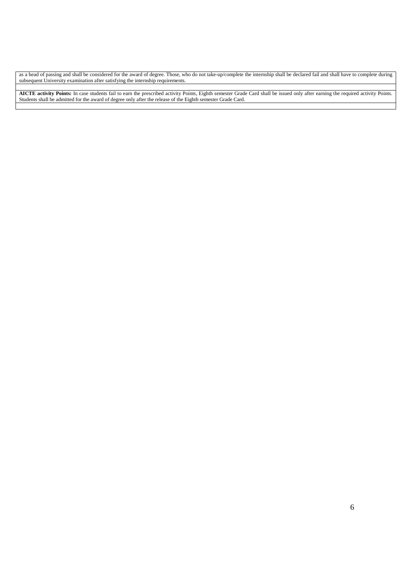as a head of passing and shall be considered for the award of degree. Those, who do not take-up/complete the internship shall be declared fail and shall have to complete during subsequent University examination after satisfying the internship requirements.

**AICTE activity Points:** In case students fail to earn the prescribed activity Points, Eighth semester Grade Card shall be issued only after earning the required activity Points. Students shall be admitted for the award of degree only after the release of the Eighth semester Grade Card.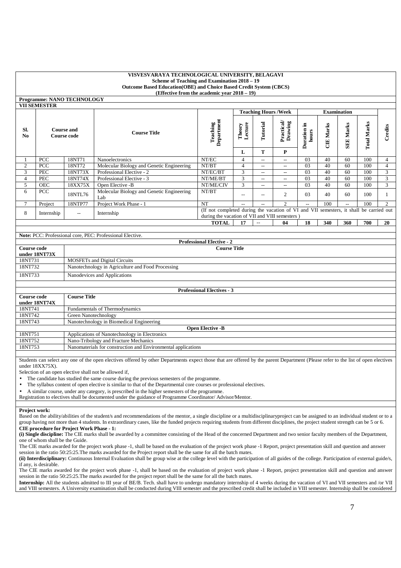| <b>Programme: NANO TECHNOLOGY</b> |  |
|-----------------------------------|--|
| <b>VII SEMESTER</b>               |  |

|                               | у не оритро і ріх                |         |                                                  |                                                                                                                                          |                   |         |                            |                       |            |                     |                 |         |
|-------------------------------|----------------------------------|---------|--------------------------------------------------|------------------------------------------------------------------------------------------------------------------------------------------|-------------------|---------|----------------------------|-----------------------|------------|---------------------|-----------------|---------|
|                               |                                  |         |                                                  |                                                                                                                                          |                   |         | <b>Teaching Hours/Week</b> |                       |            | <b>Examination</b>  |                 |         |
| SI.<br>$\mathbf{N}\mathbf{0}$ | <b>Course and</b><br>Course code |         | <b>Course Title</b>                              | Department<br>Teaching                                                                                                                   | Theory<br>Lecture | utorial | Practical<br>Drawing       | .Ξ<br>ration<br>hours | Marks<br>U | Marks<br><b>SEE</b> | Marks<br>Total. | Credits |
|                               |                                  |         |                                                  |                                                                                                                                          | L                 | m       | P                          |                       |            |                     |                 |         |
|                               | <b>PCC</b>                       | 18NT71  | <b>Nanoelectronics</b>                           | NT/EC                                                                                                                                    | 4                 | $- -$   | $\qquad \qquad -$          | 03                    | 40         | 60                  | 100             | 4       |
| $\overline{c}$                | <b>PCC</b>                       | 18NT72  | Molecular Biology and Genetic Engineering        | NT/BT                                                                                                                                    | 4                 | $- -$   | $\hspace{0.05cm}$          | 03                    | 40         | 60                  | 100             | 4       |
| 3                             | <b>PEC</b>                       | 18NT73X | Professional Elective - 2                        | NT/EC/BT                                                                                                                                 | 3                 | $- -$   | $\hspace{0.05cm}$          | 03                    | 40         | 60                  | 100             | 3       |
| 4                             | PEC                              | 18NT74X | Professional Elective - 3                        | NT/ME/BT                                                                                                                                 | 3                 | $- -$   | $\hspace{0.05cm}$          | 03                    | 40         | 60                  | 100             | 3       |
| 5                             | <b>OEC</b>                       | 18XX75X | Open Elective -B                                 | NT/ME/CIV                                                                                                                                | 3                 | $- -$   | $\hspace{0.05cm}$          | 03                    | 40         | 60                  | 100             | 3       |
| 6.                            | PCC                              | 18NTL76 | Molecular Biology and Genetic Engineering<br>Lab | NT/BT                                                                                                                                    |                   | $-$     | $\mathcal{D}$              | 03                    | 40         | 60                  | 100             |         |
|                               | Project                          | 18NTP77 | Project Work Phase - 1                           | <b>NT</b>                                                                                                                                | $- -$             |         | $\mathfrak{D}$             | $-$                   | 100        | $- -$               | 100             | 2       |
| 8                             | Internship                       | $-$     | Internship                                       | (If not completed during the vacation of VI and VII semesters, it shall be carried out<br>during the vacation of VII and VIII semesters) |                   |         |                            |                       |            |                     |                 |         |
|                               |                                  |         |                                                  | <b>TOTAL</b>                                                                                                                             | 17                | $- -$   | 04                         | 18                    | 340        | 360                 | 700             | 20      |

|                                  | Note: PCC: Professional core, PEC: Professional Elective. |  |  |  |  |  |
|----------------------------------|-----------------------------------------------------------|--|--|--|--|--|
| <b>Professional Elective - 2</b> |                                                           |  |  |  |  |  |
| Course code                      | <b>Course Title</b>                                       |  |  |  |  |  |
| under 18NT73X                    |                                                           |  |  |  |  |  |
| 18NT731                          | <b>MOSFETs and Digital Circuits</b>                       |  |  |  |  |  |
| 18NT732                          | Nanotechnology in Agriculture and Food Processing         |  |  |  |  |  |
| 18NT733                          | Nanodevices and Applications                              |  |  |  |  |  |
|                                  |                                                           |  |  |  |  |  |

|                    | <b>Professional Electives - 3</b>                             |  |  |  |  |  |
|--------------------|---------------------------------------------------------------|--|--|--|--|--|
| <b>Course code</b> | <b>Course Title</b>                                           |  |  |  |  |  |
| under 18NT74X      |                                                               |  |  |  |  |  |
| 18NT741            | Fundamentals of Thermodynamics                                |  |  |  |  |  |
| 18NT742            | Green Nanotechnology                                          |  |  |  |  |  |
| 18NT743            | Nanotechnology in Biomedical Engineering                      |  |  |  |  |  |
|                    | <b>Open Elective -B</b>                                       |  |  |  |  |  |
| 18NT751            | Applications of Nanotechnology in Electronics                 |  |  |  |  |  |
| 18NT752            | Nano-Tribology and Fracture Mechanics                         |  |  |  |  |  |
| 18NT753            | Nanomaterials for construction and Environmental applications |  |  |  |  |  |

Students can select any one of the open electives offered by other Departments expect those that are offered by the parent Department (Please refer to the list of open electives under 18XX75X).

Selection of an open elective shall not be allowed if,

The candidate has studied the same course during the previous semesters of the programme.

• The syllabus content of open elective is similar to that of the Departmental core courses or professional electives.

• A similar course, under any category, is prescribed in the higher semesters of the programme.

Registration to electives shall be documented under the guidance of Programme Coordinator/ Advisor/Mentor.

#### **Project work:**

Based on the ability/abilities of the student/s and recommendations of the mentor, a single discipline or a multidisciplinaryproject can be assigned to an individual student or to a group having not more than 4 students. In extraordinary cases, like the funded projects requiring students from different disciplines, the project student strength can be 5 or 6. **CIE procedure for Project Work Phase - 1:**

**(i) Single discipline:** The CIE marks shall be awarded by a committee consisting of the Head of the concerned Department and two senior faculty members of the Department, one of whom shall be the Guide.

The CIE marks awarded for the project work phase -1, shall be based on the evaluation of the project work phase -1 Report, project presentation skill and question and answer session in the ratio 50:25:25.The marks awarded for the Project report shall be the same for all the batch mates.

(ii) Interdisciplinary: Continuous Internal Evaluation shall be group wise at the college level with the participation of all guides of the college. Participation of external guide/s, if any, is desirable.

The CIE marks awarded for the project work phase -1, shall be based on the evaluation of project work phase -1 Report, project presentation skill and question and answer session in the ratio 50:25:25.The marks awarded for the project report shall be the same for all the batch mates.

**Internship:** All the students admitted to III year of BE/B. Tech. shall have to undergo mandatory internship of 4 weeks during the vacation of VI and VII semesters and /or VII and VIII semesters. A University examination shall be conducted during VIII semester and the prescribed credit shall be included in VIII semester. Internship shall be considered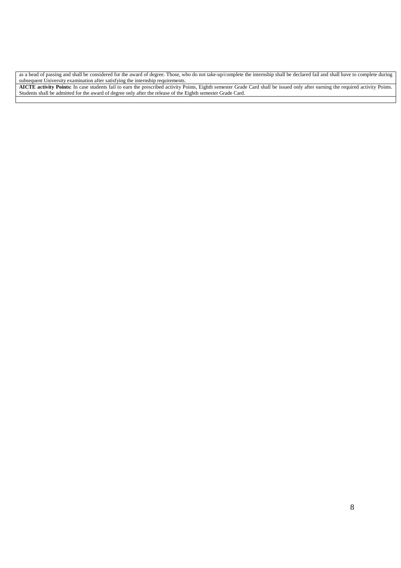as a head of passing and shall be considered for the award of degree. Those, who do not take-up/complete the internship shall be declared fail and shall have to complete during subsequent University examination after satisfying the internship requirements.

**AICTE activity Points:** In case students fail to earn the prescribed activity Points, Eighth semester Grade Card shall be issued only after earning the required activity Points. Students shall be admitted for the award of degree only after the release of the Eighth semester Grade Card.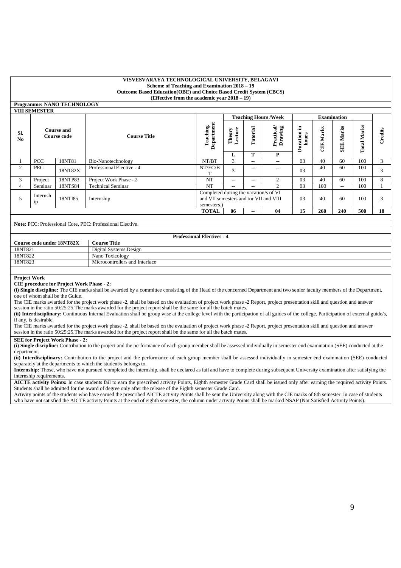|                       |                                  | <b>Programme: NANO TECHNOLOGY</b> |                                                           |                                   |                                                                                 |          |                            |                          |                  |                          |                    |         |
|-----------------------|----------------------------------|-----------------------------------|-----------------------------------------------------------|-----------------------------------|---------------------------------------------------------------------------------|----------|----------------------------|--------------------------|------------------|--------------------------|--------------------|---------|
|                       | <b>VIII SEMESTER</b>             |                                   |                                                           |                                   |                                                                                 |          |                            |                          |                  |                          |                    |         |
|                       |                                  |                                   |                                                           |                                   |                                                                                 |          | <b>Teaching Hours/Week</b> | <b>Examination</b>       |                  |                          |                    |         |
| SI.<br>N <sub>0</sub> | <b>Course and</b><br>Course code |                                   | <b>Course Title</b>                                       | Department<br>Teaching            | Theory<br>Lecture                                                               | Tutorial | Practical<br>Drawing       | - 드<br>Duration<br>hours | <b>CIE Marks</b> | <b>SEE Marks</b>         | <b>Total Marks</b> | Credits |
|                       |                                  |                                   |                                                           |                                   | L                                                                               | T        | P                          |                          |                  |                          |                    |         |
|                       | PCC                              | 18NT81                            | Bio-Nanotechnology                                        | NT/BT                             | 3                                                                               | $- -$    | $\overline{\phantom{a}}$   | 03                       | 40               | 60                       | 100                | 3       |
| $\overline{2}$        | PEC                              | 18NT82X                           | Professional Elective - 4                                 | NT/EC/B<br>т                      | 3                                                                               | $- -$    | $\qquad \qquad -$          | 03                       | 40               | 60                       | 100                | 3       |
| 3                     | Project                          | 18NTP83                           | Project Work Phase - 2                                    | <b>NT</b>                         | $ -$                                                                            | $- -$    | 2                          | 03                       | 40               | 60                       | 100                | 8       |
| 4                     | Seminar                          | 18NTS84                           | <b>Technical Seminar</b>                                  | <b>NT</b>                         | $ -$                                                                            | $- -$    | 2                          | 03                       | 100              | $\overline{\phantom{a}}$ | 100                |         |
| 5                     | Internsh<br>1p                   | 18NTI85                           | Internship                                                | semesters.)                       | Completed during the vacation/s of VI<br>and VII semesters and /or VII and VIII |          |                            | 0 <sub>3</sub>           | 40               | 60                       | 100                | 3       |
|                       |                                  |                                   |                                                           | <b>TOTAL</b>                      | 06                                                                              | $-$      | 04                         | 15                       | 260              | 240                      | 500                | 18      |
|                       |                                  |                                   |                                                           |                                   |                                                                                 |          |                            |                          |                  |                          |                    |         |
|                       |                                  |                                   | Note: PCC: Professional Core, PEC: Professional Elective. |                                   |                                                                                 |          |                            |                          |                  |                          |                    |         |
|                       |                                  |                                   |                                                           |                                   |                                                                                 |          |                            |                          |                  |                          |                    |         |
|                       |                                  |                                   |                                                           | <b>Professional Electives - 4</b> |                                                                                 |          |                            |                          |                  |                          |                    |         |
|                       | Course code under 18NT82X        |                                   | <b>Course Title</b>                                       |                                   |                                                                                 |          |                            |                          |                  |                          |                    |         |
|                       |                                  |                                   |                                                           |                                   |                                                                                 |          |                            |                          |                  |                          |                    |         |

| Course coule unuer Torvito22x | Course Thie                    |
|-------------------------------|--------------------------------|
| 18NT821                       | Digital Systems Design         |
| 18NT822                       | Toxicology<br>Nano             |
| 18NT823                       | Microcontrollers and Interface |
|                               |                                |

**Project Work** 

**CIE procedure for Project Work Phase - 2:**

**(i) Single discipline:** The CIE marks shall be awarded by a committee consisting of the Head of the concerned Department and two senior faculty members of the Department, one of whom shall be the Guide.

The CIE marks awarded for the project work phase -2, shall be based on the evaluation of project work phase -2 Report, project presentation skill and question and answer session in the ratio 50:25:25.The marks awarded for the project report shall be the same for all the batch mates.

(ii) Interdisciplinary: Continuous Internal Evaluation shall be group wise at the college level with the participation of all guides of the college. Participation of external guide/s, if any, is desirable.

The CIE marks awarded for the project work phase -2, shall be based on the evaluation of project work phase -2 Report, project presentation skill and question and answer session in the ratio 50:25:25.The marks awarded for the project report shall be the same for all the batch mates.

#### **SEE for Project Work Phase - 2:**

**(i) Single discipline:** Contribution to the project and the performance of each group member shall be assessed individually in semester end examination (SEE) conducted at the department.

**(ii) Interdisciplinary:** Contribution to the project and the performance of each group member shall be assessed individually in semester end examination (SEE) conducted separately at the departments to which the student/s belongs to.

**Internship:** Those, who have not pursued /completed the internship, shall be declared as fail and have to complete during subsequent University examination after satisfying the internship requirements.

**AICTE activity Points:** In case students fail to earn the prescribed activity Points, Eighth semester Grade Card shall be issued only after earning the required activity Points. Students shall be admitted for the award of degree only after the release of the Eighth semester Grade Card.

Activity points of the students who have earned the prescribed AICTE activity Points shall be sent the University along with the CIE marks of 8th semester. In case of students who have not satisfied the AICTE activity Points at the end of eighth semester, the column under activity Points shall be marked NSAP (Not Satisfied Activity Points).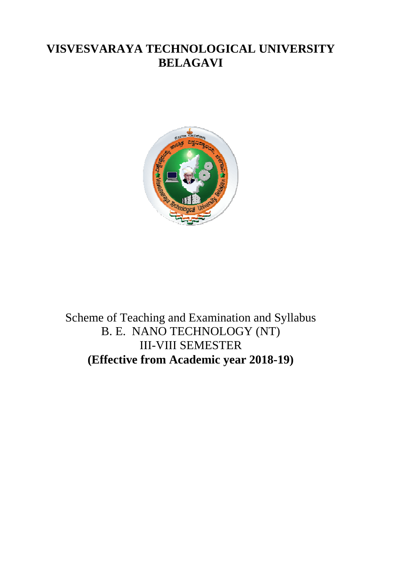# **VISVESVARAYA TECHNOLOGICAL UNIVERSITY BELAGAVI**



Scheme of Teaching and Examination and Syllabus B. E. NANO TECHNOLOGY (NT) III-VIII SEMESTER **(Effective from Academic year 2018 2018-19) 19)**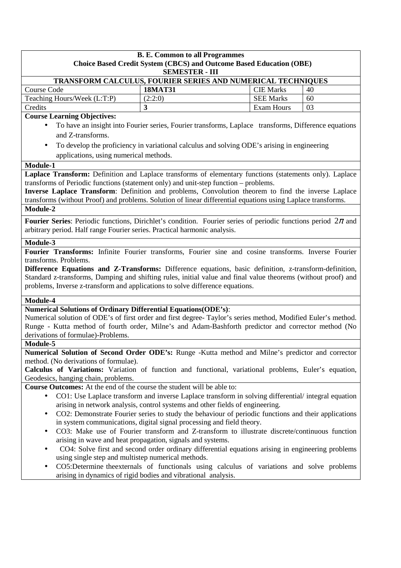| <b>B. E. Common to all Programmes</b><br><b>Choice Based Credit System (CBCS) and Outcome Based Education (OBE)</b>                                                                                                                                                                                                                                                                                                                |                                                                                                                                                                                                     |                   |    |  |  |
|------------------------------------------------------------------------------------------------------------------------------------------------------------------------------------------------------------------------------------------------------------------------------------------------------------------------------------------------------------------------------------------------------------------------------------|-----------------------------------------------------------------------------------------------------------------------------------------------------------------------------------------------------|-------------------|----|--|--|
| <b>SEMESTER - III</b><br>TRANSFORM CALCULUS, FOURIER SERIES AND NUMERICAL TECHNIQUES                                                                                                                                                                                                                                                                                                                                               |                                                                                                                                                                                                     |                   |    |  |  |
| <b>Course Code</b>                                                                                                                                                                                                                                                                                                                                                                                                                 | <b>18MAT31</b>                                                                                                                                                                                      | <b>CIE Marks</b>  | 40 |  |  |
| Teaching Hours/Week (L:T:P)                                                                                                                                                                                                                                                                                                                                                                                                        | (2:2:0)                                                                                                                                                                                             | <b>SEE Marks</b>  | 60 |  |  |
| Credits                                                                                                                                                                                                                                                                                                                                                                                                                            | 3                                                                                                                                                                                                   | <b>Exam Hours</b> | 03 |  |  |
| <b>Course Learning Objectives:</b>                                                                                                                                                                                                                                                                                                                                                                                                 |                                                                                                                                                                                                     |                   |    |  |  |
| and Z-transforms.<br>$\bullet$<br>applications, using numerical methods.                                                                                                                                                                                                                                                                                                                                                           | To have an insight into Fourier series, Fourier transforms, Laplace transforms, Difference equations<br>To develop the proficiency in variational calculus and solving ODE's arising in engineering |                   |    |  |  |
| Module-1                                                                                                                                                                                                                                                                                                                                                                                                                           |                                                                                                                                                                                                     |                   |    |  |  |
| Laplace Transform: Definition and Laplace transforms of elementary functions (statements only). Laplace<br>transforms of Periodic functions (statement only) and unit-step function – problems.<br>Inverse Laplace Transform: Definition and problems, Convolution theorem to find the inverse Laplace<br>transforms (without Proof) and problems. Solution of linear differential equations using Laplace transforms.<br>Module-2 |                                                                                                                                                                                                     |                   |    |  |  |
| Fourier Series: Periodic functions, Dirichlet's condition. Fourier series of periodic functions period $2\pi$ and<br>arbitrary period. Half range Fourier series. Practical harmonic analysis.                                                                                                                                                                                                                                     |                                                                                                                                                                                                     |                   |    |  |  |
| Module-3                                                                                                                                                                                                                                                                                                                                                                                                                           |                                                                                                                                                                                                     |                   |    |  |  |
| Difference Equations and Z-Transforms: Difference equations, basic definition, z-transform-definition,<br>Standard z-transforms, Damping and shifting rules, initial value and final value theorems (without proof) and<br>problems, Inverse z-transform and applications to solve difference equations.<br>Module-4                                                                                                               |                                                                                                                                                                                                     |                   |    |  |  |
| <b>Numerical Solutions of Ordinary Differential Equations (ODE's):</b>                                                                                                                                                                                                                                                                                                                                                             |                                                                                                                                                                                                     |                   |    |  |  |
| Numerical solution of ODE's of first order and first degree-Taylor's series method, Modified Euler's method.<br>Runge - Kutta method of fourth order, Milne's and Adam-Bashforth predictor and corrector method (No<br>derivations of formulae)-Problems.                                                                                                                                                                          |                                                                                                                                                                                                     |                   |    |  |  |
| Module-5                                                                                                                                                                                                                                                                                                                                                                                                                           |                                                                                                                                                                                                     |                   |    |  |  |
| Numerical Solution of Second Order ODE's: Runge -Kutta method and Milne's predictor and corrector                                                                                                                                                                                                                                                                                                                                  |                                                                                                                                                                                                     |                   |    |  |  |
| method. (No derivations of formulae).                                                                                                                                                                                                                                                                                                                                                                                              |                                                                                                                                                                                                     |                   |    |  |  |
| Calculus of Variations: Variation of function and functional, variational problems, Euler's equation,                                                                                                                                                                                                                                                                                                                              |                                                                                                                                                                                                     |                   |    |  |  |
| Geodesics, hanging chain, problems.                                                                                                                                                                                                                                                                                                                                                                                                |                                                                                                                                                                                                     |                   |    |  |  |
| Course Outcomes: At the end of the course the student will be able to:                                                                                                                                                                                                                                                                                                                                                             |                                                                                                                                                                                                     |                   |    |  |  |
| CO1: Use Laplace transform and inverse Laplace transform in solving differential/integral equation<br>arising in network analysis, control systems and other fields of engineering.<br>CO2: Demonstrate Fourier series to study the behaviour of periodic functions and their applications                                                                                                                                         |                                                                                                                                                                                                     |                   |    |  |  |
| in system communications, digital signal processing and field theory.                                                                                                                                                                                                                                                                                                                                                              |                                                                                                                                                                                                     |                   |    |  |  |
| CO3: Make use of Fourier transform and Z-transform to illustrate discrete/continuous function                                                                                                                                                                                                                                                                                                                                      |                                                                                                                                                                                                     |                   |    |  |  |
| arising in wave and heat propagation, signals and systems.                                                                                                                                                                                                                                                                                                                                                                         |                                                                                                                                                                                                     |                   |    |  |  |
| CO4: Solve first and second order ordinary differential equations arising in engineering problems                                                                                                                                                                                                                                                                                                                                  |                                                                                                                                                                                                     |                   |    |  |  |
| using single step and multistep numerical methods.                                                                                                                                                                                                                                                                                                                                                                                 |                                                                                                                                                                                                     |                   |    |  |  |
|                                                                                                                                                                                                                                                                                                                                                                                                                                    | CO5:Determine theexternals of functionals using calculus of variations and solve problems                                                                                                           |                   |    |  |  |
|                                                                                                                                                                                                                                                                                                                                                                                                                                    | arising in dynamics of rigid bodies and vibrational analysis.                                                                                                                                       |                   |    |  |  |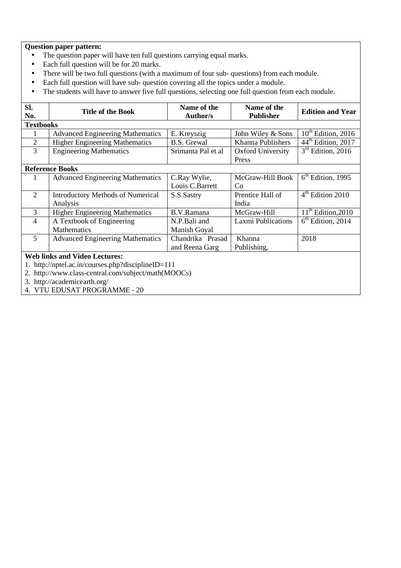- The question paper will have ten full questions carrying equal marks.
- Each full question will be for 20 marks.
- There will be two full questions (with a maximum of four sub- questions) from each module.
- Each full question will have sub- question covering all the topics under a module.
- The students will have to answer five full questions, selecting one full question from each module.

| SI.<br>No.                                          | <b>Title of the Book</b>                 | Name of the<br><b>Author/s</b> | Name of the<br><b>Publisher</b> | <b>Edition and Year</b>        |  |  |  |
|-----------------------------------------------------|------------------------------------------|--------------------------------|---------------------------------|--------------------------------|--|--|--|
|                                                     | <b>Textbooks</b>                         |                                |                                 |                                |  |  |  |
|                                                     | <b>Advanced Engineering Mathematics</b>  | E. Kreyszig                    | John Wiley & Sons               | $10th$ Edition, 2016           |  |  |  |
| $\overline{2}$                                      | <b>Higher Engineering Mathematics</b>    | B.S. Grewal                    | Khanna Publishers               | 44 <sup>th</sup> Edition, 2017 |  |  |  |
| 3                                                   | <b>Engineering Mathematics</b>           | Srimanta Pal et al             | Oxford University<br>Press      | $3rd$ Edition, 2016            |  |  |  |
|                                                     | <b>Reference Books</b>                   |                                |                                 |                                |  |  |  |
|                                                     | <b>Advanced Engineering Mathematics</b>  | C.Ray Wylie,                   | McGraw-Hill Book                | $6th$ Edition, 1995            |  |  |  |
|                                                     |                                          | Louis C.Barrett                | Co                              |                                |  |  |  |
| 2                                                   | <b>Introductory Methods of Numerical</b> | S.S.Sastry                     | Prentice Hall of                | $4th$ Edition 2010             |  |  |  |
|                                                     | Analysis                                 |                                | India                           |                                |  |  |  |
| 3                                                   | <b>Higher Engineering Mathematics</b>    | B.V.Ramana                     | McGraw-Hill                     | $11th$ Edition, 2010           |  |  |  |
| 4                                                   | A Textbook of Engineering                | N.P.Bali and                   | <b>Laxmi Publications</b>       | $6th$ Edition, 2014            |  |  |  |
|                                                     | <b>Mathematics</b>                       | Manish Goyal                   |                                 |                                |  |  |  |
| 5                                                   | <b>Advanced Engineering Mathematics</b>  | Chandrika Prasad               | Khanna                          | 2018                           |  |  |  |
|                                                     |                                          | and Reena Garg                 | Publishing,                     |                                |  |  |  |
| <b>Web links and Video Lectures:</b>                |                                          |                                |                                 |                                |  |  |  |
| http://nptel.ac.in/courses.php?disciplineID=111     |                                          |                                |                                 |                                |  |  |  |
| 2. http://www.class-central.com/subject/math(MOOCs) |                                          |                                |                                 |                                |  |  |  |
|                                                     | 3. http://academicearth.org/             |                                |                                 |                                |  |  |  |
|                                                     | 4. VTU EDUSAT PROGRAMME - 20             |                                |                                 |                                |  |  |  |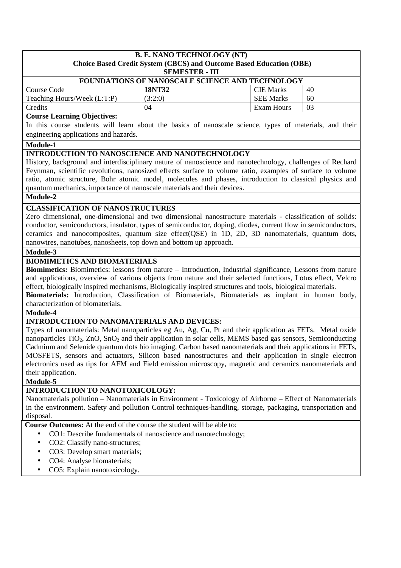## **B. E. NANO TECHNOLOGY (NT) Choice Based Credit System (CBCS) and Outcome Based Education (OBE)**

**SEMESTER - III**

| FOUNDATIONS OF NANOSCALE SCIENCE AND TECHNOLOGY |         |                  |    |  |
|-------------------------------------------------|---------|------------------|----|--|
| Course Code                                     | 18NT32  | <b>CIE</b> Marks | 40 |  |
| Teaching Hours/Week (L:T:P)                     | (3:2:0) | <b>SEE Marks</b> | 60 |  |
| Credits                                         | 04      | Exam Hours       | 03 |  |

#### **Course Learning Objectives:**

In this course students will learn about the basics of nanoscale science, types of materials, and their engineering applications and hazards.

#### **Module-1**

#### **INTRODUCTION TO NANOSCIENCE AND NANOTECHNOLOGY**

History, background and interdisciplinary nature of nanoscience and nanotechnology, challenges of Rechard Feynman, scientific revolutions, nanosized effects surface to volume ratio, examples of surface to volume ratio, atomic structure, Bohr atomic model, molecules and phases, introduction to classical physics and quantum mechanics, importance of nanoscale materials and their devices.

#### **Module-2**

#### **CLASSIFICATION OF NANOSTRUCTURES**

Zero dimensional, one-dimensional and two dimensional nanostructure materials - classification of solids: conductor, semiconductors, insulator, types of semiconductor, doping, diodes, current flow in semiconductors, ceramics and nanocomposites, quantum size effect(QSE) in 1D, 2D, 3D nanomaterials, quantum dots, nanowires, nanotubes, nanosheets, top down and bottom up approach.

#### **Module-3**

#### **BIOMIMETICS AND BIOMATERIALS**

**Biomimetics:** Biomimetics: lessons from nature – Introduction, Industrial significance, Lessons from nature and applications, overview of various objects from nature and their selected functions, Lotus effect, Velcro effect, biologically inspired mechanisms, Biologically inspired structures and tools, biological materials. **Biomaterials:** Introduction, Classification of Biomaterials, Biomaterials as implant in human body,

characterization of biomaterials.

#### **Module-4**

## **INTRODUCTION TO NANOMATERIALS AND DEVICES:**

Types of nanomaterials: Metal nanoparticles eg Au, Ag, Cu, Pt and their application as FETs. Metal oxide nanoparticles TiO<sub>2</sub>, ZnO, SnO<sub>2</sub> and their application in solar cells, MEMS based gas sensors, Semiconducting Cadmium and Selenide quantum dots bio imaging, Carbon based nanomaterials and their applications in FETs, MOSFETS, sensors and actuators, Silicon based nanostructures and their application in single electron electronics used as tips for AFM and Field emission microscopy, magnetic and ceramics nanomaterials and their application.

**Module-5** 

#### **INTRODUCTION TO NANOTOXICOLOGY:**

Nanomaterials pollution – Nanomaterials in Environment - Toxicology of Airborne – Effect of Nanomaterials in the environment. Safety and pollution Control techniques-handling, storage, packaging, transportation and disposal.

**Course Outcomes:** At the end of the course the student will be able to:

- CO1: Describe fundamentals of nanoscience and nanotechnology;
	- CO2: Classify nano-structures:
- CO3: Develop smart materials;
- CO4: Analyse biomaterials;
- CO5: Explain nanotoxicology.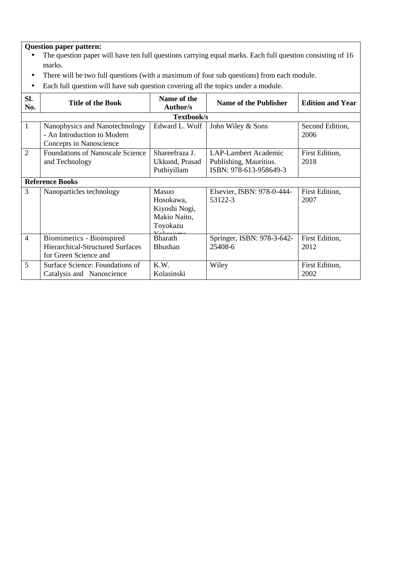- The question paper will have ten full questions carrying equal marks. Each full question consisting of 16 marks.
- There will be two full questions (with a maximum of four sub questions) from each module.
- Each full question will have sub question covering all the topics under a module.

| SI.<br>No.     | <b>Title of the Book</b>                                                                      | Name of the<br>Author/s                                         | <b>Name of the Publisher</b>                                                    | <b>Edition and Year</b> |  |  |
|----------------|-----------------------------------------------------------------------------------------------|-----------------------------------------------------------------|---------------------------------------------------------------------------------|-------------------------|--|--|
|                | Textbook/s                                                                                    |                                                                 |                                                                                 |                         |  |  |
| 1              | Nanophysics and Nanotechnology<br>- An Introduction to Modern<br>Concepts in Nanoscience      | Edward L. Wolf                                                  | John Wiley & Sons                                                               | Second Edition,<br>2006 |  |  |
| $\overline{2}$ | <b>Foundations of Nanoscale Science</b><br>and Technology                                     | Shareefraza J.<br>Ukkund, Prasad<br>Puthiyillam                 | <b>LAP-Lambert Academic</b><br>Publishing, Mauritius.<br>ISBN: 978-613-958649-3 | First Edition,<br>2018  |  |  |
|                | <b>Reference Books</b>                                                                        |                                                                 |                                                                                 |                         |  |  |
| 3              | Nanoparticles technology                                                                      | Masuo<br>Hosokawa,<br>Kiyoshi Nogi,<br>Makio Naito,<br>Toyokazu | Elsevier, ISBN: 978-0-444-<br>53122-3                                           | First Edition,<br>2007  |  |  |
| $\overline{4}$ | Biomimetics - Bioinspired<br><b>Hierarchical-Structured Surfaces</b><br>for Green Science and | <b>Bharath</b><br><b>Bhushan</b>                                | Springer, ISBN: 978-3-642-<br>25408-6                                           | First Edition,<br>2012  |  |  |
| 5              | Surface Science: Foundations of<br>Catalysis and Nanoscience                                  | K.W.<br>Kolasinski                                              | Wiley                                                                           | First Edition,<br>2002  |  |  |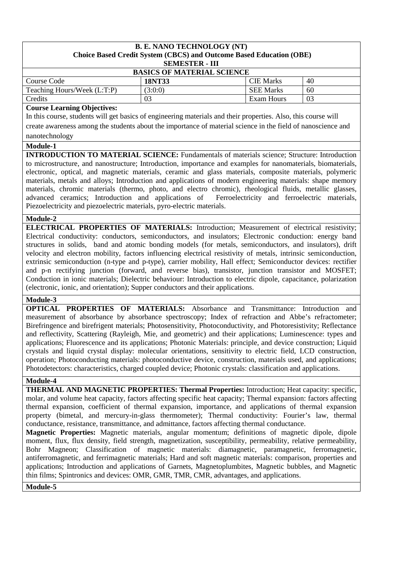#### **B. E. NANO TECHNOLOGY (NT) Choice Based Credit System (CBCS) and Outcome Based Education (OBE) SEMESTER - III**

|                                   | _______________ |                  |    |  |  |
|-----------------------------------|-----------------|------------------|----|--|--|
| <b>BASICS OF MATERIAL SCIENCE</b> |                 |                  |    |  |  |
| Course Code                       | 18NT33          | <b>CIE</b> Marks | 40 |  |  |
| Teaching Hours/Week (L:T:P)       | (3:0:0)         | <b>SEE Marks</b> | 60 |  |  |
| <b>Credits</b>                    | 03              | Exam Hours       | 03 |  |  |

#### **Course Learning Objectives:**

In this course, students will get basics of engineering materials and their properties. Also, this course will create awareness among the students about the importance of material science in the field of nanoscience and nanotechnology

#### **Module-1**

**INTRODUCTION TO MATERIAL SCIENCE:** Fundamentals of materials science; Structure: Introduction to microstructure, and nanostructure; Introduction, importance and examples for nanomaterials, biomaterials, electronic, optical, and magnetic materials, ceramic and glass materials, composite materials, polymeric materials, metals and alloys; Introduction and applications of modern engineering materials: shape memory materials, chromic materials (thermo, photo, and electro chromic), rheological fluids, metallic glasses, advanced ceramics; Introduction and applications of Ferroelectricity and ferroelectric materials, Piezoelectricity and piezoelectric materials, pyro-electric materials.

#### **Module-2**

**ELECTRICAL PROPERTIES OF MATERIALS:** Introduction; Measurement of electrical resistivity; Electrical conductivity: conductors, semiconductors, and insulators; Electronic conduction: energy band structures in solids, band and atomic bonding models (for metals, semiconductors, and insulators), drift velocity and electron mobility, factors influencing electrical resistivity of metals, intrinsic semiconduction, extrinsic semiconduction (n-type and p-type), carrier mobility, Hall effect; Semiconductor devices: rectifier and p-n rectifying junction (forward, and reverse bias), transistor, junction transistor and MOSFET; Conduction in ionic materials; Dielectric behaviour: Introduction to electric dipole, capacitance, polarization (electronic, ionic, and orientation); Supper conductors and their applications.

#### **Module-3**

**OPTICAL PROPERTIES OF MATERIALS:** Absorbance and Transmittance: Introduction and measurement of absorbance by absorbance spectroscopy; Index of refraction and Abbe's refractometer; Birefringence and birefrigent materials; Photosensitivity, Photoconductivity, and Photoresistivity; Reflectance and reflectivity, Scattering (Rayleigh, Mie, and geometric) and their applications; Luminescence: types and applications; Fluorescence and its applications; Photonic Materials: principle, and device construction; Liquid crystals and liquid crystal display: molecular orientations, sensitivity to electric field, LCD construction, operation; Photoconducting materials: photoconductive device, construction, materials used, and applications; Photodetectors: characteristics, charged coupled device; Photonic crystals: classification and applications.

#### **Module-4**

**THERMAL AND MAGNETIC PROPERTIES: Thermal Properties:** Introduction; Heat capacity: specific, molar, and volume heat capacity, factors affecting specific heat capacity; Thermal expansion: factors affecting thermal expansion, coefficient of thermal expansion, importance, and applications of thermal expansion property (bimetal, and mercury-in-glass thermometer); Thermal conductivity: Fourier's law, thermal conductance, resistance, transmittance, and admittance, factors affecting thermal conductance.

**Magnetic Properties:** Magnetic materials, angular momentum; definitions of magnetic dipole, dipole moment, flux, flux density, field strength, magnetization, susceptibility, permeability, relative permeability, Bohr Magneon; Classification of magnetic materials: diamagnetic, paramagnetic, ferromagnetic, antiferromagnetic, and ferrimagnetic materials; Hard and soft magnetic materials: comparison, properties and applications; Introduction and applications of Garnets, Magnetoplumbites, Magnetic bubbles, and Magnetic thin films; Spintronics and devices: OMR, GMR, TMR, CMR, advantages, and applications.

#### **Module-5**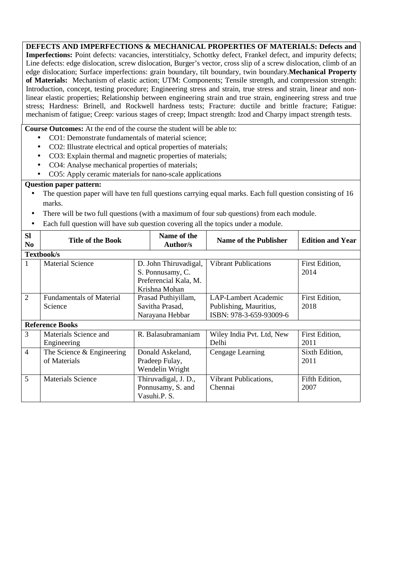**DEFECTS AND IMPERFECTIONS & MECHANICAL PROPERTIES OF MATERIALS: Defects and Imperfections:** Point defects: vacancies, interstitialcy, Schottky defect, Frankel defect, and impurity defects; Line defects: edge dislocation, screw dislocation, Burger's vector, cross slip of a screw dislocation, climb of an edge dislocation; Surface imperfections: grain boundary, tilt boundary, twin boundary.**Mechanical Property of Materials:** Mechanism of elastic action; UTM: Components; Tensile strength, and compression strength: Introduction, concept, testing procedure; Engineering stress and strain, true stress and strain, linear and nonlinear elastic properties; Relationship between engineering strain and true strain, engineering stress and true stress; Hardness: Brinell, and Rockwell hardness tests; Fracture: ductile and brittle fracture; Fatigue: mechanism of fatigue; Creep: various stages of creep; Impact strength: Izod and Charpy impact strength tests.

**Course Outcomes:** At the end of the course the student will be able to:

- CO1: Demonstrate fundamentals of material science:
- CO2: Illustrate electrical and optical properties of materials:
- CO3: Explain thermal and magnetic properties of materials;
- CO4: Analyse mechanical properties of materials;
- CO5: Apply ceramic materials for nano-scale applications

- The question paper will have ten full questions carrying equal marks. Each full question consisting of 16 marks.
- There will be two full questions (with a maximum of four sub questions) from each module.
- Each full question will have sub question covering all the topics under a module.

| <b>Sl</b><br>N <sub>0</sub> | <b>Title of the Book</b>        | Name of the<br><b>Author/s</b> | <b>Name of the Publisher</b> | <b>Edition and Year</b> |
|-----------------------------|---------------------------------|--------------------------------|------------------------------|-------------------------|
|                             | Textbook/s                      |                                |                              |                         |
| 1                           | <b>Material Science</b>         | D. John Thiruvadigal,          | <b>Vibrant Publications</b>  | First Edition,          |
|                             |                                 | S. Ponnusamy, C.               |                              | 2014                    |
|                             |                                 | Preferencial Kala, M.          |                              |                         |
|                             |                                 | Krishna Mohan                  |                              |                         |
| $\mathcal{D}_{\mathcal{L}}$ | <b>Fundamentals of Material</b> | Prasad Puthiyillam,            | <b>LAP-Lambert Academic</b>  | First Edition,          |
|                             | Science                         | Savitha Prasad,                | Publishing, Mauritius,       | 2018                    |
|                             |                                 | Narayana Hebbar                | ISBN: 978-3-659-93009-6      |                         |
|                             | <b>Reference Books</b>          |                                |                              |                         |
| 3                           | Materials Science and           | R. Balasubramaniam             | Wiley India Pvt. Ltd, New    | First Edition,          |
|                             | Engineering                     |                                | Delhi                        | 2011                    |
| $\overline{4}$              | The Science $&$ Engineering     | Donald Askeland,               | Cengage Learning             | Sixth Edition,          |
|                             | of Materials                    | Pradeep Fulay,                 |                              | 2011                    |
|                             |                                 | Wendelin Wright                |                              |                         |
| 5                           | <b>Materials Science</b>        | Thiruvadigal, J. D.,           | Vibrant Publications,        | Fifth Edition,          |
|                             |                                 | Ponnusamy, S. and              | Chennai                      | 2007                    |
|                             |                                 | Vasuhi.P. S.                   |                              |                         |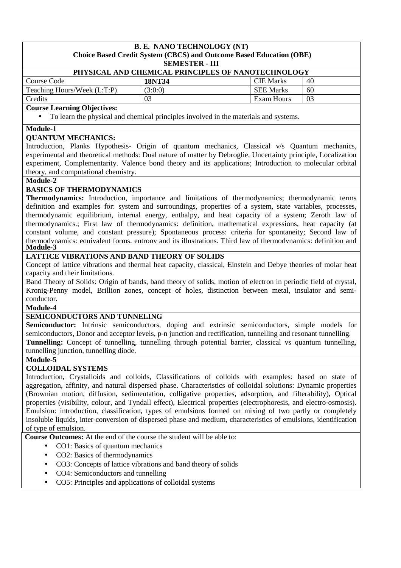## **B. E. NANO TECHNOLOGY (NT) Choice Based Credit System (CBCS) and Outcome Based Education (OBE)**

**SEMESTER - III**

| PHYSICAL AND CHEMICAL PRINCIPLES OF NANOTECHNOLOGY |         |                  |    |  |
|----------------------------------------------------|---------|------------------|----|--|
| Course Code                                        | 18NT34  | <b>CIE Marks</b> | 40 |  |
| Teaching Hours/Week (L:T:P)                        | (3:0:0) | <b>SEE Marks</b> | 60 |  |
| Credits                                            | 03      | Exam Hours       | 03 |  |

#### **Course Learning Objectives:**

• To learn the physical and chemical principles involved in the materials and systems.

#### **Module-1**

#### **QUANTUM MECHANICS:**

Introduction, Planks Hypothesis- Origin of quantum mechanics, Classical v/s Quantum mechanics, experimental and theoretical methods: Dual nature of matter by Debroglie, Uncertainty principle, Localization experiment, Complementarity. Valence bond theory and its applications; Introduction to molecular orbital theory, and computational chemistry.

#### **Module-2**

#### **BASICS OF THERMODYNAMICS**

**Thermodynamics:** Introduction, importance and limitations of thermodynamics; thermodynamic terms definition and examples for: system and surroundings, properties of a system, state variables, processes, thermodynamic equilibrium, internal energy, enthalpy, and heat capacity of a system; Zeroth law of thermodynamics.; First law of thermodynamics: definition, mathematical expressions, heat capacity (at constant volume, and constant pressure); Spontaneous process: criteria for spontaneity; Second law of thermodynamics: equivalent forms, entropy and its illustrations, Third law of thermodynamics: definition and **Module-3** 

#### **LATTICE VIBRATIONS AND BAND THEORY OF SOLIDS**

Concept of lattice vibrations and thermal heat capacity, classical, Einstein and Debye theories of molar heat capacity and their limitations.

Band Theory of Solids: Origin of bands, band theory of solids, motion of electron in periodic field of crystal, Kronig-Penny model, Brillion zones, concept of holes, distinction between metal, insulator and semiconductor.

## **Module-4**

#### **SEMICONDUCTORS AND TUNNELING**

**Semiconductor:** Intrinsic semiconductors, doping and extrinsic semiconductors, simple models for semiconductors, Donor and acceptor levels, p-n junction and rectification, tunnelling and resonant tunnelling. **Tunnelling:** Concept of tunnelling, tunnelling through potential barrier, classical vs quantum tunnelling, tunnelling junction, tunnelling diode.

#### **Module-5**

#### **COLLOIDAL SYSTEMS**

Introduction, Crystalloids and colloids, Classifications of colloids with examples: based on state of aggregation, affinity, and natural dispersed phase. Characteristics of colloidal solutions: Dynamic properties (Brownian motion, diffusion, sedimentation, colligative properties, adsorption, and filterability), Optical properties (visibility, colour, and Tyndall effect), Electrical properties (electrophoresis, and electro-osmosis). Emulsion: introduction, classification, types of emulsions formed on mixing of two partly or completely insoluble liquids, inter-conversion of dispersed phase and medium, characteristics of emulsions, identification of type of emulsion.

**Course Outcomes:** At the end of the course the student will be able to:

- CO1: Basics of quantum mechanics
- CO2: Basics of thermodynamics
- CO3: Concepts of lattice vibrations and band theory of solids
- CO4: Semiconductors and tunnelling
- CO5: Principles and applications of colloidal systems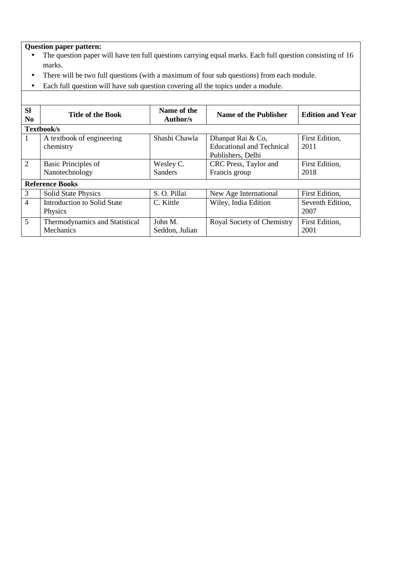- The question paper will have ten full questions carrying equal marks. Each full question consisting of 16 marks.
- There will be two full questions (with a maximum of four sub questions) from each module.
- Each full question will have sub question covering all the topics under a module.

| <b>SI</b><br>N <sub>0</sub> | <b>Title of the Book</b>                    | Name of the<br><b>Author/s</b> | <b>Name of the Publisher</b>                                               | <b>Edition and Year</b>  |
|-----------------------------|---------------------------------------------|--------------------------------|----------------------------------------------------------------------------|--------------------------|
|                             | Textbook/s                                  |                                |                                                                            |                          |
| 1                           | A textbook of engineering<br>chemistry      | Shashi Chawla                  | Dhanpat Rai & Co,<br><b>Educational and Technical</b><br>Publishers, Delhi | First Edition,<br>2011   |
| $\overline{2}$              | Basic Principles of<br>Nanotechnology       | Wesley C.<br><b>Sanders</b>    | CRC Press, Taylor and<br>Francis group                                     | First Edition,<br>2018   |
|                             | <b>Reference Books</b>                      |                                |                                                                            |                          |
| 3                           | <b>Solid State Physics</b>                  | S. O. Pillai                   | New Age International                                                      | First Edition,           |
| $\overline{4}$              | Introduction to Solid State<br>Physics      | C. Kittle                      | Wiley, India Edition                                                       | Seventh Edition,<br>2007 |
| 5                           | Thermodynamics and Statistical<br>Mechanics | John M.<br>Seddon, Julian      | Royal Society of Chemistry                                                 | First Edition,<br>2001   |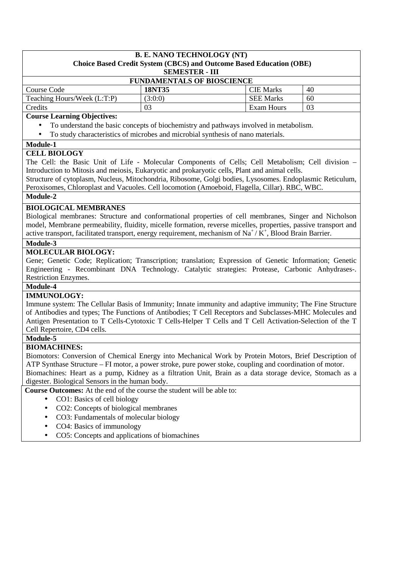#### **B. E. NANO TECHNOLOGY (NT) Choice Based Credit System (CBCS) and Outcome Based Education (OBE)**

**SEMESTER - III**

| <b>FUNDAMENTALS OF BIOSCIENCE</b> |         |                  |    |  |
|-----------------------------------|---------|------------------|----|--|
| Course Code                       | 18NT35  | <b>CIE Marks</b> | 40 |  |
| Teaching Hours/Week (L:T:P)       | (3:0:0) | <b>SEE Marks</b> | 60 |  |
| Credits                           | 03      | Exam Hours       | 03 |  |

#### **Course Learning Objectives:**

- To understand the basic concepts of biochemistry and pathways involved in metabolism.
- To study characteristics of microbes and microbial synthesis of nano materials.

#### **Module-1**

#### **CELL BIOLOGY**

The Cell: the Basic Unit of Life - Molecular Components of Cells; Cell Metabolism; Cell division – Introduction to Mitosis and meiosis, Eukaryotic and prokaryotic cells, Plant and animal cells.

Structure of cytoplasm, Nucleus, Mitochondria, Ribosome, Golgi bodies, Lysosomes. Endoplasmic Reticulum, Peroxisomes, Chloroplast and Vacuoles. Cell locomotion (Amoeboid, Flagella, Cillar). RBC, WBC.

#### **Module-2**

#### **BIOLOGICAL MEMBRANES**

Biological membranes: Structure and conformational properties of cell membranes, Singer and Nicholson model, Membrane permeability, fluidity, micelle formation, reverse micelles, properties, passive transport and active transport, facilitated transport, energy requirement, mechanism of  $\text{Na}^+/\text{K}^+$ , Blood Brain Barrier.

#### **Module-3**

#### **MOLECULAR BIOLOGY:**

Gene; Genetic Code; Replication; Transcription; translation; Expression of Genetic Information; Genetic Engineering - Recombinant DNA Technology. Catalytic strategies: Protease, Carbonic Anhydrases-. Restriction Enzymes.

#### **Module-4**

#### **IMMUNOLOGY:**

Immune system: The Cellular Basis of Immunity; Innate immunity and adaptive immunity; The Fine Structure of Antibodies and types; The Functions of Antibodies; T Cell Receptors and Subclasses-MHC Molecules and Antigen Presentation to T Cells-Cytotoxic T Cells-Helper T Cells and T Cell Activation-Selection of the T Cell Repertoire, CD4 cells.

#### **Module-5**

#### **BIOMACHINES:**

Biomotors: Conversion of Chemical Energy into Mechanical Work by Protein Motors, Brief Description of ATP Synthase Structure – FI motor, a power stroke, pure power stoke, coupling and coordination of motor. Biomachines: Heart as a pump, Kidney as a filtration Unit, Brain as a data storage device, Stomach as a digester. Biological Sensors in the human body.

**Course Outcomes:** At the end of the course the student will be able to:

- CO1: Basics of cell biology
- CO2: Concepts of biological membranes
- CO3: Fundamentals of molecular biology
- CO4: Basics of immunology
- CO5: Concepts and applications of biomachines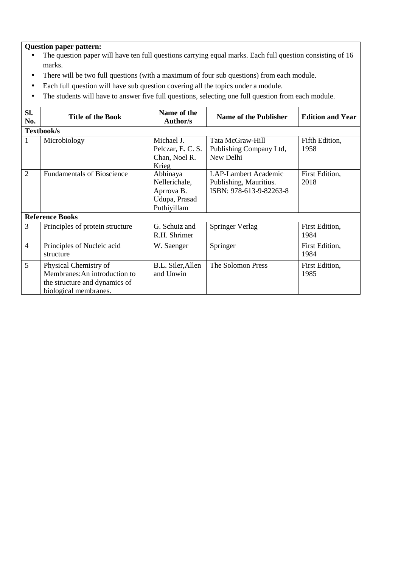- The question paper will have ten full questions carrying equal marks. Each full question consisting of 16 marks.
- There will be two full questions (with a maximum of four sub questions) from each module.
- Each full question will have sub question covering all the topics under a module.
- The students will have to answer five full questions, selecting one full question from each module.

| SI.<br>No.     | <b>Title of the Book</b>                                                                                         | Name of the<br><b>Author/s</b>                                          | <b>Name of the Publisher</b>                                                     | <b>Edition and Year</b> |  |  |
|----------------|------------------------------------------------------------------------------------------------------------------|-------------------------------------------------------------------------|----------------------------------------------------------------------------------|-------------------------|--|--|
|                | Textbook/s                                                                                                       |                                                                         |                                                                                  |                         |  |  |
| 1              | Microbiology                                                                                                     | Michael J.<br>Pelczar, E. C. S.<br>Chan, Noel R.<br>Krieg               | Tata McGraw-Hill<br>Publishing Company Ltd,<br>New Delhi                         | Fifth Edition,<br>1958  |  |  |
| $\overline{2}$ | <b>Fundamentals of Bioscience</b>                                                                                | Abhinaya<br>Nellerichale,<br>Aprrova B.<br>Udupa, Prasad<br>Puthiyillam | <b>LAP-Lambert Academic</b><br>Publishing, Mauritius.<br>ISBN: 978-613-9-82263-8 | First Edition,<br>2018  |  |  |
|                | <b>Reference Books</b>                                                                                           |                                                                         |                                                                                  |                         |  |  |
| 3              | Principles of protein structure                                                                                  | G. Schuiz and<br>R.H. Shrimer                                           | Springer Verlag                                                                  | First Edition,<br>1984  |  |  |
| $\overline{4}$ | Principles of Nucleic acid<br>structure                                                                          | W. Saenger                                                              | Springer                                                                         | First Edition,<br>1984  |  |  |
| 5              | Physical Chemistry of<br>Membranes: An introduction to<br>the structure and dynamics of<br>biological membranes. | B.L. Siler, Allen<br>and Unwin                                          | The Solomon Press                                                                | First Edition,<br>1985  |  |  |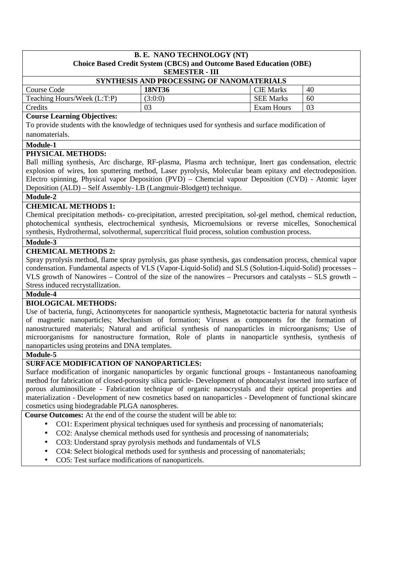## **B. E. NANO TECHNOLOGY (NT) Choice Based Credit System (CBCS) and Outcome Based Education (OBE)**

**SEMESTER - III**

| SYNTHESIS AND PROCESSING OF NANOMATERIALS |         |                  |    |  |
|-------------------------------------------|---------|------------------|----|--|
| Course Code                               | 18NT36  | <b>CIE Marks</b> | 40 |  |
| Teaching Hours/Week (L:T:P)               | (3:0:0) | <b>SEE Marks</b> | 60 |  |
| Credits                                   |         | Exam Hours       | 03 |  |

#### **Course Learning Objectives:**

To provide students with the knowledge of techniques used for synthesis and surface modification of nanomaterials.

#### **Module-1**

#### **PHYSICAL METHODS:**

Ball milling synthesis, Arc discharge, RF-plasma, Plasma arch technique, Inert gas condensation, electric explosion of wires, Ion sputtering method, Laser pyrolysis, Molecular beam epitaxy and electrodeposition. Electro spinning, Physical vapor Deposition (PVD) – Chemcial vapour Deposition (CVD) - Atomic layer Deposition (ALD) – Self Assembly- LB (Langmuir-Blodgett) technique.

#### **Module-2**

## **CHEMICAL METHODS 1:**

Chemical precipitation methods- co-precipitation, arrested precipitation, sol-gel method, chemical reduction, photochemical synthesis, electrochemical synthesis, Microemulsions or reverse micelles, Sonochemical synthesis, Hydrothermal, solvothermal, supercritical fluid process, solution combustion process.

#### **Module-3**

#### **CHEMICAL METHODS 2:**

Spray pyrolysis method, flame spray pyrolysis, gas phase synthesis, gas condensation process, chemical vapor condensation. Fundamental aspects of VLS (Vapor-Liquid-Solid) and SLS (Solution-Liquid-Solid) processes – VLS growth of Nanowires – Control of the size of the nanowires – Precursors and catalysts – SLS growth – Stress induced recrystallization.

#### **Module-4**

#### **BIOLOGICAL METHODS:**

Use of bacteria, fungi, Actinomycetes for nanoparticle synthesis, Magnetotactic bacteria for natural synthesis of magnetic nanoparticles; Mechanism of formation; Viruses as components for the formation of nanostructured materials; Natural and artificial synthesis of nanoparticles in microorganisms; Use of microorganisms for nanostructure formation, Role of plants in nanoparticle synthesis, synthesis of nanoparticles using proteins and DNA templates.

#### **Module-5**

#### **SURFACE MODIFICATION OF NANOPARTICLES:**

Surface modification of inorganic nanoparticles by organic functional groups - Instantaneous nanofoaming method for fabrication of closed-porosity silica particle- Development of photocatalyst inserted into surface of porous aluminosilicate - Fabrication technique of organic nanocrystals and their optical properties and materialization - Development of new cosmetics based on nanoparticles - Development of functional skincare cosmetics using biodegradable PLGA nanospheres.

**Course Outcomes:** At the end of the course the student will be able to:

- CO1: Experiment physical techniques used for synthesis and processing of nanomaterials;
- CO2: Analyse chemical methods used for synthesis and processing of nanomaterials;
- CO3: Understand spray pyrolysis methods and fundamentals of VLS
- CO4: Select biological methods used for synthesis and processing of nanomaterials;
- CO5: Test surface modifications of nanoparticels.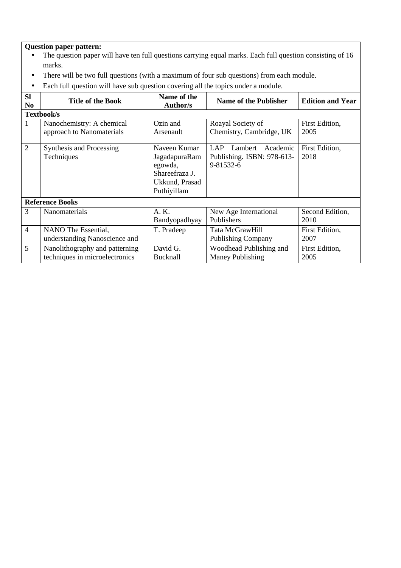- The question paper will have ten full questions carrying equal marks. Each full question consisting of 16 marks.
- There will be two full questions (with a maximum of four sub questions) from each module.
- Each full question will have sub question covering all the topics under a module.

| <b>Sl</b><br>N <sub>0</sub> | <b>Title of the Book</b>                                         | Name of the<br><b>Author/s</b>                                                              | <b>Name of the Publisher</b>                                                 | <b>Edition and Year</b> |  |  |
|-----------------------------|------------------------------------------------------------------|---------------------------------------------------------------------------------------------|------------------------------------------------------------------------------|-------------------------|--|--|
|                             | Textbook/s                                                       |                                                                                             |                                                                              |                         |  |  |
| 1                           | Nanochemistry: A chemical<br>approach to Nanomaterials           | Ozin and<br>Arsenault                                                                       | Roayal Society of<br>Chemistry, Cambridge, UK                                | First Edition,<br>2005  |  |  |
| $\overline{2}$              | Synthesis and Processing<br>Techniques                           | Naveen Kumar<br>JagadapuraRam<br>egowda,<br>Shareefraza J.<br>Ukkund, Prasad<br>Puthiyillam | <b>LAP</b><br>Academic<br>Lambert<br>Publishing. ISBN: 978-613-<br>9-81532-6 | First Edition,<br>2018  |  |  |
|                             | <b>Reference Books</b>                                           |                                                                                             |                                                                              |                         |  |  |
| 3                           | Nanomaterials                                                    | A.K.<br>Bandyopadhyay                                                                       | New Age International<br>Publishers                                          | Second Edition,<br>2010 |  |  |
| $\overline{4}$              | NANO The Essential,<br>understanding Nanoscience and             | T. Pradeep                                                                                  | Tata McGrawHill<br><b>Publishing Company</b>                                 | First Edition,<br>2007  |  |  |
| 5                           | Nanolithography and patterning<br>techniques in microelectronics | David G.<br>Bucknall                                                                        | Woodhead Publishing and<br>Maney Publishing                                  | First Edition,<br>2005  |  |  |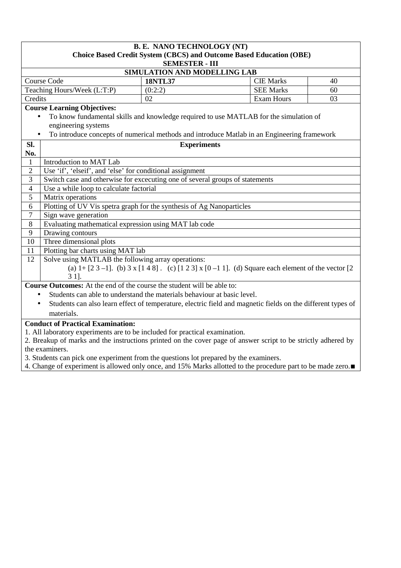|                                                                                  | <b>B. E. NANO TECHNOLOGY (NT)</b><br>Choice Based Credit System (CBCS) and Outcome Based Education (OBE)<br><b>SEMESTER - III</b>                 |                    |  |                   |    |  |  |
|----------------------------------------------------------------------------------|---------------------------------------------------------------------------------------------------------------------------------------------------|--------------------|--|-------------------|----|--|--|
|                                                                                  | SIMULATION AND MODELLING LAB                                                                                                                      |                    |  |                   |    |  |  |
|                                                                                  | <b>Course Code</b><br><b>CIE Marks</b><br><b>18NTL37</b><br>40                                                                                    |                    |  |                   |    |  |  |
|                                                                                  | Teaching Hours/Week (L:T:P)                                                                                                                       | (0:2:2)            |  | <b>SEE Marks</b>  | 60 |  |  |
| Credits                                                                          |                                                                                                                                                   | 02                 |  | <b>Exam Hours</b> | 03 |  |  |
|                                                                                  | <b>Course Learning Objectives:</b>                                                                                                                |                    |  |                   |    |  |  |
|                                                                                  | To know fundamental skills and knowledge required to use MATLAB for the simulation of                                                             |                    |  |                   |    |  |  |
|                                                                                  | engineering systems                                                                                                                               |                    |  |                   |    |  |  |
|                                                                                  | To introduce concepts of numerical methods and introduce Matlab in an Engineering framework                                                       |                    |  |                   |    |  |  |
| Sl.                                                                              |                                                                                                                                                   | <b>Experiments</b> |  |                   |    |  |  |
| No.                                                                              |                                                                                                                                                   |                    |  |                   |    |  |  |
| 1                                                                                | Introduction to MAT Lab                                                                                                                           |                    |  |                   |    |  |  |
| $\overline{2}$                                                                   | Use 'if', 'elseif', and 'else' for conditional assignment                                                                                         |                    |  |                   |    |  |  |
| $\overline{3}$                                                                   | Switch case and otherwise for excecuting one of several groups of statements                                                                      |                    |  |                   |    |  |  |
| $\overline{4}$                                                                   | Use a while loop to calculate factorial                                                                                                           |                    |  |                   |    |  |  |
| 5                                                                                | Matrix operations                                                                                                                                 |                    |  |                   |    |  |  |
| 6                                                                                | Plotting of UV Vis spetra graph for the synthesis of Ag Nanoparticles                                                                             |                    |  |                   |    |  |  |
| $\overline{7}$                                                                   | Sign wave generation                                                                                                                              |                    |  |                   |    |  |  |
| $\,8\,$                                                                          | Evaluating mathematical expression using MAT lab code                                                                                             |                    |  |                   |    |  |  |
| 9                                                                                | Drawing contours                                                                                                                                  |                    |  |                   |    |  |  |
| 10                                                                               | Three dimensional plots                                                                                                                           |                    |  |                   |    |  |  |
| 11                                                                               | Plotting bar charts using MAT lab                                                                                                                 |                    |  |                   |    |  |  |
| 12                                                                               | Solve using MATLAB the following array operations:                                                                                                |                    |  |                   |    |  |  |
|                                                                                  | (a) $1 + [2 \ 3 - 1]$ . (b) $3 \times [1 \ 4 \ 8]$ . (c) $[1 \ 2 \ 3] \times [0 \ -1 \ 1]$ . (d) Square each element of the vector $[2 \ 1 \ -1]$ |                    |  |                   |    |  |  |
| $31$ .<br>Course Outcomes: At the end of the course the student will be able to: |                                                                                                                                                   |                    |  |                   |    |  |  |
|                                                                                  |                                                                                                                                                   |                    |  |                   |    |  |  |
| $\bullet$                                                                        | Students can able to understand the materials behaviour at basic level.                                                                           |                    |  |                   |    |  |  |
|                                                                                  | Students can also learn effect of temperature, electric field and magnetic fields on the different types of                                       |                    |  |                   |    |  |  |
|                                                                                  | materials.                                                                                                                                        |                    |  |                   |    |  |  |
|                                                                                  | <b>Conduct of Practical Examination:</b>                                                                                                          |                    |  |                   |    |  |  |
|                                                                                  | 1. All laboratory experiments are to be included for practical examination.                                                                       |                    |  |                   |    |  |  |

2. Breakup of marks and the instructions printed on the cover page of answer script to be strictly adhered by the examiners.

3. Students can pick one experiment from the questions lot prepared by the examiners.

4. Change of experiment is allowed only once, and 15% Marks allotted to the procedure part to be made zero.∎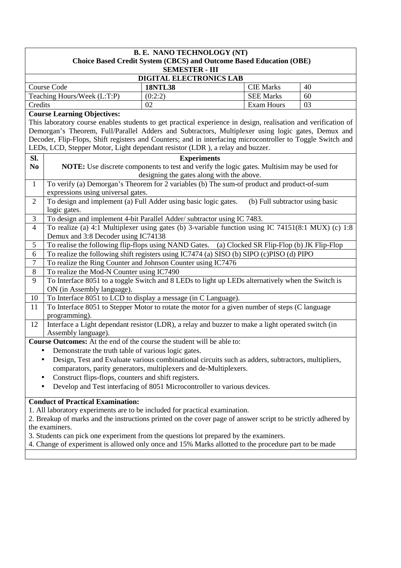|                                                                                                     | <b>B. E. NANO TECHNOLOGY (NT)</b>                                                                                                         |                                                                                                                |                                 |    |  |  |  |
|-----------------------------------------------------------------------------------------------------|-------------------------------------------------------------------------------------------------------------------------------------------|----------------------------------------------------------------------------------------------------------------|---------------------------------|----|--|--|--|
| <b>Choice Based Credit System (CBCS) and Outcome Based Education (OBE)</b><br><b>SEMESTER - III</b> |                                                                                                                                           |                                                                                                                |                                 |    |  |  |  |
|                                                                                                     | DIGITAL ELECTRONICS LAB                                                                                                                   |                                                                                                                |                                 |    |  |  |  |
|                                                                                                     | <b>Course Code</b>                                                                                                                        | <b>18NTL38</b>                                                                                                 | <b>CIE Marks</b>                | 40 |  |  |  |
|                                                                                                     | Teaching Hours/Week (L:T:P)                                                                                                               | (0:2:2)                                                                                                        | <b>SEE Marks</b>                | 60 |  |  |  |
| Credits                                                                                             |                                                                                                                                           | 02                                                                                                             | <b>Exam Hours</b>               | 03 |  |  |  |
|                                                                                                     | <b>Course Learning Objectives:</b>                                                                                                        |                                                                                                                |                                 |    |  |  |  |
|                                                                                                     |                                                                                                                                           | This laboratory course enables students to get practical experience in design, realisation and verification of |                                 |    |  |  |  |
|                                                                                                     |                                                                                                                                           | Demorgan's Theorem, Full/Parallel Adders and Subtractors, Multiplexer using logic gates, Demux and             |                                 |    |  |  |  |
|                                                                                                     |                                                                                                                                           | Decoder, Flip-Flops, Shift registers and Counters; and in interfacing microcontroller to Toggle Switch and     |                                 |    |  |  |  |
|                                                                                                     |                                                                                                                                           | LEDs, LCD, Stepper Motor, Light dependant resistor (LDR), a relay and buzzer.                                  |                                 |    |  |  |  |
| Sl.                                                                                                 |                                                                                                                                           | <b>Experiments</b>                                                                                             |                                 |    |  |  |  |
| N <sub>0</sub>                                                                                      |                                                                                                                                           | NOTE: Use discrete components to test and verify the logic gates. Multisim may be used for                     |                                 |    |  |  |  |
|                                                                                                     |                                                                                                                                           | designing the gates along with the above.                                                                      |                                 |    |  |  |  |
| $\mathbf{1}$                                                                                        |                                                                                                                                           | To verify (a) Demorgan's Theorem for 2 variables (b) The sum-of product and product-of-sum                     |                                 |    |  |  |  |
|                                                                                                     | expressions using universal gates.                                                                                                        |                                                                                                                |                                 |    |  |  |  |
| $\overline{2}$                                                                                      | logic gates.                                                                                                                              | To design and implement (a) Full Adder using basic logic gates.                                                | (b) Full subtractor using basic |    |  |  |  |
| $\mathfrak{Z}$                                                                                      |                                                                                                                                           |                                                                                                                |                                 |    |  |  |  |
| $\overline{4}$                                                                                      | To design and implement 4-bit Parallel Adder/ subtractor using IC 7483.                                                                   |                                                                                                                |                                 |    |  |  |  |
|                                                                                                     | To realize (a) 4:1 Multiplexer using gates (b) 3-variable function using IC 74151(8:1 MUX) (c) 1:8<br>Demux and 3:8 Decoder using IC74138 |                                                                                                                |                                 |    |  |  |  |
| $\mathfrak s$                                                                                       | To realise the following flip-flops using NAND Gates. (a) Clocked SR Flip-Flop (b) JK Flip-Flop                                           |                                                                                                                |                                 |    |  |  |  |
| 6                                                                                                   | To realize the following shift registers using IC7474 (a) SISO (b) SIPO (c)PISO (d) PIPO                                                  |                                                                                                                |                                 |    |  |  |  |
| $\overline{7}$                                                                                      | To realize the Ring Counter and Johnson Counter using IC7476                                                                              |                                                                                                                |                                 |    |  |  |  |
| $\overline{8}$                                                                                      | To realize the Mod-N Counter using IC7490                                                                                                 |                                                                                                                |                                 |    |  |  |  |
| 9                                                                                                   |                                                                                                                                           | To Interface 8051 to a toggle Switch and 8 LEDs to light up LEDs alternatively when the Switch is              |                                 |    |  |  |  |
|                                                                                                     | ON (in Assembly language).                                                                                                                |                                                                                                                |                                 |    |  |  |  |
| 10                                                                                                  |                                                                                                                                           | To Interface 8051 to LCD to display a message (in C Language).                                                 |                                 |    |  |  |  |
| 11                                                                                                  |                                                                                                                                           | To Interface 8051 to Stepper Motor to rotate the motor for a given number of steps (C language                 |                                 |    |  |  |  |
|                                                                                                     | programming).                                                                                                                             |                                                                                                                |                                 |    |  |  |  |
| 12                                                                                                  |                                                                                                                                           | Interface a Light dependant resistor (LDR), a relay and buzzer to make a light operated switch (in             |                                 |    |  |  |  |
|                                                                                                     | Assembly language).                                                                                                                       |                                                                                                                |                                 |    |  |  |  |
|                                                                                                     |                                                                                                                                           | Course Outcomes: At the end of the course the student will be able to:                                         |                                 |    |  |  |  |
|                                                                                                     | Demonstrate the truth table of various logic gates.                                                                                       |                                                                                                                |                                 |    |  |  |  |
|                                                                                                     |                                                                                                                                           | Design, Test and Evaluate various combinational circuits such as adders, subtractors, multipliers,             |                                 |    |  |  |  |
|                                                                                                     |                                                                                                                                           | comparators, parity generators, multiplexers and de-Multiplexers.                                              |                                 |    |  |  |  |
|                                                                                                     | Construct flips-flops, counters and shift registers.                                                                                      |                                                                                                                |                                 |    |  |  |  |
|                                                                                                     | Develop and Test interfacing of 8051 Microcontroller to various devices.                                                                  |                                                                                                                |                                 |    |  |  |  |
|                                                                                                     | <b>Conduct of Practical Examination:</b>                                                                                                  |                                                                                                                |                                 |    |  |  |  |
|                                                                                                     |                                                                                                                                           | 1. All laboratory experiments are to be included for practical examination.                                    |                                 |    |  |  |  |
|                                                                                                     |                                                                                                                                           | 2. Breakup of marks and the instructions printed on the cover page of answer script to be strictly adhered by  |                                 |    |  |  |  |
|                                                                                                     | the examiners.                                                                                                                            |                                                                                                                |                                 |    |  |  |  |

- 3. Students can pick one experiment from the questions lot prepared by the examiners.
- 4. Change of experiment is allowed only once and 15% Marks allotted to the procedure part to be made zero.∎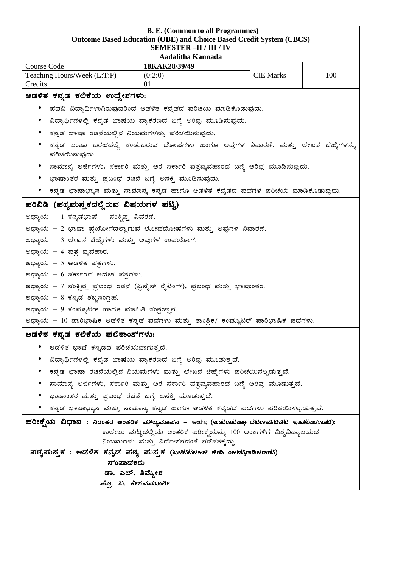#### **B. E. (Common to all Programmes) Outcome Based Education (OBE) and Choice Based Credit System (CBCS) SEMESTER –II / III / IV**

| Aadalitha Kannada                                                                                              |                                                                                  |                  |     |  |  |  |
|----------------------------------------------------------------------------------------------------------------|----------------------------------------------------------------------------------|------------------|-----|--|--|--|
| Course Code                                                                                                    | 18KAK28/39/49                                                                    |                  |     |  |  |  |
| Teaching Hours/Week (L:T:P)                                                                                    | (0:2:0)                                                                          | <b>CIE Marks</b> | 100 |  |  |  |
| Credits                                                                                                        | 01                                                                               |                  |     |  |  |  |
| ಆಡಳಿತ ಕನ್ನಡ ಕಲಿಕೆಯ ಉದ್ದೇಶಗಳು:                                                                                  |                                                                                  |                  |     |  |  |  |
|                                                                                                                | ಪದವಿ ವಿದ್ಯಾರ್ಥಿಳಾಗಿರುವುದರಿಂದ ಆಡಳಿತ ಕನ್ನಡದ ಪರಿಚಯ ಮಾಡಿಕೊಡುವುದು.                    |                  |     |  |  |  |
| ವಿದ್ಯಾರ್ಥಿಗಳಲ್ಲಿ ಕನ್ನಡ ಭಾಷೆಯ ವ್ಯಾಕರಣದ ಬಗ್ಗೆ ಅರಿವು ಮೂಡಿಸುವುದು.                                                  |                                                                                  |                  |     |  |  |  |
| ಕನ್ನಡ ಭಾಷಾ ರಚನೆಯಲ್ಲಿನ ನಿಯಮಗಳನ್ನು ಪರಿಚಯಿಸುವುದು.                                                                 |                                                                                  |                  |     |  |  |  |
| ಪರಿಚಯಿಸುವುದು.                                                                                                  | ಕನ್ನಡ ಭಾಷಾ ಬರಹದಲ್ಲಿ ಕಂಡುಬರುವ ದೋಷಗಳು ಹಾಗೂ ಅವುಗಳ ನಿವಾರಣೆ. ಮತ್ತು ಲೇಖನ ಚಿಹ್ನೆಗಳನ್ನು  |                  |     |  |  |  |
|                                                                                                                | ಸಾಮಾನ್ಯ ಅರ್ಜಿಗಳು, ಸರ್ಕಾರಿ ಮತ್ತು ಅರೆ ಸರ್ಕಾರಿ ಪತ್ರವ್ಯವಹಾರದ ಬಗ್ಗೆ ಅರಿವು ಮೂಡಿಸುವುದು. |                  |     |  |  |  |
| ಭಾಷಾಂತರ ಮತ್ತು ಪ್ರಬಂಧ ರಚನೆ ಬಗ್ಗೆ ಅಸಕ್ತಿ ಮೂಡಿಸುವುದು.                                                             |                                                                                  |                  |     |  |  |  |
|                                                                                                                | ಕನ್ನಡ ಭಾಷಾಭ್ಯಾಸ ಮತ್ತು ಸಾಮಾನ್ಯ ಕನ್ನಡ ಹಾಗೂ ಆಡಳಿತ ಕನ್ನಡದ ಪದಗಳ ಪರಿಚಯ ಮಾಡಿಕೊಡುವುದು.   |                  |     |  |  |  |
| ಪರಿವಿಡಿ (ಪಠ್ಯಮಸ್ತಕದಲ್ಲಿರುವ ವಿಷಯಗಳ ಪಟ್ಟಿ)                                                                       |                                                                                  |                  |     |  |  |  |
| ಅಧ್ಯಾಯ – 1 ಕನ್ನಡಭಾಷೆ – ಸಂಕೃಪ್ತ ವಿವರಣೆ.                                                                         |                                                                                  |                  |     |  |  |  |
| ಅಧ್ಯಾಯ – 2 ಭಾಷಾ ಪ್ರಯೋಗದಲ್ಲಾಗುವ ಲೋಪದೋಷಗಳು ಮತ್ತು ಅವುಗಳ ನಿವಾರಣೆ.                                                  |                                                                                  |                  |     |  |  |  |
|                                                                                                                | ಅಧ್ಯಾಯ – 3 ಲೇಖನ ಚಿಹೈಗಳು ಮತ್ತು ಅವುಗಳ ಉಪಯೋಗ.                                       |                  |     |  |  |  |
|                                                                                                                | ಅಧ್ಯಾಯ – 4 ಪತ್ರ ವ್ಯವಹಾರ.                                                         |                  |     |  |  |  |
| ಅಧ್ಯಾಯ – 5 ಆಡಳಿತ ಪತ್ರಗಳು.                                                                                      |                                                                                  |                  |     |  |  |  |
| ಅಧ್ಯಾಯ – 6 ಸರ್ಕಾರದ ಆದೇಶ ಪತ್ರಗಳು.                                                                               |                                                                                  |                  |     |  |  |  |
| ಅಧ್ಯಾಯ – 7 ಸಂಕ್ನಿಪ್ತ ಪ್ರಬಂಧ ರಚನೆ (ಪ್ರಿಸೈಸ್ ರೈಟಿಂಗ್), ಪ್ರಬಂಧ ಮತ್ತು ಭಾಷಾಂತರ.                                     |                                                                                  |                  |     |  |  |  |
| ಅಧ್ಯಾಯ – 8 ಕನ್ನಡ ಶಬ್ದಸಂಗ್ರಹ.                                                                                   |                                                                                  |                  |     |  |  |  |
| ಅಧ್ಯಾಯ – 9 ಕಂಪ್ಯೂಟರ್ ಹಾಗೂ ಮಾಹಿತಿ ತಂತ್ರಜ್ಞಾನ.                                                                   |                                                                                  |                  |     |  |  |  |
| ಅಧ್ಯಾಯ – 10 ಪಾರಿಭಾಷಿಕ ಆಡಳಿತ ಕನ್ನಡ ಪದಗಳು ಮತ್ತು ತಾಂತ್ರಿಕ/ ಕಂಪ್ಯೂಟರ್ ಪಾರಿಭಾಷಿಕ ಪದಗಳು.                             |                                                                                  |                  |     |  |  |  |
| ಆಡಳಿತ ಕನ್ನಡ ಕಲಿಕೆಯ ಫಲಿತಾಂಶ'ಗಳು:                                                                                |                                                                                  |                  |     |  |  |  |
| ಆಡಳಿತ ಭಾಷೆ ಕನ್ನಡದ ಪರಿಚಯವಾಗುತ್ತದೆ.                                                                              |                                                                                  |                  |     |  |  |  |
|                                                                                                                | ವಿದ್ಯಾರ್ಥಿಗಳಲ್ಲಿ ಕನ್ನಡ ಭಾಷೆಯ ವ್ಯಾಕರಣದ ಬಗ್ಗೆ ಅರಿವು ಮೂಡುತ್ತದೆ.                     |                  |     |  |  |  |
|                                                                                                                | ಕನ್ನಡ ಭಾಷಾ ರಚನೆಯಲ್ಲಿನ ನಿಯಮಗಳು ಮತ್ತು ಲೇಖನ ಚಿಹ್ನೆಗಳು ಪರಿಚಯಿಸಲ್ಪಡುತ್ತವೆ.            |                  |     |  |  |  |
|                                                                                                                | ಸಾಮಾನ್ಯ ಅರ್ಜಿಗಳು, ಸರ್ಕಾರಿ ಮತ್ತು ಅರೆ ಸರ್ಕಾರಿ ಪತ್ರವ್ಯವಹಾರದ ಬಗ್ಗೆ ಅರಿವು ಮೂಡುತ್ತದೆ.  |                  |     |  |  |  |
| ಭಾಷಾಂತರ ಮತ್ತು ಪ್ರಬಂಧ ರಚನೆ ಬಗ್ಗೆ ಅಸಕ್ತಿ ಮೂಡುತ್ತದೆ.                                                              |                                                                                  |                  |     |  |  |  |
| ಕನ್ನಡ ಭಾಷಾಭ್ಯಾಸ ಮತ್ತು ಸಾಮಾನ್ಯ ಕನ್ನಡ ಹಾಗೂ ಆಡಳಿತ ಕನ್ನಡದ ಪದಗಳು ಪರಿಚಯಿಸಲ್ಪಡುತ್ತವೆ.                                 |                                                                                  |                  |     |  |  |  |
| ಪರೀಕ್ಷ್ಮೆಯ ವಿಧಾನ : ನಿರಂತರ ಆಂತರಿಕ ಮೌಲ್ಯಮಾಪನ – ಅಖಇ (ಅಡುಣುಟಿಣಾ ಖಟಿಣಜಾಟಿಚಿಟ ಇತುಿಟಿಣುಣುಣು):                         |                                                                                  |                  |     |  |  |  |
| ಕಾಲೇಜು ಮಟ್ಟದಲ್ಲಿಯೆ ಆಂತರಿಕ ಪರೀಕ್ನೆಯನ್ನು 100 ಅಂಕಗಳಿಗೆ ವಿಶ್ವವಿದ್ಯಾಲಯದ<br>ನಿಯಮಗಳು ಮತ್ತು ನಿರ್ದೇಶನದಂತೆ ನಡೆಸತಕ್ಕದ್ದು. |                                                                                  |                  |     |  |  |  |
| ಪಠ್ಯಮುಸ್ತಕ : ಆಡಳಿತ ಕನ್ನಡ ಪಠ್ಯ ಮಸ್ತಕ (ಏಚಿಟಿಟಿಚಿಜಚಿ ಜಿಡಾ ಂಜಟುಭಾಡಿಚಿಣುಟು)                                         |                                                                                  |                  |     |  |  |  |
| ಸೆಂಪಾದಕರು                                                                                                      |                                                                                  |                  |     |  |  |  |
| ಡಾ. ಎಲ್. ತಿಮ್ಮೇಶ                                                                                               |                                                                                  |                  |     |  |  |  |
| ಪ್ರೊ. ವಿ. ಕೇಶವಮೂರ್ತಿ                                                                                           |                                                                                  |                  |     |  |  |  |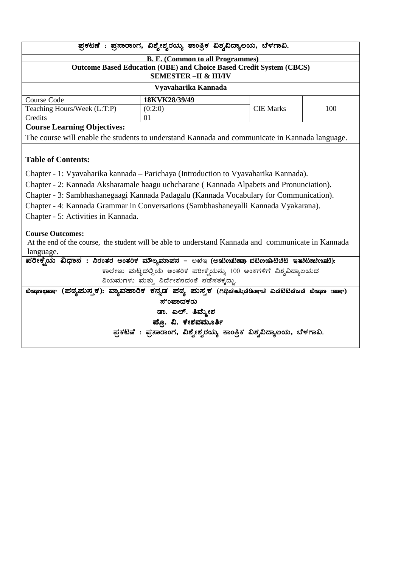|                                                                                                     | ಪ್ರಕಟಣೆ : ಪ್ರಸಾರಾಂಗ, ವಿಶ್ವೇಶ್ವರಯ್ಯ ತಾಂತ್ರಿಕ ವಿಶ್ವವಿದ್ಯಾಲಯ, ಬೆಳಗಾವಿ.        |                  |     |  |  |
|-----------------------------------------------------------------------------------------------------|----------------------------------------------------------------------------|------------------|-----|--|--|
|                                                                                                     | <b>B. E. (Common to all Programmes)</b>                                    |                  |     |  |  |
|                                                                                                     | <b>Outcome Based Education (OBE) and Choice Based Credit System (CBCS)</b> |                  |     |  |  |
|                                                                                                     | <b>SEMESTER - II &amp; III/IV</b>                                          |                  |     |  |  |
|                                                                                                     | Vyavaharika Kannada                                                        |                  |     |  |  |
| Course Code                                                                                         | 18KVK28/39/49                                                              |                  |     |  |  |
| Teaching Hours/Week (L:T:P)                                                                         | (0:2:0)                                                                    | <b>CIE Marks</b> | 100 |  |  |
| Credits                                                                                             | 01                                                                         |                  |     |  |  |
| <b>Course Learning Objectives:</b>                                                                  |                                                                            |                  |     |  |  |
| The course will enable the students to understand Kannada and communicate in Kannada language.      |                                                                            |                  |     |  |  |
|                                                                                                     |                                                                            |                  |     |  |  |
| <b>Table of Contents:</b>                                                                           |                                                                            |                  |     |  |  |
| Chapter - 1: Vyavaharika kannada - Parichaya (Introduction to Vyavaharika Kannada).                 |                                                                            |                  |     |  |  |
| Chapter - 2: Kannada Aksharamale haagu uchcharane (Kannada Alpabets and Pronunciation).             |                                                                            |                  |     |  |  |
| Chapter - 3: Sambhashanegaagi Kannada Padagalu (Kannada Vocabulary for Communication).              |                                                                            |                  |     |  |  |
| Chapter - 4: Kannada Grammar in Conversations (Sambhashaneyalli Kannada Vyakarana).                 |                                                                            |                  |     |  |  |
| Chapter - 5: Activities in Kannada.                                                                 |                                                                            |                  |     |  |  |
|                                                                                                     |                                                                            |                  |     |  |  |
| <b>Course Outcomes:</b>                                                                             |                                                                            |                  |     |  |  |
| At the end of the course, the student will be able to understand Kannada and communicate in Kannada |                                                                            |                  |     |  |  |
| language.                                                                                           |                                                                            |                  |     |  |  |
| ಪರೀಕ್ಷ್ಮೆಯ ವಿಧಾನ : ನಿರಂತರ ಆಂತರಿಕ ಮೌಲ್ಯಮಾಪನ – ಅಖಇ (ಅಡುಣಟಿಣ್ಣಾ ಖಟಿಣಜಾಟಿಚಿಟ ಇತುಿಟಿಣುಣುಟು):             |                                                                            |                  |     |  |  |
|                                                                                                     | ಕಾಲೇಜು ಮಟ್ಟದಲ್ಲಿಯೆ ಆಂತರಿಕ ಪರೀಕ್ಷೆಯನ್ನು 100 ಅಂಕಗಳಿಗೆ ವಿಶ್ವವಿದ್ಯಾಲಯದ         |                  |     |  |  |
| ನಿಯಮಗಳು ಮತ್ತು ನಿರ್ದೇಶನದಂತೆ ನಡೆಸತಕ್ಕದ್ದು.                                                            |                                                                            |                  |     |  |  |
| ಖಿಜ಼ಾೕಾಣಾ (ಪಠ್ಯಮನ್ತಕ): ವ್ಯಾವಹಾರಿಕ ಕನ್ನಡ ಪಠ್ಯ ಮನ್ತಕ (ಗಿಥಿಚಿತು಼ುಚಿಡಿಸಾಚಿ ಏಚಿಟಿಟಿಚಿಜಚಿ ಖಿಜ಼ಾಃಹಾಾ)      |                                                                            |                  |     |  |  |
| ಸುಂಪಾದಕರು                                                                                           |                                                                            |                  |     |  |  |
|                                                                                                     | ಡಾ. ಎಲ್. ತಿಮ್ಮೇಶ                                                           |                  |     |  |  |
|                                                                                                     | ಪ್ಪೊ. ವಿ. ಕೇಶವಮೂರ್ತಿ                                                       |                  |     |  |  |
|                                                                                                     | ಪ್ರಕಟಣೆ : ಪ್ರಸಾರಾಂಗ, ವಿಶ್ವೇಶ್ವರಯ್ಯ ತಾಂತ್ರಿಕ ವಿಶ್ವವಿದ್ಯಾಲಯ, ಬೆಳಗಾವಿ.        |                  |     |  |  |
|                                                                                                     |                                                                            |                  |     |  |  |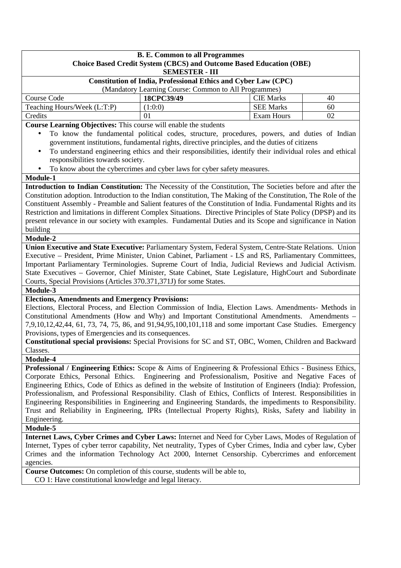| <b>B. E. Common to all Programmes</b><br><b>Choice Based Credit System (CBCS) and Outcome Based Education (OBE)</b><br><b>SEMESTER - III</b> |            |                  |    |  |  |
|----------------------------------------------------------------------------------------------------------------------------------------------|------------|------------------|----|--|--|
| <b>Constitution of India, Professional Ethics and Cyber Law (CPC)</b><br>(Mandatory Learning Course: Common to All Programmes)               |            |                  |    |  |  |
| Course Code                                                                                                                                  | 18CPC39/49 | <b>CIE Marks</b> | 40 |  |  |
| Teaching Hours/Week (L:T:P)<br><b>SEE Marks</b><br>(1:0:0)<br>60                                                                             |            |                  |    |  |  |
| Credits<br>Exam Hours<br>02<br>01                                                                                                            |            |                  |    |  |  |
| <b>Course Learning Objectives:</b> This course will enable the students                                                                      |            |                  |    |  |  |

**Course Learning Objectives:** This course will enable the students

- To know the fundamental political codes, structure, procedures, powers, and duties of Indian government institutions, fundamental rights, directive principles, and the duties of citizens
- To understand engineering ethics and their responsibilities, identify their individual roles and ethical responsibilities towards society.
- To know about the cybercrimes and cyber laws for cyber safety measures.

#### **Module-1**

**Introduction to Indian Constitution:** The Necessity of the Constitution, The Societies before and after the Constitution adoption. Introduction to the Indian constitution, The Making of the Constitution, The Role of the Constituent Assembly - Preamble and Salient features of the Constitution of India. Fundamental Rights and its Restriction and limitations in different Complex Situations. Directive Principles of State Policy (DPSP) and its present relevance in our society with examples. Fundamental Duties and its Scope and significance in Nation building

#### **Module-2**

**Union Executive and State Executive:** Parliamentary System, Federal System, Centre-State Relations. Union Executive – President, Prime Minister, Union Cabinet, Parliament - LS and RS, Parliamentary Committees, Important Parliamentary Terminologies. Supreme Court of India, Judicial Reviews and Judicial Activism. State Executives – Governor, Chief Minister, State Cabinet, State Legislature, HighCourt and Subordinate Courts, Special Provisions (Articles 370.371,371J) for some States.

**Module-3** 

#### **Elections, Amendments and Emergency Provisions:**

Elections, Electoral Process, and Election Commission of India, Election Laws. Amendments- Methods in Constitutional Amendments (How and Why) and Important Constitutional Amendments. Amendments – 7,9,10,12,42,44, 61, 73, 74, 75, 86, and 91,94,95,100,101,118 and some important Case Studies. Emergency Provisions, types of Emergencies and its consequences.

**Constitutional special provisions:** Special Provisions for SC and ST, OBC, Women, Children and Backward Classes.

**Module-4** 

**Professional / Engineering Ethics:** Scope & Aims of Engineering & Professional Ethics - Business Ethics, Corporate Ethics, Personal Ethics. Engineering and Professionalism, Positive and Negative Faces of Engineering Ethics, Code of Ethics as defined in the website of Institution of Engineers (India): Profession, Professionalism, and Professional Responsibility. Clash of Ethics, Conflicts of Interest. Responsibilities in Engineering Responsibilities in Engineering and Engineering Standards, the impediments to Responsibility. Trust and Reliability in Engineering, IPRs (Intellectual Property Rights), Risks, Safety and liability in Engineering.

#### **Module-5**

**Internet Laws, Cyber Crimes and Cyber Laws:** Internet and Need for Cyber Laws, Modes of Regulation of Internet, Types of cyber terror capability, Net neutrality, Types of Cyber Crimes, India and cyber law, Cyber Crimes and the information Technology Act 2000, Internet Censorship. Cybercrimes and enforcement agencies.

**Course Outcomes:** On completion of this course, students will be able to, CO 1: Have constitutional knowledge and legal literacy.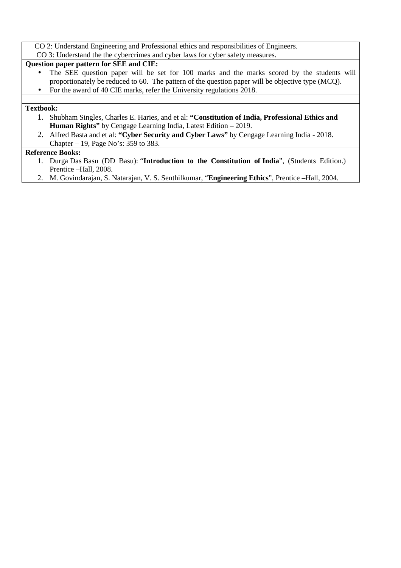CO 2: Understand Engineering and Professional ethics and responsibilities of Engineers.

CO 3: Understand the the cybercrimes and cyber laws for cyber safety measures.

## **Question paper pattern for SEE and CIE:**

- The SEE question paper will be set for 100 marks and the marks scored by the students will proportionately be reduced to 60. The pattern of the question paper will be objective type (MCQ).
- For the award of 40 CIE marks, refer the University regulations 2018.

#### **Textbook:**

- 1. Shubham Singles, Charles E. Haries, and et al: **"Constitution of India, Professional Ethics and Human Rights"** by Cengage Learning India, Latest Edition – 2019.
- 2. Alfred Basta and et al: **"Cyber Security and Cyber Laws"** by Cengage Learning India 2018. Chapter – 19, Page No's: 359 to 383.

#### **Reference Books:**

- 1. Durga Das Basu (DD Basu): "**Introduction to the Constitution of India**", (Students Edition.) Prentice –Hall, 2008.
- 2. M. Govindarajan, S. Natarajan, V. S. Senthilkumar, "**Engineering Ethics**", Prentice –Hall, 2004.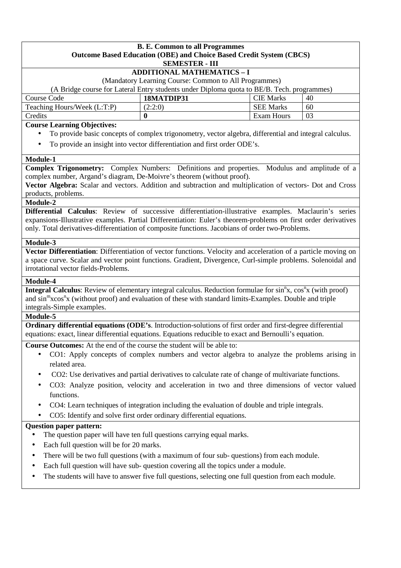#### **B. E. Common to all Programmes Outcome Based Education (OBE) and Choice Based Credit System (CBCS) SEMESTER - III**

## **ADDITIONAL MATHEMATICS – I**

(Mandatory Learning Course: Common to All Programmes)

(A Bridge course for Lateral Entry students under Diploma quota to BE/B. Tech. programmes)

| Course Code                 | 18MATDIP31 | CIE Marks        | 40 |
|-----------------------------|------------|------------------|----|
| Teaching Hours/Week (L:T:P) | 2:2:0      | <b>SEE Marks</b> | 60 |
| Credits                     |            | Exam Hours       | 03 |

#### **Course Learning Objectives:**

- To provide basic concepts of complex trigonometry, vector algebra, differential and integral calculus.
- To provide an insight into vector differentiation and first order ODE's.

#### **Module-1**

**Complex Trigonometry:** Complex Numbers: Definitions and properties. Modulus and amplitude of a complex number, Argand's diagram, De-Moivre's theorem (without proof).

**Vector Algebra:** Scalar and vectors. Addition and subtraction and multiplication of vectors- Dot and Cross products, problems.

#### **Module-2**

**Differential Calculus**: Review of successive differentiation-illustrative examples. Maclaurin's series expansions-Illustrative examples. Partial Differentiation: Euler's theorem-problems on first order derivatives only. Total derivatives-differentiation of composite functions. Jacobians of order two-Problems.

#### **Module-3**

**Vector Differentiation**: Differentiation of vector functions. Velocity and acceleration of a particle moving on a space curve. Scalar and vector point functions. Gradient, Divergence, Curl-simple problems. Solenoidal and irrotational vector fields-Problems.

#### **Module-4**

**Integral Calculus**: Review of elementary integral calculus. Reduction formulae for sin<sup>n</sup>x, cos<sup>n</sup>x (with proof) and sin<sup>m</sup>xcos<sup>n</sup>x (without proof) and evaluation of these with standard limits-Examples. Double and triple integrals-Simple examples.

#### **Module-5**

**Ordinary differential equations (ODE's**. Introduction-solutions of first order and first-degree differential equations: exact, linear differential equations. Equations reducible to exact and Bernoulli's equation.

**Course Outcomes:** At the end of the course the student will be able to:

- CO1: Apply concepts of complex numbers and vector algebra to analyze the problems arising in related area.
- CO2: Use derivatives and partial derivatives to calculate rate of change of multivariate functions.
- CO3: Analyze position, velocity and acceleration in two and three dimensions of vector valued functions.
- CO4: Learn techniques of integration including the evaluation of double and triple integrals.
- CO5: Identify and solve first order ordinary differential equations.

- The question paper will have ten full questions carrying equal marks.
- Each full question will be for 20 marks.
- There will be two full questions (with a maximum of four sub- questions) from each module.
- Each full question will have sub- question covering all the topics under a module.
- The students will have to answer five full questions, selecting one full question from each module.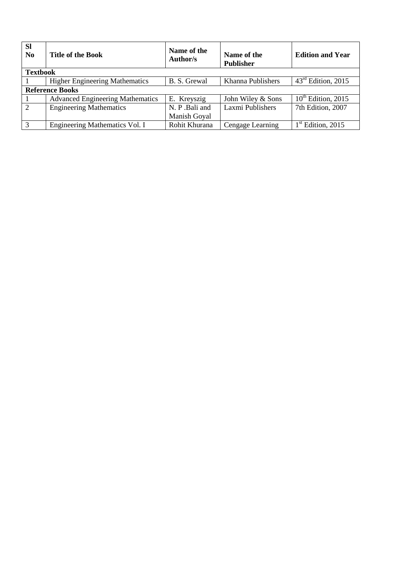| <b>SI</b><br>N <sub>0</sub> | <b>Title of the Book</b>                | Name of the<br>Author/s | Name of the<br><b>Publisher</b> | <b>Edition and Year</b> |
|-----------------------------|-----------------------------------------|-------------------------|---------------------------------|-------------------------|
| <b>Textbook</b>             |                                         |                         |                                 |                         |
|                             | <b>Higher Engineering Mathematics</b>   | B. S. Grewal            | Khanna Publishers               | $43rd$ Edition, 2015    |
|                             | <b>Reference Books</b>                  |                         |                                 |                         |
|                             | <b>Advanced Engineering Mathematics</b> | E. Kreyszig             | John Wiley & Sons               | $10^{th}$ Edition, 2015 |
| $\overline{2}$              | <b>Engineering Mathematics</b>          | N. P. Bali and          | Laxmi Publishers                | 7th Edition, 2007       |
|                             |                                         | Manish Goyal            |                                 |                         |
| $\overline{3}$              | Engineering Mathematics Vol. I          | Rohit Khurana           | Cengage Learning                | $1st$ Edition, 2015     |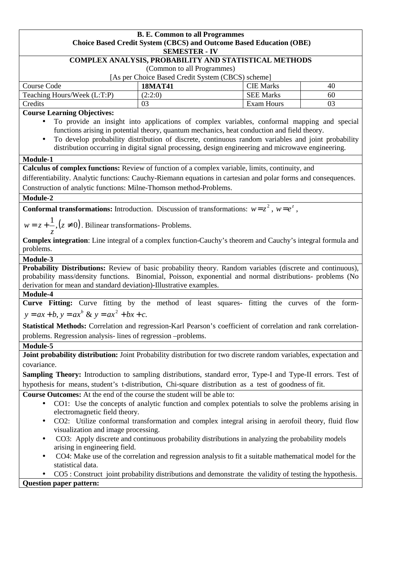| <b>B. E. Common to all Programmes</b>                                                                                  |                                                                                                                                    |                                                                                                                                                                                            |    |  |  |  |
|------------------------------------------------------------------------------------------------------------------------|------------------------------------------------------------------------------------------------------------------------------------|--------------------------------------------------------------------------------------------------------------------------------------------------------------------------------------------|----|--|--|--|
| <b>Choice Based Credit System (CBCS) and Outcome Based Education (OBE)</b>                                             |                                                                                                                                    |                                                                                                                                                                                            |    |  |  |  |
|                                                                                                                        | <b>SEMESTER - IV</b>                                                                                                               |                                                                                                                                                                                            |    |  |  |  |
|                                                                                                                        | COMPLEX ANALYSIS, PROBABILITY AND STATISTICAL METHODS                                                                              |                                                                                                                                                                                            |    |  |  |  |
| (Common to all Programmes)<br>[As per Choice Based Credit System (CBCS) scheme]                                        |                                                                                                                                    |                                                                                                                                                                                            |    |  |  |  |
|                                                                                                                        |                                                                                                                                    |                                                                                                                                                                                            |    |  |  |  |
| Course Code                                                                                                            | <b>18MAT41</b>                                                                                                                     | <b>CIE Marks</b><br><b>SEE Marks</b>                                                                                                                                                       | 40 |  |  |  |
| Teaching Hours/Week (L:T:P)                                                                                            | (2:2:0)<br>03                                                                                                                      |                                                                                                                                                                                            | 60 |  |  |  |
| Credits<br>Exam Hours<br>03                                                                                            |                                                                                                                                    |                                                                                                                                                                                            |    |  |  |  |
| <b>Course Learning Objectives:</b><br>$\bullet$                                                                        |                                                                                                                                    |                                                                                                                                                                                            |    |  |  |  |
|                                                                                                                        |                                                                                                                                    | To provide an insight into applications of complex variables, conformal mapping and special<br>functions arising in potential theory, quantum mechanics, heat conduction and field theory. |    |  |  |  |
| $\bullet$                                                                                                              |                                                                                                                                    | To develop probability distribution of discrete, continuous random variables and joint probability                                                                                         |    |  |  |  |
|                                                                                                                        |                                                                                                                                    | distribution occurring in digital signal processing, design engineering and microwave engineering.                                                                                         |    |  |  |  |
|                                                                                                                        |                                                                                                                                    |                                                                                                                                                                                            |    |  |  |  |
| Module-1                                                                                                               |                                                                                                                                    |                                                                                                                                                                                            |    |  |  |  |
| Calculus of complex functions: Review of function of a complex variable, limits, continuity, and                       |                                                                                                                                    |                                                                                                                                                                                            |    |  |  |  |
| differentiability. Analytic functions: Cauchy-Riemann equations in cartesian and polar forms and consequences.         |                                                                                                                                    |                                                                                                                                                                                            |    |  |  |  |
| Construction of analytic functions: Milne-Thomson method-Problems.                                                     |                                                                                                                                    |                                                                                                                                                                                            |    |  |  |  |
| Module-2                                                                                                               |                                                                                                                                    |                                                                                                                                                                                            |    |  |  |  |
| <b>Conformal transformations:</b> Introduction. Discussion of transformations: $w = z^2$ , $w = e^z$ ,                 |                                                                                                                                    |                                                                                                                                                                                            |    |  |  |  |
|                                                                                                                        |                                                                                                                                    |                                                                                                                                                                                            |    |  |  |  |
| $w = z + \frac{1}{z}$ , $(z \neq 0)$ . Bilinear transformations- Problems.                                             |                                                                                                                                    |                                                                                                                                                                                            |    |  |  |  |
| Complex integration: Line integral of a complex function-Cauchy's theorem and Cauchy's integral formula and            |                                                                                                                                    |                                                                                                                                                                                            |    |  |  |  |
| problems.                                                                                                              |                                                                                                                                    |                                                                                                                                                                                            |    |  |  |  |
|                                                                                                                        |                                                                                                                                    |                                                                                                                                                                                            |    |  |  |  |
| Module-3<br>Probability Distributions: Review of basic probability theory. Random variables (discrete and continuous), |                                                                                                                                    |                                                                                                                                                                                            |    |  |  |  |
| probability mass/density functions. Binomial, Poisson, exponential and normal distributions- problems (No              |                                                                                                                                    |                                                                                                                                                                                            |    |  |  |  |
| derivation for mean and standard deviation)-Illustrative examples.                                                     |                                                                                                                                    |                                                                                                                                                                                            |    |  |  |  |
| Module-4                                                                                                               |                                                                                                                                    |                                                                                                                                                                                            |    |  |  |  |
| Curve Fitting: Curve fitting by the method of least squares- fitting the curves of the form-                           |                                                                                                                                    |                                                                                                                                                                                            |    |  |  |  |
| $y = ax + b$ , $y = ax^b$ & $y = ax^2 + bx + c$ .                                                                      |                                                                                                                                    |                                                                                                                                                                                            |    |  |  |  |
| Statistical Methods: Correlation and regression-Karl Pearson's coefficient of correlation and rank correlation-        |                                                                                                                                    |                                                                                                                                                                                            |    |  |  |  |
| problems. Regression analysis-lines of regression -problems.                                                           |                                                                                                                                    |                                                                                                                                                                                            |    |  |  |  |
| Module-5                                                                                                               |                                                                                                                                    |                                                                                                                                                                                            |    |  |  |  |
| Joint probability distribution: Joint Probability distribution for two discrete random variables, expectation and      |                                                                                                                                    |                                                                                                                                                                                            |    |  |  |  |
| covariance.                                                                                                            |                                                                                                                                    |                                                                                                                                                                                            |    |  |  |  |
| Sampling Theory: Introduction to sampling distributions, standard error, Type-I and Type-II errors. Test of            |                                                                                                                                    |                                                                                                                                                                                            |    |  |  |  |
| hypothesis for means, student's t-distribution, Chi-square distribution as a test of goodness of fit.                  |                                                                                                                                    |                                                                                                                                                                                            |    |  |  |  |
| <b>Course Outcomes:</b> At the end of the course the student will be able to:                                          |                                                                                                                                    |                                                                                                                                                                                            |    |  |  |  |
| CO1: Use the concepts of analytic function and complex potentials to solve the problems arising in<br>$\bullet$        |                                                                                                                                    |                                                                                                                                                                                            |    |  |  |  |
|                                                                                                                        | electromagnetic field theory.<br>CO2: Utilize conformal transformation and complex integral arising in aerofoil theory, fluid flow |                                                                                                                                                                                            |    |  |  |  |
| ٠                                                                                                                      |                                                                                                                                    |                                                                                                                                                                                            |    |  |  |  |
| visualization and image processing.                                                                                    |                                                                                                                                    |                                                                                                                                                                                            |    |  |  |  |
| $\bullet$<br>arising in engineering field.                                                                             |                                                                                                                                    | CO3: Apply discrete and continuous probability distributions in analyzing the probability models                                                                                           |    |  |  |  |
| $\bullet$                                                                                                              |                                                                                                                                    | CO4: Make use of the correlation and regression analysis to fit a suitable mathematical model for the                                                                                      |    |  |  |  |
| statistical data.                                                                                                      |                                                                                                                                    |                                                                                                                                                                                            |    |  |  |  |
|                                                                                                                        |                                                                                                                                    | CO5 : Construct joint probability distributions and demonstrate the validity of testing the hypothesis.                                                                                    |    |  |  |  |
| <b>Question paper pattern:</b>                                                                                         |                                                                                                                                    |                                                                                                                                                                                            |    |  |  |  |
|                                                                                                                        |                                                                                                                                    |                                                                                                                                                                                            |    |  |  |  |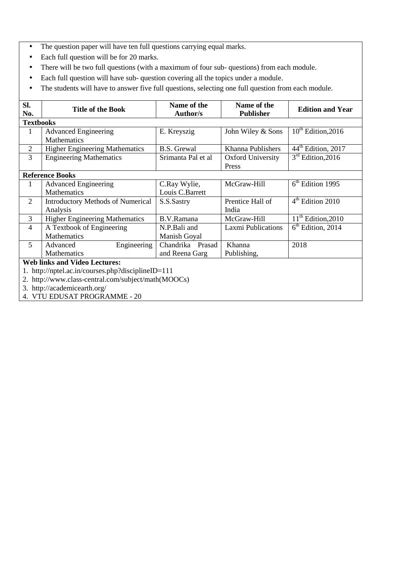- The question paper will have ten full questions carrying equal marks.
- Each full question will be for 20 marks.
- There will be two full questions (with a maximum of four sub- questions) from each module.
- Each full question will have sub- question covering all the topics under a module.
- The students will have to answer five full questions, selecting one full question from each module.

| SI.<br>No.       | <b>Title of the Book</b>                            | Name of the<br><b>Author/s</b> | Name of the<br><b>Publisher</b> | <b>Edition and Year</b>        |
|------------------|-----------------------------------------------------|--------------------------------|---------------------------------|--------------------------------|
| <b>Textbooks</b> |                                                     |                                |                                 |                                |
| 1                | <b>Advanced Engineering</b>                         | E. Kreyszig                    | John Wiley & Sons               | $10^{th}$ Edition, 2016        |
|                  | <b>Mathematics</b>                                  |                                |                                 |                                |
| 2                | <b>Higher Engineering Mathematics</b>               | <b>B.S. Grewal</b>             | Khanna Publishers               | 44 <sup>th</sup> Edition, 2017 |
| $\overline{3}$   | <b>Engineering Mathematics</b>                      | Srimanta Pal et al             | <b>Oxford University</b>        | $3rd$ Edition, 2016            |
|                  |                                                     |                                | Press                           |                                |
|                  | <b>Reference Books</b>                              |                                |                                 |                                |
| 1                | <b>Advanced Engineering</b>                         | C.Ray Wylie,                   | McGraw-Hill                     | $6th$ Edition 1995             |
|                  | <b>Mathematics</b>                                  | Louis C.Barrett                |                                 |                                |
| $\overline{2}$   | <b>Introductory Methods of Numerical</b>            | S.S.Sastry                     | Prentice Hall of                | $4th$ Edition 2010             |
|                  | Analysis                                            |                                | India                           |                                |
| 3                | <b>Higher Engineering Mathematics</b>               | B.V.Ramana                     | McGraw-Hill                     | $11th$ Edition, 2010           |
| $\overline{4}$   | A Textbook of Engineering                           | N.P.Bali and                   | <b>Laxmi Publications</b>       | $6th$ Edition, 2014            |
|                  | <b>Mathematics</b>                                  | Manish Goyal                   |                                 |                                |
| 5                | Engineering<br>Advanced                             | Chandrika Prasad               | Khanna                          | 2018                           |
|                  | <b>Mathematics</b>                                  | and Reena Garg                 | Publishing,                     |                                |
|                  | <b>Web links and Video Lectures:</b>                |                                |                                 |                                |
|                  | http://nptel.ac.in/courses.php?disciplineID=111     |                                |                                 |                                |
|                  | 2. http://www.class-central.com/subject/math(MOOCs) |                                |                                 |                                |
|                  | 3. http://academicearth.org/                        |                                |                                 |                                |

4. VTU EDUSAT PROGRAMME - 20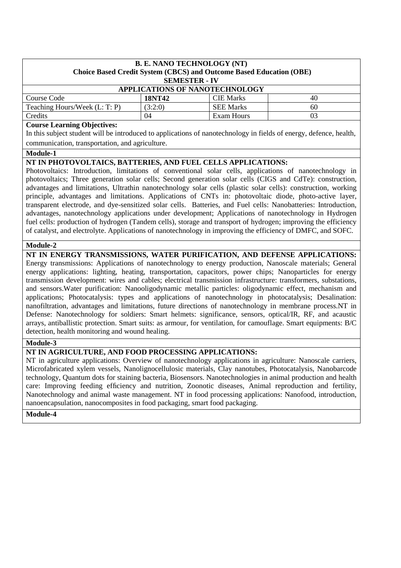| <b>B. E. NANO TECHNOLOGY (NT)</b><br>Choice Based Credit System (CBCS) and Outcome Based Education (OBE)<br><b>SEMESTER - IV</b> |  |  |  |  |  |
|----------------------------------------------------------------------------------------------------------------------------------|--|--|--|--|--|
| <b>APPLICATIONS OF NANOTECHNOLOGY</b>                                                                                            |  |  |  |  |  |
| <b>CIE Marks</b><br>Course Code<br><b>18NT42</b><br>40                                                                           |  |  |  |  |  |
| <b>SEE Marks</b><br>Teaching Hours/Week (L: T: P)<br>(3:2:0)<br>60                                                               |  |  |  |  |  |
| Exam Hours<br>Credits<br>03<br>04                                                                                                |  |  |  |  |  |

#### **Course Learning Objectives:**

In this subject student will be introduced to applications of nanotechnology in fields of energy, defence, health, communication, transportation, and agriculture.

#### **Module-1**

#### **NT IN PHOTOVOLTAICS, BATTERIES, AND FUEL CELLS APPLICATIONS:**

Photovoltaics: Introduction, limitations of conventional solar cells, applications of nanotechnology in photovoltaics; Three generation solar cells; Second generation solar cells (CIGS and CdTe): construction, advantages and limitations, Ultrathin nanotechnology solar cells (plastic solar cells): construction, working principle, advantages and limitations. Applications of CNTs in: photovoltaic diode, photo-active layer, transparent electrode, and dye-sensitized solar cells. Batteries, and Fuel cells: Nanobatteries: Introduction, advantages, nanotechnology applications under development; Applications of nanotechnology in Hydrogen fuel cells: production of hydrogen (Tandem cells), storage and transport of hydrogen; improving the efficiency of catalyst, and electrolyte. Applications of nanotechnology in improving the efficiency of DMFC, and SOFC.

#### **Module-2**

**NT IN ENERGY TRANSMISSIONS, WATER PURIFICATION, AND DEFENSE APPLICATIONS:**  Energy transmissions: Applications of nanotechnology to energy production, Nanoscale materials; General energy applications: lighting, heating, transportation, capacitors, power chips; Nanoparticles for energy transmission development: wires and cables; electrical transmission infrastructure: transformers, substations, and sensors.Water purification: Nanooligodynamic metallic particles: oligodynamic effect, mechanism and applications; Photocatalysis: types and applications of nanotechnology in photocatalysis; Desalination: nanofiltration, advantages and limitations, future directions of nanotechnology in membrane process.NT in Defense: Nanotechnology for soldiers: Smart helmets: significance, sensors, optical/IR, RF, and acaustic arrays, antiballistic protection. Smart suits: as armour, for ventilation, for camouflage. Smart equipments: B/C detection, health monitoring and wound healing.

#### **Module-3**

## **NT IN AGRICULTURE, AND FOOD PROCESSING APPLICATIONS:**

NT in agriculture applications: Overview of nanotechnology applications in agriculture: Nanoscale carriers, Microfabricated xylem vessels, Nanolignocellulosic materials, Clay nanotubes, Photocatalysis, Nanobarcode technology, Quantum dots for staining bacteria, Biosensors. Nanotechnologies in animal production and health care: Improving feeding efficiency and nutrition, Zoonotic diseases, Animal reproduction and fertility, Nanotechnology and animal waste management. NT in food processing applications: Nanofood, introduction, nanoencapsulation, nanocomposites in food packaging, smart food packaging.

#### **Module-4**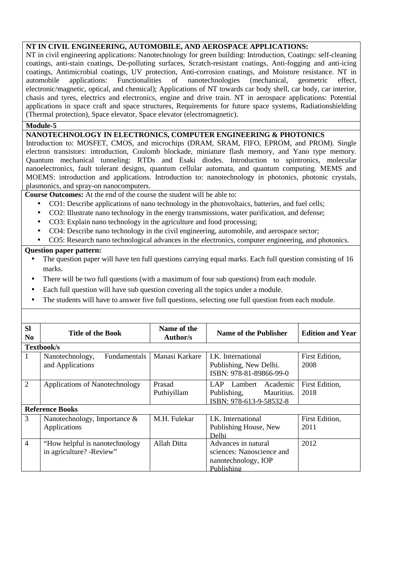#### **NT IN CIVIL ENGINEERING, AUTOMOBILE, AND AEROSPACE APPLICATIONS:**

NT in civil engineering applications: Nanotechnology for green building: Introduction, Coatings: self-cleaning coatings, anti-stain coatings, De-polluting surfaces, Scratch-resistant coatings, Anti-fogging and anti-icing coatings, Antimicrobial coatings, UV protection, Anti-corrosion coatings, and Moisture resistance. NT in automobile applications: Functionalities of nanotechnologies (mechanical, geometric effect, electronic/magnetic, optical, and chemical); Applications of NT towards car body shell, car body, car interior, chasis and tyres, electrics and electronics, engine and drive train. NT in aerospace applications: Potential applications in space craft and space structures, Requirements for future space systems, Radiationshielding (Thermal protection), Space elevator, Space elevator (electromagnetic).

## **Module-5**

## **NANOTECHNOLOGY IN ELECTRONICS, COMPUTER ENGINEERING & PHOTONICS**

Introduction to: MOSFET, CMOS, and microchips (DRAM, SRAM, FIFO, EPROM, and PROM). Single electron transistors: introduction, Coulomb blockade, miniature flash memory, and Yano type memory. Quantum mechanical tunneling: RTDs and Esaki diodes. Introduction to spintronics, molecular nanoelectronics, fault tolerant designs, quantum cellular automata, and quantum computing. MEMS and MOEMS: introduction and applications. Introduction to: nanotechnology in photonics, photonic crystals, plasmonics, and spray-on nanocomputers.

**Course Outcomes:** At the end of the course the student will be able to:

- CO1: Describe applications of nano technology in the photovoltaics, batteries, and fuel cells;
- CO2: Illustrate nano technology in the energy transmissions, water purification, and defense;
- CO3: Explain nano technology in the agriculture and food processing;
- CO4: Describe nano technology in the civil engineering, automobile, and aerospace sector;
- CO5: Research nano technological advances in the electronics, computer engineering, and photonics.

- The question paper will have ten full questions carrying equal marks. Each full question consisting of 16 marks.
- There will be two full questions (with a maximum of four sub questions) from each module.
- Each full question will have sub question covering all the topics under a module.
- The students will have to answer five full questions, selecting one full question from each module.

| <b>SI</b><br>N <sub>0</sub> | Title of the Book                                           | Name of the<br>Author/s | <b>Name of the Publisher</b>                                                          | <b>Edition and Year</b> |  |  |
|-----------------------------|-------------------------------------------------------------|-------------------------|---------------------------------------------------------------------------------------|-------------------------|--|--|
|                             | Textbook/s                                                  |                         |                                                                                       |                         |  |  |
| 1                           | <b>Fundamentals</b><br>Nanotechnology,<br>and Applications  | Manasi Karkare          | LK. International<br>Publishing, New Delhi.<br>ISBN: 978-81-89866-99-0                | First Edition,<br>2008  |  |  |
| $\overline{2}$              | Applications of Nanotechnology                              | Prasad<br>Puthiyillam   | LAP Lambert Academic<br>Publishing,<br>Mauritius.<br>ISBN: 978-613-9-58532-8          | First Edition,<br>2018  |  |  |
|                             | <b>Reference Books</b>                                      |                         |                                                                                       |                         |  |  |
| 3                           | Nanotechnology, Importance $\&$<br>Applications             | M.H. Fulekar            | I.K. International<br>Publishing House, New<br>Delhi                                  | First Edition,<br>2011  |  |  |
| $\overline{4}$              | "How helpful is nanotechnology"<br>in agriculture? -Review" | Allah Ditta             | Advances in natural<br>sciences: Nanoscience and<br>nanotechnology, IOP<br>Publishing | 2012                    |  |  |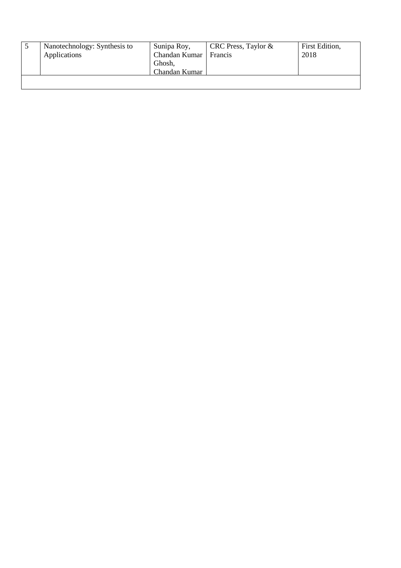| Nanotechnology: Synthesis to<br>Applications | Sunipa Roy,<br>Chandan Kumar<br>Ghosh,<br>Chandan Kumar | CRC Press, Taylor $\&$<br>Francis | First Edition,<br>2018 |
|----------------------------------------------|---------------------------------------------------------|-----------------------------------|------------------------|
|                                              |                                                         |                                   |                        |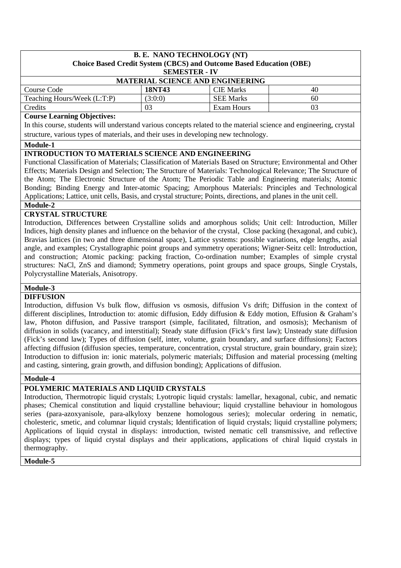## **B. E. NANO TECHNOLOGY (NT) Choice Based Credit System (CBCS) and Outcome Based Education (OBE) SEMESTER - IV MATERIAL SCIENCE AND ENGINEERING**  Course Code **18NT43** CIE Marks 40 Teaching Hours/Week (L:T:P)  $(3:0:0)$  SEE Marks 60 Credits 03 Exam Hours 03

## **Course Learning Objectives:**

In this course, students will understand various concepts related to the material science and engineering, crystal structure, various types of materials, and their uses in developing new technology.

**Module-1** 

## **INTRODUCTION TO MATERIALS SCIENCE AND ENGINEERING**

Functional Classification of Materials; Classification of Materials Based on Structure; Environmental and Other Effects; Materials Design and Selection; The Structure of Materials: Technological Relevance; The Structure of the Atom; The Electronic Structure of the Atom; The Periodic Table and Engineering materials; Atomic Bonding; Binding Energy and Inter-atomic Spacing; Amorphous Materials: Principles and Technological Applications; Lattice, unit cells, Basis, and crystal structure; Points, directions, and planes in the unit cell.

## **Module-2**

# **CRYSTAL STRUCTURE**

Introduction, Differences between Crystalline solids and amorphous solids; Unit cell: Introduction, Miller Indices, high density planes and influence on the behavior of the crystal, Close packing (hexagonal, and cubic), Bravias lattices (in two and three dimensional space), Lattice systems: possible variations, edge lengths, axial angle, and examples; Crystallographic point groups and symmetry operations; Wigner-Seitz cell: Introduction, and construction; Atomic packing: packing fraction, Co-ordination number; Examples of simple crystal structures: NaCl, ZnS and diamond; Symmetry operations, point groups and space groups, Single Crystals, Polycrystalline Materials, Anisotropy.

# **Module-3**

## **DIFFUSION**

Introduction, diffusion Vs bulk flow, diffusion vs osmosis, diffusion Vs drift; Diffusion in the context of different disciplines, Introduction to: atomic diffusion, Eddy diffusion & Eddy motion, Effusion & Graham's law, Photon diffusion, and Passive transport (simple, facilitated, filtration, and osmosis); Mechanism of diffusion in solids (vacancy, and interstitial); Steady state diffusion (Fick's first law); Unsteady state diffusion (Fick's second law); Types of diffusion (self, inter, volume, grain boundary, and surface diffusions); Factors affecting diffusion (diffusion species, temperature, concentration, crystal structure, grain boundary, grain size); Introduction to diffusion in: ionic materials, polymeric materials; Diffusion and material processing (melting and casting, sintering, grain growth, and diffusion bonding); Applications of diffusion.

#### **Module-4**

# **POLYMERIC MATERIALS AND LIQUID CRYSTALS**

Introduction, Thermotropic liquid crystals; Lyotropic liquid crystals: lamellar, hexagonal, cubic, and nematic phases; Chemical constitution and liquid crystalline behaviour; liquid crystalline behaviour in homologous series (para-azoxyanisole, para-alkyloxy benzene homologous series); molecular ordering in nematic, cholesteric, smetic, and columnar liquid crystals; Identification of liquid crystals; liquid crystalline polymers; Applications of liquid crystal in displays: introduction, twisted nematic cell transmissive, and reflective displays; types of liquid crystal displays and their applications, applications of chiral liquid crystals in thermography.

#### **Module-5**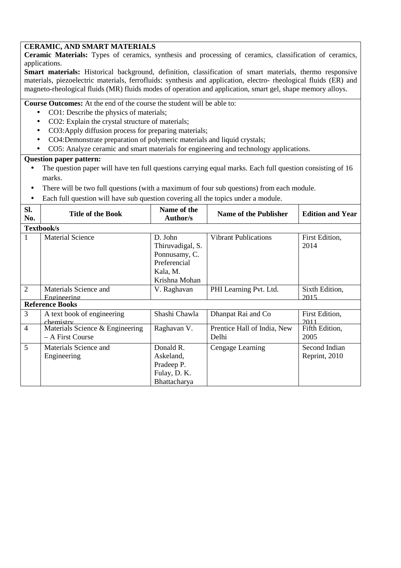# **CERAMIC, AND SMART MATERIALS**

**Ceramic Materials:** Types of ceramics, synthesis and processing of ceramics, classification of ceramics, applications.

**Smart materials:** Historical background, definition, classification of smart materials, thermo responsive materials, piezoelectric materials, ferrofluids: synthesis and application, electro- rheological fluids (ER) and magneto-rheological fluids (MR) fluids modes of operation and application, smart gel, shape memory alloys.

**Course Outcomes:** At the end of the course the student will be able to:

- CO1: Describe the physics of materials;
- CO2: Explain the crystal structure of materials;
- CO3: Apply diffusion process for preparing materials;
- CO4:Demonstrate preparation of polymeric materials and liquid crystals;
- CO5: Analyze ceramic and smart materials for engineering and technology applications.

- The question paper will have ten full questions carrying equal marks. Each full question consisting of 16 marks.
- There will be two full questions (with a maximum of four sub questions) from each module.
- Each full question will have sub question covering all the topics under a module.

| SI.<br>No.     | <b>Title of the Book</b>                            | Name of the<br>Author/s                                                                   | <b>Name of the Publisher</b>         | <b>Edition and Year</b>        |
|----------------|-----------------------------------------------------|-------------------------------------------------------------------------------------------|--------------------------------------|--------------------------------|
|                | Textbook/s                                          |                                                                                           |                                      |                                |
| 1              | <b>Material Science</b>                             | D. John<br>Thiruvadigal, S.<br>Ponnusamy, C.<br>Preferencial<br>Kala, M.<br>Krishna Mohan | <b>Vibrant Publications</b>          | First Edition,<br>2014         |
| $\overline{2}$ | Materials Science and<br>Engineering                | V. Raghavan                                                                               | PHI Learning Pvt. Ltd.               | Sixth Edition,<br>2015         |
|                | <b>Reference Books</b>                              |                                                                                           |                                      |                                |
| 3              | A text book of engineering<br>chemistry             | Shashi Chawla                                                                             | Dhanpat Rai and Co                   | First Edition,<br>2011         |
| $\overline{4}$ | Materials Science & Engineering<br>- A First Course | Raghavan V.                                                                               | Prentice Hall of India, New<br>Delhi | Fifth Edition,<br>2005         |
| 5              | Materials Science and<br>Engineering                | Donald R.<br>Askeland,<br>Pradeep P.<br>Fulay, D. K.<br>Bhattacharya                      | Cengage Learning                     | Second Indian<br>Reprint, 2010 |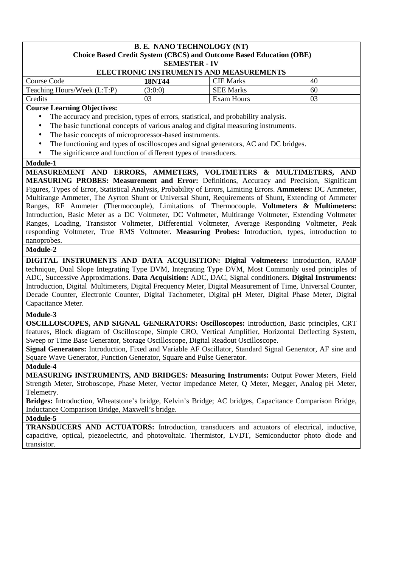# **B. E. NANO TECHNOLOGY (NT) Choice Based Credit System (CBCS) and Outcome Based Education (OBE) SEMESTER - IV ELECTRONIC INSTRUMENTS AND MEASUREMENTS**  Course Code **18NT44 CIE Marks** 1 **40** Teaching Hours/Week  $(L:T:P)$  (3:0:0) SEE Marks 60 Credits 1 03 Exam Hours 1 03 **Course Learning Objectives:**  The accuracy and precision, types of errors, statistical, and probability analysis. • The basic functional concepts of various analog and digital measuring instruments. The basic concepts of microprocessor-based instruments. The functioning and types of oscilloscopes and signal generators, AC and DC bridges. • The significance and function of different types of transducers. **Module-1 MEASUREMENT AND ERRORS, AMMETERS, VOLTMETERS & MULTIMETERS, AND MEASURING PROBES: Measurement and Error:** Definitions, Accuracy and Precision, Significant Figures, Types of Error, Statistical Analysis, Probability of Errors, Limiting Errors. **Ammeters:** DC Ammeter, Multirange Ammeter, The Ayrton Shunt or Universal Shunt, Requirements of Shunt, Extending of Ammeter Ranges, RF Ammeter (Thermocouple), Limitations of Thermocouple. **Voltmeters & Multimeters:**  Introduction, Basic Meter as a DC Voltmeter, DC Voltmeter, Multirange Voltmeter, Extending Voltmeter Ranges, Loading, Transistor Voltmeter, Differential Voltmeter, Average Responding Voltmeter, Peak responding Voltmeter, True RMS Voltmeter. **Measuring Probes:** Introduction, types, introduction to nanoprobes. **Module-2 DIGITAL INSTRUMENTS AND DATA ACQUISITION: Digital Voltmeters:** Introduction, RAMP technique, Dual Slope Integrating Type DVM, Integrating Type DVM, Most Commonly used principles of ADC, Successive Approximations. **Data Acquisition:** ADC, DAC, Signal conditioners. **Digital Instruments:**  Introduction, Digital Multimeters, Digital Frequency Meter, Digital Measurement of Time, Universal Counter, Decade Counter, Electronic Counter, Digital Tachometer, Digital pH Meter, Digital Phase Meter, Digital Capacitance Meter. **Module-3 OSCILLOSCOPES, AND SIGNAL GENERATORS: Oscilloscopes:** Introduction, Basic principles, CRT features, Block diagram of Oscilloscope, Simple CRO, Vertical Amplifier, Horizontal Deflecting System, Sweep or Time Base Generator, Storage Oscilloscope, Digital Readout Oscilloscope. **Signal Generators:** Introduction, Fixed and Variable AF Oscillator, Standard Signal Generator, AF sine and Square Wave Generator, Function Generator, Square and Pulse Generator. **Module-4 MEASURING INSTRUMENTS, AND BRIDGES: Measuring Instruments:** Output Power Meters, Field Strength Meter, Stroboscope, Phase Meter, Vector Impedance Meter, Q Meter, Megger, Analog pH Meter, Telemetry. **Bridges:** Introduction, Wheatstone's bridge, Kelvin's Bridge; AC bridges, Capacitance Comparison Bridge, Inductance Comparison Bridge, Maxwell's bridge.

**Module-5** 

**TRANSDUCERS AND ACTUATORS:** Introduction, transducers and actuators of electrical, inductive, capacitive, optical, piezoelectric, and photovoltaic. Thermistor, LVDT, Semiconductor photo diode and transistor.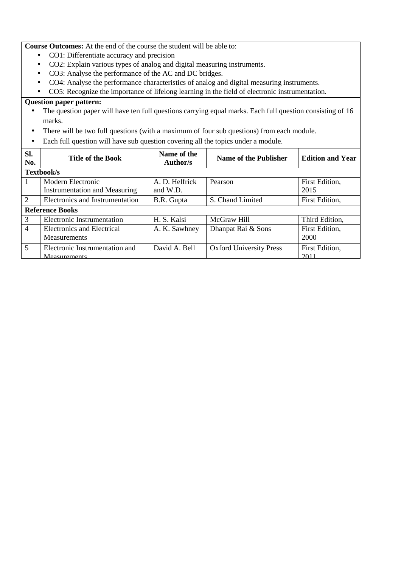**Course Outcomes:** At the end of the course the student will be able to:

- CO1: Differentiate accuracy and precision
- CO2: Explain various types of analog and digital measuring instruments.
- CO3: Analyse the performance of the AC and DC bridges.
- CO4: Analyse the performance characteristics of analog and digital measuring instruments.
- CO5: Recognize the importance of lifelong learning in the field of electronic instrumentation.

- The question paper will have ten full questions carrying equal marks. Each full question consisting of 16 marks.
- There will be two full questions (with a maximum of four sub questions) from each module.
- Each full question will have sub question covering all the topics under a module.

| SI.<br>No.     | <b>Title of the Book</b>                                  | Name of the<br>Author/s    | Name of the Publisher          | <b>Edition and Year</b> |  |
|----------------|-----------------------------------------------------------|----------------------------|--------------------------------|-------------------------|--|
|                | Textbook/s                                                |                            |                                |                         |  |
| 1              | Modern Electronic<br><b>Instrumentation and Measuring</b> | A. D. Helfrick<br>and W.D. | Pearson                        | First Edition,<br>2015  |  |
| 2              | Electronics and Instrumentation                           | B.R. Gupta                 | S. Chand Limited               | First Edition,          |  |
|                | <b>Reference Books</b>                                    |                            |                                |                         |  |
| 3              | Electronic Instrumentation                                | H. S. Kalsi                | McGraw Hill                    | Third Edition,          |  |
| $\overline{4}$ | Electronics and Electrical<br><b>Measurements</b>         | A. K. Sawhney              | Dhanpat Rai & Sons             | First Edition,<br>2000  |  |
| 5              | Electronic Instrumentation and<br>Measurements            | David A. Bell              | <b>Oxford University Press</b> | First Edition,<br>2011  |  |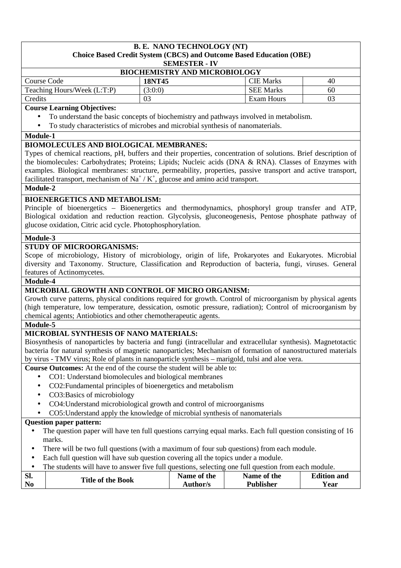# **B. E. NANO TECHNOLOGY (NT)**

#### **Choice Based Credit System (CBCS) and Outcome Based Education (OBE) SEMESTER - IV BIOCHEMISTRY AND MICROBIOLOGY**  Course Code **18NT45 CIE Marks** 1 **40** Teaching Hours/Week (L:T:P)  $(3:0:0)$  SEE Marks  $\vert$  60 Credits 1 03 Exam Hours 1 03

## **Course Learning Objectives:**

- To understand the basic concepts of biochemistry and pathways involved in metabolism.
- To study characteristics of microbes and microbial synthesis of nanomaterials.

#### **Module-1**

## **BIOMOLECULES AND BIOLOGICAL MEMBRANES:**

Types of chemical reactions, pH, buffers and their properties, concentration of solutions. Brief description of the biomolecules: Carbohydrates; Proteins; Lipids; Nucleic acids (DNA & RNA). Classes of Enzymes with examples. Biological membranes: structure, permeability, properties, passive transport and active transport, facilitated transport, mechanism of Na<sup>+</sup> / K<sup>+</sup>, glucose and amino acid transport.

## **Module-2**

## **BIOENERGETICS AND METABOLISM:**

Principle of bioenergetics – Bioenergetics and thermodynamics, phosphoryl group transfer and ATP, Biological oxidation and reduction reaction. Glycolysis, gluconeogenesis, Pentose phosphate pathway of glucose oxidation, Citric acid cycle. Photophosphorylation.

## **Module-3**

## **STUDY OF MICROORGANISMS:**

Scope of microbiology, History of microbiology, origin of life, Prokaryotes and Eukaryotes. Microbial diversity and Taxonomy. Structure, Classification and Reproduction of bacteria, fungi, viruses. General features of Actinomycetes.

#### **Module-4**

## **MICROBIAL GROWTH AND CONTROL OF MICRO ORGANISM:**

Growth curve patterns, physical conditions required for growth. Control of microorganism by physical agents (high temperature, low temperature, dessication, osmotic pressure, radiation); Control of microorganism by chemical agents; Antiobiotics and other chemotherapeutic agents.

## **Module-5**

#### **MICROBIAL SYNTHESIS OF NANO MATERIALS:**

Biosynthesis of nanoparticles by bacteria and fungi (intracellular and extracellular synthesis). Magnetotactic bacteria for natural synthesis of magnetic nanoparticles; Mechanism of formation of nanostructured materials by virus - TMV virus; Role of plants in nanoparticle synthesis – marigold, tulsi and aloe vera.

**Course Outcomes:** At the end of the course the student will be able to:

- CO1: Understand biomolecules and biological membranes
- CO2:Fundamental principles of bioenergetics and metabolism
- CO3:Basics of microbiology
- CO4:Understand microbiological growth and control of microorganisms
- CO5:Understand apply the knowledge of microbial synthesis of nanomaterials

- The question paper will have ten full questions carrying equal marks. Each full question consisting of 16 marks.
- There will be two full questions (with a maximum of four sub questions) from each module.
- Each full question will have sub question covering all the topics under a module.

|  | The students will have to answer five full questions, selecting one full question from each module. |  |  |  |  |  |
|--|-----------------------------------------------------------------------------------------------------|--|--|--|--|--|
|--|-----------------------------------------------------------------------------------------------------|--|--|--|--|--|

| Sl.            |                          | Name of the | Name of the      | <b>Edition and</b> |
|----------------|--------------------------|-------------|------------------|--------------------|
| N <sub>0</sub> | <b>Title of the Book</b> | Author/s    | <b>Publisher</b> | Year               |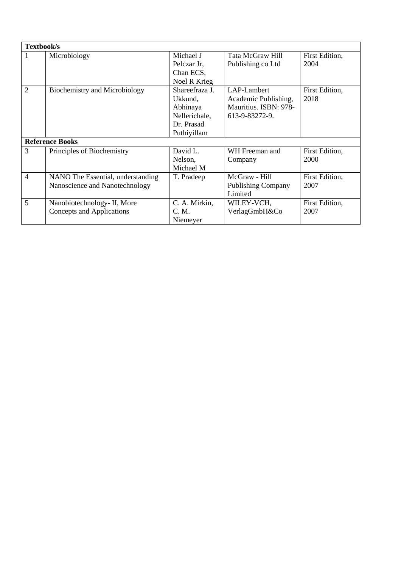| Textbook/s |                                                                     |                                                                                     |                                                                                |                        |
|------------|---------------------------------------------------------------------|-------------------------------------------------------------------------------------|--------------------------------------------------------------------------------|------------------------|
| 1          | Microbiology                                                        | Michael J<br>Pelczar Jr,<br>Chan ECS,<br>Noel R Krieg                               | Tata McGraw Hill<br>Publishing co Ltd                                          | First Edition,<br>2004 |
| 2          | <b>Biochemistry and Microbiology</b>                                | Shareefraza J.<br>Ukkund,<br>Abhinaya<br>Nellerichale,<br>Dr. Prasad<br>Puthiyillam | LAP-Lambert<br>Academic Publishing,<br>Mauritius. ISBN: 978-<br>613-9-83272-9. | First Edition,<br>2018 |
|            | <b>Reference Books</b>                                              |                                                                                     |                                                                                |                        |
| 3          | Principles of Biochemistry                                          | David L.<br>Nelson,<br>Michael M                                                    | WH Freeman and<br>Company                                                      | First Edition,<br>2000 |
| 4          | NANO The Essential, understanding<br>Nanoscience and Nanotechnology | T. Pradeep                                                                          | McGraw - Hill<br><b>Publishing Company</b><br>Limited                          | First Edition,<br>2007 |
| 5          | Nanobiotechnology- II, More<br>Concepts and Applications            | C. A. Mirkin,<br>C. M.<br>Niemeyer                                                  | WILEY-VCH,<br>VerlagGmbH&Co                                                    | First Edition,<br>2007 |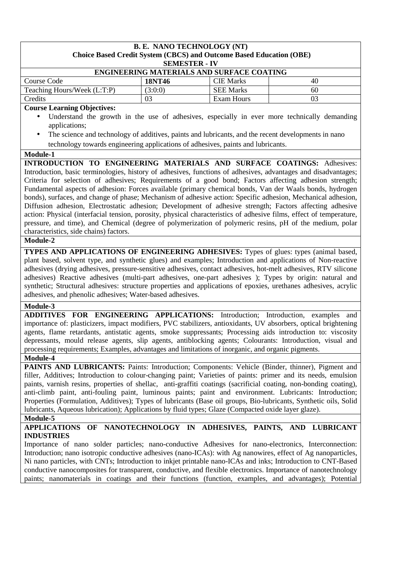| <b>B. E. NANO TECHNOLOGY (NT)</b>                                                                                                                                                                                                                                                                                                                                                                                                                                                                                                                                                                                                                                                                                                                                                                                                                                                                                                                                                                                                                                                                                                                                                                                                                                                                                                                                                                                |                                                                   |                                                                            |    |  |  |
|------------------------------------------------------------------------------------------------------------------------------------------------------------------------------------------------------------------------------------------------------------------------------------------------------------------------------------------------------------------------------------------------------------------------------------------------------------------------------------------------------------------------------------------------------------------------------------------------------------------------------------------------------------------------------------------------------------------------------------------------------------------------------------------------------------------------------------------------------------------------------------------------------------------------------------------------------------------------------------------------------------------------------------------------------------------------------------------------------------------------------------------------------------------------------------------------------------------------------------------------------------------------------------------------------------------------------------------------------------------------------------------------------------------|-------------------------------------------------------------------|----------------------------------------------------------------------------|----|--|--|
|                                                                                                                                                                                                                                                                                                                                                                                                                                                                                                                                                                                                                                                                                                                                                                                                                                                                                                                                                                                                                                                                                                                                                                                                                                                                                                                                                                                                                  |                                                                   | <b>Choice Based Credit System (CBCS) and Outcome Based Education (OBE)</b> |    |  |  |
|                                                                                                                                                                                                                                                                                                                                                                                                                                                                                                                                                                                                                                                                                                                                                                                                                                                                                                                                                                                                                                                                                                                                                                                                                                                                                                                                                                                                                  | <b>SEMESTER - IV</b><br>ENGINEERING MATERIALS AND SURFACE COATING |                                                                            |    |  |  |
| Course Code                                                                                                                                                                                                                                                                                                                                                                                                                                                                                                                                                                                                                                                                                                                                                                                                                                                                                                                                                                                                                                                                                                                                                                                                                                                                                                                                                                                                      | <b>18NT46</b>                                                     | <b>CIE Marks</b>                                                           | 40 |  |  |
| Teaching Hours/Week (L:T:P)                                                                                                                                                                                                                                                                                                                                                                                                                                                                                                                                                                                                                                                                                                                                                                                                                                                                                                                                                                                                                                                                                                                                                                                                                                                                                                                                                                                      | (3:0:0)                                                           | <b>SEE Marks</b>                                                           | 60 |  |  |
| Credits                                                                                                                                                                                                                                                                                                                                                                                                                                                                                                                                                                                                                                                                                                                                                                                                                                                                                                                                                                                                                                                                                                                                                                                                                                                                                                                                                                                                          | 03                                                                | <b>Exam Hours</b>                                                          | 03 |  |  |
| <b>Course Learning Objectives:</b>                                                                                                                                                                                                                                                                                                                                                                                                                                                                                                                                                                                                                                                                                                                                                                                                                                                                                                                                                                                                                                                                                                                                                                                                                                                                                                                                                                               |                                                                   |                                                                            |    |  |  |
| Understand the growth in the use of adhesives, especially in ever more technically demanding<br>$\bullet$<br>applications;<br>The science and technology of additives, paints and lubricants, and the recent developments in nano<br>$\bullet$<br>technology towards engineering applications of adhesives, paints and lubricants.                                                                                                                                                                                                                                                                                                                                                                                                                                                                                                                                                                                                                                                                                                                                                                                                                                                                                                                                                                                                                                                                               |                                                                   |                                                                            |    |  |  |
| Module-1                                                                                                                                                                                                                                                                                                                                                                                                                                                                                                                                                                                                                                                                                                                                                                                                                                                                                                                                                                                                                                                                                                                                                                                                                                                                                                                                                                                                         |                                                                   |                                                                            |    |  |  |
| Introduction, basic terminologies, history of adhesives, functions of adhesives, advantages and disadvantages;<br>Criteria for selection of adhesives; Requirements of a good bond; Factors affecting adhesion strength;<br>Fundamental aspects of adhesion: Forces available (primary chemical bonds, Van der Waals bonds, hydrogen<br>bonds), surfaces, and change of phase; Mechanism of adhesive action: Specific adhesion, Mechanical adhesion,<br>Diffusion adhesion, Electrostatic adhesion; Development of adhesive strength; Factors affecting adhesive<br>action: Physical (interfacial tension, porosity, physical characteristics of adhesive films, effect of temperature,<br>pressure, and time), and Chemical (degree of polymerization of polymeric resins, pH of the medium, polar<br>characteristics, side chains) factors.<br>Module-2<br>TYPES AND APPLICATIONS OF ENGINEERING ADHESIVES: Types of glues: types (animal based,<br>plant based, solvent type, and synthetic glues) and examples; Introduction and applications of Non-reactive<br>adhesives (drying adhesives, pressure-sensitive adhesives, contact adhesives, hot-melt adhesives, RTV silicone<br>adhesives) Reactive adhesives (multi-part adhesives, one-part adhesives); Types by origin: natural and<br>synthetic; Structural adhesives: structure properties and applications of epoxies, urethanes adhesives, acrylic |                                                                   |                                                                            |    |  |  |
| adhesives, and phenolic adhesives; Water-based adhesives.                                                                                                                                                                                                                                                                                                                                                                                                                                                                                                                                                                                                                                                                                                                                                                                                                                                                                                                                                                                                                                                                                                                                                                                                                                                                                                                                                        |                                                                   |                                                                            |    |  |  |
| Module-3                                                                                                                                                                                                                                                                                                                                                                                                                                                                                                                                                                                                                                                                                                                                                                                                                                                                                                                                                                                                                                                                                                                                                                                                                                                                                                                                                                                                         |                                                                   |                                                                            |    |  |  |
| ADDITIVES FOR ENGINEERING APPLICATIONS: Introduction; Introduction, examples and<br>importance of: plasticizers, impact modifiers, PVC stabilizers, antioxidants, UV absorbers, optical brightening<br>agents, flame retardants, antistatic agents, smoke suppressants; Processing aids introduction to: viscosity<br>depressants, mould release agents, slip agents, antiblocking agents; Colourants: Introduction, visual and<br>processing requirements; Examples, advantages and limitations of inorganic, and organic pigments.<br>Module-4                                                                                                                                                                                                                                                                                                                                                                                                                                                                                                                                                                                                                                                                                                                                                                                                                                                                 |                                                                   |                                                                            |    |  |  |
| PAINTS AND LUBRICANTS: Paints: Introduction; Components: Vehicle (Binder, thinner), Pigment and<br>filler, Additives; Introduction to colour-changing paint; Varieties of paints: primer and its needs, emulsion<br>paints, varnish resins, properties of shellac, anti-graffiti coatings (sacrificial coating, non-bonding coating),<br>anti-climb paint, anti-fouling paint, luminous paints; paint and environment. Lubricants: Introduction;<br>Properties (Formulation, Additives); Types of lubricants (Base oil groups, Bio-lubricants, Synthetic oils, Solid<br>lubricants, Aqueous lubrication); Applications by fluid types; Glaze (Compacted oxide layer glaze).<br>Module-5                                                                                                                                                                                                                                                                                                                                                                                                                                                                                                                                                                                                                                                                                                                          |                                                                   |                                                                            |    |  |  |
| <b>APPLICATIONS</b><br>OF NANOTECHNOLOGY IN ADHESIVES, PAINTS, AND LUBRICANT                                                                                                                                                                                                                                                                                                                                                                                                                                                                                                                                                                                                                                                                                                                                                                                                                                                                                                                                                                                                                                                                                                                                                                                                                                                                                                                                     |                                                                   |                                                                            |    |  |  |
| <b>INDUSTRIES</b><br>Importance of nano solder particles; nano-conductive Adhesives for nano-electronics, Interconnection:<br>Introduction; nano isotropic conductive adhesives (nano-ICAs): with Ag nanowires, effect of Ag nanoparticles,<br>Ni nano particles, with CNTs; Introduction to inkjet printable nano-ICAs and inks; Introduction to CNT-Based<br>conductive nanocomposites for transparent, conductive, and flexible electronics. Importance of nanotechnology<br>paints; nanomaterials in coatings and their functions (function, examples, and advantages); Potential                                                                                                                                                                                                                                                                                                                                                                                                                                                                                                                                                                                                                                                                                                                                                                                                                            |                                                                   |                                                                            |    |  |  |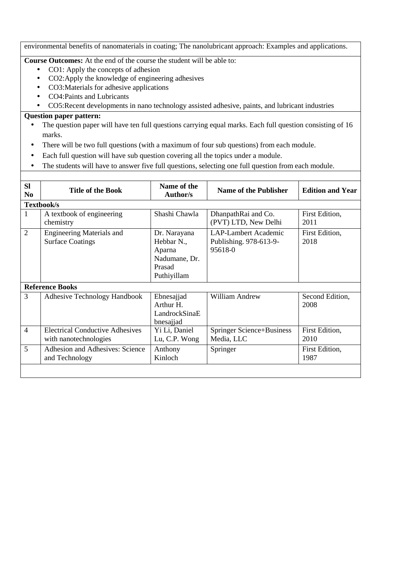environmental benefits of nanomaterials in coating; The nanolubricant approach: Examples and applications.

**Course Outcomes:** At the end of the course the student will be able to:

- CO1: Apply the concepts of adhesion
- CO2:Apply the knowledge of engineering adhesives
- CO3:Materials for adhesive applications
- CO4:Paints and Lubricants
- CO5:Recent developments in nano technology assisted adhesive, paints, and lubricant industries

- The question paper will have ten full questions carrying equal marks. Each full question consisting of 16 marks.
- There will be two full questions (with a maximum of four sub questions) from each module.
- Each full question will have sub question covering all the topics under a module.
- The students will have to answer five full questions, selecting one full question from each module.

| <b>SI</b>      | <b>Title of the Book</b>                                        | Name of the                                                                    | <b>Name of the Publisher</b>                                     | <b>Edition and Year</b> |
|----------------|-----------------------------------------------------------------|--------------------------------------------------------------------------------|------------------------------------------------------------------|-------------------------|
| N <sub>0</sub> |                                                                 | <b>Author/s</b>                                                                |                                                                  |                         |
|                | Textbook/s                                                      |                                                                                |                                                                  |                         |
| 1              | A textbook of engineering<br>chemistry                          | Shashi Chawla                                                                  | DhanpathRai and Co.<br>(PVT) LTD, New Delhi                      | First Edition,<br>2011  |
| $\overline{2}$ | <b>Engineering Materials and</b><br><b>Surface Coatings</b>     | Dr. Narayana<br>Hebbar N.,<br>Aparna<br>Nadumane, Dr.<br>Prasad<br>Puthiyillam | <b>LAP-Lambert Academic</b><br>Publishing. 978-613-9-<br>95618-0 | First Edition,<br>2018  |
|                | <b>Reference Books</b>                                          |                                                                                |                                                                  |                         |
| 3              | <b>Adhesive Technology Handbook</b>                             | Ebnesajjad<br>Arthur H.<br>LandrockSinaE<br>bnesajjad                          | William Andrew                                                   | Second Edition,<br>2008 |
| $\overline{4}$ | <b>Electrical Conductive Adhesives</b><br>with nanotechnologies | Yi Li, Daniel<br>Lu, C.P. Wong                                                 | <b>Springer Science+Business</b><br>Media, LLC                   | First Edition,<br>2010  |
| 5              | Adhesion and Adhesives: Science<br>and Technology               | Anthony<br>Kinloch                                                             | Springer                                                         | First Edition,<br>1987  |
|                |                                                                 |                                                                                |                                                                  |                         |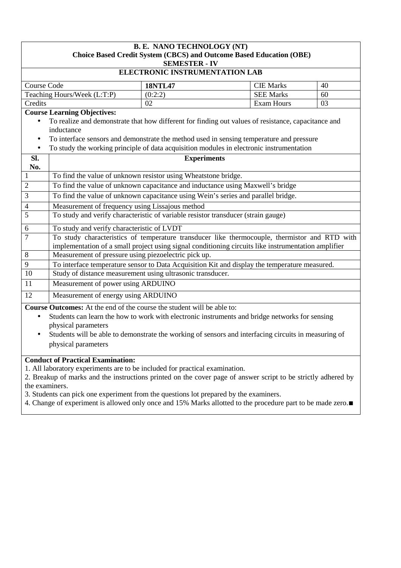| <b>B. E. NANO TECHNOLOGY (NT)</b><br>Choice Based Credit System (CBCS) and Outcome Based Education (OBE)<br><b>SEMESTER - IV</b>                                                                                                                                                                                                                                |                                                                                                                                                                                                                                                                                                                                                 |                    |  |                  |    |
|-----------------------------------------------------------------------------------------------------------------------------------------------------------------------------------------------------------------------------------------------------------------------------------------------------------------------------------------------------------------|-------------------------------------------------------------------------------------------------------------------------------------------------------------------------------------------------------------------------------------------------------------------------------------------------------------------------------------------------|--------------------|--|------------------|----|
|                                                                                                                                                                                                                                                                                                                                                                 | <b>ELECTRONIC INSTRUMENTATION LAB</b>                                                                                                                                                                                                                                                                                                           |                    |  |                  |    |
| Course Code                                                                                                                                                                                                                                                                                                                                                     |                                                                                                                                                                                                                                                                                                                                                 | <b>18NTL47</b>     |  | <b>CIE Marks</b> | 40 |
|                                                                                                                                                                                                                                                                                                                                                                 | Teaching Hours/Week (L:T:P)                                                                                                                                                                                                                                                                                                                     | (0:2:2)            |  | <b>SEE Marks</b> | 60 |
| Credits                                                                                                                                                                                                                                                                                                                                                         | <b>Exam Hours</b><br>03<br>02                                                                                                                                                                                                                                                                                                                   |                    |  |                  |    |
| $\bullet$<br>$\bullet$                                                                                                                                                                                                                                                                                                                                          | <b>Course Learning Objectives:</b><br>To realize and demonstrate that how different for finding out values of resistance, capacitance and<br>inductance<br>To interface sensors and demonstrate the method used in sensing temperature and pressure<br>To study the working principle of data acquisition modules in electronic instrumentation |                    |  |                  |    |
| SI.                                                                                                                                                                                                                                                                                                                                                             |                                                                                                                                                                                                                                                                                                                                                 | <b>Experiments</b> |  |                  |    |
| No.                                                                                                                                                                                                                                                                                                                                                             |                                                                                                                                                                                                                                                                                                                                                 |                    |  |                  |    |
| $\mathbf{1}$                                                                                                                                                                                                                                                                                                                                                    | To find the value of unknown resistor using Wheatstone bridge.                                                                                                                                                                                                                                                                                  |                    |  |                  |    |
| $\mathbf{2}$                                                                                                                                                                                                                                                                                                                                                    | To find the value of unknown capacitance and inductance using Maxwell's bridge                                                                                                                                                                                                                                                                  |                    |  |                  |    |
| $\mathfrak{Z}$                                                                                                                                                                                                                                                                                                                                                  | To find the value of unknown capacitance using Wein's series and parallel bridge.                                                                                                                                                                                                                                                               |                    |  |                  |    |
| $\overline{4}$                                                                                                                                                                                                                                                                                                                                                  | Measurement of frequency using Lissajous method                                                                                                                                                                                                                                                                                                 |                    |  |                  |    |
| 5                                                                                                                                                                                                                                                                                                                                                               | To study and verify characteristic of variable resistor transducer (strain gauge)                                                                                                                                                                                                                                                               |                    |  |                  |    |
| 6                                                                                                                                                                                                                                                                                                                                                               | To study and verify characteristic of LVDT                                                                                                                                                                                                                                                                                                      |                    |  |                  |    |
| $\overline{7}$                                                                                                                                                                                                                                                                                                                                                  | To study characteristics of temperature transducer like thermocouple, thermistor and RTD with<br>implementation of a small project using signal conditioning circuits like instrumentation amplifier                                                                                                                                            |                    |  |                  |    |
| 8                                                                                                                                                                                                                                                                                                                                                               | Measurement of pressure using piezoelectric pick up.                                                                                                                                                                                                                                                                                            |                    |  |                  |    |
| 9                                                                                                                                                                                                                                                                                                                                                               | To interface temperature sensor to Data Acquisition Kit and display the temperature measured.                                                                                                                                                                                                                                                   |                    |  |                  |    |
| 10                                                                                                                                                                                                                                                                                                                                                              | Study of distance measurement using ultrasonic transducer.                                                                                                                                                                                                                                                                                      |                    |  |                  |    |
| 11                                                                                                                                                                                                                                                                                                                                                              | Measurement of power using ARDUINO                                                                                                                                                                                                                                                                                                              |                    |  |                  |    |
|                                                                                                                                                                                                                                                                                                                                                                 | 12<br>Measurement of energy using ARDUINO                                                                                                                                                                                                                                                                                                       |                    |  |                  |    |
| <b>Course Outcomes:</b> At the end of the course the student will be able to:<br>Students can learn the how to work with electronic instruments and bridge networks for sensing<br>$\bullet$<br>physical parameters<br>Students will be able to demonstrate the working of sensors and interfacing circuits in measuring of<br>$\bullet$<br>physical parameters |                                                                                                                                                                                                                                                                                                                                                 |                    |  |                  |    |
|                                                                                                                                                                                                                                                                                                                                                                 | <b>Conduct of Practical Examination:</b>                                                                                                                                                                                                                                                                                                        |                    |  |                  |    |

1. All laboratory experiments are to be included for practical examination.

2. Breakup of marks and the instructions printed on the cover page of answer script to be strictly adhered by the examiners.

3. Students can pick one experiment from the questions lot prepared by the examiners.

4. Change of experiment is allowed only once and 15% Marks allotted to the procedure part to be made zero.∎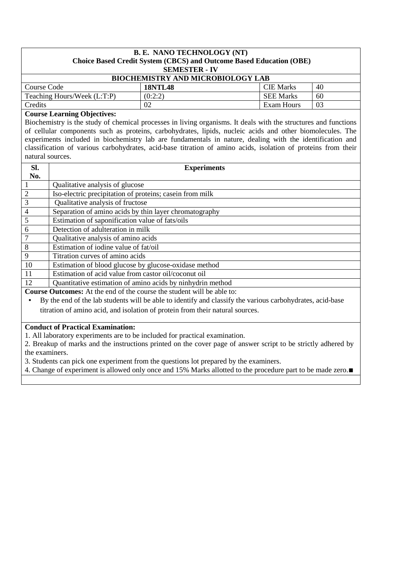| <b>B. E. NANO TECHNOLOGY (NT)</b><br>Choice Based Credit System (CBCS) and Outcome Based Education (OBE)<br><b>SEMESTER - IV</b> |                                          |            |    |  |  |
|----------------------------------------------------------------------------------------------------------------------------------|------------------------------------------|------------|----|--|--|
|                                                                                                                                  | <b>BIOCHEMISTRY AND MICROBIOLOGY LAB</b> |            |    |  |  |
| Course Code                                                                                                                      | <b>CIE</b> Marks<br>40<br><b>18NTL48</b> |            |    |  |  |
| (0:2:2)<br><b>SEE Marks</b><br>Teaching Hours/Week (L:T:P)<br>60                                                                 |                                          |            |    |  |  |
| Credits                                                                                                                          | 02                                       | Exam Hours | 03 |  |  |

# **Course Learning Objectives:**

Biochemistry is the study of chemical processes in living organisms. It deals with the structures and functions of cellular components such as proteins, carbohydrates, lipids, nucleic acids and other biomolecules. The experiments included in biochemistry lab are fundamentals in nature, dealing with the identification and classification of various carbohydrates, acid-base titration of amino acids, isolation of proteins from their natural sources.

| Sl.             | <b>Experiments</b>                                                                                        |
|-----------------|-----------------------------------------------------------------------------------------------------------|
| No.             |                                                                                                           |
|                 | Qualitative analysis of glucose                                                                           |
| 2               | Iso-electric precipitation of proteins; case in from milk                                                 |
| $\overline{3}$  | Qualitative analysis of fructose                                                                          |
| $\overline{4}$  | Separation of amino acids by thin layer chromatography                                                    |
| $\overline{5}$  | Estimation of saponification value of fats/oils                                                           |
| 6               | Detection of adulteration in milk                                                                         |
| $7\phantom{.0}$ | Qualitative analysis of amino acids                                                                       |
| 8               | Estimation of iodine value of fat/oil                                                                     |
| 9               | Titration curves of amino acids                                                                           |
| 10              | Estimation of blood glucose by glucose-oxidase method                                                     |
| 11              | Estimation of acid value from castor oil/coconut oil                                                      |
| 12              | Quantitative estimation of amino acids by ninhydrin method                                                |
|                 | <b>Course Outcomes:</b> At the end of the course the student will be able to:                             |
|                 | By the end of the lab students will be able to identify and classify the various carbohydrates, acid-base |

titration of amino acid, and isolation of protein from their natural sources.

#### **Conduct of Practical Examination:**

1. All laboratory experiments are to be included for practical examination.

2. Breakup of marks and the instructions printed on the cover page of answer script to be strictly adhered by the examiners.

3. Students can pick one experiment from the questions lot prepared by the examiners.

4. Change of experiment is allowed only once and 15% Marks allotted to the procedure part to be made zero.∎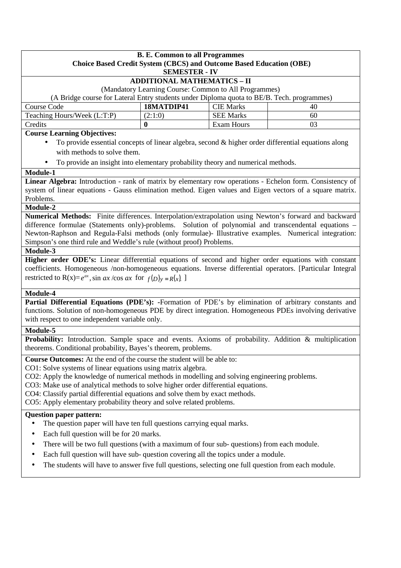| <b>B. E. Common to all Programmes</b><br><b>Choice Based Credit System (CBCS) and Outcome Based Education (OBE)</b><br><b>SEMESTER - IV</b>                                                                     |                                                       |                  |    |  |  |
|-----------------------------------------------------------------------------------------------------------------------------------------------------------------------------------------------------------------|-------------------------------------------------------|------------------|----|--|--|
|                                                                                                                                                                                                                 | <b>ADDITIONAL MATHEMATICS - II</b>                    |                  |    |  |  |
|                                                                                                                                                                                                                 | (Mandatory Learning Course: Common to All Programmes) |                  |    |  |  |
| (A Bridge course for Lateral Entry students under Diploma quota to BE/B. Tech. programmes)                                                                                                                      |                                                       |                  |    |  |  |
| Course Code                                                                                                                                                                                                     | 18MATDIP41                                            | <b>CIE Marks</b> | 40 |  |  |
| Teaching Hours/Week (L:T:P)                                                                                                                                                                                     | (2:1:0)                                               | <b>SEE Marks</b> | 60 |  |  |
| Credits                                                                                                                                                                                                         | $\bf{0}$                                              | Exam Hours       | 03 |  |  |
| <b>Course Learning Objectives:</b>                                                                                                                                                                              |                                                       |                  |    |  |  |
| To provide essential concepts of linear algebra, second & higher order differential equations along                                                                                                             |                                                       |                  |    |  |  |
| with methods to solve them.                                                                                                                                                                                     |                                                       |                  |    |  |  |
| To provide an insight into elementary probability theory and numerical methods.                                                                                                                                 |                                                       |                  |    |  |  |
| Module-1                                                                                                                                                                                                        |                                                       |                  |    |  |  |
| Linear Algebra: Introduction - rank of matrix by elementary row operations - Echelon form. Consistency of                                                                                                       |                                                       |                  |    |  |  |
| system of linear equations - Gauss elimination method. Eigen values and Eigen vectors of a square matrix.                                                                                                       |                                                       |                  |    |  |  |
| Problems.                                                                                                                                                                                                       |                                                       |                  |    |  |  |
| Module-2                                                                                                                                                                                                        |                                                       |                  |    |  |  |
| Numerical Methods: Finite differences. Interpolation/extrapolation using Newton's forward and backward<br>difference formulae (Statements only)-problems. Solution of polynomial and transcendental equations – |                                                       |                  |    |  |  |
| Newton-Raphson and Regula-Falsi methods (only formulae)- Illustrative examples. Numerical integration:                                                                                                          |                                                       |                  |    |  |  |
| Simpson's one third rule and Weddle's rule (without proof) Problems.                                                                                                                                            |                                                       |                  |    |  |  |
| Module-3                                                                                                                                                                                                        |                                                       |                  |    |  |  |
| Higher order ODE's: Linear differential equations of second and higher order equations with constant                                                                                                            |                                                       |                  |    |  |  |
| coefficients. Homogeneous /non-homogeneous equations. Inverse differential operators. [Particular Integral                                                                                                      |                                                       |                  |    |  |  |
| restricted to R(x)= $e^{ax}$ , sin ax/cos ax for $f(D)y = R(x)$ .                                                                                                                                               |                                                       |                  |    |  |  |
| Module-4                                                                                                                                                                                                        |                                                       |                  |    |  |  |
| Partial Differential Equations (PDE's): -Formation of PDE's by elimination of arbitrary constants and                                                                                                           |                                                       |                  |    |  |  |
| functions. Solution of non-homogeneous PDE by direct integration. Homogeneous PDEs involving derivative                                                                                                         |                                                       |                  |    |  |  |
| with respect to one independent variable only.                                                                                                                                                                  |                                                       |                  |    |  |  |
| Module-5                                                                                                                                                                                                        |                                                       |                  |    |  |  |
| <b>Probability:</b> Introduction. Sample space and events. Axioms of probability. Addition & multiplication<br>theorems. Conditional probability, Bayes's theorem, problems.                                    |                                                       |                  |    |  |  |
| <b>Course Outcomes:</b> At the end of the course the student will be able to:                                                                                                                                   |                                                       |                  |    |  |  |
| CO1: Solve systems of linear equations using matrix algebra.                                                                                                                                                    |                                                       |                  |    |  |  |
| CO2: Apply the knowledge of numerical methods in modelling and solving engineering problems.                                                                                                                    |                                                       |                  |    |  |  |
| CO3: Make use of analytical methods to solve higher order differential equations.                                                                                                                               |                                                       |                  |    |  |  |
| CO4: Classify partial differential equations and solve them by exact methods.                                                                                                                                   |                                                       |                  |    |  |  |
| CO5: Apply elementary probability theory and solve related problems.                                                                                                                                            |                                                       |                  |    |  |  |
| <b>Question paper pattern:</b><br>The question paper will have ten full questions carrying equal marks.                                                                                                         |                                                       |                  |    |  |  |
| Each full question will be for 20 marks.<br>٠                                                                                                                                                                   |                                                       |                  |    |  |  |
|                                                                                                                                                                                                                 |                                                       |                  |    |  |  |
| There will be two full questions (with a maximum of four sub-questions) from each module.<br>٠                                                                                                                  |                                                       |                  |    |  |  |
| Each full question will have sub- question covering all the topics under a module.<br>$\bullet$                                                                                                                 |                                                       |                  |    |  |  |
| The students will have to answer five full questions, selecting one full question from each module.<br>٠                                                                                                        |                                                       |                  |    |  |  |
|                                                                                                                                                                                                                 |                                                       |                  |    |  |  |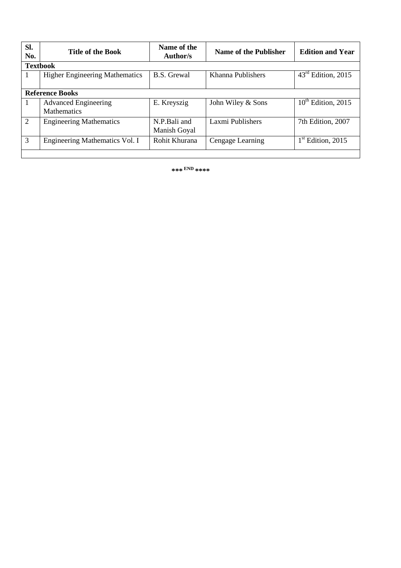| SI.<br>No. | <b>Title of the Book</b>                          | Name of the<br>Author/s      | <b>Name of the Publisher</b> | <b>Edition and Year</b>        |
|------------|---------------------------------------------------|------------------------------|------------------------------|--------------------------------|
|            | <b>Textbook</b>                                   |                              |                              |                                |
| 1          | <b>Higher Engineering Mathematics</b>             | <b>B.S.</b> Grewal           | Khanna Publishers            | $43^{\text{rd}}$ Edition, 2015 |
|            | <b>Reference Books</b>                            |                              |                              |                                |
| 1          | <b>Advanced Engineering</b><br><b>Mathematics</b> | E. Kreyszig                  | John Wiley & Sons            | $10^{th}$ Edition, 2015        |
| 2          | <b>Engineering Mathematics</b>                    | N.P.Bali and<br>Manish Goyal | Laxmi Publishers             | 7th Edition, 2007              |
| 3          | Engineering Mathematics Vol. I                    | Rohit Khurana                | Cengage Learning             | $1st$ Edition, 2015            |
|            |                                                   |                              |                              |                                |

**\*\*\* END \*\*\*\***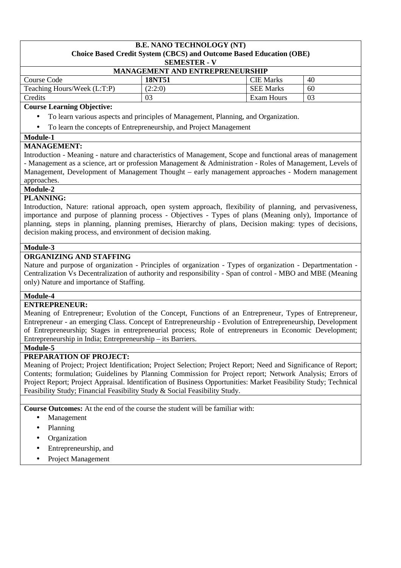#### **B.E. NANO TECHNOLOGY (NT) Choice Based Credit System (CBCS) and Outcome Based Education (OBE) SEMESTER - V**

| <b>MANAGEMENT AND ENTREPRENEURSHIP</b> |         |                  |    |  |  |
|----------------------------------------|---------|------------------|----|--|--|
| Course Code                            | 18NT51  | <b>CIE</b> Marks | 40 |  |  |
| Teaching Hours/Week (L:T:P)            | (2:2:0) | <b>SEE Marks</b> | 60 |  |  |
| Credits<br>03<br>03<br>Exam Hours      |         |                  |    |  |  |

# **Course Learning Objective:**

- To learn various aspects and principles of Management, Planning, and Organization.
- To learn the concepts of Entrepreneurship, and Project Management

#### **Module-1**

## **MANAGEMENT:**

Introduction - Meaning - nature and characteristics of Management, Scope and functional areas of management - Management as a science, art or profession Management & Administration - Roles of Management, Levels of Management, Development of Management Thought – early management approaches - Modern management approaches.

#### **Module-2 PLANNING:**

Introduction, Nature: rational approach, open system approach, flexibility of planning, and pervasiveness, importance and purpose of planning process - Objectives - Types of plans (Meaning only), Importance of planning, steps in planning, planning premises, Hierarchy of plans, Decision making: types of decisions, decision making process, and environment of decision making.

## **Module-3**

# **ORGANIZING AND STAFFING**

Nature and purpose of organization - Principles of organization - Types of organization - Departmentation - Centralization Vs Decentralization of authority and responsibility - Span of control - MBO and MBE (Meaning only) Nature and importance of Staffing.

## **Module-4**

#### **ENTREPRENEUR:**

Meaning of Entrepreneur; Evolution of the Concept, Functions of an Entrepreneur, Types of Entrepreneur, Entrepreneur - an emerging Class. Concept of Entrepreneurship - Evolution of Entrepreneurship, Development of Entrepreneurship; Stages in entrepreneurial process; Role of entrepreneurs in Economic Development; Entrepreneurship in India; Entrepreneurship – its Barriers.

#### **Module-5**

## **PREPARATION OF PROJECT:**

Meaning of Project; Project Identification; Project Selection; Project Report; Need and Significance of Report; Contents; formulation; Guidelines by Planning Commission for Project report; Network Analysis; Errors of Project Report; Project Appraisal. Identification of Business Opportunities: Market Feasibility Study; Technical Feasibility Study; Financial Feasibility Study & Social Feasibility Study.

**Course Outcomes:** At the end of the course the student will be familiar with:

- Management
- Planning
- **Organization**
- Entrepreneurship, and
- Project Management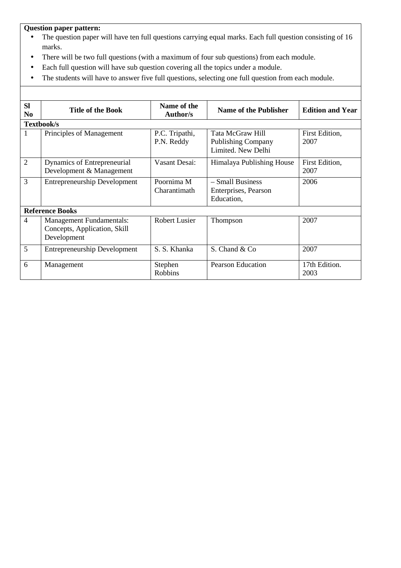- The question paper will have ten full questions carrying equal marks. Each full question consisting of 16 marks.
- There will be two full questions (with a maximum of four sub questions) from each module.
- Each full question will have sub question covering all the topics under a module.
- The students will have to answer five full questions, selecting one full question from each module.

| <b>SI</b><br>N <sub>0</sub> | <b>Title of the Book</b>                                                       | Name of the<br>Author/s      | <b>Name of the Publisher</b>                                        | <b>Edition and Year</b> |  |
|-----------------------------|--------------------------------------------------------------------------------|------------------------------|---------------------------------------------------------------------|-------------------------|--|
|                             | Textbook/s                                                                     |                              |                                                                     |                         |  |
| 1                           | Principles of Management                                                       | P.C. Tripathi,<br>P.N. Reddy | Tata McGraw Hill<br><b>Publishing Company</b><br>Limited. New Delhi | First Edition,<br>2007  |  |
| $\overline{2}$              | Dynamics of Entrepreneurial<br>Development & Management                        | Vasant Desai:                | Himalaya Publishing House                                           | First Edition,<br>2007  |  |
| 3                           | <b>Entrepreneurship Development</b>                                            | Poornima M<br>Charantimath   | - Small Business<br>Enterprises, Pearson<br>Education,              | 2006                    |  |
|                             | <b>Reference Books</b>                                                         |                              |                                                                     |                         |  |
| $\overline{4}$              | <b>Management Fundamentals:</b><br>Concepts, Application, Skill<br>Development | <b>Robert Lusier</b>         | Thompson                                                            | 2007                    |  |
| 5                           | <b>Entrepreneurship Development</b>                                            | S. S. Khanka                 | S. Chand & Co                                                       | 2007                    |  |
| 6                           | Management                                                                     | Stephen<br><b>Robbins</b>    | <b>Pearson Education</b>                                            | 17th Edition.<br>2003   |  |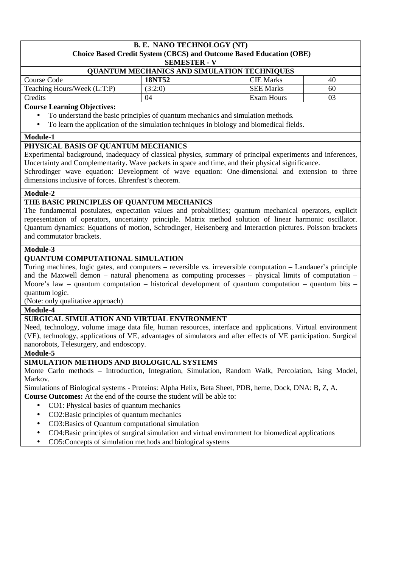# **B. E. NANO TECHNOLOGY (NT) Choice Based Credit System (CBCS) and Outcome Based Education (OBE)**

**SEMESTER - V**

| <b>QUANTUM MECHANICS AND SIMULATION TECHNIQUES</b> |         |                  |    |  |  |
|----------------------------------------------------|---------|------------------|----|--|--|
| Course Code                                        | 18NT52  | <b>CIE Marks</b> | 40 |  |  |
| Teaching Hours/Week (L:T:P)                        | (3:2:0) | <b>SEE Marks</b> | 60 |  |  |
| Credits                                            | 04      | Exam Hours       | 03 |  |  |

## **Course Learning Objectives:**

- To understand the basic principles of quantum mechanics and simulation methods.
- To learn the application of the simulation techniques in biology and biomedical fields.

#### **Module-1**

## **PHYSICAL BASIS OF QUANTUM MECHANICS**

Experimental background, inadequacy of classical physics, summary of principal experiments and inferences, Uncertainty and Complementarity. Wave packets in space and time, and their physical significance.

Schrodinger wave equation: Development of wave equation: One-dimensional and extension to three dimensions inclusive of forces. Ehrenfest's theorem.

## **Module-2**

## **THE BASIC PRINCIPLES OF QUANTUM MECHANICS**

The fundamental postulates, expectation values and probabilities; quantum mechanical operators, explicit representation of operators, uncertainty principle. Matrix method solution of linear harmonic oscillator. Quantum dynamics: Equations of motion, Schrodinger, Heisenberg and Interaction pictures. Poisson brackets and commutator brackets.

# **Module-3**

# **QUANTUM COMPUTATIONAL SIMULATION**

Turing machines, logic gates, and computers – reversible vs. irreversible computation – Landauer's principle and the Maxwell demon – natural phenomena as computing processes – physical limits of computation – Moore's law – quantum computation – historical development of quantum computation – quantum bits – quantum logic.

(Note: only qualitative approach)

**Module-4** 

# **SURGICAL SIMULATION AND VIRTUAL ENVIRONMENT**

Need, technology, volume image data file, human resources, interface and applications. Virtual environment (VE), technology, applications of VE, advantages of simulators and after effects of VE participation. Surgical nanorobots, Telesurgery, and endoscopy.

#### **Module-5**

## **SIMULATION METHODS AND BIOLOGICAL SYSTEMS**

Monte Carlo methods – Introduction, Integration, Simulation, Random Walk, Percolation, Ising Model, Markov.

Simulations of Biological systems - Proteins: Alpha Helix, Beta Sheet, PDB, heme, Dock, DNA: B, Z, A.

**Course Outcomes:** At the end of the course the student will be able to:

- CO1: Physical basics of quantum mechanics
- CO2:Basic principles of quantum mechanics
- CO3:Basics of Quantum computational simulation
- CO4:Basic principles of surgical simulation and virtual environment for biomedical applications
- CO5: Concepts of simulation methods and biological systems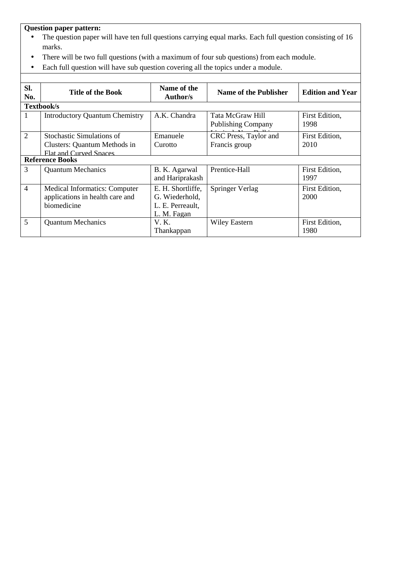- The question paper will have ten full questions carrying equal marks. Each full question consisting of 16 marks.
- There will be two full questions (with a maximum of four sub questions) from each module.
- Each full question will have sub question covering all the topics under a module.

| SI.<br>No.     | <b>Title of the Book</b>                                                                          | Name of the<br><b>Author/s</b>                                         | Name of the Publisher                         | <b>Edition and Year</b> |
|----------------|---------------------------------------------------------------------------------------------------|------------------------------------------------------------------------|-----------------------------------------------|-------------------------|
|                | Textbook/s                                                                                        |                                                                        |                                               |                         |
| 1              | <b>Introductory Quantum Chemistry</b>                                                             | A.K. Chandra                                                           | Tata McGraw Hill<br><b>Publishing Company</b> | First Edition,<br>1998  |
| 2              | <b>Stochastic Simulations of</b><br>Clusters: Quantum Methods in<br><b>Flat and Curved Spaces</b> | Emanuele<br>Curotto                                                    | CRC Press, Taylor and<br>Francis group        | First Edition,<br>2010  |
|                | <b>Reference Books</b>                                                                            |                                                                        |                                               |                         |
| 3              | <b>Quantum Mechanics</b>                                                                          | B. K. Agarwal<br>and Hariprakash                                       | Prentice-Hall                                 | First Edition,<br>1997  |
| $\overline{4}$ | Medical Informatics: Computer<br>applications in health care and<br>biomedicine                   | E. H. Shortliffe,<br>G. Wiederhold,<br>L. E. Perreault.<br>L. M. Fagan | Springer Verlag                               | First Edition,<br>2000  |
| 5              | <b>Quantum Mechanics</b>                                                                          | V. K.<br>Thankappan                                                    | <b>Wiley Eastern</b>                          | First Edition,<br>1980  |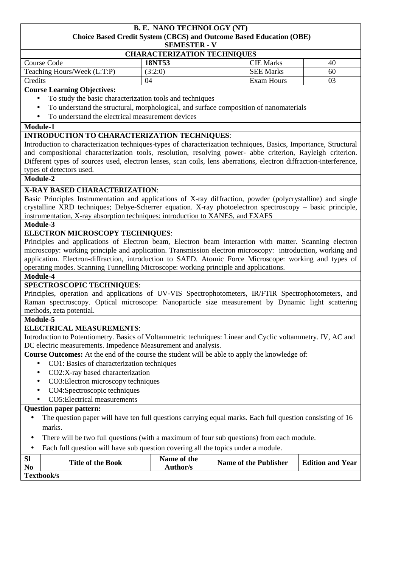#### **B. E. NANO TECHNOLOGY (NT) Choice Based Credit System (CBCS) and Outcome Based Education (OBE) SEMESTER - V**

| <b>CHARACTERIZATION TECHNIQUES</b>              |         |                  |                |  |  |
|-------------------------------------------------|---------|------------------|----------------|--|--|
| <b>CIE</b> Marks<br>18NT53<br>Course Code<br>40 |         |                  |                |  |  |
| Teaching Hours/Week (L:T:P)                     | (3:2:0) | <b>SEE Marks</b> | 60             |  |  |
| Credits                                         | 04      | Exam Hours       | 0 <sup>3</sup> |  |  |

#### **Course Learning Objectives:**

- To study the basic characterization tools and techniques
- To understand the structural, morphological, and surface composition of nanomaterials
- To understand the electrical measurement devices

#### **Module-1**

## **INTRODUCTION TO CHARACTERIZATION TECHNIQUES**:

Introduction to characterization techniques-types of characterization techniques, Basics, Importance, Structural and compositional characterization tools, resolution, resolving power- abbe criterion, Rayleigh criterion. Different types of sources used, electron lenses, scan coils, lens aberrations, electron diffraction-interference, types of detectors used.

#### **Module-2**

## **X-RAY BASED CHARACTERIZATION**:

Basic Principles Instrumentation and applications of X-ray diffraction, powder (polycrystalline) and single crystalline XRD techniques; Debye-Scherrer equation. X-ray photoelectron spectroscopy – basic principle, instrumentation, X-ray absorption techniques: introduction to XANES, and EXAFS

## **Module-3**

## **ELECTRON MICROSCOPY TECHNIQUES**:

Principles and applications of Electron beam, Electron beam interaction with matter. Scanning electron microscopy: working principle and application. Transmission electron microscopy: introduction, working and application. Electron-diffraction, introduction to SAED. Atomic Force Microscope: working and types of operating modes. Scanning Tunnelling Microscope: working principle and applications.

#### **Module-4**

## **SPECTROSCOPIC TECHNIQUES**:

Principles, operation and applications of UV-VIS Spectrophotometers, IR/FTIR Spectrophotometers, and Raman spectroscopy. Optical microscope: Nanoparticle size measurement by Dynamic light scattering methods, zeta potential.

#### **Module-5**

# **ELECTRICAL MEASUREMENTS**:

Introduction to Potentiometry. Basics of Voltammetric techniques: Linear and Cyclic voltammetry. IV, AC and DC electric measurements. Impedence Measurement and analysis.

**Course Outcomes:** At the end of the course the student will be able to apply the knowledge of:

- CO1: Basics of characterization techniques
- CO2:X-ray based characterization
- CO3:Electron microscopy techniques
- CO4:Spectroscopic techniques
- CO5:Electrical measurements

- The question paper will have ten full questions carrying equal marks. Each full question consisting of 16 marks.
- There will be two full questions (with a maximum of four sub questions) from each module.
- Each full question will have sub question covering all the topics under a module.

| <b>SI</b><br>N <sub>0</sub> | <b>Title of the Book</b> | Name of the<br>Author/s | <b>Name of the Publisher</b> | <b>Edition and Year</b> |
|-----------------------------|--------------------------|-------------------------|------------------------------|-------------------------|
|                             | Textbook/s               |                         |                              |                         |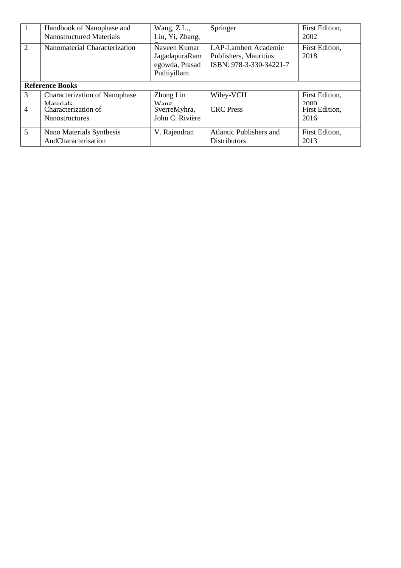| $\mathbf{1}$                | Handbook of Nanophase and<br><b>Nanostructured Materials</b> | Wang, Z.L.,<br>Liu, Yi, Zhang,                                 | Springer                                                                         | First Edition,<br>2002 |
|-----------------------------|--------------------------------------------------------------|----------------------------------------------------------------|----------------------------------------------------------------------------------|------------------------|
| $\mathcal{D}_{\mathcal{L}}$ | Nanomaterial Characterization                                | Naveen Kumar<br>JagadapuraRam<br>egowda, Prasad<br>Puthiyillam | <b>LAP-Lambert Academic</b><br>Publishers, Mauritius.<br>ISBN: 978-3-330-34221-7 | First Edition,<br>2018 |
|                             | <b>Reference Books</b>                                       |                                                                |                                                                                  |                        |
| 3                           | <b>Characterization of Nanophase</b><br>Materials            | Zhong Lin<br>Wano                                              | Wiley-VCH                                                                        | First Edition,<br>2000 |
| $\overline{4}$              | Characterization of                                          | SverreMyhra,                                                   | <b>CRC</b> Press                                                                 | First Edition,         |
|                             | <b>Nanostructures</b>                                        | John C. Rivière                                                |                                                                                  | 2016                   |
| 5                           | Nano Materials Synthesis                                     | V. Rajendran                                                   | <b>Atlantic Publishers and</b>                                                   | First Edition,         |
|                             | AndCharacterisation                                          |                                                                | <b>Distributors</b>                                                              | 2013                   |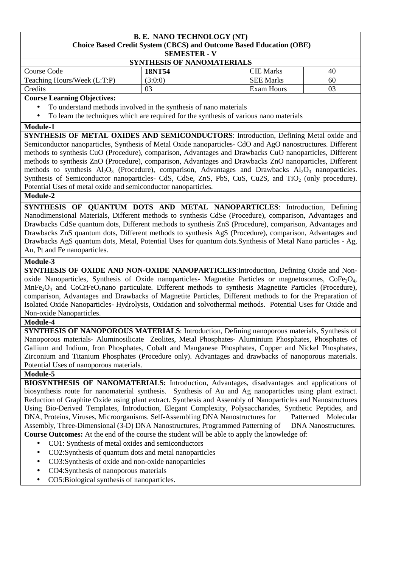# **B. E. NANO TECHNOLOGY (NT) Choice Based Credit System (CBCS) and Outcome Based Education (OBE)**

**SEMESTER - V**

| <b>SYNTHESIS OF NANOMATERIALS</b> |         |                  |                |
|-----------------------------------|---------|------------------|----------------|
| Course Code                       | 18NT54  | <b>CIE</b> Marks | 40             |
| Teaching Hours/Week (L:T:P)       | (3:0:0) | <b>SEE Marks</b> | 60             |
| Credits                           | 03      | Exam Hours       | 0 <sup>2</sup> |

#### **Course Learning Objectives:**

- To understand methods involved in the synthesis of nano materials
- To learn the techniques which are required for the synthesis of various nano materials

#### **Module-1**

**SYNTHESIS OF METAL OXIDES AND SEMICONDUCTORS:** Introduction, Defining Metal oxide and Semiconductor nanoparticles, Synthesis of Metal Oxide nanoparticles- CdO and AgO nanostructures. Different methods to synthesis CuO (Procedure), comparison, Advantages and Drawbacks CuO nanoparticles, Different methods to synthesis ZnO (Procedure), comparison, Advantages and Drawbacks ZnO nanoparticles, Different methods to synthesis  $A_2O_3$  (Procedure), comparison, Advantages and Drawbacks  $A_2O_3$  nanoparticles. Synthesis of Semiconductor nanoparticles- CdS, CdSe, ZnS, PbS, CuS, Cu2S, and TiO<sub>2</sub> (only procedure). Potential Uses of metal oxide and semiconductor nanoparticles.

## **Module-2**

**SYNTHESIS OF QUANTUM DOTS AND METAL NANOPARTICLES**: Introduction, Defining Nanodimensional Materials, Different methods to synthesis CdSe (Procedure), comparison, Advantages and Drawbacks CdSe quantum dots, Different methods to synthesis ZnS (Procedure), comparison, Advantages and Drawbacks ZnS quantum dots, Different methods to synthesis AgS (Procedure), comparison, Advantages and Drawbacks AgS quantum dots, Metal, Potential Uses for quantum dots.Synthesis of Metal Nano particles - Ag, Au, Pt and Fe nanoparticles.

## **Module-3**

**SYNTHESIS OF OXIDE AND NON-OXIDE NANOPARTICLES**:Introduction, Defining Oxide and Nonoxide Nanoparticles, Synthesis of Oxide nanoparticles- Magnetite Particles or magnetosomes,  $\text{CoFe}_2\text{O}_4$ , MnFe<sub>2</sub>O<sub>4</sub> and CoCrFeO<sub>4</sub>nano particulate. Different methods to synthesis Magnetite Particles (Procedure), comparison, Advantages and Drawbacks of Magnetite Particles, Different methods to for the Preparation of Isolated Oxide Nanoparticles- Hydrolysis, Oxidation and solvothermal methods. Potential Uses for Oxide and Non-oxide Nanoparticles.

#### **Module-4**

**SYNTHESIS OF NANOPOROUS MATERIALS**: Introduction, Defining nanoporous materials, Synthesis of Nanoporous materials- Aluminosilicate Zeolites, Metal Phosphates- Aluminium Phosphates, Phosphates of Gallium and Indium, Iron Phosphates, Cobalt and Manganese Phosphates, Copper and Nickel Phosphates, Zirconium and Titanium Phosphates (Procedure only). Advantages and drawbacks of nanoporous materials. Potential Uses of nanoporous materials.

#### **Module-5**

**BIOSYNTHESIS OF NANOMATERIALS:** Introduction, Advantages, disadvantages and applications of biosynthesis route for nanomaterial synthesis. Synthesis of Au and Ag nanoparticles using plant extract. Reduction of Graphite Oxide using plant extract. Synthesis and Assembly of Nanoparticles and Nanostructures Using Bio-Derived Templates, Introduction, Elegant Complexity, Polysaccharides, Synthetic Peptides, and DNA, Proteins, Viruses, Microorganisms. Self-Assembling DNA Nanostructures for Patterned Molecular Assembly, Three-Dimensional (3-D) DNA Nanostructures, Programmed Patterning of DNA Nanostructures. **Course Outcomes:** At the end of the course the student will be able to apply the knowledge of:

- CO1: Synthesis of metal oxides and semiconductors
- CO2:Synthesis of quantum dots and metal nanoparticles
- CO3:Synthesis of oxide and non-oxide nanoparticles
- CO4:Synthesis of nanoporous materials
- CO5:Biological synthesis of nanoparticles.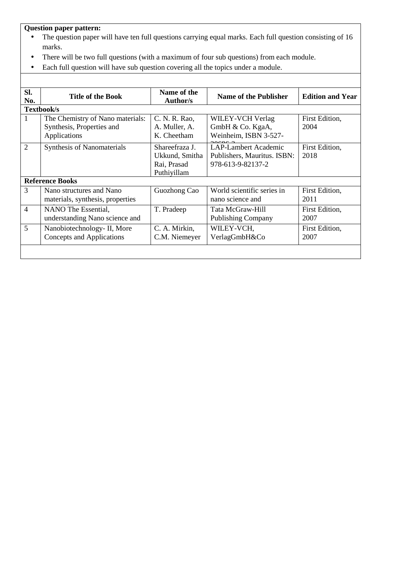- The question paper will have ten full questions carrying equal marks. Each full question consisting of 16 marks.
- There will be two full questions (with a maximum of four sub questions) from each module.
- Each full question will have sub question covering all the topics under a module.

| SI.<br>No.     | <b>Title of the Book</b>                                     | Name of the<br>Author/s          | <b>Name of the Publisher</b>                               | <b>Edition and Year</b> |
|----------------|--------------------------------------------------------------|----------------------------------|------------------------------------------------------------|-------------------------|
|                | Textbook/s                                                   |                                  |                                                            |                         |
| 1              | The Chemistry of Nano materials:                             | C. N. R. Rao,                    | WILEY-VCH Verlag                                           | First Edition,          |
|                | Synthesis, Properties and                                    | A. Muller, A.                    | GmbH & Co. KgaA,                                           | 2004                    |
|                | Applications                                                 | K. Cheetham                      | Weinheim, ISBN 3-527-                                      |                         |
| $\overline{2}$ | <b>Synthesis of Nanomaterials</b>                            | Shareefraza J.<br>Ukkund, Smitha | <b>LAP-Lambert Academic</b><br>Publishers, Mauritus. ISBN: | First Edition,<br>2018  |
|                |                                                              | Rai, Prasad<br>Puthiyillam       | 978-613-9-82137-2                                          |                         |
|                | <b>Reference Books</b>                                       |                                  |                                                            |                         |
| 3              | Nano structures and Nano<br>materials, synthesis, properties | Guozhong Cao                     | World scientific series in<br>nano science and             | First Edition,<br>2011  |
| $\overline{4}$ | NANO The Essential,<br>understanding Nano science and        | T. Pradeep                       | Tata McGraw-Hill<br><b>Publishing Company</b>              | First Edition,<br>2007  |
| 5              | Nanobiotechnology- II, More<br>Concepts and Applications     | C. A. Mirkin,<br>C.M. Niemeyer   | WILEY-VCH,<br>VerlagGmbH&Co                                | First Edition,<br>2007  |
|                |                                                              |                                  |                                                            |                         |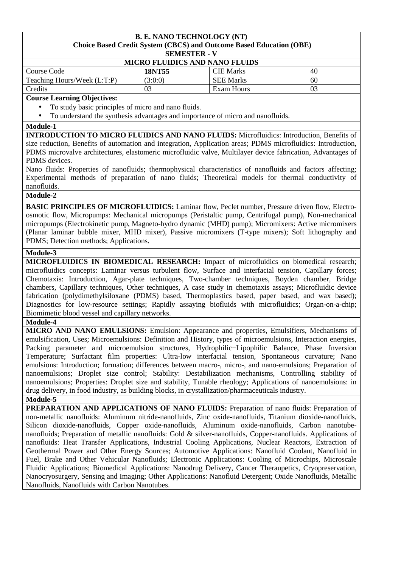# **B. E. NANO TECHNOLOGY (NT) Choice Based Credit System (CBCS) and Outcome Based Education (OBE)**

**SEMESTER - V**

| <b>MICRO FLUIDICS AND NANO FLUIDS</b> |         |                  |    |  |
|---------------------------------------|---------|------------------|----|--|
| Course Code                           | 18NT55  | <b>CIE Marks</b> | 40 |  |
| Teaching Hours/Week (L:T:P)           | (3:0:0) | <b>SEE Marks</b> | 60 |  |
| Credits                               |         | Exam Hours       |    |  |

## **Course Learning Objectives:**

- To study basic principles of micro and nano fluids.
- To understand the synthesis advantages and importance of micro and nanofluids.

#### **Module-1**

**INTRODUCTION TO MICRO FLUIDICS AND NANO FLUIDS:** Microfluidics: Introduction, Benefits of size reduction, Benefits of automation and integration, Application areas; PDMS microfluidics: Introduction, PDMS microvalve architectures, elastomeric microfluidic valve, Multilayer device fabrication, Advantages of PDMS devices.

Nano fluids: Properties of nanofluids; thermophysical characteristics of nanofluids and factors affecting; Experimental methods of preparation of nano fluids; Theoretical models for thermal conductivity of nanofluids.

## **Module-2**

**BASIC PRINCIPLES OF MICROFLUIDICS:** Laminar flow, Peclet number, Pressure driven flow, Electroosmotic flow, Micropumps: Mechanical micropumps (Peristaltic pump, Centrifugal pump), Non-mechanical micropumps (Electrokinetic pump, Magneto-hydro dynamic (MHD) pump); Micromixers: Active micromixers (Planar laminar bubble mixer, MHD mixer), Passive micromixers (T-type mixers); Soft lithography and PDMS; Detection methods; Applications.

## **Module-3**

**MICROFLUIDICS IN BIOMEDICAL RESEARCH:** Impact of microfluidics on biomedical research; microfluidics concepts: Laminar versus turbulent flow, Surface and interfacial tension, Capillary forces; Chemotaxis: Introduction, Agar-plate techniques, Two-chamber techniques, Boyden chamber, Bridge chambers, Capillary techniques, Other techniques, A case study in chemotaxis assays; Microfluidic device fabrication (polydimethylsiloxane (PDMS) based, Thermoplastics based, paper based, and wax based); Diagnostics for low-resource settings; Rapidly assaying biofluids with microfluidics; Organ-on-a-chip; Biomimetic blood vessel and capillary networks.

**Module-4** 

**MICRO AND NANO EMULSIONS:** Emulsion: Appearance and properties, Emulsifiers, Mechanisms of emulsification, Uses; Microemulsions: Definition and History, types of microemulsions, Interaction energies, Packing parameter and microemulsion structures, Hydrophilic−Lipophilic Balance, Phase Inversion Temperature; Surfactant film properties: Ultra-low interfacial tension, Spontaneous curvature; Nano emulsions: Introduction; formation; differences between macro-, micro-, and nano-emulsions; Preparation of nanoemulsions; Droplet size control; Stability: Destabilization mechanisms, Controlling stability of nanoemulsions; Properties: Droplet size and stability, Tunable rheology; Applications of nanoemulsions: in drug delivery, in food industry, as building blocks, in crystallization/pharmaceuticals industry.

#### **Module-5**

**PREPARATION AND APPLICATIONS OF NANO FLUIDS:** Preparation of nano fluids: Preparation of non-metallic nanofluids: Aluminum nitride-nanofluids, Zinc oxide-nanofluids, Titanium dioxide-nanofluids, Silicon dioxide-nanofluids, Copper oxide-nanofluids, Aluminum oxide-nanofluids, Carbon nanotubenanofluids; Preparation of metallic nanofluids: Gold & silver-nanofluids, Copper-nanofluids. Applications of nanofluids: Heat Transfer Applications, Industrial Cooling Applications, Nuclear Reactors, Extraction of Geothermal Power and Other Energy Sources; Automotive Applications: Nanofluid Coolant, Nanofluid in Fuel, Brake and Other Vehicular Nanofluids; Electronic Applications: Cooling of Microchips, Microscale Fluidic Applications; Biomedical Applications: Nanodrug Delivery, Cancer Theraupetics, Cryopreservation, Nanocryosurgery, Sensing and Imaging; Other Applications: Nanofluid Detergent; Oxide Nanofluids, Metallic Nanofluids, Nanofluids with Carbon Nanotubes.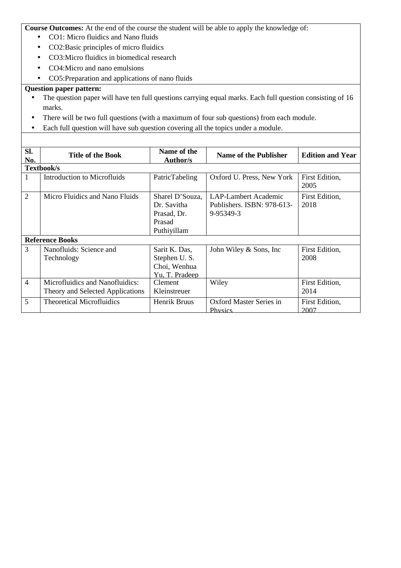**Course Outcomes:** At the end of the course the student will be able to apply the knowledge of:

- CO1: Micro fluidics and Nano fluids
- CO2:Basic principles of micro fluidics
- CO3:Micro fluidics in biomedical research
- CO4:Micro and nano emulsions
- CO5:Preparation and applications of nano fluids

- The question paper will have ten full questions carrying equal marks. Each full question consisting of 16 marks.
- There will be two full questions (with a maximum of four sub questions) from each module.
- Each full question will have sub question covering all the topics under a module.

| SI.<br>No.     | <b>Title of the Book</b>                                            | Name of the<br><b>Author/s</b>                                         | <b>Name of the Publisher</b>                                    | <b>Edition and Year</b> |
|----------------|---------------------------------------------------------------------|------------------------------------------------------------------------|-----------------------------------------------------------------|-------------------------|
|                | Textbook/s                                                          |                                                                        |                                                                 |                         |
| 1              | Introduction to Microfluids                                         | PatricTabeling                                                         | Oxford U. Press, New York                                       | First Edition,<br>2005  |
| $\overline{2}$ | Micro Fluidics and Nano Fluids                                      | Sharel D'Souza,<br>Dr. Savitha<br>Prasad, Dr.<br>Prasad<br>Puthiyillam | LAP-Lambert Academic<br>Publishers. ISBN: 978-613-<br>9-95349-3 | First Edition,<br>2018  |
|                | <b>Reference Books</b>                                              |                                                                        |                                                                 |                         |
| 3              | Nanofluids: Science and<br>Technology                               | Sarit K. Das,<br>Stephen U.S.<br>Choi, Wenhua<br>Yu, T. Pradeep        | John Wiley & Sons, Inc.                                         | First Edition,<br>2008  |
| $\overline{4}$ | Microfluidics and Nanofluidics:<br>Theory and Selected Applications | <b>Clement</b><br>Kleinstreuer                                         | Wiley                                                           | First Edition,<br>2014  |
| 5              | <b>Theoretical Microfluidics</b>                                    | Henrik Bruus                                                           | <b>Oxford Master Series in</b><br><b>Physics</b>                | First Edition,<br>2007  |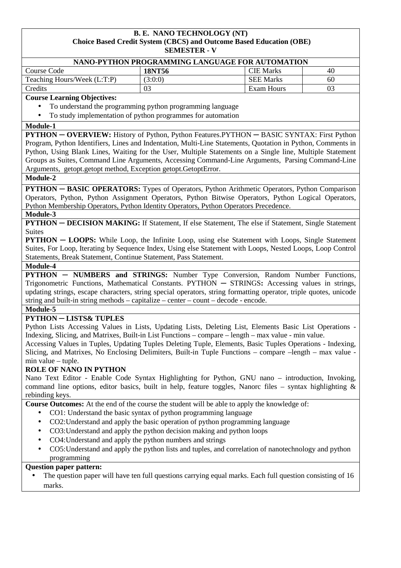#### **B. E. NANO TECHNOLOGY (NT) Choice Based Credit System (CBCS) and Outcome Based Education (OBE) SEMESTER - V**

| NANO-PYTHON PROGRAMMING LANGUAGE FOR AUTOMATION |         |                  |    |  |  |  |
|-------------------------------------------------|---------|------------------|----|--|--|--|
| <b>CIE</b> Marks<br>18NT56<br>Course Code<br>40 |         |                  |    |  |  |  |
| Teaching Hours/Week (L:T:P)                     | (3:0:0) | <b>SEE Marks</b> | 60 |  |  |  |
| Credits                                         | 03      | Exam Hours       |    |  |  |  |

#### **Course Learning Objectives:**

- To understand the programming python programming language
- To study implementation of python programmes for automation

#### **Module-1**

**PYTHON ─ OVERVIEW:** History of Python, Python Features.PYTHON ─ BASIC SYNTAX: First Python Program, Python Identifiers, Lines and Indentation, Multi-Line Statements, Quotation in Python, Comments in Python, Using Blank Lines, Waiting for the User, Multiple Statements on a Single line, Multiple Statement Groups as Suites, Command Line Arguments, Accessing Command-Line Arguments, Parsing Command-Line Arguments, getopt.getopt method, Exception getopt.GetoptError.

#### **Module-2**

**PYTHON — BASIC OPERATORS:** Types of Operators, Python Arithmetic Operators, Python Comparison Operators, Python, Python Assignment Operators, Python Bitwise Operators, Python Logical Operators, Python Membership Operators, Python Identity Operators, Python Operators Precedence.

#### **Module-3**

**PYTHON — DECISION MAKING:** If Statement, If else Statement, The else if Statement, Single Statement Suites

**PYTHON — LOOPS:** While Loop, the Infinite Loop, using else Statement with Loops, Single Statement Suites, For Loop, Iterating by Sequence Index, Using else Statement with Loops, Nested Loops, Loop Control Statements, Break Statement, Continue Statement, Pass Statement.

#### **Module-4**

**PYTHON – NUMBERS and STRINGS:** Number Type Conversion, Random Number Functions, Trigonometric Functions, Mathematical Constants. PYTHON ─ STRINGS**:** Accessing values in strings, updating strings, escape characters, string special operators, string formatting operator, triple quotes, unicode string and built-in string methods – capitalize – center – count – decode - encode.

# **Module-5**

# **PYTHON ─ LISTS& TUPLES**

Python Lists Accessing Values in Lists, Updating Lists, Deleting List, Elements Basic List Operations - Indexing, Slicing, and Matrixes, Built-in List Functions – compare – length – max value - min value.

Accessing Values in Tuples, Updating Tuples Deleting Tuple, Elements, Basic Tuples Operations - Indexing, Slicing, and Matrixes, No Enclosing Delimiters, Built-in Tuple Functions – compare –length – max value min value – tuple.

## **ROLE OF NANO IN PYTHON**

Nano Text Editor - Enable Code Syntax Highlighting for Python, GNU nano – introduction, Invoking, command line options, editor basics, built in help, feature toggles, Nanorc files – syntax highlighting  $\&$ rebinding keys.

**Course Outcomes:** At the end of the course the student will be able to apply the knowledge of:

- CO1: Understand the basic syntax of python programming language
- CO2:Understand and apply the basic operation of python programming language
- CO3: Understand and apply the python decision making and python loops
- CO4: Understand and apply the python numbers and strings
- CO5: Understand and apply the python lists and tuples, and correlation of nanotechnology and python programming

## **Question paper pattern:**

• The question paper will have ten full questions carrying equal marks. Each full question consisting of 16 marks.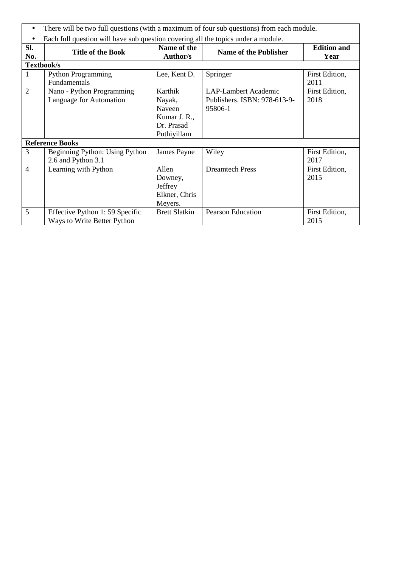| $\bullet$      | There will be two full questions (with a maximum of four sub questions) from each module. |                                                                          |                                                                 |                            |  |
|----------------|-------------------------------------------------------------------------------------------|--------------------------------------------------------------------------|-----------------------------------------------------------------|----------------------------|--|
|                | Each full question will have sub question covering all the topics under a module.         |                                                                          |                                                                 |                            |  |
| SI.<br>No.     | <b>Title of the Book</b>                                                                  | Name of the<br>Author/s                                                  | <b>Name of the Publisher</b>                                    | <b>Edition and</b><br>Year |  |
| Textbook/s     |                                                                                           |                                                                          |                                                                 |                            |  |
| 1              | <b>Python Programming</b><br>Fundamentals                                                 | Lee, Kent D.                                                             | Springer                                                        | First Edition,<br>2011     |  |
| $\overline{2}$ | Nano - Python Programming<br>Language for Automation                                      | Karthik<br>Nayak,<br>Naveen<br>Kumar J. R.,<br>Dr. Prasad<br>Puthiyillam | LAP-Lambert Academic<br>Publishers. ISBN: 978-613-9-<br>95806-1 | First Edition,<br>2018     |  |
|                | <b>Reference Books</b>                                                                    |                                                                          |                                                                 |                            |  |
| 3              | Beginning Python: Using Python<br>2.6 and Python 3.1                                      | James Payne                                                              | Wiley                                                           | First Edition,<br>2017     |  |
| $\overline{4}$ | Learning with Python                                                                      | Allen<br>Downey,<br>Jeffrey<br>Elkner, Chris<br>Meyers.                  | <b>Dreamtech Press</b>                                          | First Edition,<br>2015     |  |
| 5              | Effective Python 1: 59 Specific<br>Ways to Write Better Python                            | <b>Brett Slatkin</b>                                                     | <b>Pearson Education</b>                                        | First Edition,<br>2015     |  |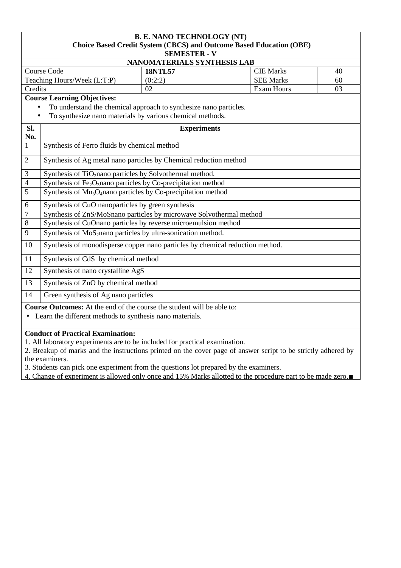| <b>B. E. NANO TECHNOLOGY (NT)</b><br>Choice Based Credit System (CBCS) and Outcome Based Education (OBE)<br><b>SEMESTER - V</b>                                      |                                                                                                                                             |                   |    |  |  |
|----------------------------------------------------------------------------------------------------------------------------------------------------------------------|---------------------------------------------------------------------------------------------------------------------------------------------|-------------------|----|--|--|
|                                                                                                                                                                      | NANOMATERIALS SYNTHESIS LAB                                                                                                                 |                   |    |  |  |
| <b>Course Code</b>                                                                                                                                                   | <b>18NTL57</b>                                                                                                                              | <b>CIE Marks</b>  | 40 |  |  |
| Teaching Hours/Week (L:T:P)                                                                                                                                          | (0:2:2)                                                                                                                                     | <b>SEE Marks</b>  | 60 |  |  |
| Credits                                                                                                                                                              | 02                                                                                                                                          | <b>Exam Hours</b> | 03 |  |  |
| <b>Course Learning Objectives:</b><br>To understand the chemical approach to synthesize nano particles.<br>To synthesize nano materials by various chemical methods. |                                                                                                                                             |                   |    |  |  |
| Sl.<br>No.                                                                                                                                                           | <b>Experiments</b>                                                                                                                          |                   |    |  |  |
| $\overline{1}$<br>Synthesis of Ferro fluids by chemical method                                                                                                       |                                                                                                                                             |                   |    |  |  |
| $\overline{2}$                                                                                                                                                       | Synthesis of Ag metal nano particles by Chemical reduction method                                                                           |                   |    |  |  |
| $\overline{3}$                                                                                                                                                       | Synthesis of TiO <sub>2</sub> nano particles by Solvothermal method.                                                                        |                   |    |  |  |
| $\overline{4}$                                                                                                                                                       | Synthesis of Fe <sub>2</sub> O <sub>3</sub> nano particles by Co-precipitation method                                                       |                   |    |  |  |
| $\overline{5}$<br>Synthesis of Mn <sub>3</sub> O <sub>4</sub> nano particles by Co-precipitation method                                                              |                                                                                                                                             |                   |    |  |  |
| 6                                                                                                                                                                    | Synthesis of CuO nanoparticles by green synthesis                                                                                           |                   |    |  |  |
| $\overline{7}$<br>Synthesis of ZnS/MoSnano particles by microwave Solvothermal method                                                                                |                                                                                                                                             |                   |    |  |  |
| Synthesis of CuOnano particles by reverse microemulsion method<br>$\,8\,$                                                                                            |                                                                                                                                             |                   |    |  |  |
| Synthesis of MoS <sub>2</sub> nano particles by ultra-sonication method.<br>9                                                                                        |                                                                                                                                             |                   |    |  |  |
| Synthesis of monodisperse copper nano particles by chemical reduction method.<br>10                                                                                  |                                                                                                                                             |                   |    |  |  |
| Synthesis of CdS by chemical method<br>11                                                                                                                            |                                                                                                                                             |                   |    |  |  |
| Synthesis of nano crystalline AgS<br>12                                                                                                                              |                                                                                                                                             |                   |    |  |  |
| 13                                                                                                                                                                   | Synthesis of ZnO by chemical method                                                                                                         |                   |    |  |  |
| Green synthesis of Ag nano particles<br>14                                                                                                                           |                                                                                                                                             |                   |    |  |  |
| <b>Conduct of Practical Examination:</b>                                                                                                                             | <b>Course Outcomes:</b> At the end of the course the student will be able to:<br>• Learn the different methods to synthesis nano materials. |                   |    |  |  |

1. All laboratory experiments are to be included for practical examination.

2. Breakup of marks and the instructions printed on the cover page of answer script to be strictly adhered by the examiners.

3. Students can pick one experiment from the questions lot prepared by the examiners.

4. Change of experiment is allowed only once and 15% Marks allotted to the procedure part to be made zero.∎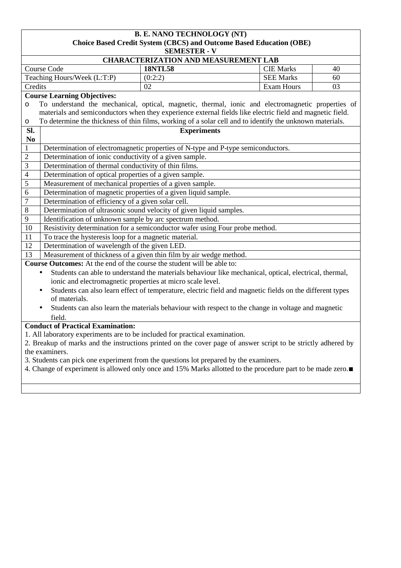|                                                                                                               | <b>B. E. NANO TECHNOLOGY (NT)</b><br>Choice Based Credit System (CBCS) and Outcome Based Education (OBE)                                     |                                                                                                          |                   |    |
|---------------------------------------------------------------------------------------------------------------|----------------------------------------------------------------------------------------------------------------------------------------------|----------------------------------------------------------------------------------------------------------|-------------------|----|
|                                                                                                               |                                                                                                                                              | <b>SEMESTER - V</b>                                                                                      |                   |    |
|                                                                                                               |                                                                                                                                              | <b>CHARACTERIZATION AND MEASUREMENT LAB</b>                                                              |                   |    |
|                                                                                                               | <b>Course Code</b>                                                                                                                           | <b>18NTL58</b>                                                                                           | <b>CIE Marks</b>  | 40 |
|                                                                                                               | Teaching Hours/Week (L:T:P)                                                                                                                  | (0:2:2)                                                                                                  | <b>SEE Marks</b>  | 60 |
| Credits                                                                                                       |                                                                                                                                              | 02                                                                                                       | <b>Exam Hours</b> | 03 |
|                                                                                                               | <b>Course Learning Objectives:</b>                                                                                                           |                                                                                                          |                   |    |
| O                                                                                                             | To understand the mechanical, optical, magnetic, thermal, ionic and electromagnetic properties of                                            |                                                                                                          |                   |    |
|                                                                                                               | materials and semiconductors when they experience external fields like electric field and magnetic field.                                    |                                                                                                          |                   |    |
| O                                                                                                             | To determine the thickness of thin films, working of a solar cell and to identify the unknown materials.                                     |                                                                                                          |                   |    |
| Sl.                                                                                                           |                                                                                                                                              | <b>Experiments</b>                                                                                       |                   |    |
| N <sub>0</sub>                                                                                                |                                                                                                                                              |                                                                                                          |                   |    |
| $\mathbf{1}$                                                                                                  | Determination of electromagnetic properties of N-type and P-type semiconductors.                                                             |                                                                                                          |                   |    |
| $\overline{2}$                                                                                                | Determination of ionic conductivity of a given sample.                                                                                       |                                                                                                          |                   |    |
| $\overline{3}$                                                                                                | Determination of thermal conductivity of thin films.                                                                                         |                                                                                                          |                   |    |
| $\overline{4}$                                                                                                | Determination of optical properties of a given sample.                                                                                       |                                                                                                          |                   |    |
| 5                                                                                                             | Measurement of mechanical properties of a given sample.                                                                                      |                                                                                                          |                   |    |
| $\overline{6}$                                                                                                | Determination of magnetic properties of a given liquid sample.                                                                               |                                                                                                          |                   |    |
| $\overline{7}$                                                                                                | Determination of efficiency of a given solar cell.                                                                                           |                                                                                                          |                   |    |
| $\,8\,$                                                                                                       | Determination of ultrasonic sound velocity of given liquid samples.                                                                          |                                                                                                          |                   |    |
| $\overline{9}$                                                                                                | Identification of unknown sample by arc spectrum method.                                                                                     |                                                                                                          |                   |    |
| 10                                                                                                            | Resistivity determination for a semiconductor wafer using Four probe method.                                                                 |                                                                                                          |                   |    |
| 11                                                                                                            | To trace the hysteresis loop for a magnetic material.                                                                                        |                                                                                                          |                   |    |
| $\overline{12}$                                                                                               | Determination of wavelength of the given LED.                                                                                                |                                                                                                          |                   |    |
| 13                                                                                                            | Measurement of thickness of a given thin film by air wedge method.<br>Course Outcomes: At the end of the course the student will be able to: |                                                                                                          |                   |    |
|                                                                                                               |                                                                                                                                              |                                                                                                          |                   |    |
|                                                                                                               | $\bullet$<br>ionic and electromagnetic properties at micro scale level.                                                                      | Students can able to understand the materials behaviour like mechanical, optical, electrical, thermal,   |                   |    |
|                                                                                                               |                                                                                                                                              | Students can also learn effect of temperature, electric field and magnetic fields on the different types |                   |    |
|                                                                                                               | of materials.                                                                                                                                |                                                                                                          |                   |    |
|                                                                                                               |                                                                                                                                              | Students can also learn the materials behaviour with respect to the change in voltage and magnetic       |                   |    |
|                                                                                                               | field.                                                                                                                                       |                                                                                                          |                   |    |
| <b>Conduct of Practical Examination:</b>                                                                      |                                                                                                                                              |                                                                                                          |                   |    |
| 1. All laboratory experiments are to be included for practical examination.                                   |                                                                                                                                              |                                                                                                          |                   |    |
| 2. Breakup of marks and the instructions printed on the cover page of answer script to be strictly adhered by |                                                                                                                                              |                                                                                                          |                   |    |
| the examiners.                                                                                                |                                                                                                                                              |                                                                                                          |                   |    |
| 3. Students can pick one experiment from the questions lot prepared by the examiners.                         |                                                                                                                                              |                                                                                                          |                   |    |
|                                                                                                               | 4. Change of experiment is allowed only once and 15% Marks allotted to the procedure part to be made zero.                                   |                                                                                                          |                   |    |
|                                                                                                               |                                                                                                                                              |                                                                                                          |                   |    |
|                                                                                                               |                                                                                                                                              |                                                                                                          |                   |    |
|                                                                                                               |                                                                                                                                              |                                                                                                          |                   |    |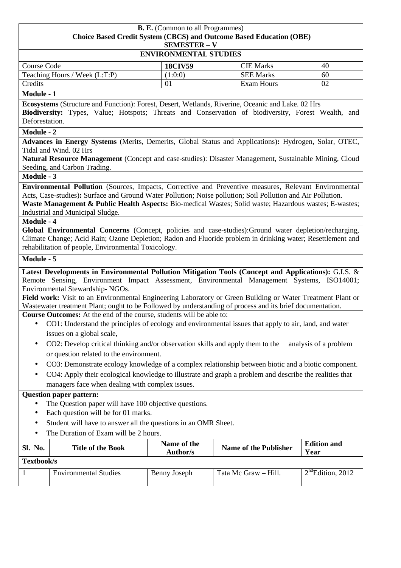| <b>B. E.</b> (Common to all Programmes)                                    |
|----------------------------------------------------------------------------|
| <b>Choice Based Credit System (CBCS) and Outcome Based Education (OBE)</b> |
| <b>SEMESTER – V</b>                                                        |
| <b>ENVIRONMENTAL STUDIES</b>                                               |

| <b>Course Code</b>            | <b>18CIV59</b> | <b>CIE</b> Marks | 40 |
|-------------------------------|----------------|------------------|----|
| Teaching Hours / Week (L:T:P) | 1:0:0)         | <b>SEE Marks</b> | 60 |
| Credits                       |                | Exam Hours       | 02 |

#### **Module - 1**

**Ecosystems** (Structure and Function): Forest, Desert, Wetlands, Riverine, Oceanic and Lake. 02 Hrs **Biodiversity:** Types, Value; Hotspots; Threats and Conservation of biodiversity, Forest Wealth, and Deforestation.

## **Module - 2**

**Advances in Energy Systems** (Merits, Demerits, Global Status and Applications)**:** Hydrogen, Solar, OTEC, Tidal and Wind. 02 Hrs

**Natural Resource Management** (Concept and case-studies): Disaster Management, Sustainable Mining, Cloud Seeding, and Carbon Trading.

## **Module - 3**

**Environmental Pollution** (Sources, Impacts, Corrective and Preventive measures, Relevant Environmental Acts, Case-studies)**:** Surface and Ground Water Pollution; Noise pollution; Soil Pollution and Air Pollution.

**Waste Management & Public Health Aspects:** Bio-medical Wastes; Solid waste; Hazardous wastes; E-wastes; Industrial and Municipal Sludge.

## **Module - 4**

**Global Environmental Concerns** (Concept, policies and case-studies):Ground water depletion/recharging, Climate Change; Acid Rain; Ozone Depletion; Radon and Fluoride problem in drinking water; Resettlement and rehabilitation of people, Environmental Toxicology.

## **Module - 5**

**Latest Developments in Environmental Pollution Mitigation Tools (Concept and Applications):** G.I.S. & Remote Sensing, Environment Impact Assessment, Environmental Management Systems, ISO14001; Environmental Stewardship- NGOs.

**Field work:** Visit to an Environmental Engineering Laboratory or Green Building or Water Treatment Plant or Wastewater treatment Plant; ought to be Followed by understanding of process and its brief documentation.

**Course Outcomes:** At the end of the course, students will be able to:

- CO1: Understand the principles of ecology and environmental issues that apply to air, land, and water issues on a global scale,
- CO2: Develop critical thinking and/or observation skills and apply them to the analysis of a problem or question related to the environment.
- CO3: Demonstrate ecology knowledge of a complex relationship between biotic and a biotic component.
- CO4: Apply their ecological knowledge to illustrate and graph a problem and describe the realities that managers face when dealing with complex issues.

- The Question paper will have 100 objective questions.
- Each question will be for 01 marks.
- Student will have to answer all the questions in an OMR Sheet.
- The Duration of Exam will be 2 hours.

| Sl. No. | Title of the Book            | Name of the<br>Author/s | <b>Name of the Publisher</b> | <b>Edition and</b><br>Year |  |
|---------|------------------------------|-------------------------|------------------------------|----------------------------|--|
|         | Textbook/s                   |                         |                              |                            |  |
|         | <b>Environmental Studies</b> | Benny Joseph            | Tata Mc Graw - Hill.         | $2nd$ Edition, 2012        |  |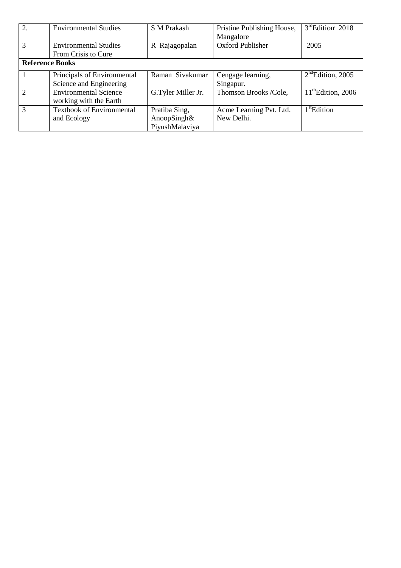| 2.                     | <b>Environmental Studies</b>     | <b>S M Prakash</b> | Pristine Publishing House, | 3rdEdition <sup>2018</sup>     |
|------------------------|----------------------------------|--------------------|----------------------------|--------------------------------|
|                        |                                  |                    | Mangalore                  |                                |
| 3                      | Environmental Studies -          | R Rajagopalan      | Oxford Publisher           | 2005                           |
|                        | From Crisis to Cure              |                    |                            |                                |
| <b>Reference Books</b> |                                  |                    |                            |                                |
|                        | Principals of Environmental      | Raman Sivakumar    | Cengage learning,          | $2nd$ Edition, 2005            |
|                        | Science and Engineering          |                    | Singapur.                  |                                |
| 2                      | Environmental Science -          | G.Tyler Miller Jr. | Thomson Brooks /Cole,      | $11^{\text{th}}$ Edition, 2006 |
|                        | working with the Earth           |                    |                            |                                |
| 3                      | <b>Textbook of Environmental</b> | Pratiba Sing,      | Acme Learning Pvt. Ltd.    | $1st$ Edition                  |
|                        | and Ecology                      | AnoopSingh&        | New Delhi.                 |                                |
|                        |                                  | PiyushMalaviya     |                            |                                |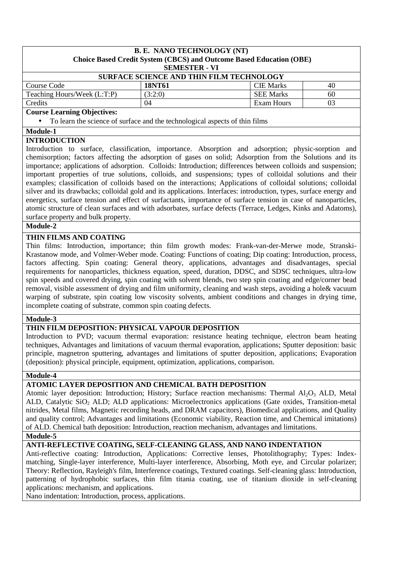#### **B. E. NANO TECHNOLOGY (NT) Choice Based Credit System (CBCS) and Outcome Based Education (OBE) SEMESTER - VI**

| <b>SURFACE SCIENCE AND THIN FILM TECHNOLOGY</b> |         |                  |    |  |
|-------------------------------------------------|---------|------------------|----|--|
| Course Code                                     | 18NT61  | <b>CIE</b> Marks | 40 |  |
| Teaching Hours/Week (L:T:P)                     | (3:2:0) | <b>SEE Marks</b> | 60 |  |
| Credits                                         | 04      | Exam Hours       | 03 |  |
| $\sim$<br>$\sim$ $\sim$ $\sim$                  |         |                  |    |  |

#### **Course Learning Objectives:**

• To learn the science of surface and the technological aspects of thin films

## **Module-1**

## **INTRODUCTION**

Introduction to surface, classification, importance. Absorption and adsorption; physic-sorption and chemisorption; factors affecting the adsorption of gases on solid; Adsorption from the Solutions and its importance; applications of adsorption. Colloids: Introduction; differences between colloids and suspension; important properties of true solutions, colloids, and suspensions; types of colloidal solutions and their examples; classification of colloids based on the interactions; Applications of colloidal solutions; colloidal silver and its drawbacks; colloidal gold and its applications. Interfaces: introduction, types, surface energy and energetics, surface tension and effect of surfactants, importance of surface tension in case of nanoparticles, atomic structure of clean surfaces and with adsorbates, surface defects (Terrace, Ledges, Kinks and Adatoms), surface property and bulk property.

## **Module-2**

## **THIN FILMS AND COATING**

Thin films: Introduction, importance; thin film growth modes: Frank-van-der-Merwe mode, Stranski-Krastanow mode, and Volmer-Weber mode. Coating: Functions of coating; Dip coating: Introduction, process, factors affecting. Spin coating: General theory, applications, advantages and disadvantages, special requirements for nanoparticles, thickness equation, speed, duration, DDSC, and SDSC techniques, ultra-low spin speeds and covered drying, spin coating with solvent blends, two step spin coating and edge/corner bead removal, visible assessment of drying and film uniformity, cleaning and wash steps, avoiding a hole& vacuum warping of substrate, spin coating low viscosity solvents, ambient conditions and changes in drying time, incomplete coating of substrate, common spin coating defects.

#### **Module-3**

## **THIN FILM DEPOSITION: PHYSICAL VAPOUR DEPOSITION**

Introduction to PVD; vacuum thermal evaporation: resistance heating technique, electron beam heating techniques, Advantages and limitations of vacuum thermal evaporation, applications; Sputter deposition: basic principle, magnetron sputtering, advantages and limitations of sputter deposition, applications; Evaporation (deposition): physical principle, equipment, optimization, applications, comparison.

#### **Module-4**

#### **ATOMIC LAYER DEPOSITION AND CHEMICAL BATH DEPOSITION**

Atomic layer deposition: Introduction; History; Surface reaction mechanisms: Thermal  $Al_2O_3$  ALD, Metal ALD, Catalytic SiO<sub>2</sub> ALD; ALD applications: Microelectronics applications (Gate oxides, Transition-metal nitrides, Metal films, Magnetic recording heads, and DRAM capacitors), Biomedical applications, and Quality and quality control; Advantages and limitations (Economic viability, Reaction time, and Chemical imitations) of ALD. Chemical bath deposition: Introduction, reaction mechanism, advantages and limitations.

#### **Module-5**

## **ANTI-REFLECTIVE COATING, SELF-CLEANING GLASS, AND NANO INDENTATION**

Anti-reflective coating: Introduction, Applications: Corrective lenses, Photolithography; Types: Indexmatching, Single-layer interference, Multi-layer interference, Absorbing, Moth eye, and Circular polarizer; Theory: Reflection, Rayleigh's film, Interference coatings, Textured coatings. Self-cleaning glass: Introduction, patterning of hydrophobic surfaces, thin film titania coating, use of titanium dioxide in self-cleaning applications: mechanism, and applications.

Nano indentation: Introduction, process, applications.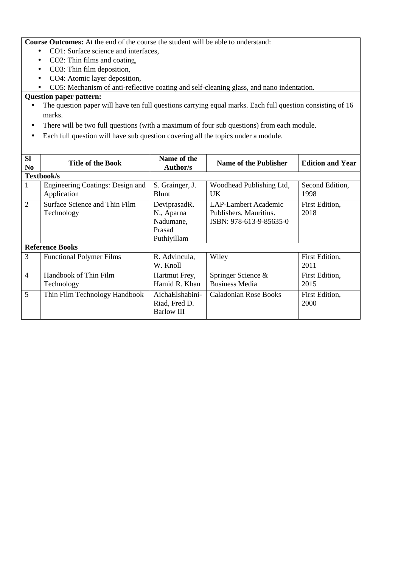**Course Outcomes:** At the end of the course the student will be able to understand:

- CO1: Surface science and interfaces,
- CO2: Thin films and coating,
- CO3: Thin film deposition,
- CO4: Atomic layer deposition,
- CO5: Mechanism of anti-reflective coating and self-cleaning glass, and nano indentation.

- The question paper will have ten full questions carrying equal marks. Each full question consisting of 16 marks.
- There will be two full questions (with a maximum of four sub questions) from each module.
- Each full question will have sub question covering all the topics under a module.

| <b>Sl</b><br>N <sub>0</sub> | <b>Title of the Book</b>                        | Name of the<br><b>Author/s</b>                                   | <b>Name of the Publisher</b>                                              | <b>Edition and Year</b> |
|-----------------------------|-------------------------------------------------|------------------------------------------------------------------|---------------------------------------------------------------------------|-------------------------|
| Textbook/s                  |                                                 |                                                                  |                                                                           |                         |
| 1                           | Engineering Coatings: Design and<br>Application | S. Grainger, J.<br><b>Blunt</b>                                  | Woodhead Publishing Ltd,<br>UK.                                           | Second Edition,<br>1998 |
| $\overline{2}$              | Surface Science and Thin Film<br>Technology     | DeviprasadR.<br>N., Aparna<br>Nadumane,<br>Prasad<br>Puthiyillam | LAP-Lambert Academic<br>Publishers, Mauritius.<br>ISBN: 978-613-9-85635-0 | First Edition,<br>2018  |
|                             | <b>Reference Books</b>                          |                                                                  |                                                                           |                         |
| 3                           | <b>Functional Polymer Films</b>                 | R. Advincula,<br>W. Knoll                                        | Wiley                                                                     | First Edition,<br>2011  |
| $\overline{4}$              | Handbook of Thin Film<br>Technology             | Hartmut Frey,<br>Hamid R. Khan                                   | Springer Science &<br><b>Business Media</b>                               | First Edition,<br>2015  |
| $5\overline{)}$             | Thin Film Technology Handbook                   | AichaElshabini-<br>Riad, Fred D.<br><b>Barlow III</b>            | <b>Caladonian Rose Books</b>                                              | First Edition,<br>2000  |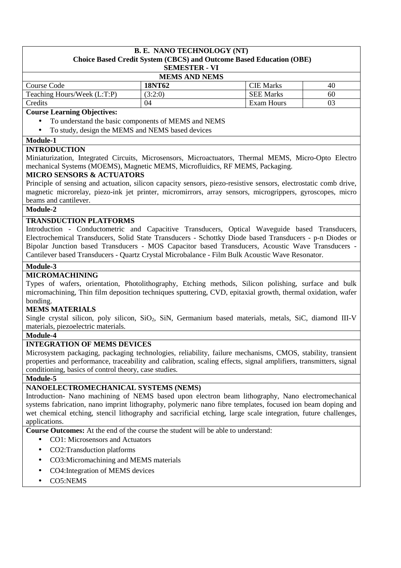#### **B. E. NANO TECHNOLOGY (NT) Choice Based Credit System (CBCS) and Outcome Based Education (OBE) SEMESTER - VI**

| <b>MEMS AND NEMS</b>        |         |                  |    |  |
|-----------------------------|---------|------------------|----|--|
| Course Code                 | 18NT62  | <b>CIE Marks</b> | 40 |  |
| Teaching Hours/Week (L:T:P) | (3:2:0) | <b>SEE Marks</b> | 60 |  |
| Credits                     | 04      | Exam Hours       |    |  |

#### **Course Learning Objectives:**

- To understand the basic components of MEMS and NEMS
- To study, design the MEMS and NEMS based devices

#### **Module-1**

## **INTRODUCTION**

Miniaturization, Integrated Circuits, Microsensors, Microactuators, Thermal MEMS, Micro-Opto Electro mechanical Systems (MOEMS), Magnetic MEMS, Microfluidics, RF MEMS, Packaging.

## **MICRO SENSORS & ACTUATORS**

Principle of sensing and actuation, silicon capacity sensors, piezo-resistive sensors, electrostatic comb drive, magnetic microrelay, piezo-ink jet printer, micromirrors, array sensors, microgrippers, gyroscopes, micro beams and cantilever.

## **Module-2**

## **TRANSDUCTION PLATFORMS**

Introduction - Conductometric and Capacitive Transducers, Optical Waveguide based Transducers, Electrochemical Transducers, Solid State Transducers - Schottky Diode based Transducers - p-n Diodes or Bipolar Junction based Transducers - MOS Capacitor based Transducers, Acoustic Wave Transducers - Cantilever based Transducers - Quartz Crystal Microbalance - Film Bulk Acoustic Wave Resonator.

## **Module-3**

## **MICROMACHINING**

Types of wafers, orientation, Photolithography, Etching methods, Silicon polishing, surface and bulk micromachining, Thin film deposition techniques sputtering, CVD, epitaxial growth, thermal oxidation, wafer bonding.

#### **MEMS MATERIALS**

Single crystal silicon, poly silicon, SiO<sub>2</sub>, SiN, Germanium based materials, metals, SiC, diamond III-V materials, piezoelectric materials.

#### **Module-4**

## **INTEGRATION OF MEMS DEVICES**

Microsystem packaging, packaging technologies, reliability, failure mechanisms, CMOS, stability, transient properties and performance, traceability and calibration, scaling effects, signal amplifiers, transmitters, signal conditioning, basics of control theory, case studies.

#### **Module-5**

# **NANOELECTROMECHANICAL SYSTEMS (NEMS)**

Introduction- Nano machining of NEMS based upon electron beam lithography, Nano electromechanical systems fabrication, nano imprint lithography, polymeric nano fibre templates, focused ion beam doping and wet chemical etching, stencil lithography and sacrificial etching, large scale integration, future challenges, applications.

**Course Outcomes:** At the end of the course the student will be able to understand:

- CO1: Microsensors and Actuators
- CO2:Transduction platforms
- CO3:Micromachining and MEMS materials
- CO4: Integration of MEMS devices
- CO5:NEMS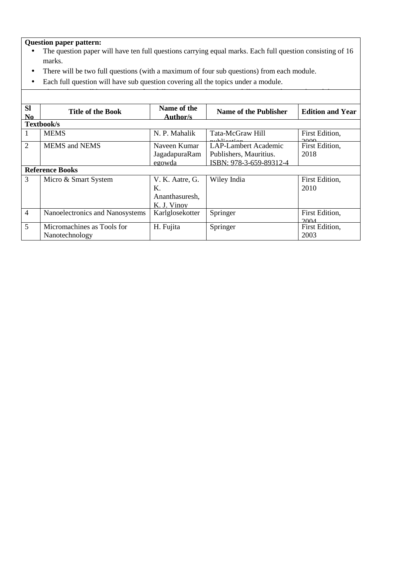# **Question paper pattern:**

- The question paper will have ten full questions carrying equal marks. Each full question consisting of 16 marks.
- There will be two full questions (with a maximum of four sub questions) from each module.

 $\overline{\phantom{a}}$  the studients will have to answer full questions, selecting one full  $\overline{\phantom{a}}$ 

• Each full question will have sub question covering all the topics under a module.

| <b>SI</b><br>N <sub>0</sub> | <b>Title of the Book</b>        | Name of the<br><b>Author/s</b> | <b>Name of the Publisher</b>          | <b>Edition and Year</b> |
|-----------------------------|---------------------------------|--------------------------------|---------------------------------------|-------------------------|
|                             | Textbook/s                      |                                |                                       |                         |
| 1                           | <b>MEMS</b>                     | N. P. Mahalik                  | Tata-McGraw Hill<br>كمستعمل والمتعاطي | First Edition,<br>ഛഫ    |
| $\overline{2}$              | <b>MEMS</b> and <b>NEMS</b>     | Naveen Kumar                   | <b>LAP-Lambert Academic</b>           | First Edition,          |
|                             |                                 | JagadapuraRam                  | Publishers, Mauritius.                | 2018                    |
|                             |                                 | egowda                         | ISBN: 978-3-659-89312-4               |                         |
|                             | <b>Reference Books</b>          |                                |                                       |                         |
| 3                           | Micro & Smart System            | V. K. Aatre, G.                | Wiley India                           | First Edition,          |
|                             |                                 | Κ.                             |                                       | 2010                    |
|                             |                                 | Ananthasuresh,                 |                                       |                         |
|                             |                                 | K. J. Vinov                    |                                       |                         |
| $\overline{4}$              | Nanoelectronics and Nanosystems | Karlglosekotter                | Springer                              | First Edition,<br>2004  |
| 5                           | Micromachines as Tools for      | H. Fujita                      | Springer                              | First Edition,          |
|                             | Nanotechnology                  |                                |                                       | 2003                    |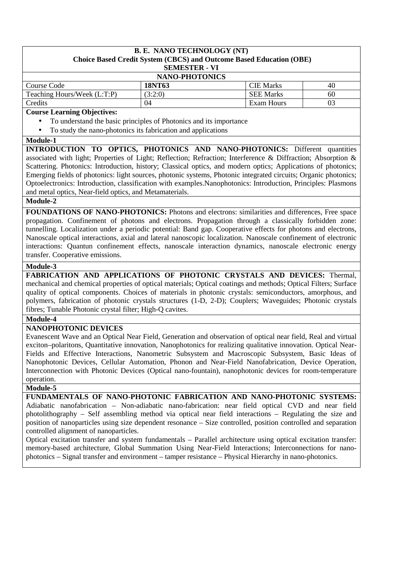#### **B. E. NANO TECHNOLOGY (NT) Choice Based Credit System (CBCS) and Outcome Based Education (OBE) SEMESTER - VI**

## **NANO-PHOTONICS**

| пано-пютоное                |         |                  |    |  |
|-----------------------------|---------|------------------|----|--|
| Course Code                 | 18NT63  | <b>CIE</b> Marks | 40 |  |
| Teaching Hours/Week (L:T:P) | (3:2:0) | <b>SEE Marks</b> | 60 |  |
| Credits                     | 04      | Exam Hours       |    |  |

#### **Course Learning Objectives:**

- To understand the basic principles of Photonics and its importance
- To study the nano-photonics its fabrication and applications

#### **Module-1**

**INTRODUCTION TO OPTICS, PHOTONICS AND NANO-PHOTONICS:** Different quantities associated with light; Properties of Light; Reflection; Refraction; Interference & Diffraction; Absorption & Scattering. Photonics: Introduction, history; Classical optics, and modern optics; Applications of photonics; Emerging fields of photonics: light sources, photonic systems, Photonic integrated circuits; Organic photonics; Optoelectronics: Introduction, classification with examples.Nanophotonics: Introduction, Principles: Plasmons and metal optics, Near-field optics, and Metamaterials.

## **Module-2**

**FOUNDATIONS OF NANO-PHOTONICS:** Photons and electrons: similarities and differences, Free space propagation. Confinement of photons and electrons. Propagation through a classically forbidden zone: tunnelling. Localization under a periodic potential: Band gap. Cooperative effects for photons and electrons, Nanoscale optical interactions, axial and lateral nanoscopic localization. Nanoscale confinement of electronic interactions: Quantun confinement effects, nanoscale interaction dynamics, nanoscale electronic energy transfer. Cooperative emissions.

## **Module-3**

**FABRICATION AND APPLICATIONS OF PHOTONIC CRYSTALS AND DEVICES:** Thermal, mechanical and chemical properties of optical materials; Optical coatings and methods; Optical Filters; Surface quality of optical components. Choices of materials in photonic crystals: semiconductors, amorphous, and polymers, fabrication of photonic crystals structures (1-D, 2-D); Couplers; Waveguides; Photonic crystals fibres; Tunable Photonic crystal filter; High-Q cavites.

#### **Module-4**

## **NANOPHOTONIC DEVICES**

Evanescent Wave and an Optical Near Field, Generation and observation of optical near field, Real and virtual exciton–polaritons, Quantitative innovation, Nanophotonics for realizing qualitative innovation. Optical Near-Fields and Effective Interactions, Nanometric Subsystem and Macroscopic Subsystem, Basic Ideas of Nanophotonic Devices, Cellular Automation, Phonon and Near-Field Nanofabrication, Device Operation, Interconnection with Photonic Devices (Optical nano-fountain), nanophotonic devices for room-temperature operation.

#### **Module-5**

**FUNDAMENTALS OF NANO-PHOTONIC FABRICATION AND NANO-PHOTONIC SYSTEMS:**  Adiabatic nanofabrication – Non-adiabatic nano-fabrication: near field optical CVD and near field photolithography – Self assembling method via optical near field interactions – Regulating the size and position of nanoparticles using size dependent resonance – Size controlled, position controlled and separation controlled alignment of nanoparticles.

Optical excitation transfer and system fundamentals – Parallel architecture using optical excitation transfer: memory-based architecture, Global Summation Using Near-Field Interactions; Interconnections for nanophotonics – Signal transfer and environment – tamper resistance – Physical Hierarchy in nano-photonics.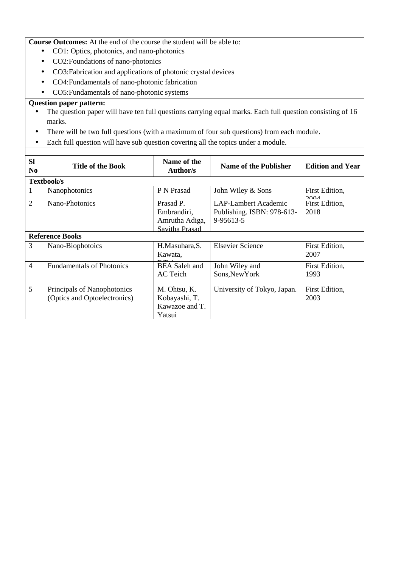**Course Outcomes:** At the end of the course the student will be able to:

- CO1: Optics, photonics, and nano-photonics
- CO2:Foundations of nano-photonics
- CO3:Fabrication and applications of photonic crystal devices
- CO4:Fundamentals of nano-photonic fabrication
- CO5:Fundamentals of nano-photonic systems

- The question paper will have ten full questions carrying equal marks. Each full question consisting of 16 marks.
- There will be two full questions (with a maximum of four sub questions) from each module.
- Each full question will have sub question covering all the topics under a module.

| <b>SI</b><br>N <sub>0</sub> | <b>Title of the Book</b>         | Name of the<br><b>Author/s</b> | <b>Name of the Publisher</b> | <b>Edition and Year</b>           |  |  |  |  |
|-----------------------------|----------------------------------|--------------------------------|------------------------------|-----------------------------------|--|--|--|--|
|                             | Textbook/s                       |                                |                              |                                   |  |  |  |  |
| 1                           | Nanophotonics                    | P N Prasad                     | John Wiley & Sons            | First Edition,<br>$\Delta \Omega$ |  |  |  |  |
| $\overline{2}$              | Nano-Photonics                   | Prasad P.                      | <b>LAP-Lambert Academic</b>  | First Edition,                    |  |  |  |  |
|                             |                                  | Embrandiri,                    | Publishing. ISBN: 978-613-   | 2018                              |  |  |  |  |
|                             |                                  | Amrutha Adiga,                 | 9-95613-5                    |                                   |  |  |  |  |
|                             |                                  | Savitha Prasad                 |                              |                                   |  |  |  |  |
| <b>Reference Books</b>      |                                  |                                |                              |                                   |  |  |  |  |
| 3                           | Nano-Biophotoics                 | H.Masuhara, S.                 | <b>Elsevier Science</b>      | First Edition,                    |  |  |  |  |
|                             |                                  | Kawata,                        |                              | 2007                              |  |  |  |  |
| $\overline{4}$              | <b>Fundamentals of Photonics</b> | <b>BEA</b> Saleh and           | John Wiley and               | First Edition,                    |  |  |  |  |
|                             |                                  | AC Teich                       | Sons, New York               | 1993                              |  |  |  |  |
|                             |                                  |                                |                              |                                   |  |  |  |  |
| 5                           | Principals of Nanophotonics      | M. Ohtsu, K.                   | University of Tokyo, Japan.  | First Edition,                    |  |  |  |  |
|                             | (Optics and Optoelectronics)     | Kobayashi, T.                  |                              | 2003                              |  |  |  |  |
|                             |                                  | Kawazoe and T.                 |                              |                                   |  |  |  |  |
|                             |                                  | Yatsui                         |                              |                                   |  |  |  |  |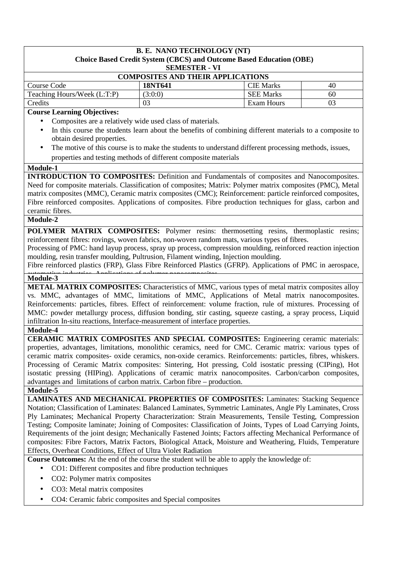#### **B. E. NANO TECHNOLOGY (NT) Choice Based Credit System (CBCS) and Outcome Based Education (OBE) SEMESTER - VI**

| $\mathbf{L}$                             |         |                  |    |  |  |  |  |
|------------------------------------------|---------|------------------|----|--|--|--|--|
| <b>COMPOSITES AND THEIR APPLICATIONS</b> |         |                  |    |  |  |  |  |
| Course Code                              | 18NT641 | <b>CIE</b> Marks | 40 |  |  |  |  |
| Teaching Hours/Week (L:T:P)              | (3:0:0) | <b>SEE Marks</b> | 60 |  |  |  |  |
| Credits                                  |         | Exam Hours       | 03 |  |  |  |  |

## **Course Learning Objectives:**

- Composites are a relatively wide used class of materials.
- In this course the students learn about the benefits of combining different materials to a composite to obtain desired properties.
- The motive of this course is to make the students to understand different processing methods, issues, properties and testing methods of different composite materials

#### **Module-1**

**INTRODUCTION TO COMPOSITES:** Definition and Fundamentals of composites and Nanocomposites. Need for composite materials. Classification of composites; Matrix: Polymer matrix composites (PMC), Metal matrix composites (MMC), Ceramic matrix composites (CMC); Reinforcement: particle reinforced composites, Fibre reinforced composites. Applications of composites. Fibre production techniques for glass, carbon and ceramic fibres.

## **Module-2**

**POLYMER MATRIX COMPOSITES:** Polymer resins: thermosetting resins, thermoplastic resins; reinforcement fibres: rovings, woven fabrics, non-woven random mats, various types of fibres.

Processing of PMC: hand layup process, spray up process, compression moulding, reinforced reaction injection moulding, resin transfer moulding, Pultrusion, Filament winding, Injection moulding.

Fibre reinforced plastics (FRP), Glass Fibre Reinforced Plastics (GFRP). Applications of PMC in aerospace, Module-3

**METAL MATRIX COMPOSITES:** Characteristics of MMC, various types of metal matrix composites alloy vs. MMC, advantages of MMC, limitations of MMC, Applications of Metal matrix nanocomposites. Reinforcements: particles, fibres. Effect of reinforcement: volume fraction, rule of mixtures. Processing of MMC: powder metallurgy process, diffusion bonding, stir casting, squeeze casting, a spray process, Liquid infiltration In-situ reactions, Interface-measurement of interface properties.

# **Module-4**

**CERAMIC MATRIX COMPOSITES AND SPECIAL COMPOSITES:** Engineering ceramic materials: properties, advantages, limitations, monolithic ceramics, need for CMC. Ceramic matrix: various types of ceramic matrix composites- oxide ceramics, non-oxide ceramics. Reinforcements: particles, fibres, whiskers. Processing of Ceramic Matrix composites: Sintering, Hot pressing, Cold isostatic pressing (CIPing), Hot isostatic pressing (HIPing). Applications of ceramic matrix nanocomposites. Carbon/carbon composites, advantages and limitations of carbon matrix. Carbon fibre – production.

#### **Module-5**

**LAMINATES AND MECHANICAL PROPERTIES OF COMPOSITES:** Laminates: Stacking Sequence Notation; Classification of Laminates: Balanced Laminates, Symmetric Laminates, Angle Ply Laminates, Cross Ply Laminates; Mechanical Property Characterization: Strain Measurements, Tensile Testing, Compression Testing; Composite laminate; Joining of Composites: Classification of Joints, Types of Load Carrying Joints, Requirements of the joint design; Mechanically Fastened Joints; Factors affecting Mechanical Performance of composites: Fibre Factors, Matrix Factors, Biological Attack, Moisture and Weathering, Fluids, Temperature Effects, Overheat Conditions, Effect of Ultra Violet Radiation

**Course Outcomes:** At the end of the course the student will be able to apply the knowledge of:

- CO1: Different composites and fibre production techniques
- CO2: Polymer matrix composites
- CO3: Metal matrix composites
- CO4: Ceramic fabric composites and Special composites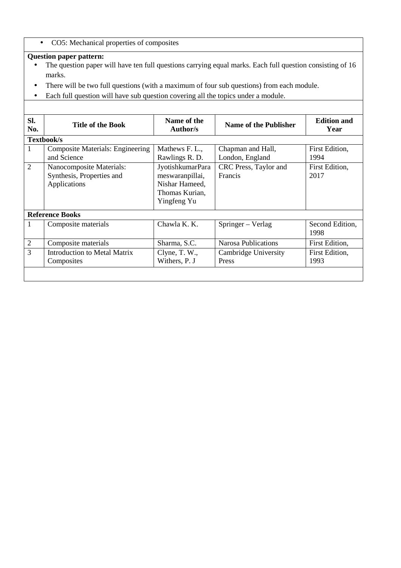• CO5: Mechanical properties of composites

- The question paper will have ten full questions carrying equal marks. Each full question consisting of 16 marks.
- There will be two full questions (with a maximum of four sub questions) from each module.
- Each full question will have sub question covering all the topics under a module.

| SI.<br>No.             | <b>Title of the Book</b>                                              | Name of the<br>Author/s                                                                | <b>Name of the Publisher</b>         | <b>Edition and</b><br>Year |  |  |  |  |
|------------------------|-----------------------------------------------------------------------|----------------------------------------------------------------------------------------|--------------------------------------|----------------------------|--|--|--|--|
|                        | Textbook/s                                                            |                                                                                        |                                      |                            |  |  |  |  |
| 1                      | <b>Composite Materials: Engineering</b><br>and Science                | Mathews F. L.,<br>Rawlings R. D.                                                       | Chapman and Hall,<br>London, England | First Edition,<br>1994     |  |  |  |  |
| $\overline{2}$         | Nanocomposite Materials:<br>Synthesis, Properties and<br>Applications | JyotishkumarPara<br>meswaranpillai,<br>Nishar Hameed,<br>Thomas Kurian,<br>Yingfeng Yu | CRC Press, Taylor and<br>Francis     | First Edition,<br>2017     |  |  |  |  |
| <b>Reference Books</b> |                                                                       |                                                                                        |                                      |                            |  |  |  |  |
| 1                      | Composite materials                                                   | Chawla K. K.                                                                           | Springer – Verlag                    | Second Edition,<br>1998    |  |  |  |  |
| $\overline{2}$         | Composite materials                                                   | Sharma, S.C.                                                                           | <b>Narosa Publications</b>           | First Edition,             |  |  |  |  |
| 3                      | <b>Introduction to Metal Matrix</b><br>Composites                     | Clyne, T. W.,<br>Withers, P. J                                                         | Cambridge University<br>Press        | First Edition,<br>1993     |  |  |  |  |
|                        |                                                                       |                                                                                        |                                      |                            |  |  |  |  |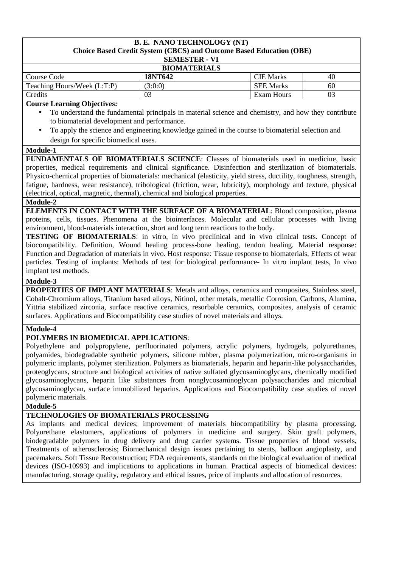#### **B. E. NANO TECHNOLOGY (NT) Choice Based Credit System (CBCS) and Outcome Based Education (OBE) SEMESTER - VI**

| <b>BIOMATERIALS</b>         |         |                  |    |  |
|-----------------------------|---------|------------------|----|--|
| Course Code                 | 18NT642 | <b>CIE</b> Marks | 40 |  |
| Teaching Hours/Week (L:T:P) | (3:0:0) | <b>SEE Marks</b> | 60 |  |
| Credits                     | 03      | Exam Hours       | 03 |  |

#### **Course Learning Objectives:**

- To understand the fundamental principals in material science and chemistry, and how they contribute to biomaterial development and performance.
- To apply the science and engineering knowledge gained in the course to biomaterial selection and design for specific biomedical uses.

#### **Module-1**

**FUNDAMENTALS OF BIOMATERIALS SCIENCE**: Classes of biomaterials used in medicine, basic properties, medical requirements and clinical significance. Disinfection and sterilization of biomaterials. Physico-chemical properties of biomaterials: mechanical (elasticity, yield stress, ductility, toughness, strength, fatigue, hardness, wear resistance), tribological (friction, wear, lubricity), morphology and texture, physical (electrical, optical, magnetic, thermal), chemical and biological properties.

# **Module-2**

**ELEMENTS IN CONTACT WITH THE SURFACE OF A BIOMATERIAL**: Blood composition, plasma proteins, cells, tissues. Phenomena at the biointerfaces. Molecular and cellular processes with living environment, blood-materials interaction, short and long term reactions to the body.

**TESTING OF BIOMATERIALS**: in vitro, in vivo preclinical and in vivo clinical tests. Concept of biocompatibility. Definition, Wound healing process-bone healing, tendon healing. Material response: Function and Degradation of materials in vivo. Host response: Tissue response to biomaterials, Effects of wear particles. Testing of implants: Methods of test for biological performance- In vitro implant tests, In vivo implant test methods.

#### **Module-3**

**PROPERTIES OF IMPLANT MATERIALS**: Metals and alloys, ceramics and composites, Stainless steel, Cobalt-Chromium alloys, Titanium based alloys, Nitinol, other metals, metallic Corrosion, Carbons, Alumina, Yittria stabilized zirconia, surface reactive ceramics, resorbable ceramics, composites, analysis of ceramic surfaces. Applications and Biocompatibility case studies of novel materials and alloys.

## **Module-4**

## **POLYMERS IN BIOMEDICAL APPLICATIONS**:

Polyethylene and polypropylene, perfluorinated polymers, acrylic polymers, hydrogels, polyurethanes, polyamides, biodegradable synthetic polymers, silicone rubber, plasma polymerization, micro-organisms in polymeric implants, polymer sterilization. Polymers as biomaterials, heparin and heparin-like polysaccharides, proteoglycans, structure and biological activities of native sulfated glycosaminoglycans, chemically modified glycosaminoglycans, heparin like substances from nonglycosaminoglycan polysaccharides and microbial glycosaminoglycan, surface immobilized heparins. Applications and Biocompatibility case studies of novel polymeric materials.

## **Module-5**

## **TECHNOLOGIES OF BIOMATERIALS PROCESSING**

As implants and medical devices; improvement of materials biocompatibility by plasma processing. Polyurethane elastomers, applications of polymers in medicine and surgery. Skin graft polymers, biodegradable polymers in drug delivery and drug carrier systems. Tissue properties of blood vessels, Treatments of atherosclerosis; Biomechanical design issues pertaining to stents, balloon angioplasty, and pacemakers. Soft Tissue Reconstruction; FDA requirements, standards on the biological evaluation of medical devices (ISO-10993) and implications to applications in human. Practical aspects of biomedical devices: manufacturing, storage quality, regulatory and ethical issues, price of implants and allocation of resources.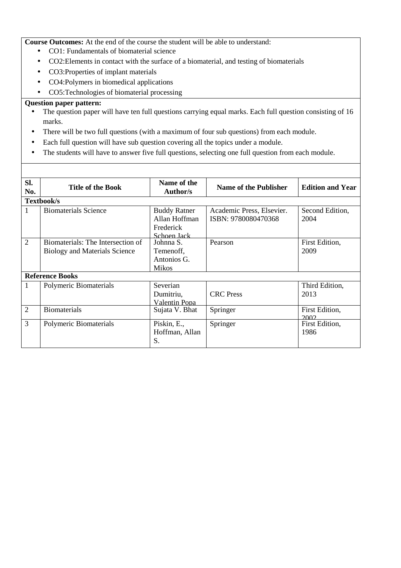**Course Outcomes:** At the end of the course the student will be able to understand:

- CO1: Fundamentals of biomaterial science
- CO2:Elements in contact with the surface of a biomaterial, and testing of biomaterials
- CO3:Properties of implant materials
- CO4:Polymers in biomedical applications
- CO5: Technologies of biomaterial processing

- The question paper will have ten full questions carrying equal marks. Each full question consisting of 16 marks.
- There will be two full questions (with a maximum of four sub questions) from each module.
- Each full question will have sub question covering all the topics under a module.
- The students will have to answer five full questions, selecting one full question from each module.

| SI.<br>No.     | <b>Title of the Book</b>                                                  | Name of the<br>Author/s                                          | <b>Name of the Publisher</b>                     | <b>Edition and Year</b> |  |
|----------------|---------------------------------------------------------------------------|------------------------------------------------------------------|--------------------------------------------------|-------------------------|--|
|                | Textbook/s                                                                |                                                                  |                                                  |                         |  |
|                | <b>Biomaterials Science</b>                                               | <b>Buddy Ratner</b><br>Allan Hoffman<br>Frederick<br>Schoen Jack | Academic Press, Elsevier.<br>ISBN: 9780080470368 | Second Edition,<br>2004 |  |
| $\overline{2}$ | Biomaterials: The Intersection of<br><b>Biology and Materials Science</b> | Johnna S.<br>Temenoff,<br>Antonios G.<br><b>Mikos</b>            | Pearson                                          | First Edition,<br>2009  |  |
|                | <b>Reference Books</b>                                                    |                                                                  |                                                  |                         |  |
| $\mathbf{1}$   | Polymeric Biomaterials                                                    | Severian<br>Dumitriu,<br>Valentin Popa                           | <b>CRC</b> Press                                 | Third Edition,<br>2013  |  |
| $\overline{2}$ | <b>Biomaterials</b>                                                       | Sujata V. Bhat                                                   | Springer                                         | First Edition,<br>2002  |  |
| $\overline{3}$ | Polymeric Biomaterials                                                    | Piskin, E.,<br>Hoffman, Allan<br>S.                              | Springer                                         | First Edition,<br>1986  |  |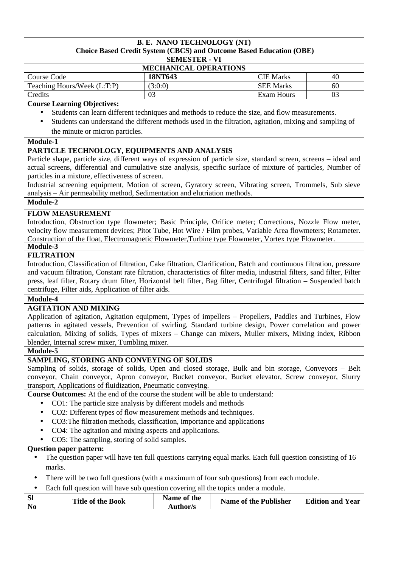#### **B. E. NANO TECHNOLOGY (NT) Choice Based Credit System (CBCS) and Outcome Based Education (OBE) SEMESTER - VI**

| <b>MECHANICAL OPERATIONS</b> |         |                  |    |  |
|------------------------------|---------|------------------|----|--|
| Course Code                  | 18NT643 | <b>CIE</b> Marks | 40 |  |
| Teaching Hours/Week (L:T:P)  | (3:0:0) | <b>SEE Marks</b> | 60 |  |
| Credits                      | 03      | Exam Hours       | 03 |  |

# **Course Learning Objectives:**

- Students can learn different techniques and methods to reduce the size, and flow measurements.
- Students can understand the different methods used in the filtration, agitation, mixing and sampling of the minute or micron particles.

#### **Module-1**

## **PARTICLE TECHNOLOGY, EQUIPMENTS AND ANALYSIS**

Particle shape, particle size, different ways of expression of particle size, standard screen, screens – ideal and actual screens, differential and cumulative size analysis, specific surface of mixture of particles, Number of particles in a mixture, effectiveness of screen.

Industrial screening equipment, Motion of screen, Gyratory screen, Vibrating screen, Trommels, Sub sieve analysis – Air permeability method, Sedimentation and elutriation methods.

# **Module-2**

## **FLOW MEASUREMENT**

Introduction, Obstruction type flowmeter; Basic Principle, Orifice meter; Corrections, Nozzle Flow meter, velocity flow measurement devices; Pitot Tube, Hot Wire / Film probes, Variable Area flowmeters; Rotameter. Construction of the float, Electromagnetic Flowmeter,Turbine type Flowmeter, Vortex type Flowmeter.

#### **Module-3 FILTRATION**

Introduction, Classification of filtration, Cake filtration, Clarification, Batch and continuous filtration, pressure and vacuum filtration, Constant rate filtration, characteristics of filter media, industrial filters, sand filter, Filter press, leaf filter, Rotary drum filter, Horizontal belt filter, Bag filter, Centrifugal filtration – Suspended batch centrifuge, Filter aids, Application of filter aids.

**Module-4** 

## **AGITATION AND MIXING**

Application of agitation, Agitation equipment, Types of impellers – Propellers, Paddles and Turbines, Flow patterns in agitated vessels, Prevention of swirling, Standard turbine design, Power correlation and power calculation, Mixing of solids, Types of mixers – Change can mixers, Muller mixers, Mixing index, Ribbon blender, Internal screw mixer, Tumbling mixer.

## **Module-5**

## **SAMPLING, STORING AND CONVEYING OF SOLIDS**

Sampling of solids, storage of solids, Open and closed storage, Bulk and bin storage, Conveyors – Belt conveyor, Chain conveyor, Apron conveyor, Bucket conveyor, Bucket elevator, Screw conveyor, Slurry transport, Applications of fluidization, Pneumatic conveying.

**Course Outcomes:** At the end of the course the student will be able to understand:

- CO1: The particle size analysis by different models and methods
- CO2: Different types of flow measurement methods and techniques.
- CO3:The filtration methods, classification, importance and applications
- CO4: The agitation and mixing aspects and applications.
- CO5: The sampling, storing of solid samples.

- The question paper will have ten full questions carrying equal marks. Each full question consisting of 16 marks.
- There will be two full questions (with a maximum of four sub questions) from each module.
- Each full question will have sub question covering all the topics under a module.

| <b>SI</b><br>Name of the<br><b>Title of the Book</b><br>$\mathbf{N_0}$<br>Author/s | <b>Name of the Publisher</b> | <b>Edition and Year</b> |
|------------------------------------------------------------------------------------|------------------------------|-------------------------|
|------------------------------------------------------------------------------------|------------------------------|-------------------------|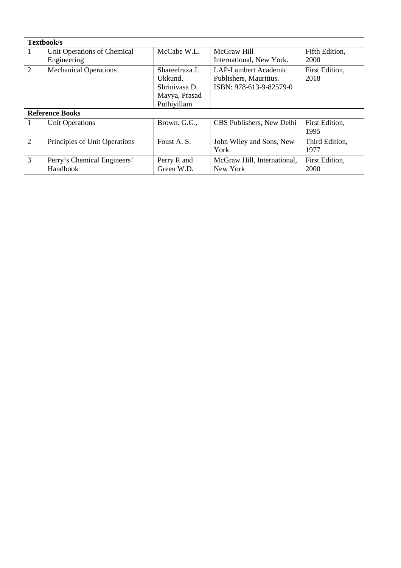|   | Textbook/s                              |                                                                            |                                                                                  |                        |  |  |
|---|-----------------------------------------|----------------------------------------------------------------------------|----------------------------------------------------------------------------------|------------------------|--|--|
|   | Unit Operations of Chemical             | McCabe W.L.                                                                | McGraw Hill                                                                      | Fifth Edition,         |  |  |
|   | Engineering                             |                                                                            | International, New York.                                                         | 2000                   |  |  |
| 2 | <b>Mechanical Operations</b>            | Shareefraza J.<br>Ukkund,<br>Shriniyasa D.<br>Mayya, Prasad<br>Puthiyillam | <b>LAP-Lambert Academic</b><br>Publishers, Mauritius.<br>ISBN: 978-613-9-82579-0 | First Edition,<br>2018 |  |  |
|   | <b>Reference Books</b>                  |                                                                            |                                                                                  |                        |  |  |
|   | <b>Unit Operations</b>                  | Brown. G.G.,                                                               | CBS Publishers, New Delhi                                                        | First Edition,<br>1995 |  |  |
| 2 | Principles of Unit Operations           | Foust A. S.                                                                | John Wiley and Sons, New<br>York                                                 | Third Edition,<br>1977 |  |  |
| 3 | Perry's Chemical Engineers'<br>Handbook | Perry R and<br>Green W.D.                                                  | McGraw Hill, International,<br>New York                                          | First Edition,<br>2000 |  |  |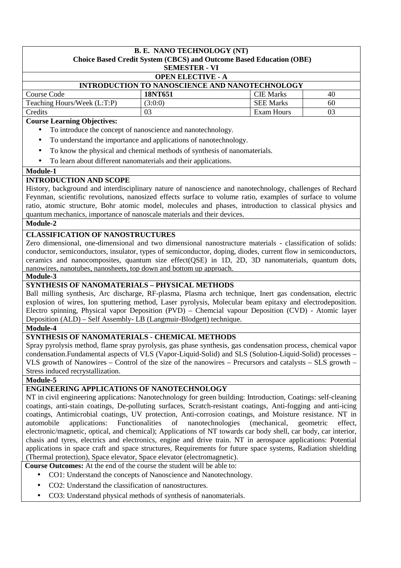# **B. E. NANO TECHNOLOGY (NT) Choice Based Credit System (CBCS) and Outcome Based Education (OBE) SEMESTER - VI OPEN ELECTIVE - A INTRODUCTION TO NANOSCIENCE AND NANOTECHNOLOGY**  Course Code **18NT651 CIE Marks** 40 Teaching Hours/Week  $(L:T:P)$  (3:0:0) SEE Marks 60 Credits 1 03 Exam Hours 1 03

## **Course Learning Objectives:**

- To introduce the concept of nanoscience and nanotechnology.
- To understand the importance and applications of nanotechnology.
- To know the physical and chemical methods of synthesis of nanomaterials.
- To learn about different nanomaterials and their applications.

## **Module-1**

# **INTRODUCTION AND SCOPE**

History, background and interdisciplinary nature of nanoscience and nanotechnology, challenges of Rechard Feynman, scientific revolutions, nanosized effects surface to volume ratio, examples of surface to volume ratio, atomic structure, Bohr atomic model, molecules and phases, introduction to classical physics and quantum mechanics, importance of nanoscale materials and their devices.

## **Module-2**

# **CLASSIFICATION OF NANOSTRUCTURES**

Zero dimensional, one-dimensional and two dimensional nanostructure materials - classification of solids: conductor, semiconductors, insulator, types of semiconductor, doping, diodes, current flow in semiconductors, ceramics and nanocomposites, quantum size effect(QSE) in 1D, 2D, 3D nanomaterials, quantum dots, nanowires, nanotubes, nanosheets, top down and bottom up approach.

#### **Module-3**

# **SYNTHESIS OF NANOMATERIALS – PHYSICAL METHODS**

Ball milling synthesis, Arc discharge, RF-plasma, Plasma arch technique, Inert gas condensation, electric explosion of wires, Ion sputtering method, Laser pyrolysis, Molecular beam epitaxy and electrodeposition. Electro spinning, Physical vapor Deposition (PVD) – Chemcial vapour Deposition (CVD) - Atomic layer Deposition (ALD) – Self Assembly- LB (Langmuir-Blodgett) technique.

## **Module-4**

## **SYNTHESIS OF NANOMATERIALS - CHEMICAL METHODS**

Spray pyrolysis method, flame spray pyrolysis, gas phase synthesis, gas condensation process, chemical vapor condensation.Fundamental aspects of VLS (Vapor-Liquid-Solid) and SLS (Solution-Liquid-Solid) processes – VLS growth of Nanowires – Control of the size of the nanowires – Precursors and catalysts – SLS growth – Stress induced recrystallization.

**Module-5** 

# **ENGINEERING APPLICATIONS OF NANOTECHNOLOGY**

NT in civil engineering applications: Nanotechnology for green building: Introduction, Coatings: self-cleaning coatings, anti-stain coatings, De-polluting surfaces, Scratch-resistant coatings, Anti-fogging and anti-icing coatings, Antimicrobial coatings, UV protection, Anti-corrosion coatings, and Moisture resistance. NT in automobile applications: Functionalities of nanotechnologies (mechanical, geometric effect, electronic/magnetic, optical, and chemical); Applications of NT towards car body shell, car body, car interior, chasis and tyres, electrics and electronics, engine and drive train. NT in aerospace applications: Potential applications in space craft and space structures, Requirements for future space systems, Radiation shielding (Thermal protection), Space elevator, Space elevator (electromagnetic).

**Course Outcomes:** At the end of the course the student will be able to:

- CO1: Understand the concepts of Nanoscience and Nanotechnology.
- CO2: Understand the classification of nanostructures.
- CO3: Understand physical methods of synthesis of nanomaterials.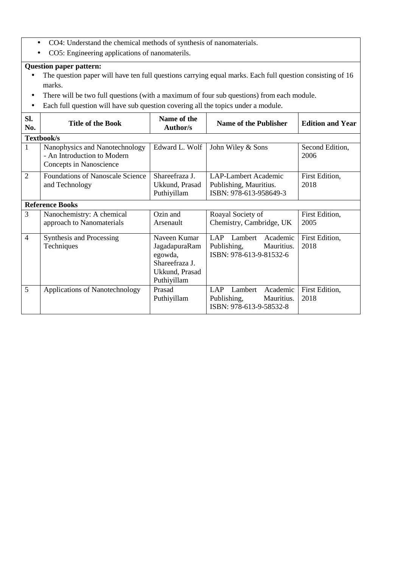- CO4: Understand the chemical methods of synthesis of nanomaterials.
- CO5: Engineering applications of nanomaterils.

- The question paper will have ten full questions carrying equal marks. Each full question consisting of 16 marks.
- There will be two full questions (with a maximum of four sub questions) from each module.
- Each full question will have sub question covering all the topics under a module.

| SI.<br>No.     | <b>Title of the Book</b>                                                                 | Name of the<br><b>Author/s</b>                                                              | <b>Name of the Publisher</b>                                                              | <b>Edition and Year</b> |
|----------------|------------------------------------------------------------------------------------------|---------------------------------------------------------------------------------------------|-------------------------------------------------------------------------------------------|-------------------------|
|                | Textbook/s                                                                               |                                                                                             |                                                                                           |                         |
| $\mathbf{1}$   | Nanophysics and Nanotechnology<br>- An Introduction to Modern<br>Concepts in Nanoscience | Edward L. Wolf                                                                              | John Wiley & Sons                                                                         | Second Edition,<br>2006 |
| $\overline{2}$ | <b>Foundations of Nanoscale Science</b><br>and Technology                                | Shareefraza J.<br>Ukkund, Prasad<br>Puthiyillam                                             | LAP-Lambert Academic<br>Publishing, Mauritius.<br>ISBN: 978-613-958649-3                  | First Edition,<br>2018  |
|                | <b>Reference Books</b>                                                                   |                                                                                             |                                                                                           |                         |
| 3              | Nanochemistry: A chemical<br>approach to Nanomaterials                                   | Ozin and<br>Arsenault                                                                       | Roayal Society of<br>Chemistry, Cambridge, UK                                             | First Edition,<br>2005  |
| $\overline{4}$ | Synthesis and Processing<br>Techniques                                                   | Naveen Kumar<br>JagadapuraRam<br>egowda,<br>Shareefraza J.<br>Ukkund, Prasad<br>Puthiyillam | <b>LAP</b><br>Lambert<br>Academic<br>Publishing,<br>Mauritius.<br>ISBN: 978-613-9-81532-6 | First Edition,<br>2018  |
| 5              | Applications of Nanotechnology                                                           | Prasad<br>Puthiyillam                                                                       | <b>LAP</b><br>Lambert<br>Academic<br>Publishing,<br>Mauritius.<br>ISBN: 978-613-9-58532-8 | First Edition,<br>2018  |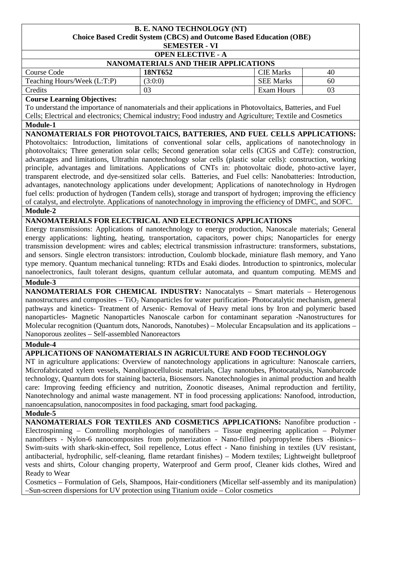#### **B. E. NANO TECHNOLOGY (NT) Choice Based Credit System (CBCS) and Outcome Based Education (OBE) SEMESTER - VI**

|                         | 0.1111011 |  |
|-------------------------|-----------|--|
| ADEN EI E <i>c</i> tive |           |  |

| <b>OPEN ELECTIVE - A</b>             |         |                  |    |  |
|--------------------------------------|---------|------------------|----|--|
| NANOMATERIALS AND THEIR APPLICATIONS |         |                  |    |  |
| Course Code                          | 18NT652 | <b>CIE Marks</b> | 40 |  |
| Teaching Hours/Week (L:T:P)          | (3:0:0) | <b>SEE Marks</b> | 60 |  |
| <b>Credits</b>                       |         | Exam Hours       |    |  |

#### **Course Learning Objectives:**

To understand the importance of nanomaterials and their applications in Photovoltaics, Batteries, and Fuel Cells; Electrical and electronics; Chemical industry; Food industry and Agriculture; Textile and Cosmetics

#### **Module-1**

# **NANOMATERIALS FOR PHOTOVOLTAICS, BATTERIES, AND FUEL CELLS APPLICATIONS:**

Photovoltaics: Introduction, limitations of conventional solar cells, applications of nanotechnology in photovoltaics; Three generation solar cells; Second generation solar cells (CIGS and CdTe): construction, advantages and limitations, Ultrathin nanotechnology solar cells (plastic solar cells): construction, working principle, advantages and limitations. Applications of CNTs in: photovoltaic diode, photo-active layer, transparent electrode, and dye-sensitized solar cells. Batteries, and Fuel cells: Nanobatteries: Introduction, advantages, nanotechnology applications under development; Applications of nanotechnology in Hydrogen fuel cells: production of hydrogen (Tandem cells), storage and transport of hydrogen; improving the efficiency of catalyst, and electrolyte. Applications of nanotechnology in improving the efficiency of DMFC, and SOFC. **Module-2** 

## **NANOMATERIALS FOR ELECTRICAL AND ELECTRONICS APPLICATIONS**

Energy transmissions: Applications of nanotechnology to energy production, Nanoscale materials; General energy applications: lighting, heating, transportation, capacitors, power chips; Nanoparticles for energy transmission development: wires and cables; electrical transmission infrastructure: transformers, substations, and sensors. Single electron transistors: introduction, Coulomb blockade, miniature flash memory, and Yano type memory. Quantum mechanical tunneling: RTDs and Esaki diodes. Introduction to spintronics, molecular nanoelectronics, fault tolerant designs, quantum cellular automata, and quantum computing. MEMS and

#### Module-3

**NANOMATERIALS FOR CHEMICAL INDUSTRY:** Nanocatalyts – Smart materials – Heterogenous nanostructures and composites  $- TiO<sub>2</sub>$  Nanoparticles for water purification-Photocatalytic mechanism, general pathways and kinetics- Treatment of Arsenic- Removal of Heavy metal ions by Iron and polymeric based nanoparticles- Magnetic Nanoparticles Nanoscale carbon for contaminant separation -Nanostructures for Molecular recognition (Quantum dots, Nanorods, Nanotubes) – Molecular Encapsulation and its applications – Nanoporous zeolites – Self-assembled Nanoreactors

## **Module-4**

# **APPLICATIONS OF NANOMATERIALS IN AGRICULTURE AND FOOD TECHNOLOGY**

NT in agriculture applications: Overview of nanotechnology applications in agriculture: Nanoscale carriers, Microfabricated xylem vessels, Nanolignocellulosic materials, Clay nanotubes, Photocatalysis, Nanobarcode technology, Quantum dots for staining bacteria, Biosensors. Nanotechnologies in animal production and health care: Improving feeding efficiency and nutrition, Zoonotic diseases, Animal reproduction and fertility, Nanotechnology and animal waste management. NT in food processing applications: Nanofood, introduction, nanoencapsulation, nanocomposites in food packaging, smart food packaging.

#### **Module-5**

**NANOMATERIALS FOR TEXTILES AND COSMETICS APPLICATIONS:** Nanofibre production - Electrospinning – Controlling morphologies of nanofibers – Tissue engineering application – Polymer nanofibers - Nylon-6 nanocomposites from polymerization - Nano-filled polypropylene fibers -Bionics– Swim-suits with shark-skin-effect, Soil repellence, Lotus effect - Nano finishing in textiles (UV resistant, antibacterial, hydrophilic, self-cleaning, flame retardant finishes) – Modern textiles; Lightweight bulletproof vests and shirts, Colour changing property, Waterproof and Germ proof, Cleaner kids clothes, Wired and Ready to Wear

Cosmetics – Formulation of Gels, Shampoos, Hair-conditioners (Micellar self-assembly and its manipulation) –Sun-screen dispersions for UV protection using Titanium oxide – Color cosmetics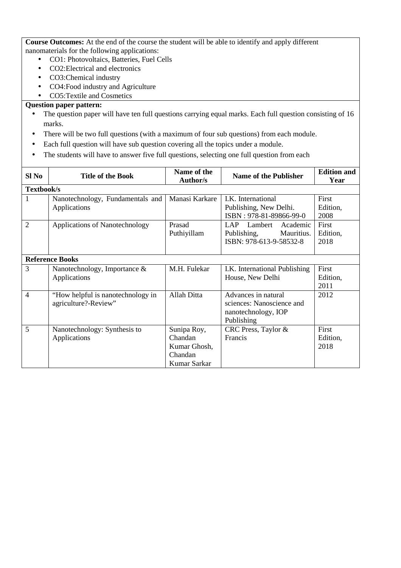**Course Outcomes:** At the end of the course the student will be able to identify and apply different nanomaterials for the following applications:

- CO1: Photovoltaics, Batteries, Fuel Cells
- CO2:Electrical and electronics
- CO3:Chemical industry
- CO4:Food industry and Agriculture
- CO5:Textile and Cosmetics

- The question paper will have ten full questions carrying equal marks. Each full question consisting of 16 marks.
- There will be two full questions (with a maximum of four sub questions) from each module.
- Each full question will have sub question covering all the topics under a module.
- The students will have to answer five full questions, selecting one full question from each

| Sl No          | <b>Title of the Book</b>                                  | Name of the<br>Author/s                                           | <b>Name of the Publisher</b>                                                          | <b>Edition and</b><br>Year |
|----------------|-----------------------------------------------------------|-------------------------------------------------------------------|---------------------------------------------------------------------------------------|----------------------------|
| Textbook/s     |                                                           |                                                                   |                                                                                       |                            |
| 1              | Nanotechnology, Fundamentals and<br>Applications          | Manasi Karkare                                                    | I.K. International<br>Publishing, New Delhi.<br>ISBN: 978-81-89866-99-0               | First<br>Edition,<br>2008  |
| 2              | Applications of Nanotechnology                            | Prasad<br>Puthiyillam                                             | LAP<br>Lambert Academic<br>Mauritius.<br>Publishing,<br>ISBN: 978-613-9-58532-8       | First<br>Edition,<br>2018  |
|                | <b>Reference Books</b>                                    |                                                                   |                                                                                       |                            |
| 3              | Nanotechnology, Importance $\&$<br>Applications           | M.H. Fulekar                                                      | I.K. International Publishing<br>House, New Delhi                                     | First<br>Edition,<br>2011  |
| $\overline{4}$ | "How helpful is nanotechnology in<br>agriculture?-Review" | Allah Ditta                                                       | Advances in natural<br>sciences: Nanoscience and<br>nanotechnology, IOP<br>Publishing | 2012                       |
| 5              | Nanotechnology: Synthesis to<br>Applications              | Sunipa Roy,<br>Chandan<br>Kumar Ghosh,<br>Chandan<br>Kumar Sarkar | CRC Press, Taylor &<br>Francis                                                        | First<br>Edition,<br>2018  |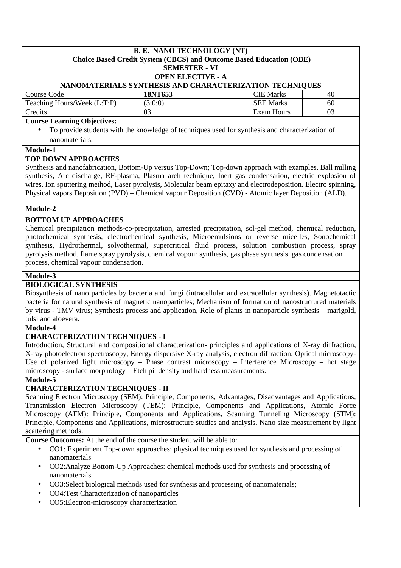#### **B. E. NANO TECHNOLOGY (NT) Choice Based Credit System (CBCS) and Outcome Based Education (OBE) SEMESTER - VI OPEN ELECTIVE - A NANOMATERIALS SYNTHESIS AND CHARACTERIZATION TECHNIQUES**<br>18NT653<br>19NT653 Course Code **18NT653** CIE Marks 40

| $\mathbf{r}$<br>Hours/Week (L:T:P) | (3:0:0)            | SEE<br>Marks  |          |
|------------------------------------|--------------------|---------------|----------|
| reaching                           |                    |               | .0C      |
| Credits                            | $\mathsf{A}$<br>UJ | Hours<br>Exam | Λ1<br>UJ |
| Course Loopping Objectives         |                    |               |          |

#### **Course Learning Objectives:**

• To provide students with the knowledge of techniques used for synthesis and characterization of nanomaterials.

#### **Module-1**

## **TOP DOWN APPROACHES**

Synthesis and nanofabrication, Bottom-Up versus Top-Down; Top-down approach with examples, Ball milling synthesis, Arc discharge, RF-plasma, Plasma arch technique, Inert gas condensation, electric explosion of wires, Ion sputtering method, Laser pyrolysis, Molecular beam epitaxy and electrodeposition. Electro spinning, Physical vapors Deposition (PVD) – Chemical vapour Deposition (CVD) - Atomic layer Deposition (ALD).

#### **Module-2**

## **BOTTOM UP APPROACHES**

Chemical precipitation methods-co-precipitation, arrested precipitation, sol-gel method, chemical reduction, photochemical synthesis, electrochemical synthesis, Microemulsions or reverse micelles, Sonochemical synthesis, Hydrothermal, solvothermal, supercritical fluid process, solution combustion process, spray pyrolysis method, flame spray pyrolysis, chemical vopour synthesis, gas phase synthesis, gas condensation process, chemical vapour condensation.

## **Module-3**

# **BIOLOGICAL SYNTHESIS**

Biosynthesis of nano particles by bacteria and fungi (intracellular and extracellular synthesis). Magnetotactic bacteria for natural synthesis of magnetic nanoparticles; Mechanism of formation of nanostructured materials by virus - TMV virus; Synthesis process and application, Role of plants in nanoparticle synthesis – marigold, tulsi and aloevera.

#### **Module-4**

## **CHARACTERIZATION TECHNIQUES - I**

Introduction, Structural and compositional characterization- principles and applications of X-ray diffraction, X-ray photoelectron spectroscopy, Energy dispersive X-ray analysis, electron diffraction. Optical microscopy-Use of polarized light microscopy – Phase contrast microscopy – Interference Microscopy – hot stage microscopy - surface morphology – Etch pit density and hardness measurements.

## **Module-5**

# **CHARACTERIZATION TECHNIQUES - II**

Scanning Electron Microscopy (SEM): Principle, Components, Advantages, Disadvantages and Applications, Transmission Electron Microscopy (TEM): Principle, Components and Applications, Atomic Force Microscopy (AFM): Principle, Components and Applications, Scanning Tunneling Microscopy (STM): Principle, Components and Applications, microstructure studies and analysis. Nano size measurement by light scattering methods.

**Course Outcomes:** At the end of the course the student will be able to:

- CO1: Experiment Top-down approaches: physical techniques used for synthesis and processing of nanomaterials
- CO2:Analyze Bottom-Up Approaches: chemical methods used for synthesis and processing of nanomaterials
- CO3:Select biological methods used for synthesis and processing of nanomaterials;
- CO4:Test Characterization of nanoparticles
- CO5:Electron-microscopy characterization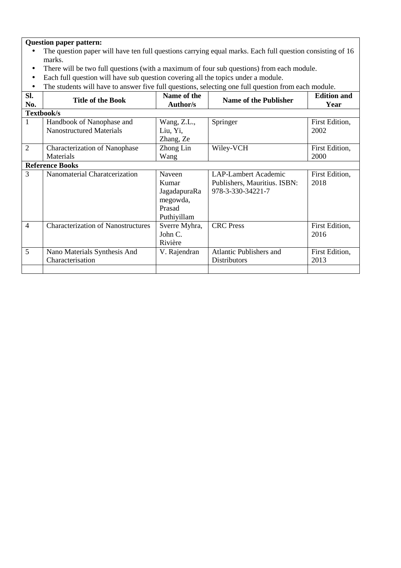- The question paper will have ten full questions carrying equal marks. Each full question consisting of 16 marks.
- There will be two full questions (with a maximum of four sub questions) from each module.
- Each full question will have sub question covering all the topics under a module.
- The students will have to answer five full questions, selecting one full question from each module.

| SI.<br>No.     | <b>Title of the Book</b>                  | Name of the<br>Author/s | <b>Name of the Publisher</b>   | <b>Edition and</b><br>Year |
|----------------|-------------------------------------------|-------------------------|--------------------------------|----------------------------|
|                |                                           |                         |                                |                            |
|                | Textbook/s                                |                         |                                |                            |
| 1              | Handbook of Nanophase and                 | Wang, Z.L.,             | Springer                       | First Edition,             |
|                | <b>Nanostructured Materials</b>           | Liu, Yi,                |                                | 2002                       |
|                |                                           | Zhang, Ze               |                                |                            |
| $\overline{2}$ | <b>Characterization of Nanophase</b>      | Zhong Lin               | Wiley-VCH                      | First Edition,             |
|                | Materials                                 | Wang                    |                                | 2000                       |
|                | <b>Reference Books</b>                    |                         |                                |                            |
| 3              | Nanomaterial Charatcerization             | Naveen                  | <b>LAP-Lambert Academic</b>    | First Edition,             |
|                |                                           | Kumar                   | Publishers, Mauritius. ISBN:   | 2018                       |
|                |                                           | JagadapuraRa            | 978-3-330-34221-7              |                            |
|                |                                           | megowda,                |                                |                            |
|                |                                           | Prasad                  |                                |                            |
|                |                                           | Puthiyillam             |                                |                            |
| $\overline{4}$ | <b>Characterization of Nanostructures</b> | Sverre Myhra,           | <b>CRC</b> Press               | First Edition,             |
|                |                                           | John C.                 |                                | 2016                       |
|                |                                           | Rivière                 |                                |                            |
| 5              | Nano Materials Synthesis And              | V. Rajendran            | <b>Atlantic Publishers and</b> | First Edition,             |
|                | Characterisation                          |                         | <b>Distributors</b>            | 2013                       |
|                |                                           |                         |                                |                            |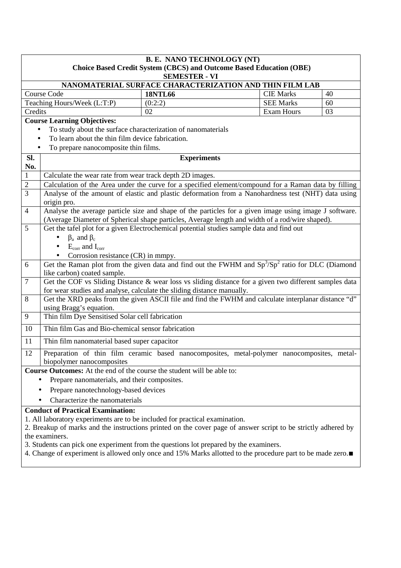|                           |                                                                                                                  | <b>B. E. NANO TECHNOLOGY (NT)</b>                                                                                                                                              |                   |    |  |  |  |
|---------------------------|------------------------------------------------------------------------------------------------------------------|--------------------------------------------------------------------------------------------------------------------------------------------------------------------------------|-------------------|----|--|--|--|
|                           |                                                                                                                  | <b>Choice Based Credit System (CBCS) and Outcome Based Education (OBE)</b>                                                                                                     |                   |    |  |  |  |
|                           |                                                                                                                  | <b>SEMESTER - VI</b>                                                                                                                                                           |                   |    |  |  |  |
|                           |                                                                                                                  | NANOMATERIAL SURFACE CHARACTERIZATION AND THIN FILM LAB                                                                                                                        |                   |    |  |  |  |
|                           | Course Code                                                                                                      | <b>18NTL66</b>                                                                                                                                                                 | <b>CIE Marks</b>  | 40 |  |  |  |
|                           | Teaching Hours/Week (L:T:P)                                                                                      | (0:2:2)                                                                                                                                                                        | <b>SEE Marks</b>  | 60 |  |  |  |
| Credits                   |                                                                                                                  | 02                                                                                                                                                                             | <b>Exam Hours</b> | 03 |  |  |  |
|                           | <b>Course Learning Objectives:</b>                                                                               |                                                                                                                                                                                |                   |    |  |  |  |
|                           | To study about the surface characterization of nanomaterials<br>To learn about the thin film device fabrication. |                                                                                                                                                                                |                   |    |  |  |  |
|                           |                                                                                                                  |                                                                                                                                                                                |                   |    |  |  |  |
|                           | To prepare nanocomposite thin films.                                                                             |                                                                                                                                                                                |                   |    |  |  |  |
| SI.<br>No.                |                                                                                                                  | <b>Experiments</b>                                                                                                                                                             |                   |    |  |  |  |
| $\mathbf{1}$              | Calculate the wear rate from wear track depth 2D images.                                                         |                                                                                                                                                                                |                   |    |  |  |  |
| $\overline{2}$            |                                                                                                                  | Calculation of the Area under the curve for a specified element/compound for a Raman data by filling                                                                           |                   |    |  |  |  |
| $\overline{3}$            | origin pro.                                                                                                      | Analyse of the amount of elastic and plastic deformation from a Nanohardness test (NHT) data using                                                                             |                   |    |  |  |  |
| $\overline{4}$            |                                                                                                                  | Analyse the average particle size and shape of the particles for a given image using image J software.                                                                         |                   |    |  |  |  |
|                           | (Average Diameter of Spherical shape particles, Average length and width of a rod/wire shaped).                  |                                                                                                                                                                                |                   |    |  |  |  |
| 5                         |                                                                                                                  | Get the tafel plot for a given Electrochemical potential studies sample data and find out                                                                                      |                   |    |  |  |  |
|                           | $\beta_a$ and $\beta_c$<br>$\bullet$                                                                             |                                                                                                                                                                                |                   |    |  |  |  |
|                           | $E_{corr}$ and $I_{corr}$<br>$\bullet$                                                                           |                                                                                                                                                                                |                   |    |  |  |  |
|                           | Corrosion resistance (CR) in mmpy.                                                                               |                                                                                                                                                                                |                   |    |  |  |  |
| 6                         |                                                                                                                  | Get the Raman plot from the given data and find out the FWHM and $Sp^3/Sp^2$ ratio for DLC (Diamond                                                                            |                   |    |  |  |  |
|                           | like carbon) coated sample.                                                                                      |                                                                                                                                                                                |                   |    |  |  |  |
| $\overline{7}$            |                                                                                                                  | Get the COF vs Sliding Distance & wear loss vs sliding distance for a given two different samples data                                                                         |                   |    |  |  |  |
| 8                         |                                                                                                                  | for wear studies and analyse, calculate the sliding distance manually.<br>Get the XRD peaks from the given ASCII file and find the FWHM and calculate interplanar distance "d" |                   |    |  |  |  |
|                           | using Bragg's equation.                                                                                          |                                                                                                                                                                                |                   |    |  |  |  |
| 9                         | Thin film Dye Sensitised Solar cell fabrication                                                                  |                                                                                                                                                                                |                   |    |  |  |  |
| 10                        | Thin film Gas and Bio-chemical sensor fabrication                                                                |                                                                                                                                                                                |                   |    |  |  |  |
| 11                        | Thin film nanomaterial based super capacitor                                                                     |                                                                                                                                                                                |                   |    |  |  |  |
| 12                        |                                                                                                                  | Preparation of thin film ceramic based nanocomposites, metal-polymer nanocomposites, metal-                                                                                    |                   |    |  |  |  |
| biopolymer nanocomposites |                                                                                                                  |                                                                                                                                                                                |                   |    |  |  |  |
|                           | <b>Course Outcomes:</b> At the end of the course the student will be able to:                                    |                                                                                                                                                                                |                   |    |  |  |  |
|                           | Prepare nanomaterials, and their composites.                                                                     |                                                                                                                                                                                |                   |    |  |  |  |
|                           | Prepare nanotechnology-based devices                                                                             |                                                                                                                                                                                |                   |    |  |  |  |
|                           | Characterize the nanomaterials                                                                                   |                                                                                                                                                                                |                   |    |  |  |  |
|                           | <b>Conduct of Practical Examination:</b>                                                                         |                                                                                                                                                                                |                   |    |  |  |  |
|                           |                                                                                                                  | 1. All laboratory experiments are to be included for practical examination.                                                                                                    |                   |    |  |  |  |
|                           |                                                                                                                  | 2. Breakup of marks and the instructions printed on the cover page of answer script to be strictly adhered by                                                                  |                   |    |  |  |  |
|                           |                                                                                                                  |                                                                                                                                                                                | the examiners.    |    |  |  |  |

3. Students can pick one experiment from the questions lot prepared by the examiners.

4. Change of experiment is allowed only once and 15% Marks allotted to the procedure part to be made zero.∎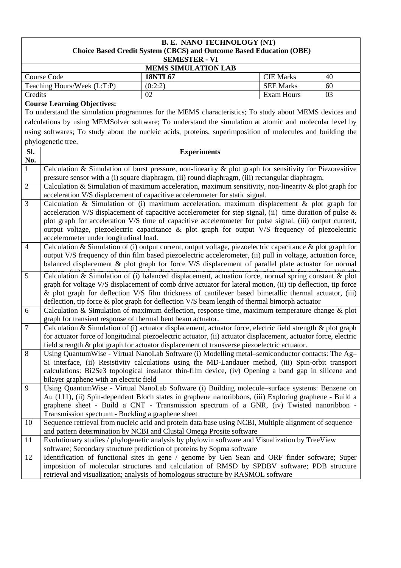## **B. E. NANO TECHNOLOGY (NT) Choice Based Credit System (CBCS) and Outcome Based Education (OBE) SEMESTER - VI**

|                             | _____________  |                  |    |  |  |
|-----------------------------|----------------|------------------|----|--|--|
| <b>MEMS SIMULATION LAB</b>  |                |                  |    |  |  |
| Course Code                 | <b>18NTL67</b> | <b>CIE</b> Marks | 40 |  |  |
| Teaching Hours/Week (L:T:P) | (0:2:2)        | <b>SEE Marks</b> | 60 |  |  |
| Credits                     | 02             | Exam Hours       | 03 |  |  |

#### **Course Learning Objectives:**

To understand the simulation programmes for the MEMS characteristics; To study about MEMS devices and calculations by using MEMSolver software; To understand the simulation at atomic and molecular level by using softwares; To study about the nucleic acids, proteins, superimposition of molecules and building the phylogenetic tree.

| No.                                                                                                                                                                                                            |  |
|----------------------------------------------------------------------------------------------------------------------------------------------------------------------------------------------------------------|--|
| $\overline{1}$<br>Calculation & Simulation of burst pressure, non-linearity & plot graph for sensitivity for Piezoresitive                                                                                     |  |
| pressure sensor with a (i) square diaphragm, (ii) round diaphragm, (iii) rectangular diaphragm.                                                                                                                |  |
| $\overline{2}$<br>Calculation & Simulation of maximum acceleration, maximum sensitivity, non-linearity & plot graph for                                                                                        |  |
| acceleration V/S displacement of capacitive accelerometer for static signal.                                                                                                                                   |  |
| 3<br>Calculation & Simulation of (i) maximum acceleration, maximum displacement & plot graph for                                                                                                               |  |
| acceleration V/S displacement of capacitive accelerometer for step signal, (ii) time duration of pulse $\&$                                                                                                    |  |
| plot graph for acceleration V/S time of capacitive accelerometer for pulse signal, (iii) output current,                                                                                                       |  |
| output voltage, piezoelectric capacitance & plot graph for output V/S frequency of piezoelectric                                                                                                               |  |
| accelerometer under longitudinal load.<br>Calculation & Simulation of (i) output current, output voltage, piezoelectric capacitance & plot graph for<br>$\overline{4}$                                         |  |
| output V/S frequency of thin film based piezoelectric accelerometer, (ii) pull in voltage, actuation force,                                                                                                    |  |
| balanced displacement & plot graph for force V/S displacement of parallel plate actuator for normal                                                                                                            |  |
|                                                                                                                                                                                                                |  |
| Calculation & Simulation of (i) balanced displacement, actuation force, normal spring constant & plot<br>5                                                                                                     |  |
| graph for voltage V/S displacement of comb drive actuator for lateral motion, (ii) tip deflection, tip force                                                                                                   |  |
| & plot graph for deflection V/S film thickness of cantilever based bimetallic thermal actuator, (iii)                                                                                                          |  |
| deflection, tip force & plot graph for deflection V/S beam length of thermal bimorph actuator                                                                                                                  |  |
| Calculation & Simulation of maximum deflection, response time, maximum temperature change & plot<br>6                                                                                                          |  |
| graph for transient response of thermal bent beam actuator.<br>$\boldsymbol{7}$                                                                                                                                |  |
| Calculation & Simulation of (i) actuator displacement, actuator force, electric field strength & plot graph                                                                                                    |  |
| for actuator force of longitudinal piezoelectric actuator, (ii) actuator displacement, actuator force, electric<br>field strength & plot graph for actuator displacement of transverse piezoelectric actuator. |  |
| $8\,$<br>Using QuantumWise - Virtual NanoLab Software (i) Modelling metal-semiconductor contacts: The Ag-                                                                                                      |  |
| Si interface, (ii) Resistivity calculations using the MD-Landauer method, (iii) Spin-orbit transport                                                                                                           |  |
| calculations: Bi2Se3 topological insulator thin-film device, (iv) Opening a band gap in silicene and                                                                                                           |  |
| bilayer graphene with an electric field                                                                                                                                                                        |  |
| $\overline{9}$<br>Using QuantumWise - Virtual NanoLab Software (i) Building molecule-surface systems: Benzene on                                                                                               |  |
| Au (111), (ii) Spin-dependent Bloch states in graphene nanoribbons, (iii) Exploring graphene - Build a                                                                                                         |  |
| graphene sheet - Build a CNT - Transmission spectrum of a GNR, (iv) Twisted nanoribbon -                                                                                                                       |  |
| Transmission spectrum - Buckling a graphene sheet                                                                                                                                                              |  |
| Sequence retrieval from nucleic acid and protein data base using NCBI, Multiple alignment of sequence<br>10                                                                                                    |  |
| and pattern determination by NCBI and Clustal Omega Prosite software                                                                                                                                           |  |
| Evolutionary studies / phylogenetic analysis by phylowin software and Visualization by TreeView<br>11                                                                                                          |  |
| software; Secondary structure prediction of proteins by Sopma software                                                                                                                                         |  |
| 12<br>Identification of functional sites in gene / genome by Gen Sean and ORF finder software; Super                                                                                                           |  |
| imposition of molecular structures and calculation of RMSD by SPDBV software; PDB structure                                                                                                                    |  |
| retrieval and visualization; analysis of homologous structure by RASMOL software                                                                                                                               |  |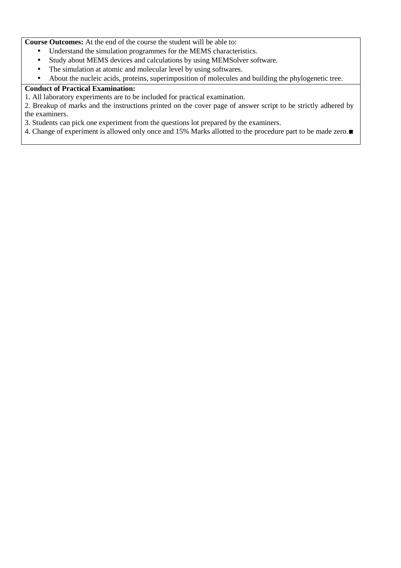**Course Outcomes:** At the end of the course the student will be able to:

- Understand the simulation programmes for the MEMS characteristics.
- Study about MEMS devices and calculations by using MEMSolver software.
- The simulation at atomic and molecular level by using softwares.
- About the nucleic acids, proteins, superimposition of molecules and building the phylogenetic tree.

# **Conduct of Practical Examination:**

1. All laboratory experiments are to be included for practical examination.

2. Breakup of marks and the instructions printed on the cover page of answer script to be strictly adhered by the examiners.

3. Students can pick one experiment from the questions lot prepared by the examiners.

4. Change of experiment is allowed only once and 15% Marks allotted to the procedure part to be made zero.∎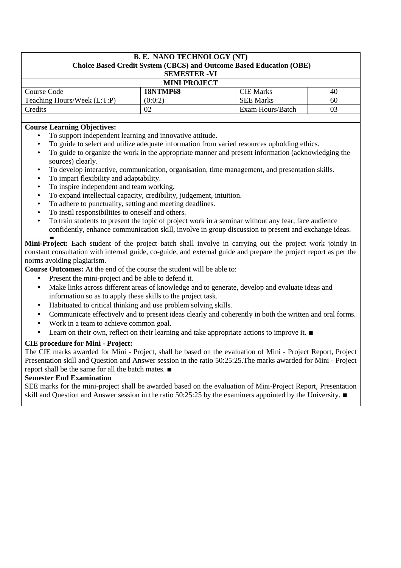| <b>B. E. NANO TECHNOLOGY (NT)</b><br>Choice Based Credit System (CBCS) and Outcome Based Education (OBE)<br><b>SEMESTER - VI</b> |                 |                  |    |  |
|----------------------------------------------------------------------------------------------------------------------------------|-----------------|------------------|----|--|
| <b>MINI PROJECT</b>                                                                                                              |                 |                  |    |  |
| Course Code                                                                                                                      | <b>18NTMP68</b> | <b>CIE Marks</b> | 40 |  |
| Teaching Hours/Week (L:T:P)                                                                                                      | (0:0:2)         | <b>SEE Marks</b> | 60 |  |
| Credits                                                                                                                          | 02              | Exam Hours/Batch |    |  |

## **Course Learning Objectives:**

- To support independent learning and innovative attitude.
- To guide to select and utilize adequate information from varied resources upholding ethics.
- To guide to organize the work in the appropriate manner and present information (acknowledging the sources) clearly.
- To develop interactive, communication, organisation, time management, and presentation skills.
- To impart flexibility and adaptability.
- To inspire independent and team working.
- To expand intellectual capacity, credibility, judgement, intuition.
- To adhere to punctuality, setting and meeting deadlines.
- To instil responsibilities to oneself and others.
- To train students to present the topic of project work in a seminar without any fear, face audience confidently, enhance communication skill, involve in group discussion to present and exchange ideas.

∎ **Mini-Project:** Each student of the project batch shall involve in carrying out the project work jointly in constant consultation with internal guide, co-guide, and external guide and prepare the project report as per the norms avoiding plagiarism.

**Course Outcomes:** At the end of the course the student will be able to:

- Present the mini-project and be able to defend it.
- Make links across different areas of knowledge and to generate, develop and evaluate ideas and information so as to apply these skills to the project task.
- Habituated to critical thinking and use problem solving skills.
- Communicate effectively and to present ideas clearly and coherently in both the written and oral forms.
- Work in a team to achieve common goal.
- Learn on their own, reflect on their learning and take appropriate actions to improve it. ■

# **CIE procedure for Mini - Project:**

The CIE marks awarded for Mini - Project, shall be based on the evaluation of Mini - Project Report, Project Presentation skill and Question and Answer session in the ratio 50:25:25.The marks awarded for Mini - Project report shall be the same for all the batch mates. ∎

## **Semester End Examination**

SEE marks for the mini-project shall be awarded based on the evaluation of Mini-Project Report, Presentation skill and Question and Answer session in the ratio 50:25:25 by the examiners appointed by the University. ∎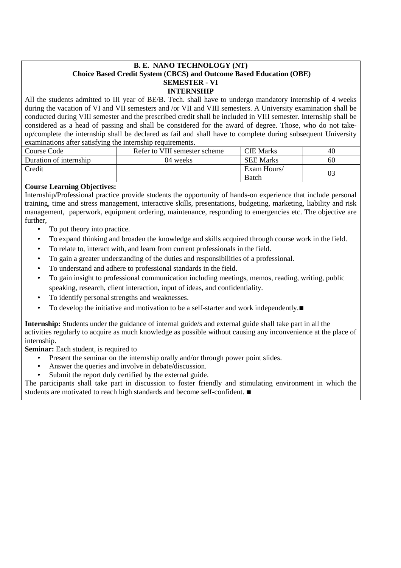# **B. E. NANO TECHNOLOGY (NT) Choice Based Credit System (CBCS) and Outcome Based Education (OBE) SEMESTER - VI**

#### **INTERNSHIP**

All the students admitted to III year of BE/B. Tech. shall have to undergo mandatory internship of 4 weeks during the vacation of VI and VII semesters and /or VII and VIII semesters. A University examination shall be conducted during VIII semester and the prescribed credit shall be included in VIII semester. Internship shall be considered as a head of passing and shall be considered for the award of degree. Those, who do not takeup/complete the internship shall be declared as fail and shall have to complete during subsequent University examinations after satisfying the internship requirements.

| Course Code            | Refer to VIII semester scheme | <b>CIE Marks</b>            | 40             |  |  |
|------------------------|-------------------------------|-----------------------------|----------------|--|--|
| Duration of internship | 04 weeks                      | <b>SEE Marks</b>            | 60             |  |  |
| Credit                 |                               | Exam Hours/<br><b>Batch</b> | 0 <sup>3</sup> |  |  |

## **Course Learning Objectives:**

Internship/Professional practice provide students the opportunity of hands-on experience that include personal training, time and stress management, interactive skills, presentations, budgeting, marketing, liability and risk management, paperwork, equipment ordering, maintenance, responding to emergencies etc. The objective are further,

- To put theory into practice.
- To expand thinking and broaden the knowledge and skills acquired through course work in the field.
- To relate to, interact with, and learn from current professionals in the field.
- To gain a greater understanding of the duties and responsibilities of a professional.
- To understand and adhere to professional standards in the field.
- To gain insight to professional communication including meetings, memos, reading, writing, public speaking, research, client interaction, input of ideas, and confidentiality.
- To identify personal strengths and weaknesses.
- To develop the initiative and motivation to be a self-starter and work independently.■

**Internship:** Students under the guidance of internal guide/s and external guide shall take part in all the activities regularly to acquire as much knowledge as possible without causing any inconvenience at the place of internship.

**Seminar:** Each student, is required to

- Present the seminar on the internship orally and/or through power point slides.
- Answer the queries and involve in debate/discussion.
- Submit the report duly certified by the external guide.

The participants shall take part in discussion to foster friendly and stimulating environment in which the students are motivated to reach high standards and become self-confident. ∎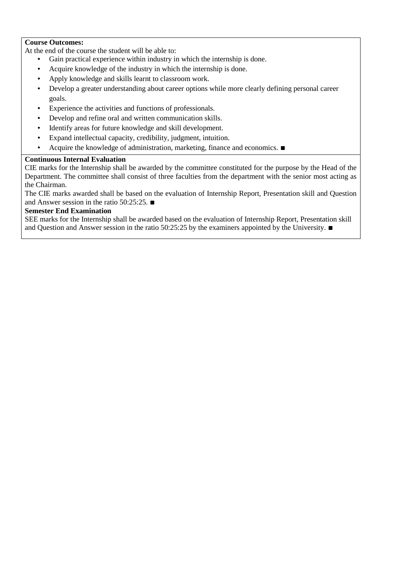#### **Course Outcomes:**

At the end of the course the student will be able to:

- Gain practical experience within industry in which the internship is done.
- Acquire knowledge of the industry in which the internship is done.
- Apply knowledge and skills learnt to classroom work.
- Develop a greater understanding about career options while more clearly defining personal career goals.
- Experience the activities and functions of professionals.
- Develop and refine oral and written communication skills.
- Identify areas for future knowledge and skill development.
- Expand intellectual capacity, credibility, judgment, intuition.
- Acquire the knowledge of administration, marketing, finance and economics. ∎

#### **Continuous Internal Evaluation** •

CIE marks for the Internship shall be awarded by the committee constituted for the purpose by the Head of the Department. The committee shall consist of three faculties from the department with the senior most acting as the Chairman.

The CIE marks awarded shall be based on the evaluation of Internship Report, Presentation skill and Question and Answer session in the ratio 50:25:25. ∎

#### **Semester End Examination**

SEE marks for the Internship shall be awarded based on the evaluation of Internship Report, Presentation skill and Question and Answer session in the ratio 50:25:25 by the examiners appointed by the University. ∎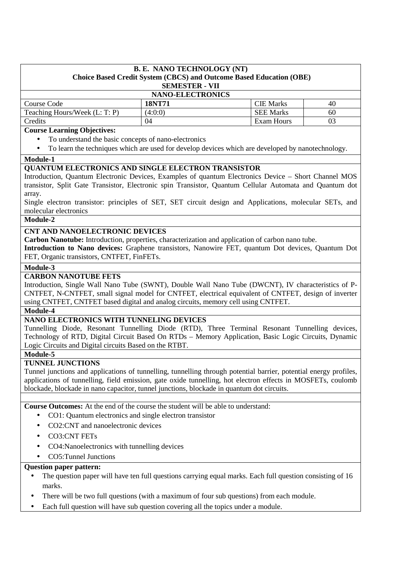#### **B. E. NANO TECHNOLOGY (NT) Choice Based Credit System (CBCS) and Outcome Based Education (OBE) SEMESTER - VII**

| <b>NANO-ELECTRONICS</b>       |         |                  |    |  |
|-------------------------------|---------|------------------|----|--|
| Course Code                   | 18NT71  | <b>CIE</b> Marks | 40 |  |
| Teaching Hours/Week (L: T: P) | (4:0:0) | <b>SEE Marks</b> | 60 |  |
| Credits                       | 04      | Exam Hours       |    |  |

#### **Course Learning Objectives:**

- To understand the basic concepts of nano-electronics
- To learn the techniques which are used for develop devices which are developed by nanotechnology.

#### **Module-1**

# **QUANTUM ELECTRONICS AND SINGLE ELECTRON TRANSISTOR**

Introduction, Quantum Electronic Devices, Examples of quantum Electronics Device – Short Channel MOS transistor, Split Gate Transistor, Electronic spin Transistor, Quantum Cellular Automata and Quantum dot array.

Single electron transistor: principles of SET, SET circuit design and Applications, molecular SETs, and molecular electronics

## **Module-2**

## **CNT AND NANOELECTRONIC DEVICES**

**Carbon Nanotube:** Introduction, properties, characterization and application of carbon nano tube.

**Introduction to Nano devices:** Graphene transistors, Nanowire FET, quantum Dot devices, Quantum Dot FET, Organic transistors, CNTFET, FinFETs.

#### **Module-3**

## **CARBON NANOTUBE FETS**

Introduction, Single Wall Nano Tube (SWNT), Double Wall Nano Tube (DWCNT), IV characteristics of P-CNTFET, N-CNTFET, small signal model for CNTFET, electrical equivalent of CNTFET, design of inverter using CNTFET, CNTFET based digital and analog circuits, memory cell using CNTFET.

#### **Module-4**

## **NANO ELECTRONICS WITH TUNNELING DEVICES**

Tunnelling Diode, Resonant Tunnelling Diode (RTD), Three Terminal Resonant Tunnelling devices, Technology of RTD, Digital Circuit Based On RTDs – Memory Application, Basic Logic Circuits, Dynamic Logic Circuits and Digital circuits Based on the RTBT.

#### **Module-5**

#### **TUNNEL JUNCTIONS**

Tunnel junctions and applications of tunnelling, tunnelling through potential barrier, potential energy profiles, applications of tunnelling, field emission, gate oxide tunnelling, hot electron effects in MOSFETs, coulomb blockade, blockade in nano capacitor, tunnel junctions, blockade in quantum dot circuits.

**Course Outcomes:** At the end of the course the student will be able to understand:

- CO1: Quantum electronics and single electron transistor
- CO2:CNT and nanoelectronic devices
- CO3:CNT FETs
- CO4:Nanoelectronics with tunnelling devices
- CO5: Tunnel Junctions

- The question paper will have ten full questions carrying equal marks. Each full question consisting of 16 marks.
- There will be two full questions (with a maximum of four sub questions) from each module.
- Each full question will have sub question covering all the topics under a module.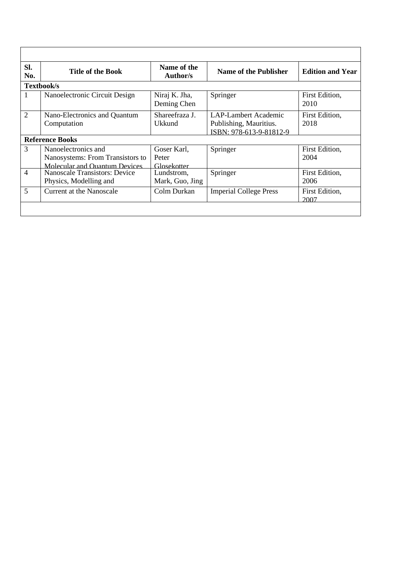| SI.<br>No.     | <b>Title of the Book</b>                                                                 | Name of the<br>Author/s             | <b>Name of the Publisher</b>                                              | <b>Edition and Year</b> |
|----------------|------------------------------------------------------------------------------------------|-------------------------------------|---------------------------------------------------------------------------|-------------------------|
|                | Textbook/s                                                                               |                                     |                                                                           |                         |
|                | Nanoelectronic Circuit Design                                                            | Niraj K. Jha,<br>Deming Chen        | Springer                                                                  | First Edition,<br>2010  |
| $\overline{2}$ | Nano-Electronics and Quantum<br>Computation                                              | Shareefraza J.<br><b>Ukkund</b>     | LAP-Lambert Academic<br>Publishing, Mauritius.<br>ISBN: 978-613-9-81812-9 | First Edition,<br>2018  |
|                | <b>Reference Books</b>                                                                   |                                     |                                                                           |                         |
| 3              | Nanoelectronics and<br>Nanosystems: From Transistors to<br>Molecular and Quantum Devices | Goser Karl,<br>Peter<br>Glosekotter | Springer                                                                  | First Edition,<br>2004  |
| $\overline{4}$ | <b>Nanoscale Transistors: Device</b><br>Physics, Modelling and                           | Lundstrom,<br>Mark, Guo, Jing       | Springer                                                                  | First Edition.<br>2006  |
| 5              | Current at the Nanoscale                                                                 | Colm Durkan                         | <b>Imperial College Press</b>                                             | First Edition,<br>2007  |
|                |                                                                                          |                                     |                                                                           |                         |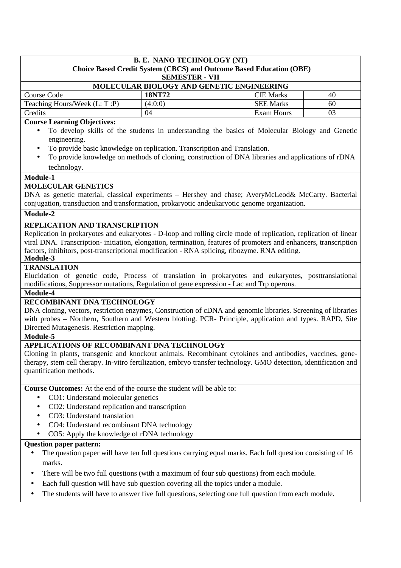| <b>B. E. NANO TECHNOLOGY (NT)</b><br>Choice Based Credit System (CBCS) and Outcome Based Education (OBE) |                       |                  |    |
|----------------------------------------------------------------------------------------------------------|-----------------------|------------------|----|
|                                                                                                          | <b>SEMESTER - VII</b> |                  |    |
| MOLECULAR BIOLOGY AND GENETIC ENGINEERING                                                                |                       |                  |    |
| Course Code                                                                                              | <b>18NT72</b>         | <b>CIE</b> Marks | 40 |
| Teaching Hours/Week (L: T:P)                                                                             | (4:0:0)               | <b>SEE Marks</b> | 60 |
| Credits                                                                                                  | 04                    | Exam Hours       | 03 |
| <b>Course Learning Objectives:</b>                                                                       |                       |                  |    |

## **Course Learning Objectives:**

- To develop skills of the students in understanding the basics of Molecular Biology and Genetic engineering.
- To provide basic knowledge on replication. Transcription and Translation.
- To provide knowledge on methods of cloning, construction of DNA libraries and applications of rDNA technology.

## **Module-1**

# **MOLECULAR GENETICS**

DNA as genetic material, classical experiments – Hershey and chase; AveryMcLeod& McCarty. Bacterial conjugation, transduction and transformation, prokaryotic andeukaryotic genome organization.

## **Module-2**

## **REPLICATION AND TRANSCRIPTION**

Replication in prokaryotes and eukaryotes - D-loop and rolling circle mode of replication, replication of linear viral DNA. Transcription- initiation, elongation, termination, features of promoters and enhancers, transcription factors, inhibitors, post-transcriptional modification - RNA splicing, ribozyme. RNA editing.

#### **Module-3**

#### **TRANSLATION**

Elucidation of genetic code, Process of translation in prokaryotes and eukaryotes, posttranslational modifications, Suppressor mutations, Regulation of gene expression - Lac and Trp operons.

# **Module-4**

# **RECOMBINANT DNA TECHNOLOGY**

DNA cloning, vectors, restriction enzymes, Construction of cDNA and genomic libraries. Screening of libraries with probes – Northern, Southern and Western blotting. PCR- Principle, application and types. RAPD, Site Directed Mutagenesis. Restriction mapping.

#### **Module-5**

# **APPLICATIONS OF RECOMBINANT DNA TECHNOLOGY**

Cloning in plants, transgenic and knockout animals. Recombinant cytokines and antibodies, vaccines, genetherapy, stem cell therapy. In-vitro fertilization, embryo transfer technology. GMO detection, identification and quantification methods.

**Course Outcomes:** At the end of the course the student will be able to:

- CO1: Understand molecular genetics
- CO2: Understand replication and transcription
- CO3: Understand translation
- CO4: Understand recombinant DNA technology
- CO5: Apply the knowledge of rDNA technology

- The question paper will have ten full questions carrying equal marks. Each full question consisting of 16 marks.
- There will be two full questions (with a maximum of four sub questions) from each module.
- Each full question will have sub question covering all the topics under a module.
- The students will have to answer five full questions, selecting one full question from each module.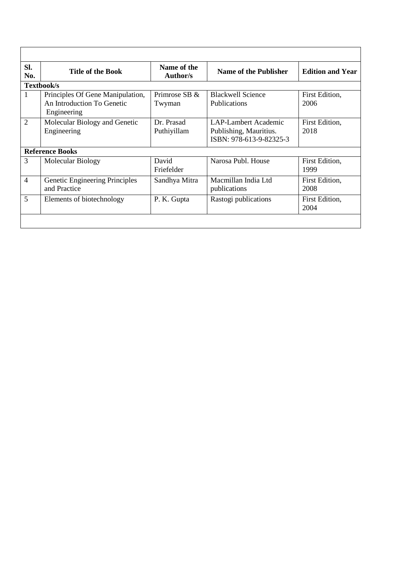| SI.<br>No.     | <b>Title of the Book</b>                                                      | Name of the<br>Author/s   | Name of the Publisher                                                     | <b>Edition and Year</b> |
|----------------|-------------------------------------------------------------------------------|---------------------------|---------------------------------------------------------------------------|-------------------------|
|                | Textbook/s                                                                    |                           |                                                                           |                         |
| 1              | Principles Of Gene Manipulation,<br>An Introduction To Genetic<br>Engineering | Primrose SB &<br>Twyman   | <b>Blackwell Science</b><br><b>Publications</b>                           | First Edition,<br>2006  |
| $\overline{2}$ | Molecular Biology and Genetic<br>Engineering                                  | Dr. Prasad<br>Puthiyillam | LAP-Lambert Academic<br>Publishing, Mauritius.<br>ISBN: 978-613-9-82325-3 | First Edition,<br>2018  |
|                | <b>Reference Books</b>                                                        |                           |                                                                           |                         |
| $\overline{3}$ | <b>Molecular Biology</b>                                                      | David<br>Friefelder       | Narosa Publ. House                                                        | First Edition,<br>1999  |
| $\overline{4}$ | Genetic Engineering Principles<br>and Practice                                | Sandhya Mitra             | Macmillan India Ltd<br>publications                                       | First Edition,<br>2008  |
| 5              | Elements of biotechnology                                                     | P. K. Gupta               | Rastogi publications                                                      | First Edition,<br>2004  |
|                |                                                                               |                           |                                                                           |                         |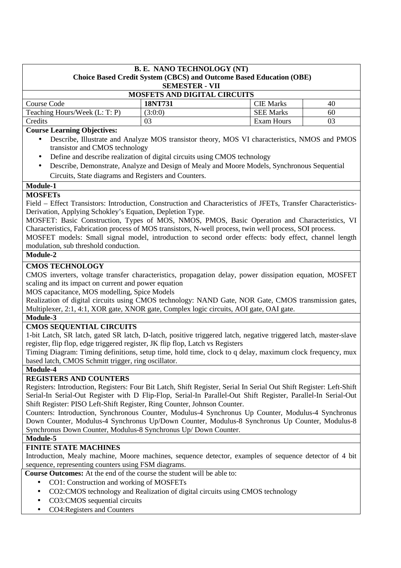| <b>B. E. NANO TECHNOLOGY (NT)</b><br>Choice Based Credit System (CBCS) and Outcome Based Education (OBE)<br><b>SEMESTER - VII</b> |         |                   |    |  |
|-----------------------------------------------------------------------------------------------------------------------------------|---------|-------------------|----|--|
| <b>MOSFETS AND DIGITAL CIRCUITS</b>                                                                                               |         |                   |    |  |
| Course Code                                                                                                                       | 18NT731 | <b>CIE Marks</b>  | 40 |  |
| Teaching Hours/Week (L: T: P)                                                                                                     | (3:0:0) | <b>SEE Marks</b>  | 60 |  |
| Credits                                                                                                                           | 03      | <b>Exam Hours</b> | 03 |  |
|                                                                                                                                   |         |                   |    |  |

## **Course Learning Objectives:**

- Describe, Illustrate and Analyze MOS transistor theory, MOS VI characteristics, NMOS and PMOS transistor and CMOS technology
- Define and describe realization of digital circuits using CMOS technology
- Describe, Demonstrate, Analyze and Design of Mealy and Moore Models, Synchronous Sequential Circuits, State diagrams and Registers and Counters.

#### **Module-1**

## **MOSFETs**

Field – Effect Transistors: Introduction, Construction and Characteristics of JFETs, Transfer Characteristics-Derivation, Applying Schokley's Equation, Depletion Type.

MOSFET: Basic Construction, Types of MOS, NMOS, PMOS, Basic Operation and Characteristics, VI Characteristics, Fabrication process of MOS transistors, N-well process, twin well process, SOI process.

MOSFET models: Small signal model, introduction to second order effects: body effect, channel length modulation, sub threshold conduction.

# **Module-2**

# **CMOS TECHNOLOGY**

CMOS inverters, voltage transfer characteristics, propagation delay, power dissipation equation, MOSFET scaling and its impact on current and power equation

MOS capacitance, MOS modelling, Spice Models

Realization of digital circuits using CMOS technology: NAND Gate, NOR Gate, CMOS transmission gates, Multiplexer, 2:1, 4:1, XOR gate, XNOR gate, Complex logic circuits, AOI gate, OAI gate.

## **Module-3**

## **CMOS SEQUENTIAL CIRCUITS**

1-bit Latch, SR latch, gated SR latch, D-latch, positive triggered latch, negative triggered latch, master-slave register, flip flop, edge triggered register, JK flip flop, Latch vs Registers

Timing Diagram: Timing definitions, setup time, hold time, clock to q delay, maximum clock frequency, mux based latch, CMOS Schmitt trigger, ring oscillator.

## **Module-4**

## **REGISTERS AND COUNTERS**

Registers: Introduction, Registers: Four Bit Latch, Shift Register, Serial In Serial Out Shift Register: Left-Shift Serial-In Serial-Out Register with D Flip-Flop, Serial-In Parallel-Out Shift Register, Parallel-In Serial-Out Shift Register: PISO Left-Shift Register, Ring Counter, Johnson Counter.

Counters: Introduction, Synchronous Counter, Modulus-4 Synchronus Up Counter, Modulus-4 Synchronus Down Counter, Modulus-4 Synchronus Up/Down Counter, Modulus-8 Synchronus Up Counter, Modulus-8 Synchronus Down Counter, Modulus-8 Synchronus Up/ Down Counter.

# **Module-5**

# **FINITE STATE MACHINES**

Introduction, Mealy machine, Moore machines, sequence detector, examples of sequence detector of 4 bit sequence, representing counters using FSM diagrams.

**Course Outcomes:** At the end of the course the student will be able to:

- CO1: Construction and working of MOSFETs
- CO2:CMOS technology and Realization of digital circuits using CMOS technology
- CO3:CMOS sequential circuits
- CO4:Registers and Counters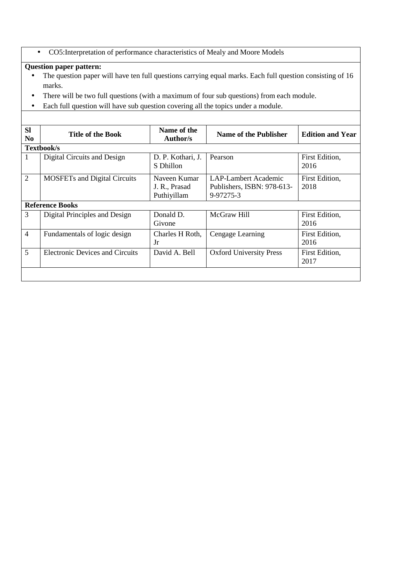• CO5:Interpretation of performance characteristics of Mealy and Moore Models

- The question paper will have ten full questions carrying equal marks. Each full question consisting of 16 marks.
- There will be two full questions (with a maximum of four sub questions) from each module.
- Each full question will have sub question covering all the topics under a module.

| <b>SI</b><br>N <sub>0</sub> | <b>Title of the Book</b>               | Name of the<br>Author/s                      | Name of the Publisher                                           | <b>Edition and Year</b> |  |
|-----------------------------|----------------------------------------|----------------------------------------------|-----------------------------------------------------------------|-------------------------|--|
|                             | Textbook/s                             |                                              |                                                                 |                         |  |
|                             | Digital Circuits and Design            | D. P. Kothari, J.<br>S Dhillon               | Pearson                                                         | First Edition,<br>2016  |  |
| $\overline{2}$              | <b>MOSFETs and Digital Circuits</b>    | Naveen Kumar<br>J. R., Prasad<br>Puthiyillam | LAP-Lambert Academic<br>Publishers, ISBN: 978-613-<br>9-97275-3 | First Edition,<br>2018  |  |
|                             | <b>Reference Books</b>                 |                                              |                                                                 |                         |  |
| $\overline{3}$              | Digital Principles and Design          | Donald D.<br>Givone                          | McGraw Hill                                                     | First Edition,<br>2016  |  |
| $\overline{4}$              | Fundamentals of logic design           | Charles H Roth,<br>Jr                        | Cengage Learning                                                | First Edition,<br>2016  |  |
| 5                           | <b>Electronic Devices and Circuits</b> | David A. Bell                                | <b>Oxford University Press</b>                                  | First Edition,<br>2017  |  |
|                             |                                        |                                              |                                                                 |                         |  |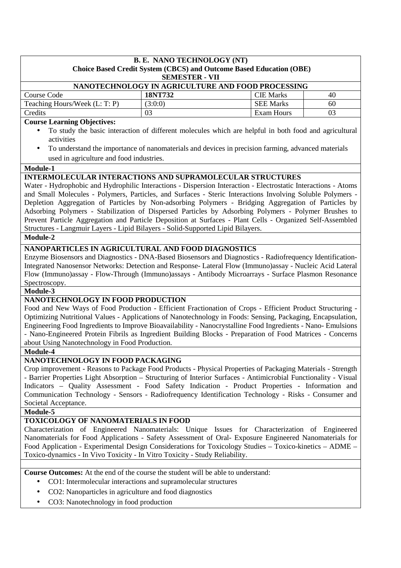|                                                                                                                                                                                                                                                                                                                                                                                                                                                                                                                                                                                                                                                                                                                                                                                                                                                                                                                        | <b>B. E. NANO TECHNOLOGY (NT)</b> |                                                                                                                                                                                                             |    |  |
|------------------------------------------------------------------------------------------------------------------------------------------------------------------------------------------------------------------------------------------------------------------------------------------------------------------------------------------------------------------------------------------------------------------------------------------------------------------------------------------------------------------------------------------------------------------------------------------------------------------------------------------------------------------------------------------------------------------------------------------------------------------------------------------------------------------------------------------------------------------------------------------------------------------------|-----------------------------------|-------------------------------------------------------------------------------------------------------------------------------------------------------------------------------------------------------------|----|--|
|                                                                                                                                                                                                                                                                                                                                                                                                                                                                                                                                                                                                                                                                                                                                                                                                                                                                                                                        | <b>SEMESTER - VII</b>             | <b>Choice Based Credit System (CBCS) and Outcome Based Education (OBE)</b>                                                                                                                                  |    |  |
|                                                                                                                                                                                                                                                                                                                                                                                                                                                                                                                                                                                                                                                                                                                                                                                                                                                                                                                        |                                   | NANOTECHNOLOGY IN AGRICULTURE AND FOOD PROCESSING                                                                                                                                                           |    |  |
| Course Code                                                                                                                                                                                                                                                                                                                                                                                                                                                                                                                                                                                                                                                                                                                                                                                                                                                                                                            | 18NT732                           | <b>CIE Marks</b>                                                                                                                                                                                            | 40 |  |
| Teaching Hours/Week (L: T: P)                                                                                                                                                                                                                                                                                                                                                                                                                                                                                                                                                                                                                                                                                                                                                                                                                                                                                          | (3:0:0)                           | <b>SEE Marks</b>                                                                                                                                                                                            | 60 |  |
| Credits                                                                                                                                                                                                                                                                                                                                                                                                                                                                                                                                                                                                                                                                                                                                                                                                                                                                                                                | 03                                | <b>Exam Hours</b>                                                                                                                                                                                           | 03 |  |
| <b>Course Learning Objectives:</b>                                                                                                                                                                                                                                                                                                                                                                                                                                                                                                                                                                                                                                                                                                                                                                                                                                                                                     |                                   |                                                                                                                                                                                                             |    |  |
| $\bullet$<br>activities<br>٠<br>used in agriculture and food industries.                                                                                                                                                                                                                                                                                                                                                                                                                                                                                                                                                                                                                                                                                                                                                                                                                                               |                                   | To study the basic interaction of different molecules which are helpful in both food and agricultural<br>To understand the importance of nanomaterials and devices in precision farming, advanced materials |    |  |
| Module-1<br><b>INTERMOLECULAR INTERACTIONS AND SUPRAMOLECULAR STRUCTURES</b>                                                                                                                                                                                                                                                                                                                                                                                                                                                                                                                                                                                                                                                                                                                                                                                                                                           |                                   |                                                                                                                                                                                                             |    |  |
| Water - Hydrophobic and Hydrophilic Interactions - Dispersion Interaction - Electrostatic Interactions - Atoms<br>and Small Molecules - Polymers, Particles, and Surfaces - Steric Interactions Involving Soluble Polymers -<br>Depletion Aggregation of Particles by Non-adsorbing Polymers - Bridging Aggregation of Particles by<br>Adsorbing Polymers - Stabilization of Dispersed Particles by Adsorbing Polymers - Polymer Brushes to<br>Prevent Particle Aggregation and Particle Deposition at Surfaces - Plant Cells - Organized Self-Assembled<br>Structures - Langmuir Layers - Lipid Bilayers - Solid-Supported Lipid Bilayers.                                                                                                                                                                                                                                                                            |                                   |                                                                                                                                                                                                             |    |  |
| Module-2                                                                                                                                                                                                                                                                                                                                                                                                                                                                                                                                                                                                                                                                                                                                                                                                                                                                                                               |                                   |                                                                                                                                                                                                             |    |  |
| Enzyme Biosensors and Diagnostics - DNA-Based Biosensors and Diagnostics - Radiofrequency Identification-<br>Integrated Nanosensor Networks: Detection and Response- Lateral Flow (Immuno)assay - Nucleic Acid Lateral<br>Flow (Immuno)assay - Flow-Through (Immuno)assays - Antibody Microarrays - Surface Plasmon Resonance<br>Spectroscopy.<br>Module-3<br>NANOTECHNOLOGY IN FOOD PRODUCTION<br>Food and New Ways of Food Production - Efficient Fractionation of Crops - Efficient Product Structuring -<br>Optimizing Nutritional Values - Applications of Nanotechnology in Foods: Sensing, Packaging, Encapsulation,<br>Engineering Food Ingredients to Improve Bioavailability - Nanocrystalline Food Ingredients - Nano- Emulsions<br>- Nano-Engineered Protein Fibrils as Ingredient Building Blocks - Preparation of Food Matrices - Concerns<br>about Using Nanotechnology in Food Production.<br>Module-4 |                                   |                                                                                                                                                                                                             |    |  |
|                                                                                                                                                                                                                                                                                                                                                                                                                                                                                                                                                                                                                                                                                                                                                                                                                                                                                                                        |                                   |                                                                                                                                                                                                             |    |  |
| NANOTECHNOLOGY IN FOOD PACKAGING<br>Crop improvement - Reasons to Package Food Products - Physical Properties of Packaging Materials - Strength<br>- Barrier Properties Light Absorption - Structuring of Interior Surfaces - Antimicrobial Functionality - Visual<br>Indicators - Quality Assessment - Food Safety Indication - Product Properties - Information and<br>Communication Technology - Sensors - Radiofrequency Identification Technology - Risks - Consumer and<br>Societal Acceptance.                                                                                                                                                                                                                                                                                                                                                                                                                  |                                   |                                                                                                                                                                                                             |    |  |
| Module-5                                                                                                                                                                                                                                                                                                                                                                                                                                                                                                                                                                                                                                                                                                                                                                                                                                                                                                               |                                   |                                                                                                                                                                                                             |    |  |
| TOXICOLOGY OF NANOMATERIALS IN FOOD<br>Characterization of Engineered Nanomaterials: Unique Issues for Characterization of Engineered<br>Nanomaterials for Food Applications - Safety Assessment of Oral- Exposure Engineered Nanomaterials for<br>Food Application - Experimental Design Considerations for Toxicology Studies - Toxico-kinetics - ADME -<br>Toxico-dynamics - In Vivo Toxicity - In Vitro Toxicity - Study Reliability.<br><b>Course Outcomes:</b> At the end of the course the student will be able to understand:                                                                                                                                                                                                                                                                                                                                                                                  |                                   |                                                                                                                                                                                                             |    |  |
|                                                                                                                                                                                                                                                                                                                                                                                                                                                                                                                                                                                                                                                                                                                                                                                                                                                                                                                        |                                   |                                                                                                                                                                                                             |    |  |
| CO1: Intermolecular interactions and supramolecular structures<br>٠                                                                                                                                                                                                                                                                                                                                                                                                                                                                                                                                                                                                                                                                                                                                                                                                                                                    |                                   |                                                                                                                                                                                                             |    |  |
| CO2: Nanoparticles in agriculture and food diagnostics<br>٠                                                                                                                                                                                                                                                                                                                                                                                                                                                                                                                                                                                                                                                                                                                                                                                                                                                            |                                   |                                                                                                                                                                                                             |    |  |
| CO3: Nanotechnology in food production<br>٠                                                                                                                                                                                                                                                                                                                                                                                                                                                                                                                                                                                                                                                                                                                                                                                                                                                                            |                                   |                                                                                                                                                                                                             |    |  |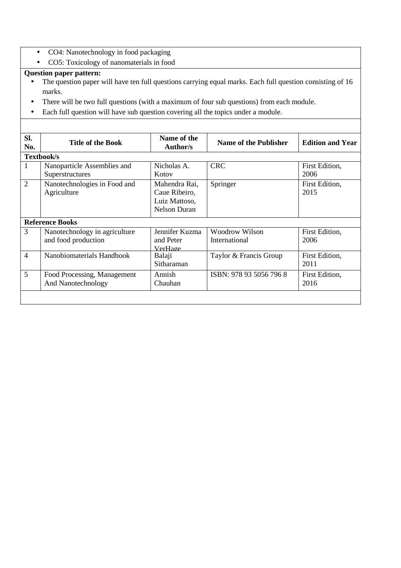- CO4: Nanotechnology in food packaging
- CO5: Toxicology of nanomaterials in food

- The question paper will have ten full questions carrying equal marks. Each full question consisting of 16 marks.
- There will be two full questions (with a maximum of four sub questions) from each module.
- Each full question will have sub question covering all the topics under a module.

| SI.<br>No.     | <b>Title of the Book</b>      | Name of the<br><b>Author/s</b> | <b>Name of the Publisher</b> | <b>Edition and Year</b> |  |
|----------------|-------------------------------|--------------------------------|------------------------------|-------------------------|--|
|                | Textbook/s                    |                                |                              |                         |  |
| 1              | Nanoparticle Assemblies and   | Nicholas A.                    | <b>CRC</b>                   | First Edition,          |  |
|                | Superstructures               | Kotov                          |                              | 2006                    |  |
| $\overline{2}$ | Nanotechnologies in Food and  | Mahendra Rai,                  | Springer                     | First Edition,          |  |
|                | Agriculture                   | Caue Ribeiro,                  |                              | 2015                    |  |
|                |                               | Luiz Mattoso,                  |                              |                         |  |
|                |                               | <b>Nelson Duran</b>            |                              |                         |  |
|                | <b>Reference Books</b>        |                                |                              |                         |  |
| 3              | Nanotechnology in agriculture | Jennifer Kuzma                 | <b>Woodrow Wilson</b>        | First Edition,          |  |
|                | and food production           | and Peter                      | International                | 2006                    |  |
|                |                               | <b>VerHage</b>                 |                              |                         |  |
| $\overline{4}$ | Nanobiomaterials Handbook     | Balaji                         | Taylor & Francis Group       | First Edition,          |  |
|                |                               | Sitharaman                     |                              | 2011                    |  |
| 5              | Food Processing, Management   | Annish                         | ISBN: 978 93 5056 796 8      | First Edition,          |  |
|                | And Nanotechnology            | Chauhan                        |                              | 2016                    |  |
|                |                               |                                |                              |                         |  |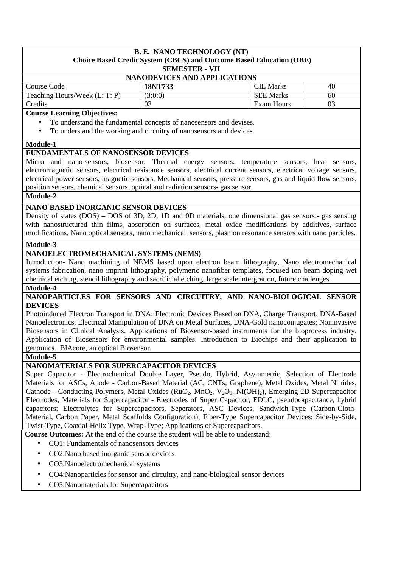#### **B. E. NANO TECHNOLOGY (NT) Choice Based Credit System (CBCS) and Outcome Based Education (OBE) SEMESTER - VII**

|                                     | ____________ |                  |    |  |
|-------------------------------------|--------------|------------------|----|--|
| <b>NANODEVICES AND APPLICATIONS</b> |              |                  |    |  |
| Course Code                         | 18NT733      | <b>CIE</b> Marks | 40 |  |
| Teaching Hours/Week (L: T: P)       | (3:0:0)      | <b>SEE Marks</b> | 60 |  |
| Credits                             |              | Exam Hours       | 03 |  |

#### **Course Learning Objectives:**

- To understand the fundamental concepts of nanosensors and devises.
- To understand the working and circuitry of nanosensors and devices.

#### **Module-1**

#### **FUNDAMENTALS OF NANOSENSOR DEVICES**

Micro and nano-sensors, biosensor. Thermal energy sensors: temperature sensors, heat sensors, electromagnetic sensors, electrical resistance sensors, electrical current sensors, electrical voltage sensors, electrical power sensors, magnetic sensors, Mechanical sensors, pressure sensors, gas and liquid flow sensors, position sensors, chemical sensors, optical and radiation sensors- gas sensor.

#### **Module-2**

#### **NANO BASED INORGANIC SENSOR DEVICES**

Density of states (DOS) – DOS of 3D, 2D, 1D and 0D materials, one dimensional gas sensors:- gas sensing with nanostructured thin films, absorption on surfaces, metal oxide modifications by additives, surface modifications, Nano optical sensors, nano mechanical sensors, plasmon resonance sensors with nano particles.

#### **Module-3**

#### **NANOELECTROMECHANICAL SYSTEMS (NEMS)**

Introduction- Nano machining of NEMS based upon electron beam lithography, Nano electromechanical systems fabrication, nano imprint lithography, polymeric nanofiber templates, focused ion beam doping wet chemical etching, stencil lithography and sacrificial etching, large scale intergration, future challenges.

#### **Module-4**

#### **NANOPARTICLES FOR SENSORS AND CIRCUITRY, AND NANO-BIOLOGICAL SENSOR DEVICES**

Photoinduced Electron Transport in DNA: Electronic Devices Based on DNA, Charge Transport, DNA-Based Nanoelectronics, Electrical Manipulation of DNA on Metal Surfaces, DNA-Gold nanoconjugates; Noninvasive Biosensors in Clinical Analysis. Applications of Biosensor-based instruments for the bioprocess industry. Application of Biosensors for environmental samples. Introduction to Biochips and their application to genomics. BIAcore, an optical Biosensor.

#### **Module-5**

#### **NANOMATERIALS FOR SUPERCAPACITOR DEVICES**

Super Capacitor - Electrochemical Double Layer, Pseudo, Hybrid, Asymmetric, Selection of Electrode Materials for ASCs, Anode - Carbon-Based Material (AC, CNTs, Graphene), Metal Oxides, Metal Nitrides, Cathode - Conducting Polymers, Metal Oxides (RuO<sub>2</sub>, MnO<sub>2</sub>, V<sub>2</sub>O<sub>5</sub>, Ni(OH)<sub>2</sub>), Emerging 2D Supercapacitor Electrodes, Materials for Supercapacitor - Electrodes of Super Capacitor, EDLC, pseudocapacitance, hybrid capacitors; Electrolytes for Supercapacitors, Seperators, ASC Devices, Sandwich-Type (Carbon-Cloth-Material, Carbon Paper, Metal Scaffolds Configuration), Fiber-Type Supercapacitor Devices: Side-by-Side, Twist-Type, Coaxial-Helix Type, Wrap-Type; Applications of Supercapacitors.

**Course Outcomes:** At the end of the course the student will be able to understand:

- CO1: Fundamentals of nanosensors devices
- CO2:Nano based inorganic sensor devices
- CO3:Nanoelectromechanical systems
- CO4:Nanoparticles for sensor and circuitry, and nano-biological sensor devices
- CO5:Nanomaterials for Supercapacitors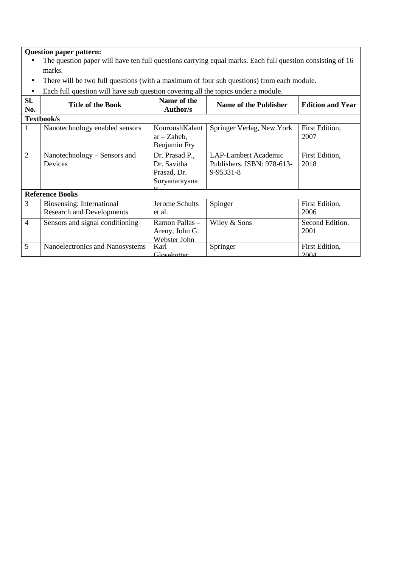- The question paper will have ten full questions carrying equal marks. Each full question consisting of 16 marks.
- There will be two full questions (with a maximum of four sub questions) from each module.
- Each full question will have sub question covering all the topics under a module.

| SI.<br>No.     | <b>Title of the Book</b>                                      | Name of the<br>Author/s                                       | <b>Name of the Publisher</b>                                    | <b>Edition and Year</b> |
|----------------|---------------------------------------------------------------|---------------------------------------------------------------|-----------------------------------------------------------------|-------------------------|
|                | Textbook/s                                                    |                                                               |                                                                 |                         |
| 1              | Nanotechnology enabled sensors                                | KouroushKalant<br>$ar - Zaheb$ ,<br>Benjamin Fry              | Springer Verlag, New York                                       | First Edition,<br>2007  |
| $\overline{2}$ | Nanotechnology – Sensors and<br>Devices                       | Dr. Prasad P.,<br>Dr. Savitha<br>Prasad, Dr.<br>Suryanarayana | LAP-Lambert Academic<br>Publishers. ISBN: 978-613-<br>9-95331-8 | First Edition,<br>2018  |
|                | <b>Reference Books</b>                                        |                                                               |                                                                 |                         |
| 3              | Biosensing: International<br><b>Research and Developments</b> | Jerome Schults<br>et al.                                      | Spinger                                                         | First Edition,<br>2006  |
| $\overline{4}$ | Sensors and signal conditioning                               | Ramon Pallas -<br>Areny, John G.<br>Webster John              | Wiley & Sons                                                    | Second Edition,<br>2001 |
| 5              | Nanoelectronics and Nanosystems                               | Karl<br>Glosekotter                                           | Springer                                                        | First Edition,<br>2004  |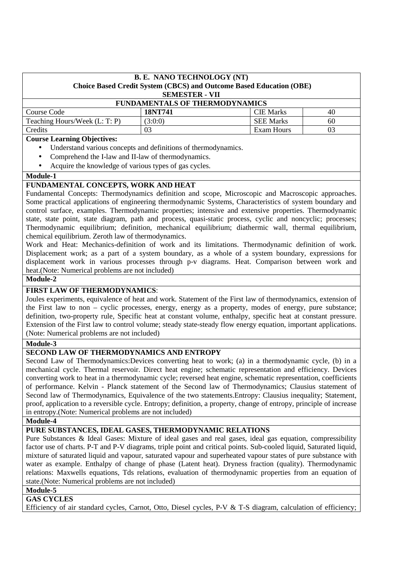| <b>B. E. NANO TECHNOLOGY (NT)</b><br>Choice Based Credit System (CBCS) and Outcome Based Education (OBE)<br><b>SEMESTER - VII</b> |                                   |            |    |  |  |
|-----------------------------------------------------------------------------------------------------------------------------------|-----------------------------------|------------|----|--|--|
| <b>FUNDAMENTALS OF THERMODYNAMICS</b>                                                                                             |                                   |            |    |  |  |
| Course Code                                                                                                                       | <b>CIE</b> Marks<br>18NT741<br>40 |            |    |  |  |
| Teaching Hours/Week (L: T: P)<br><b>SEE Marks</b><br>(3:0:0)<br>60                                                                |                                   |            |    |  |  |
| Credits                                                                                                                           | 03                                | Exam Hours | 03 |  |  |

#### **Course Learning Objectives:**

- Understand various concepts and definitions of thermodynamics.
- Comprehend the I-law and II-law of thermodynamics.
- Acquire the knowledge of various types of gas cycles.

#### **Module-1**

# **FUNDAMENTAL CONCEPTS, WORK AND HEAT**

Fundamental Concepts: Thermodynamics definition and scope, Microscopic and Macroscopic approaches. Some practical applications of engineering thermodynamic Systems, Characteristics of system boundary and control surface, examples. Thermodynamic properties; intensive and extensive properties. Thermodynamic state, state point, state diagram, path and process, quasi-static process, cyclic and noncyclic; processes; Thermodynamic equilibrium; definition, mechanical equilibrium; diathermic wall, thermal equilibrium, chemical equilibrium. Zeroth law of thermodynamics.

Work and Heat: Mechanics-definition of work and its limitations. Thermodynamic definition of work. Displacement work; as a part of a system boundary, as a whole of a system boundary, expressions for displacement work in various processes through p-v diagrams. Heat. Comparison between work and heat.(Note: Numerical problems are not included)

#### **Module-2**

#### **FIRST LAW OF THERMODYNAMICS**:

Joules experiments, equivalence of heat and work. Statement of the First law of thermodynamics, extension of the First law to non – cyclic processes, energy, energy as a property, modes of energy, pure substance; definition, two-property rule, Specific heat at constant volume, enthalpy, specific heat at constant pressure. Extension of the First law to control volume; steady state-steady flow energy equation, important applications. (Note: Numerical problems are not included)

#### **Module-3**

# **SECOND LAW OF THERMODYNAMICS AND ENTROPY**

Second Law of Thermodynamics:Devices converting heat to work; (a) in a thermodynamic cycle, (b) in a mechanical cycle. Thermal reservoir. Direct heat engine; schematic representation and efficiency. Devices converting work to heat in a thermodynamic cycle; reversed heat engine, schematic representation, coefficients of performance. Kelvin - Planck statement of the Second law of Thermodynamics; Clausius statement of Second law of Thermodynamics, Equivalence of the two statements.Entropy: Clausius inequality; Statement, proof, application to a reversible cycle. Entropy; definition, a property, change of entropy, principle of increase in entropy.(Note: Numerical problems are not included)

#### **Module-4**

#### **PURE SUBSTANCES, IDEAL GASES, THERMODYNAMIC RELATIONS**

Pure Substances & Ideal Gases: Mixture of ideal gases and real gases, ideal gas equation, compressibility factor use of charts. P-T and P-V diagrams, triple point and critical points. Sub-cooled liquid, Saturated liquid, mixture of saturated liquid and vapour, saturated vapour and superheated vapour states of pure substance with water as example. Enthalpy of change of phase (Latent heat). Dryness fraction (quality). Thermodynamic relations: Maxwells equations, Tds relations, evaluation of thermodynamic properties from an equation of state.(Note: Numerical problems are not included)

#### **Module-5**

## **GAS CYCLES**

Efficiency of air standard cycles, Carnot, Otto, Diesel cycles, P-V & T-S diagram, calculation of efficiency;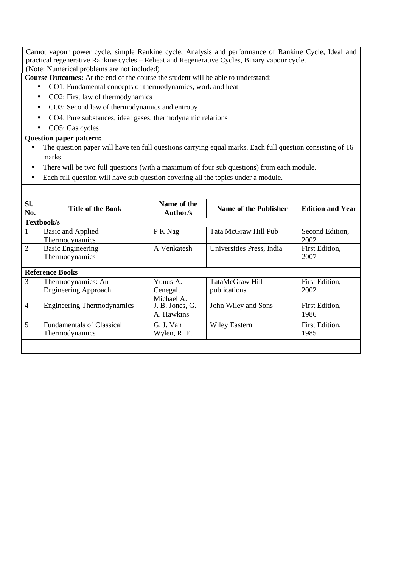Carnot vapour power cycle, simple Rankine cycle, Analysis and performance of Rankine Cycle, Ideal and practical regenerative Rankine cycles – Reheat and Regenerative Cycles, Binary vapour cycle. (Note: Numerical problems are not included)

**Course Outcomes:** At the end of the course the student will be able to understand:

- CO1: Fundamental concepts of thermodynamics, work and heat
- CO2: First law of thermodynamics
- CO3: Second law of thermodynamics and entropy
- CO4: Pure substances, ideal gases, thermodynamic relations
- CO5: Gas cycles

#### **Question paper pattern:**

- The question paper will have ten full questions carrying equal marks. Each full question consisting of 16 marks.
- There will be two full questions (with a maximum of four sub questions) from each module.

 $\sim$  The studients will have to answer five full questions, selections, selections, selection from each module.

Each full question will have sub question covering all the topics under a module.

| SI.<br>No.     | <b>Title of the Book</b>                           | Name of the<br>Author/s           | <b>Name of the Publisher</b>    | <b>Edition and Year</b> |  |  |
|----------------|----------------------------------------------------|-----------------------------------|---------------------------------|-------------------------|--|--|
|                | Textbook/s                                         |                                   |                                 |                         |  |  |
| 1              | Basic and Applied<br>Thermodynamics                | P K Nag                           | Tata McGraw Hill Pub            | Second Edition,<br>2002 |  |  |
| 2              | <b>Basic Engineering</b><br>Thermodynamics         | A Venkatesh                       | Universities Press, India       | First Edition,<br>2007  |  |  |
|                | <b>Reference Books</b>                             |                                   |                                 |                         |  |  |
| 3              | Thermodynamics: An<br><b>Engineering Approach</b>  | Yunus A.<br>Cenegal,<br>Michael A | TataMcGraw Hill<br>publications | First Edition,<br>2002  |  |  |
| $\overline{4}$ | <b>Engineering Thermodynamics</b>                  | J. B. Jones, G.<br>A. Hawkins     | John Wiley and Sons             | First Edition,<br>1986  |  |  |
| 5              | <b>Fundamentals of Classical</b><br>Thermodynamics | G. J. Van<br>Wylen, R. E.         | <b>Wiley Eastern</b>            | First Edition,<br>1985  |  |  |
|                |                                                    |                                   |                                 |                         |  |  |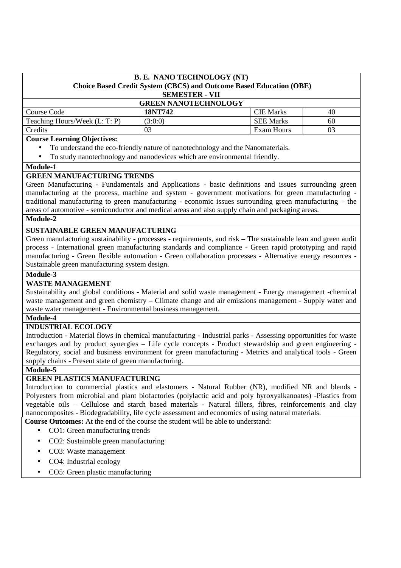| <b>B. E. NANO TECHNOLOGY (NT)</b>                                          |  |
|----------------------------------------------------------------------------|--|
| <b>Choice Based Credit System (CBCS) and Outcome Based Education (OBE)</b> |  |
| <b>SEMESTER - VII</b>                                                      |  |
| CDEEN MANOTECHNOLOGY                                                       |  |

| <b>GREEN NANOTECHNOLOGY</b>   |         |                  |    |  |
|-------------------------------|---------|------------------|----|--|
| Course Code                   | 18NT742 | <b>CIE</b> Marks | 40 |  |
| Teaching Hours/Week (L: T: P) | (3:0:0) | <b>SEE Marks</b> | 60 |  |
| Credits                       |         | Exam Hours       | 03 |  |

#### **Course Learning Objectives:**

- To understand the eco-friendly nature of nanotechnology and the Nanomaterials.
- To study nanotechnology and nanodevices which are environmental friendly.

# **Module-1**

## **GREEN MANUFACTURING TRENDS**

Green Manufacturing - Fundamentals and Applications - basic definitions and issues surrounding green manufacturing at the process, machine and system - government motivations for green manufacturing traditional manufacturing to green manufacturing - economic issues surrounding green manufacturing – the areas of automotive - semiconductor and medical areas and also supply chain and packaging areas.

## **Module-2**

#### **SUSTAINABLE GREEN MANUFACTURING**

Green manufacturing sustainability - processes - requirements, and risk – The sustainable lean and green audit process - International green manufacturing standards and compliance - Green rapid prototyping and rapid manufacturing - Green flexible automation - Green collaboration processes - Alternative energy resources - Sustainable green manufacturing system design.

#### **Module-3**

## **WASTE MANAGEMENT**

Sustainability and global conditions - Material and solid waste management - Energy management -chemical waste management and green chemistry – Climate change and air emissions management - Supply water and waste water management - Environmental business management.

#### **Module-4**

#### **INDUSTRIAL ECOLOGY**

Introduction - Material flows in chemical manufacturing - Industrial parks - Assessing opportunities for waste exchanges and by product synergies – Life cycle concepts - Product stewardship and green engineering - Regulatory, social and business environment for green manufacturing - Metrics and analytical tools - Green supply chains - Present state of green manufacturing.

#### **Module-5**

## **GREEN PLASTICS MANUFACTURING**

Introduction to commercial plastics and elastomers - Natural Rubber (NR), modified NR and blends - Polyesters from microbial and plant biofactories (polylactic acid and poly hyroxyalkanoates) -Plastics from vegetable oils – Cellulose and starch based materials - Natural fillers, fibres, reinforcements and clay nanocomposites - Biodegradability, life cycle assessment and economics of using natural materials.

**Course Outcomes:** At the end of the course the student will be able to understand:

- CO1: Green manufacturing trends
- CO2: Sustainable green manufacturing
- CO3: Waste management
- CO4: Industrial ecology
- CO5: Green plastic manufacturing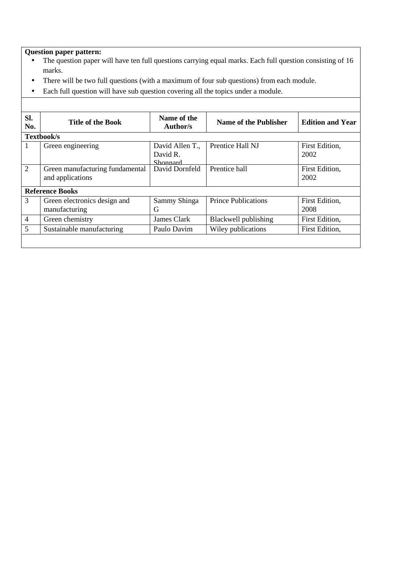- The question paper will have ten full questions carrying equal marks. Each full question consisting of 16 marks.
- There will be two full questions (with a maximum of four sub questions) from each module.
- Each full question will have sub question covering all the topics under a module.

| SI.<br>No.     | <b>Title of the Book</b>                            | Name of the<br>Author/s                 | Name of the Publisher      | <b>Edition and Year</b> |
|----------------|-----------------------------------------------------|-----------------------------------------|----------------------------|-------------------------|
|                | Textbook/s                                          |                                         |                            |                         |
| Т.             | Green engineering                                   | David Allen T.,<br>David R.<br>Shonnard | Prentice Hall NJ           | First Edition,<br>2002  |
| 2              | Green manufacturing fundamental<br>and applications | David Dornfeld                          | Prentice hall              | First Edition,<br>2002  |
|                | <b>Reference Books</b>                              |                                         |                            |                         |
| 3              | Green electronics design and<br>manufacturing       | Sammy Shinga<br>G                       | <b>Prince Publications</b> | First Edition,<br>2008  |
| $\overline{4}$ | Green chemistry                                     | James Clark                             | Blackwell publishing       | First Edition,          |
| 5              | Sustainable manufacturing                           | Paulo Davim                             | Wiley publications         | First Edition,          |
|                |                                                     |                                         |                            |                         |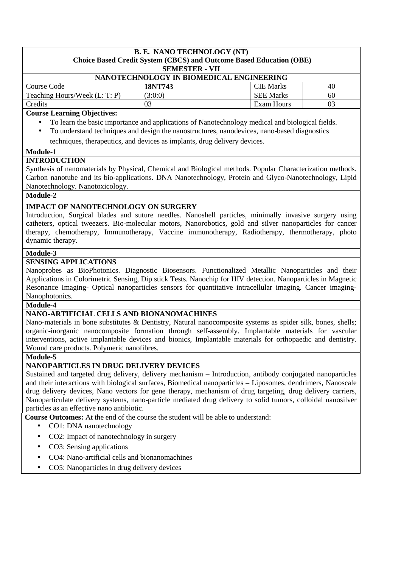## **B. E. NANO TECHNOLOGY (NT)**

# **Choice Based Credit System (CBCS) and Outcome Based Education (OBE)**

#### **SEMESTER - VII**

| NANOTECHNOLOGY IN BIOMEDICAL ENGINEERING |         |                  |    |  |
|------------------------------------------|---------|------------------|----|--|
| Course Code                              | 18NT743 | <b>CIE</b> Marks | 40 |  |
| Teaching Hours/Week (L: T: P)            | (3:0:0) | <b>SEE Marks</b> | 60 |  |
| Credits                                  |         | Exam Hours       | 03 |  |

#### **Course Learning Objectives:**

- To learn the basic importance and applications of Nanotechnology medical and biological fields.
- To understand techniques and design the nanostructures, nanodevices, nano-based diagnostics
- techniques, therapeutics, and devices as implants, drug delivery devices.

#### **Module-1**

# **INTRODUCTION**

Synthesis of nanomaterials by Physical, Chemical and Biological methods. Popular Characterization methods. Carbon nanotube and its bio-applications. DNA Nanotechnology, Protein and Glyco-Nanotechnology, Lipid Nanotechnology. Nanotoxicology.

## **Module-2**

# **IMPACT OF NANOTECHNOLOGY ON SURGERY**

Introduction, Surgical blades and suture needles. Nanoshell particles, minimally invasive surgery using catheters, optical tweezers. Bio-molecular motors, Nanorobotics, gold and silver nanoparticles for cancer therapy, chemotherapy, Immunotherapy, Vaccine immunotherapy, Radiotherapy, thermotherapy, photo dynamic therapy.

## **Module-3**

# **SENSING APPLICATIONS**

Nanoprobes as BioPhotonics. Diagnostic Biosensors. Functionalized Metallic Nanoparticles and their Applications in Colorimetric Sensing, Dip stick Tests. Nanochip for HIV detection. Nanoparticles in Magnetic Resonance Imaging- Optical nanoparticles sensors for quantitative intracellular imaging. Cancer imaging-Nanophotonics.

#### **Module-4**

# **NANO-ARTIFICIAL CELLS AND BIONANOMACHINES**

Nano-materials in bone substitutes & Dentistry, Natural nanocomposite systems as spider silk, bones, shells; organic-inorganic nanocomposite formation through self-assembly. Implantable materials for vascular interventions, active implantable devices and bionics, Implantable materials for orthopaedic and dentistry. Wound care products. Polymeric nanofibres.

#### **Module-5**

# **NANOPARTICLES IN DRUG DELIVERY DEVICES**

Sustained and targeted drug delivery, delivery mechanism – Introduction, antibody conjugated nanoparticles and their interactions with biological surfaces, Biomedical nanoparticles – Liposomes, dendrimers, Nanoscale drug delivery devices, Nano vectors for gene therapy, mechanism of drug targeting, drug delivery carriers, Nanoparticulate delivery systems, nano-particle mediated drug delivery to solid tumors, colloidal nanosilver particles as an effective nano antibiotic.

**Course Outcomes:** At the end of the course the student will be able to understand:

- CO1: DNA nanotechnology
- CO2: Impact of nanotechnology in surgery
- CO3: Sensing applications
- CO4: Nano-artificial cells and bionanomachines
- CO5: Nanoparticles in drug delivery devices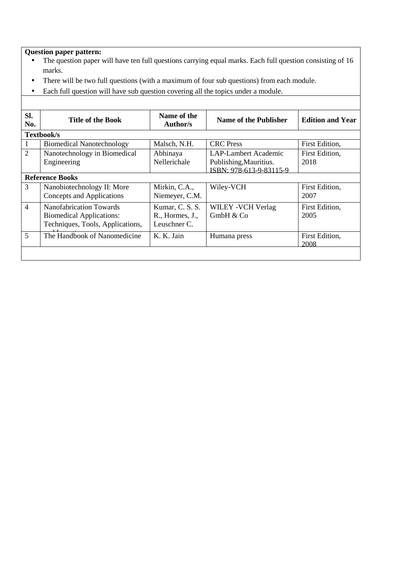- The question paper will have ten full questions carrying equal marks. Each full question consisting of 16 marks.
- There will be two full questions (with a maximum of four sub questions) from each module.
- Each full question will have sub question covering all the topics under a module.

| SI.<br>No.     | <b>Title of the Book</b>                                                                              | Name of the<br>Author/s                            | <b>Name of the Publisher</b>                                                     | <b>Edition and Year</b> |
|----------------|-------------------------------------------------------------------------------------------------------|----------------------------------------------------|----------------------------------------------------------------------------------|-------------------------|
|                | Textbook/s                                                                                            |                                                    |                                                                                  |                         |
| 1              | <b>Biomedical Nanotechnology</b>                                                                      | Malsch, N.H.                                       | <b>CRC</b> Press                                                                 | First Edition,          |
| $\overline{2}$ | Nanotechnology in Biomedical<br>Engineering                                                           | Abhinaya<br>Nellerichale                           | <b>LAP-Lambert Academic</b><br>Publishing, Mauritius.<br>ISBN: 978-613-9-83115-9 | First Edition,<br>2018  |
|                | <b>Reference Books</b>                                                                                |                                                    |                                                                                  |                         |
| 3              | Nanobiotechnology II: More<br>Concepts and Applications                                               | Mirkin, C.A.,<br>Niemeyer, C.M.                    | Wiley-VCH                                                                        | First Edition,<br>2007  |
| $\overline{4}$ | <b>Nanofabrication Towards</b><br><b>Biomedical Applications:</b><br>Techniques, Tools, Applications, | Kumar, C. S. S.<br>R., Hormes, J.,<br>Leuschner C. | WILEY - VCH Verlag<br>GmbH & Co                                                  | First Edition,<br>2005  |
| 5              | The Handbook of Nanomedicine                                                                          | K. K. Jain                                         | Humana press                                                                     | First Edition,<br>2008  |
|                |                                                                                                       |                                                    |                                                                                  |                         |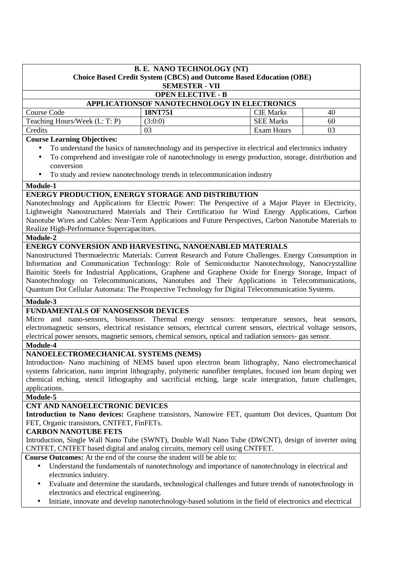| <b>B. E. NANO TECHNOLOGY (NT)</b>       |                                                                            |                                              |    |  |  |
|-----------------------------------------|----------------------------------------------------------------------------|----------------------------------------------|----|--|--|
|                                         | <b>Choice Based Credit System (CBCS) and Outcome Based Education (OBE)</b> |                                              |    |  |  |
|                                         | <b>SEMESTER - VII</b>                                                      |                                              |    |  |  |
|                                         | <b>OPEN ELECTIVE - B</b>                                                   |                                              |    |  |  |
|                                         |                                                                            | APPLICATIONSOF NANOTECHNOLOGY IN ELECTRONICS |    |  |  |
| Course Code                             | 18NT751                                                                    | <b>CIE Marks</b>                             | 40 |  |  |
| Teaching Hours/Week (L: T: P)           | (3:0:0)                                                                    | <b>SEE Marks</b>                             | 60 |  |  |
| Credits                                 | 03                                                                         | Exam Hours                                   | 03 |  |  |
| $\mathbf{r}$<br>$\sim$<br>$\sim$ $\sim$ |                                                                            |                                              |    |  |  |

## **Course Learning Objectives:**

- To understand the basics of nanotechnology and its perspective in electrical and electronics industry
- To comprehend and investigate role of nanotechnology in energy production, storage, distribution and conversion
- To study and review nanotechnology trends in telecommunication industry

#### **Module-1**

## **ENERGY PRODUCTION, ENERGY STORAGE AND DISTRIBUTION**

Nanotechnology and Applications for Electric Power: The Perspective of a Major Player in Electricity, Lightweight Nanostructured Materials and Their Certification for Wind Energy Applications, Carbon Nanotube Wires and Cables: Near-Term Applications and Future Perspectives, Carbon Nanotube Materials to Realize High-Performance Supercapacitors.

#### **Module-2**

# **ENERGY CONVERSION AND HARVESTING, NANOENABLED MATERIALS**

Nanostructured Thermoelectric Materials: Current Research and Future Challenges. Energy Consumption in Information and Communication Technology: Role of Semiconductor Nanotechnology, Nanocrystalline Bainitic Steels for Industrial Applications, Graphene and Graphene Oxide for Energy Storage, Impact of Nanotechnology on Telecommunications, Nanotubes and Their Applications in Telecommunications, Quantum Dot Cellular Automata: The Prospective Technology for Digital Telecommunication Systems.

#### **Module-3**

## **FUNDAMENTALS OF NANOSENSOR DEVICES**

Micro and nano-sensors, biosensor. Thermal energy sensors: temperature sensors, heat sensors, electromagnetic sensors, electrical resistance sensors, electrical current sensors, electrical voltage sensors, electrical power sensors, magnetic sensors, chemical sensors, optical and radiation sensors- gas sensor.

## **Module-4**

## **NANOELECTROMECHANICAL SYSTEMS (NEMS)**

Introduction- Nano machining of NEMS based upon electron beam lithography, Nano electromechanical systems fabrication, nano imprint lithography, polymeric nanofiber templates, focused ion beam doping wet chemical etching, stencil lithography and sacrificial etching, large scale intergration, future challenges, applications.

#### **Module-5**

## **CNT AND NANOELECTRONIC DEVICES**

**Introduction to Nano devices:** Graphene transistors, Nanowire FET, quantum Dot devices, Quantum Dot FET, Organic transistors, CNTFET, FinFETs.

#### **CARBON NANOTUBE FETS**

Introduction, Single Wall Nano Tube (SWNT), Double Wall Nano Tube (DWCNT), design of inverter using CNTFET, CNTFET based digital and analog circuits, memory cell using CNTFET.

**Course Outcomes:** At the end of the course the student will be able to:

- Understand the fundamentals of nanotechnology and importance of nanotechnology in electrical and electronics industry.
- Evaluate and determine the standards, technological challenges and future trends of nanotechnology in electronics and electrical engineering.
- Initiate, innovate and develop nanotechnology-based solutions in the field of electronics and electrical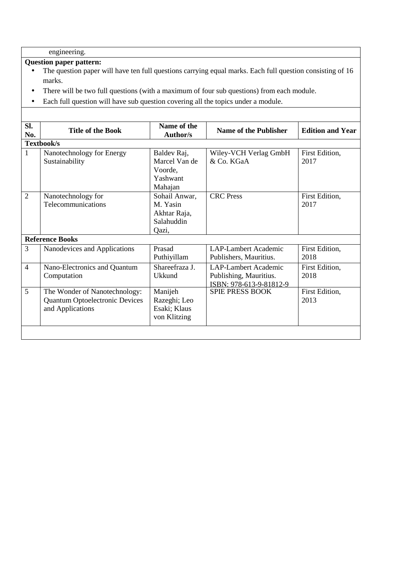engineering.

- The question paper will have ten full questions carrying equal marks. Each full question consisting of 16 marks.
- There will be two full questions (with a maximum of four sub questions) from each module.
- Each full question will have sub question covering all the topics under a module.

| SI.<br>No.     | <b>Title of the Book</b>                                                                   | Name of the<br><b>Author/s</b>                                   | <b>Name of the Publisher</b>                                                     | <b>Edition and Year</b> |  |
|----------------|--------------------------------------------------------------------------------------------|------------------------------------------------------------------|----------------------------------------------------------------------------------|-------------------------|--|
|                | Textbook/s                                                                                 |                                                                  |                                                                                  |                         |  |
| $\mathbf{1}$   | Nanotechnology for Energy<br>Sustainability                                                | Baldev Raj,<br>Marcel Van de<br>Voorde,<br>Yashwant<br>Mahajan   | Wiley-VCH Verlag GmbH<br>& Co. KGaA                                              | First Edition,<br>2017  |  |
| $\overline{2}$ | Nanotechnology for<br>Telecommunications                                                   | Sohail Anwar,<br>M. Yasin<br>Akhtar Raja,<br>Salahuddin<br>Qazi, | <b>CRC</b> Press                                                                 | First Edition,<br>2017  |  |
|                | <b>Reference Books</b>                                                                     |                                                                  |                                                                                  |                         |  |
| 3              | Nanodevices and Applications                                                               | Prasad<br>Puthiyillam                                            | <b>LAP-Lambert Academic</b><br>Publishers, Mauritius.                            | First Edition,<br>2018  |  |
| $\overline{4}$ | Nano-Electronics and Quantum<br>Computation                                                | Shareefraza J.<br>Ukkund                                         | <b>LAP-Lambert Academic</b><br>Publishing, Mauritius.<br>ISBN: 978-613-9-81812-9 | First Edition,<br>2018  |  |
| 5              | The Wonder of Nanotechnology:<br><b>Quantum Optoelectronic Devices</b><br>and Applications | Manijeh<br>Razeghi; Leo<br>Esaki; Klaus<br>von Klitzing          | <b>SPIE PRESS BOOK</b>                                                           | First Edition,<br>2013  |  |
|                |                                                                                            |                                                                  |                                                                                  |                         |  |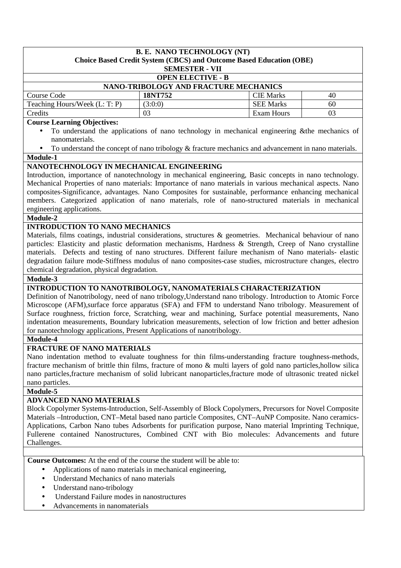| <b>B. E. NANO TECHNOLOGY (NT)</b>                                                                                                                                                                        |                                                                                                        |                   |    |  |  |
|----------------------------------------------------------------------------------------------------------------------------------------------------------------------------------------------------------|--------------------------------------------------------------------------------------------------------|-------------------|----|--|--|
| <b>Choice Based Credit System (CBCS) and Outcome Based Education (OBE)</b>                                                                                                                               |                                                                                                        |                   |    |  |  |
|                                                                                                                                                                                                          | <b>SEMESTER - VII</b>                                                                                  |                   |    |  |  |
| <b>OPEN ELECTIVE - B</b>                                                                                                                                                                                 |                                                                                                        |                   |    |  |  |
|                                                                                                                                                                                                          | NANO-TRIBOLOGY AND FRACTURE MECHANICS                                                                  |                   |    |  |  |
| <b>Course Code</b>                                                                                                                                                                                       | 18NT752                                                                                                | <b>CIE Marks</b>  | 40 |  |  |
| Teaching Hours/Week (L: T: P)                                                                                                                                                                            | (3:0:0)                                                                                                | <b>SEE Marks</b>  | 60 |  |  |
| Credits                                                                                                                                                                                                  | 03                                                                                                     | <b>Exam Hours</b> | 03 |  |  |
| <b>Course Learning Objectives:</b>                                                                                                                                                                       |                                                                                                        |                   |    |  |  |
|                                                                                                                                                                                                          | To understand the applications of nano technology in mechanical engineering & the mechanics of         |                   |    |  |  |
| nanomaterials.                                                                                                                                                                                           |                                                                                                        |                   |    |  |  |
|                                                                                                                                                                                                          | To understand the concept of nano tribology $\&$ fracture mechanics and advancement in nano materials. |                   |    |  |  |
| Module-1                                                                                                                                                                                                 |                                                                                                        |                   |    |  |  |
| NANOTECHNOLOGY IN MECHANICAL ENGINEERING                                                                                                                                                                 |                                                                                                        |                   |    |  |  |
| Introduction, importance of nanotechnology in mechanical engineering, Basic concepts in nano technology.                                                                                                 |                                                                                                        |                   |    |  |  |
| Mechanical Properties of nano materials: Importance of nano materials in various mechanical aspects. Nano                                                                                                |                                                                                                        |                   |    |  |  |
| composites-Significance, advantages. Nano Composites for sustainable, performance enhancing mechanical                                                                                                   |                                                                                                        |                   |    |  |  |
| members. Categorized application of nano materials, role of nano-structured materials in mechanical                                                                                                      |                                                                                                        |                   |    |  |  |
| engineering applications.                                                                                                                                                                                |                                                                                                        |                   |    |  |  |
| Module-2                                                                                                                                                                                                 |                                                                                                        |                   |    |  |  |
| <b>INTRODUCTION TO NANO MECHANICS</b>                                                                                                                                                                    |                                                                                                        |                   |    |  |  |
| Materials, films coatings, industrial considerations, structures & geometries. Mechanical behaviour of nano                                                                                              |                                                                                                        |                   |    |  |  |
| particles: Elasticity and plastic deformation mechanisms, Hardness & Strength, Creep of Nano crystalline                                                                                                 |                                                                                                        |                   |    |  |  |
| materials. Defects and testing of nano structures. Different failure mechanism of Nano materials- elastic                                                                                                |                                                                                                        |                   |    |  |  |
| degradation failure mode-Stiffness modulus of nano composites-case studies, microstructure changes, electro                                                                                              |                                                                                                        |                   |    |  |  |
| chemical degradation, physical degradation.                                                                                                                                                              |                                                                                                        |                   |    |  |  |
| Module-3                                                                                                                                                                                                 |                                                                                                        |                   |    |  |  |
| INTRODUCTION TO NANOTRIBOLOGY, NANOMATERIALS CHARACTERIZATION                                                                                                                                            |                                                                                                        |                   |    |  |  |
| Definition of Nanotribology, need of nano tribology, Understand nano tribology. Introduction to Atomic Force                                                                                             |                                                                                                        |                   |    |  |  |
| Microscope (AFM),surface force apparatus (SFA) and FFM to understand Nano tribology. Measurement of                                                                                                      |                                                                                                        |                   |    |  |  |
| Surface roughness, friction force, Scratching, wear and machining, Surface potential measurements, Nano                                                                                                  |                                                                                                        |                   |    |  |  |
| indentation measurements, Boundary lubrication measurements, selection of low friction and better adhesion                                                                                               |                                                                                                        |                   |    |  |  |
| for nanotechnology applications, Present Applications of nanotribology.                                                                                                                                  |                                                                                                        |                   |    |  |  |
| Module-4                                                                                                                                                                                                 |                                                                                                        |                   |    |  |  |
| <b>FRACTURE OF NANO MATERIALS</b>                                                                                                                                                                        |                                                                                                        |                   |    |  |  |
| Nano indentation method to evaluate toughness for thin films-understanding fracture toughness-methods,                                                                                                   |                                                                                                        |                   |    |  |  |
| fracture mechanism of brittle thin films, fracture of mono & multi layers of gold nano particles, hollow silica                                                                                          |                                                                                                        |                   |    |  |  |
| nano particles, fracture mechanism of solid lubricant nanoparticles, fracture mode of ultrasonic treated nickel                                                                                          |                                                                                                        |                   |    |  |  |
| nano particles.                                                                                                                                                                                          |                                                                                                        |                   |    |  |  |
| Module-5                                                                                                                                                                                                 |                                                                                                        |                   |    |  |  |
| <b>ADVANCED NANO MATERIALS</b>                                                                                                                                                                           |                                                                                                        |                   |    |  |  |
| Block Copolymer Systems-Introduction, Self-Assembly of Block Copolymers, Precursors for Novel Composite                                                                                                  |                                                                                                        |                   |    |  |  |
| Materials - Introduction, CNT-Metal based nano particle Composites, CNT-AuNP Composite. Nano ceramics-                                                                                                   |                                                                                                        |                   |    |  |  |
|                                                                                                                                                                                                          |                                                                                                        |                   |    |  |  |
| Applications, Carbon Nano tubes Adsorbents for purification purpose, Nano material Imprinting Technique,<br>Fullerene contained Nanostructures, Combined CNT with Bio molecules: Advancements and future |                                                                                                        |                   |    |  |  |
| Challenges.                                                                                                                                                                                              |                                                                                                        |                   |    |  |  |
|                                                                                                                                                                                                          |                                                                                                        |                   |    |  |  |
| <b>Course Outcomes:</b> At the end of the course the student will be able to:                                                                                                                            |                                                                                                        |                   |    |  |  |
| $\bullet$                                                                                                                                                                                                |                                                                                                        |                   |    |  |  |
| Applications of nano materials in mechanical engineering,<br>Understand Mechanics of nano materials<br>$\bullet$                                                                                         |                                                                                                        |                   |    |  |  |
|                                                                                                                                                                                                          |                                                                                                        |                   |    |  |  |
| Understand nano-tribology<br>Understand Failure modes in nanostructures                                                                                                                                  |                                                                                                        |                   |    |  |  |
| Advancements in nanomaterials                                                                                                                                                                            |                                                                                                        |                   |    |  |  |
|                                                                                                                                                                                                          |                                                                                                        |                   |    |  |  |
|                                                                                                                                                                                                          |                                                                                                        |                   |    |  |  |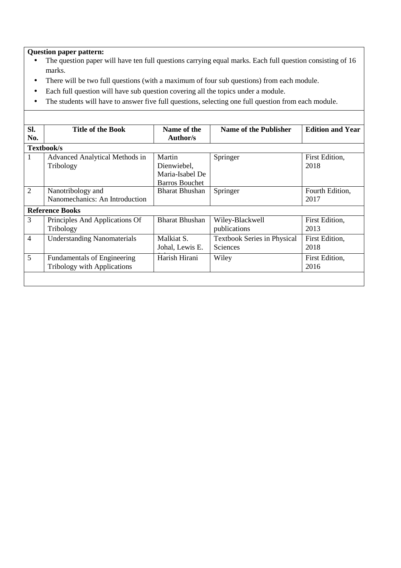- The question paper will have ten full questions carrying equal marks. Each full question consisting of 16 marks.
- There will be two full questions (with a maximum of four sub questions) from each module.
- Each full question will have sub question covering all the topics under a module.
- The students will have to answer five full questions, selecting one full question from each module.

| Sl.                    | <b>Title of the Book</b>           | Name of the           | Name of the Publisher              | <b>Edition and Year</b> |
|------------------------|------------------------------------|-----------------------|------------------------------------|-------------------------|
| No.                    |                                    | Author/s              |                                    |                         |
| Textbook/s             |                                    |                       |                                    |                         |
| 1                      | Advanced Analytical Methods in     | Martin                | Springer                           | First Edition,          |
|                        | Tribology                          | Dienwiebel,           |                                    | 2018                    |
|                        |                                    | Maria-Isabel De       |                                    |                         |
|                        |                                    | <b>Barros Bouchet</b> |                                    |                         |
| $\overline{2}$         | Nanotribology and                  | <b>Bharat Bhushan</b> | Springer                           | Fourth Edition,         |
|                        | Nanomechanics: An Introduction     |                       |                                    | 2017                    |
| <b>Reference Books</b> |                                    |                       |                                    |                         |
| 3                      | Principles And Applications Of     | <b>Bharat Bhushan</b> | Wiley-Blackwell                    | First Edition,          |
|                        | Tribology                          |                       | publications                       | 2013                    |
| $\overline{4}$         | <b>Understanding Nanomaterials</b> | Malkiat S.            | <b>Textbook Series in Physical</b> | First Edition,          |
|                        |                                    | Johal, Lewis E.       | Sciences                           | 2018                    |
| 5                      | <b>Fundamentals of Engineering</b> | Harish Hirani         | Wiley                              | First Edition,          |
|                        | <b>Tribology with Applications</b> |                       |                                    | 2016                    |
|                        |                                    |                       |                                    |                         |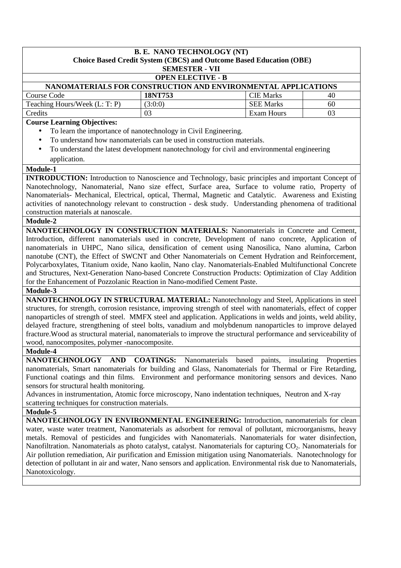# **B. E. NANO TECHNOLOGY (NT) Choice Based Credit System (CBCS) and Outcome Based Education (OBE) SEMESTER - VII OPEN ELECTIVE - B NANOMATERIALS FOR CONSTRUCTION AND ENVIRONMENTAL APPLICATIONS**  Course Code **18NT753** CIE Marks 1 40 Teaching Hours/Week  $(L: T: P)$   $(3:0:0)$  SEE Marks 60 Credits 03 Exam Hours 03

# **Course Learning Objectives:**

- To learn the importance of nanotechnology in Civil Engineering.
- To understand how nanomaterials can be used in construction materials.
- To understand the latest development nanotechnology for civil and environmental engineering application.

#### **Module-1**

**INTRODUCTION:** Introduction to Nanoscience and Technology, basic principles and important Concept of Nanotechnology, Nanomaterial, Nano size effect, Surface area, Surface to volume ratio, Property of Nanomaterials- Mechanical, Electrical, optical, Thermal, Magnetic and Catalytic. Awareness and Existing activities of nanotechnology relevant to construction - desk study. Understanding phenomena of traditional construction materials at nanoscale.

#### **Module-2**

**NANOTECHNOLOGY IN CONSTRUCTION MATERIALS:** Nanomaterials in Concrete and Cement, Introduction, different nanomaterials used in concrete, Development of nano concrete, Application of nanomaterials in UHPC, Nano silica, densification of cement using Nanosilica, Nano alumina, Carbon nanotube (CNT), the Effect of SWCNT and Other Nanomaterials on Cement Hydration and Reinforcement, Polycarboxylates, Titanium oxide, Nano kaolin, Nano clay. Nanomaterials-Enabled Multifunctional Concrete and Structures, Next-Generation Nano-based Concrete Construction Products: Optimization of Clay Addition for the Enhancement of Pozzolanic Reaction in Nano-modified Cement Paste.

**Module-3** 

**NANOTECHNOLOGY IN STRUCTURAL MATERIAL:** Nanotechnology and Steel, Applications in steel structures, for strength, corrosion resistance, improving strength of steel with nanomaterials, effect of copper nanoparticles of strength of steel. MMFX steel and application. Applications in welds and joints, weld ability, delayed fracture, strengthening of steel bolts, vanadium and molybdenum nanoparticles to improve delayed fracture.Wood as structural material, nanomaterials to improve the structural performance and serviceability of wood, nanocomposites, polymer -nanocomposite.

#### **Module-4**

**NANOTECHNOLOGY AND COATINGS:** Nanomaterials based paints, insulating Properties nanomaterials, Smart nanomaterials for building and Glass, Nanomaterials for Thermal or Fire Retarding, Functional coatings and thin films. Environment and performance monitoring sensors and devices. Nano sensors for structural health monitoring.

Advances in instrumentation, Atomic force microscopy, Nano indentation techniques, Neutron and X-ray scattering techniques for construction materials.

#### **Module-5**

**NANOTECHNOLOGY IN ENVIRONMENTAL ENGINEERING:** Introduction, nanomaterials for clean water, waste water treatment, Nanomaterials as adsorbent for removal of pollutant, microorganisms, heavy metals. Removal of pesticides and fungicides with Nanomaterials. Nanomaterials for water disinfection, Nanofiltration. Nanomaterials as photo catalyst, catalyst. Nanomaterials for capturing CO<sub>2</sub>. Nanomaterials for Air pollution remediation, Air purification and Emission mitigation using Nanomaterials. Nanotechnology for detection of pollutant in air and water, Nano sensors and application. Environmental risk due to Nanomaterials, Nanotoxicology.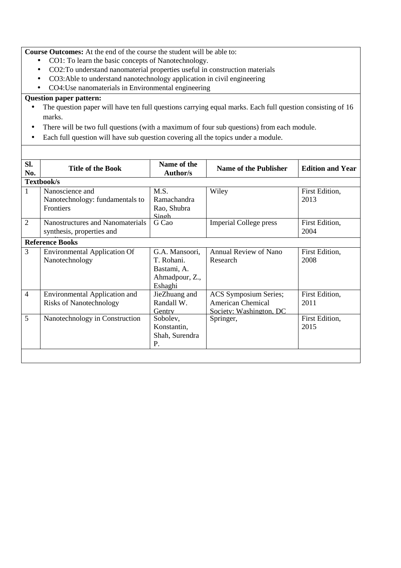**Course Outcomes:** At the end of the course the student will be able to:

- CO1: To learn the basic concepts of Nanotechnology.
- CO2:To understand nanomaterial properties useful in construction materials
- CO3:Able to understand nanotechnology application in civil engineering
- CO4:Use nanomaterials in Environmental engineering

## **Question paper pattern:**

- The question paper will have ten full questions carrying equal marks. Each full question consisting of 16 marks.
- There will be two full questions (with a maximum of four sub questions) from each module.

 $\overline{\phantom{a}}$  the studients will have to answer full questions, selecting one functions, selection from each module.

• Each full question will have sub question covering all the topics under a module.

| Sl.<br>No.     | <b>Title of the Book</b>                                               | Name of the<br><b>Author/s</b>                                           | <b>Name of the Publisher</b>                                                        | <b>Edition and Year</b> |
|----------------|------------------------------------------------------------------------|--------------------------------------------------------------------------|-------------------------------------------------------------------------------------|-------------------------|
|                | Textbook/s                                                             |                                                                          |                                                                                     |                         |
| $\mathbf{1}$   | Nanoscience and<br>Nanotechnology: fundamentals to<br><b>Frontiers</b> | M.S.<br>Ramachandra<br>Rao, Shubra<br>Singh                              | Wiley                                                                               | First Edition,<br>2013  |
| 2              | Nanostructures and Nanomaterials<br>synthesis, properties and          | G Cao                                                                    | <b>Imperial College press</b>                                                       | First Edition,<br>2004  |
|                | <b>Reference Books</b>                                                 |                                                                          |                                                                                     |                         |
| 3              | <b>Environmental Application Of</b><br>Nanotechnology                  | G.A. Mansoori,<br>T. Rohani.<br>Bastami, A.<br>Ahmadpour, Z.,<br>Eshaghi | <b>Annual Review of Nano</b><br>Research                                            | First Edition,<br>2008  |
| $\overline{4}$ | <b>Environmental Application and</b><br><b>Risks of Nanotechnology</b> | JieZhuang and<br>Randall W.<br>Gentry                                    | <b>ACS Symposium Series;</b><br><b>American Chemical</b><br>Society: Washington, DC | First Edition,<br>2011  |
| 5              | Nanotechnology in Construction                                         | Sobolev,<br>Konstantin,<br>Shah, Surendra<br>P.                          | Springer,                                                                           | First Edition,<br>2015  |
|                |                                                                        |                                                                          |                                                                                     |                         |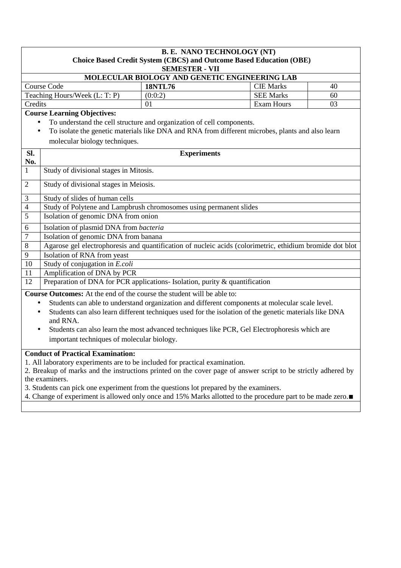| <b>B. E. NANO TECHNOLOGY (NT)</b><br><b>Choice Based Credit System (CBCS) and Outcome Based Education (OBE)</b> |                                                                                                                                 |                    |                                                                                                       |    |  |  |
|-----------------------------------------------------------------------------------------------------------------|---------------------------------------------------------------------------------------------------------------------------------|--------------------|-------------------------------------------------------------------------------------------------------|----|--|--|
|                                                                                                                 | <b>SEMESTER - VII</b><br>MOLECULAR BIOLOGY AND GENETIC ENGINEERING LAB                                                          |                    |                                                                                                       |    |  |  |
|                                                                                                                 | <b>Course Code</b>                                                                                                              | <b>18NTL76</b>     | <b>CIE Marks</b>                                                                                      | 40 |  |  |
|                                                                                                                 | Teaching Hours/Week (L: T: P)                                                                                                   | (0:0:2)            | <b>SEE Marks</b>                                                                                      | 60 |  |  |
| Credits                                                                                                         |                                                                                                                                 | 01                 | <b>Exam Hours</b>                                                                                     | 03 |  |  |
|                                                                                                                 | <b>Course Learning Objectives:</b>                                                                                              |                    |                                                                                                       |    |  |  |
| $\bullet$                                                                                                       | To understand the cell structure and organization of cell components.                                                           |                    |                                                                                                       |    |  |  |
| $\bullet$                                                                                                       |                                                                                                                                 |                    | To isolate the genetic materials like DNA and RNA from different microbes, plants and also learn      |    |  |  |
|                                                                                                                 | molecular biology techniques.                                                                                                   |                    |                                                                                                       |    |  |  |
| SI.<br>No.                                                                                                      |                                                                                                                                 | <b>Experiments</b> |                                                                                                       |    |  |  |
| 1                                                                                                               | Study of divisional stages in Mitosis.                                                                                          |                    |                                                                                                       |    |  |  |
| $\overline{2}$                                                                                                  | Study of divisional stages in Meiosis.                                                                                          |                    |                                                                                                       |    |  |  |
| 3                                                                                                               | Study of slides of human cells                                                                                                  |                    |                                                                                                       |    |  |  |
| $\overline{4}$                                                                                                  | Study of Polytene and Lampbrush chromosomes using permanent slides                                                              |                    |                                                                                                       |    |  |  |
| 5                                                                                                               | Isolation of genomic DNA from onion                                                                                             |                    |                                                                                                       |    |  |  |
| 6                                                                                                               | Isolation of plasmid DNA from bacteria                                                                                          |                    |                                                                                                       |    |  |  |
| $\overline{7}$                                                                                                  | Isolation of genomic DNA from banana                                                                                            |                    |                                                                                                       |    |  |  |
| 8                                                                                                               | Agarose gel electrophoresis and quantification of nucleic acids (colorimetric, ethidium bromide dot blot                        |                    |                                                                                                       |    |  |  |
| 9                                                                                                               | Isolation of RNA from yeast                                                                                                     |                    |                                                                                                       |    |  |  |
| 10<br>11                                                                                                        | Study of conjugation in E.coli<br>Amplification of DNA by PCR                                                                   |                    |                                                                                                       |    |  |  |
| 12                                                                                                              | Preparation of DNA for PCR applications- Isolation, purity & quantification                                                     |                    |                                                                                                       |    |  |  |
|                                                                                                                 | <b>Course Outcomes:</b> At the end of the course the student will be able to:                                                   |                    |                                                                                                       |    |  |  |
| ٠                                                                                                               |                                                                                                                                 |                    | Students can able to understand organization and different components at molecular scale level.       |    |  |  |
|                                                                                                                 |                                                                                                                                 |                    | Students can also learn different techniques used for the isolation of the genetic materials like DNA |    |  |  |
|                                                                                                                 | and RNA.                                                                                                                        |                    |                                                                                                       |    |  |  |
|                                                                                                                 | Students can also learn the most advanced techniques like PCR, Gel Electrophoresis which are<br>$\bullet$                       |                    |                                                                                                       |    |  |  |
| important techniques of molecular biology.                                                                      |                                                                                                                                 |                    |                                                                                                       |    |  |  |
|                                                                                                                 | <b>Conduct of Practical Examination:</b>                                                                                        |                    |                                                                                                       |    |  |  |
|                                                                                                                 | 1. All laboratory experiments are to be included for practical examination.                                                     |                    |                                                                                                       |    |  |  |
|                                                                                                                 | 2. Breakup of marks and the instructions printed on the cover page of answer script to be strictly adhered by<br>the examiners. |                    |                                                                                                       |    |  |  |
|                                                                                                                 | 3. Students can pick one experiment from the questions lot prepared by the examiners.                                           |                    |                                                                                                       |    |  |  |
|                                                                                                                 | 4. Change of experiment is allowed only once and 15% Marks allotted to the procedure part to be made zero.                      |                    |                                                                                                       |    |  |  |
|                                                                                                                 |                                                                                                                                 |                    |                                                                                                       |    |  |  |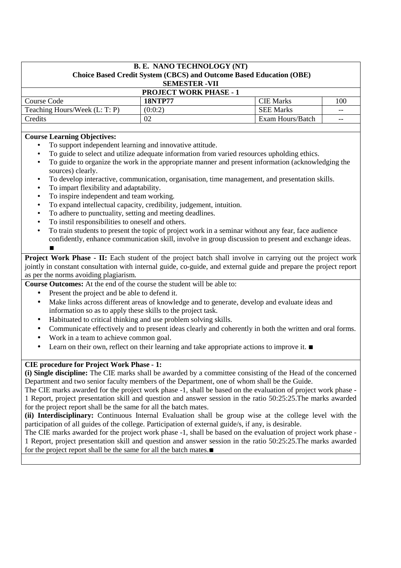| <b>B. E. NANO TECHNOLOGY (NT)</b><br>Choice Based Credit System (CBCS) and Outcome Based Education (OBE)<br><b>SEMESTER -VII</b> |                |                  |       |  |  |
|----------------------------------------------------------------------------------------------------------------------------------|----------------|------------------|-------|--|--|
| <b>PROJECT WORK PHASE - 1</b>                                                                                                    |                |                  |       |  |  |
| <b>Course Code</b>                                                                                                               | <b>18NTP77</b> | <b>CIE</b> Marks | 100   |  |  |
| Teaching Hours/Week (L: T: P)                                                                                                    | (0:0:2)        | <b>SEE Marks</b> | $- -$ |  |  |
| Credits                                                                                                                          | 02             | Exam Hours/Batch | $- -$ |  |  |

## **Course Learning Objectives:**

- To support independent learning and innovative attitude.
- To guide to select and utilize adequate information from varied resources upholding ethics.
- To guide to organize the work in the appropriate manner and present information (acknowledging the sources) clearly.
- To develop interactive, communication, organisation, time management, and presentation skills.
- To impart flexibility and adaptability.
- To inspire independent and team working.
- To expand intellectual capacity, credibility, judgement, intuition.
- To adhere to punctuality, setting and meeting deadlines.
- To instil responsibilities to oneself and others.
- To train students to present the topic of project work in a seminar without any fear, face audience confidently, enhance communication skill, involve in group discussion to present and exchange ideas. ∎

**Project Work Phase - II:** Each student of the project batch shall involve in carrying out the project work jointly in constant consultation with internal guide, co-guide, and external guide and prepare the project report as per the norms avoiding plagiarism.

**Course Outcomes:** At the end of the course the student will be able to:

- Present the project and be able to defend it.
- Make links across different areas of knowledge and to generate, develop and evaluate ideas and information so as to apply these skills to the project task.
- Habituated to critical thinking and use problem solving skills.
- Communicate effectively and to present ideas clearly and coherently in both the written and oral forms.
- Work in a team to achieve common goal.
- Learn on their own, reflect on their learning and take appropriate actions to improve it. ■

## **CIE procedure for Project Work Phase - 1:**

**(i) Single discipline:** The CIE marks shall be awarded by a committee consisting of the Head of the concerned Department and two senior faculty members of the Department, one of whom shall be the Guide.

The CIE marks awarded for the project work phase -1, shall be based on the evaluation of project work phase - 1 Report, project presentation skill and question and answer session in the ratio 50:25:25.The marks awarded for the project report shall be the same for all the batch mates.

**(ii) Interdisciplinary:** Continuous Internal Evaluation shall be group wise at the college level with the participation of all guides of the college. Participation of external guide/s, if any, is desirable.

The CIE marks awarded for the project work phase -1, shall be based on the evaluation of project work phase - 1 Report, project presentation skill and question and answer session in the ratio 50:25:25.The marks awarded for the project report shall be the same for all the batch mates.∎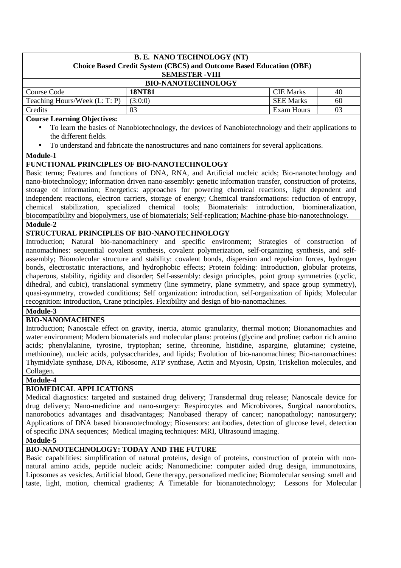# **B. E. NANO TECHNOLOGY (NT) Choice Based Credit System (CBCS) and Outcome Based Education (OBE) SEMESTER -VIII BIO-NANOTECHNOLOGY**  Course Code **18NT81 CIE Marks** 40 Teaching Hours/Week  $(L: T: P) \mid (3:0:0)$  SEE Marks 60 Credits 103 1 Bxam Hours 103

## **Course Learning Objectives:**

- To learn the basics of Nanobiotechnology, the devices of Nanobiotechnology and their applications to the different fields.
- To understand and fabricate the nanostructures and nano containers for several applications.

#### **Module-1**

#### **FUNCTIONAL PRINCIPLES OF BIO-NANOTECHNOLOGY**

Basic terms; Features and functions of DNA, RNA, and Artificial nucleic acids; Bio-nanotechnology and nano-biotechnology; Information driven nano-assembly: genetic information transfer, construction of proteins, storage of information; Energetics: approaches for powering chemical reactions, light dependent and independent reactions, electron carriers, storage of energy; Chemical transformations: reduction of entropy, chemical stabilization, specialized chemical tools; Biomaterials: introduction, biomineralization, biocompatibility and biopolymers, use of biomaterials; Self-replication; Machine-phase bio-nanotechnology.

## **Module-2**

# **STRUCTURAL PRINCIPLES OF BIO-NANOTECHNOLOGY**

Introduction; Natural bio-nanomachinery and specific environment; Strategies of construction of nanomachines: sequential covalent synthesis, covalent polymerization, self-organizing synthesis, and selfassembly; Biomolecular structure and stability: covalent bonds, dispersion and repulsion forces, hydrogen bonds, electrostatic interactions, and hydrophobic effects; Protein folding: Introduction, globular proteins, chaperons, stability, rigidity and disorder; Self-assembly: design principles, point group symmetries (cyclic, dihedral, and cubic), translational symmetry (line symmetry, plane symmetry, and space group symmetry), quasi-symmetry, crowded conditions; Self organization: introduction, self-organization of lipids; Molecular recognition: introduction, Crane principles. Flexibility and design of bio-nanomachines.

## **Module-3**

## **BIO-NANOMACHINES**

Introduction; Nanoscale effect on gravity, inertia, atomic granularity, thermal motion; Bionanomachies and water environment; Modern biomaterials and molecular plans: proteins (glycine and proline; carbon rich amino acids; phenylalanine, tyrosine, tryptophan; serine, threonine, histidine, aspargine, glutamine; cysteine, methionine), nucleic acids, polysaccharides, and lipids; Evolution of bio-nanomachines; Bio-nanomachines: Thymidylate synthase, DNA, Ribosome, ATP synthase, Actin and Myosin, Opsin, Triskelion molecules, and Collagen.

**Module-4** 

## **BIOMEDICAL APPLICATIONS**

Medical diagnostics: targeted and sustained drug delivery; Transdermal drug release; Nanoscale device for drug delivery; Nano-medicine and nano-surgery: Respirocytes and Microbivores, Surgical nanorobotics, nanorobotics advantages and disadvantages; Nanobased therapy of cancer; nanopathology; nanosurgery; Applications of DNA based bionanotechnology; Biosensors: antibodies, detection of glucose level, detection of specific DNA sequences; Medical imaging techniques: MRI, Ultrasound imaging.

**Module-5** 

# **BIO-NANOTECHNOLOGY: TODAY AND THE FUTURE**

Basic capabilities: simplification of natural proteins, design of proteins, construction of protein with nonnatural amino acids, peptide nucleic acids; Nanomedicine: computer aided drug design, immunotoxins, Liposomes as vesicles, Artificial blood, Gene therapy, personalized medicine; Biomolecular sensing: smell and taste, light, motion, chemical gradients; A Timetable for bionanotechnology; Lessons for Molecular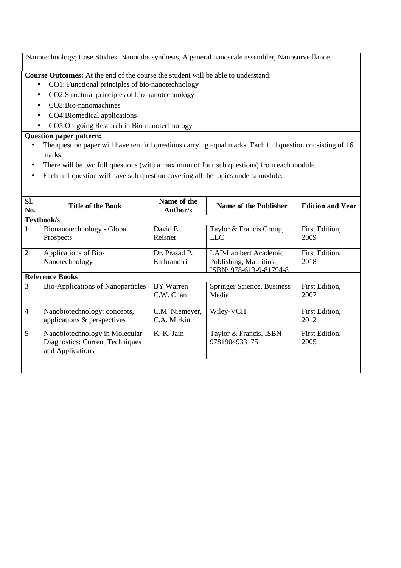# Nanotechnology; Case Studies: Nanotube synthesis, A general nanoscale assembler, Nanosurveillance.

**Course Outcomes:** At the end of the course the student will be able to understand:

- CO1: Functional principles of bio-nanotechnology
- CO2:Structural principles of bio-nanotechnology
- CO3:Bio-nanomachines
- CO4:Biomedical applications
- CO5:On-going Research in Bio-nanotechnology

## **Question paper pattern:**

- The question paper will have ten full questions carrying equal marks. Each full question consisting of 16 marks.
- There will be two full questions (with a maximum of four sub questions) from each module.
- Each full question will have sub question covering all the topics under a module.

| SI.<br>No.     | <b>Title of the Book</b>                                                              | Name of the<br><b>Author/s</b> | Name of the Publisher                             | <b>Edition and Year</b> |  |
|----------------|---------------------------------------------------------------------------------------|--------------------------------|---------------------------------------------------|-------------------------|--|
|                | Textbook/s                                                                            |                                |                                                   |                         |  |
| 1              | Bionanotechnology - Global                                                            | David E.                       | Taylor & Francis Group,                           | First Edition,          |  |
|                | Prospects                                                                             | Reisner                        | <b>LLC</b>                                        | 2009                    |  |
| 2              | Applications of Bio-                                                                  | Dr. Prasad P.                  | <b>LAP-Lambert Academic</b>                       | First Edition,          |  |
|                | Nanotechnology                                                                        | Embrandiri                     | Publishing, Mauritius.<br>ISBN: 978-613-9-81794-8 | 2018                    |  |
|                | <b>Reference Books</b>                                                                |                                |                                                   |                         |  |
| 3              | <b>Bio-Applications of Nanoparticles</b>                                              | <b>BY</b> Warren<br>C.W. Chan  | Springer Science, Business<br>Media               | First Edition,<br>2007  |  |
| $\overline{4}$ | Nanobiotechnology: concepts,<br>applications & perspectives                           | C.M. Niemeyer,<br>C.A. Mirkin  | Wiley-VCH                                         | First Edition,<br>2012  |  |
| 5              | Nanobiotechnology in Molecular<br>Diagnostics: Current Techniques<br>and Applications | K. K. Jain                     | Taylor & Francis, ISBN<br>9781904933175           | First Edition,<br>2005  |  |
|                |                                                                                       |                                |                                                   |                         |  |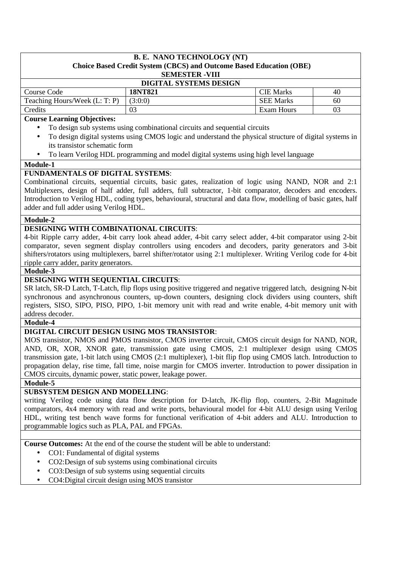# **B. E. NANO TECHNOLOGY (NT) Choice Based Credit System (CBCS) and Outcome Based Education (OBE)**

# **SEMESTER -VIII**

| <b>DIGITAL SYSTEMS DESIGN</b> |         |                  |    |  |  |
|-------------------------------|---------|------------------|----|--|--|
| Course Code                   | 18NT821 | <b>CIE</b> Marks | 40 |  |  |
| Teaching Hours/Week (L: T: P) | (3:0:0) | <b>SEE Marks</b> | 60 |  |  |
| Credits                       | 03      | Exam Hours       | 03 |  |  |

## **Course Learning Objectives:**

- To design sub systems using combinational circuits and sequential circuits
- To design digital systems using CMOS logic and understand the physical structure of digital systems in its transistor schematic form
- To learn Verilog HDL programming and model digital systems using high level language

#### **Module-1**

## **FUNDAMENTALS OF DIGITAL SYSTEMS**:

Combinational circuits, sequential circuits, basic gates, realization of logic using NAND, NOR and 2:1 Multiplexers, design of half adder, full adders, full subtractor, 1-bit comparator, decoders and encoders. Introduction to Verilog HDL, coding types, behavioural, structural and data flow, modelling of basic gates, half adder and full adder using Verilog HDL.

#### **Module-2**

## **DESIGNING WITH COMBINATIONAL CIRCUITS**:

4-bit Ripple carry adder, 4-bit carry look ahead adder, 4-bit carry select adder, 4-bit comparator using 2-bit comparator, seven segment display controllers using encoders and decoders, parity generators and 3-bit shifters/rotators using multiplexers, barrel shifter/rotator using 2:1 multiplexer. Writing Verilog code for 4-bit ripple carry adder, parity generators.

#### **Module-3**

## **DESIGNING WITH SEQUENTIAL CIRCUITS**:

SR latch, SR-D Latch, T-Latch, flip flops using positive triggered and negative triggered latch, designing N-bit synchronous and asynchronous counters, up-down counters, designing clock dividers using counters, shift registers, SISO, SIPO, PISO, PIPO, 1-bit memory unit with read and write enable, 4-bit memory unit with address decoder.

#### **Module-4**

## **DIGITAL CIRCUIT DESIGN USING MOS TRANSISTOR**:

MOS transistor, NMOS and PMOS transistor, CMOS inverter circuit, CMOS circuit design for NAND, NOR, AND, OR, XOR, XNOR gate, transmission gate using CMOS, 2:1 multiplexer design using CMOS transmission gate, 1-bit latch using CMOS (2:1 multiplexer), 1-bit flip flop using CMOS latch. Introduction to propagation delay, rise time, fall time, noise margin for CMOS inverter. Introduction to power dissipation in CMOS circuits, dynamic power, static power, leakage power.

**Module-5** 

## **SUBSYSTEM DESIGN AND MODELLING**:

writing Verilog code using data flow description for D-latch, JK-flip flop, counters, 2-Bit Magnitude comparators, 4x4 memory with read and write ports, behavioural model for 4-bit ALU design using Verilog HDL, writing test bench wave forms for functional verification of 4-bit adders and ALU. Introduction to programmable logics such as PLA, PAL and FPGAs.

**Course Outcomes:** At the end of the course the student will be able to understand:

- CO1: Fundamental of digital systems
- CO2:Design of sub systems using combinational circuits
- CO3:Design of sub systems using sequential circuits
- CO4:Digital circuit design using MOS transistor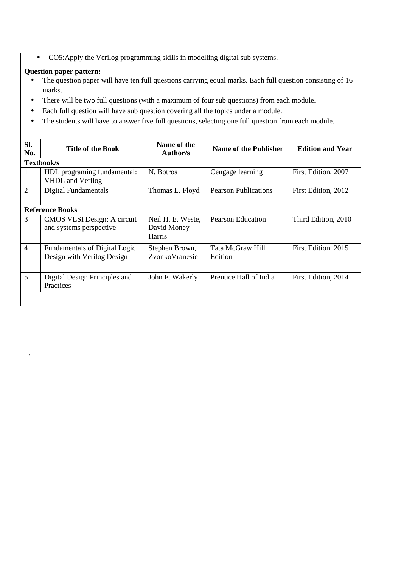• CO5:Apply the Verilog programming skills in modelling digital sub systems.

# **Question paper pattern:**

.

- The question paper will have ten full questions carrying equal marks. Each full question consisting of 16 marks.
- There will be two full questions (with a maximum of four sub questions) from each module.
- Each full question will have sub question covering all the topics under a module.
- The students will have to answer five full questions, selecting one full question from each module.

| SI.<br>No.     | <b>Title of the Book</b>                                    | Name of the<br><b>Author/s</b>                    | <b>Name of the Publisher</b> | <b>Edition and Year</b> |
|----------------|-------------------------------------------------------------|---------------------------------------------------|------------------------------|-------------------------|
|                | Textbook/s                                                  |                                                   |                              |                         |
| 1              | HDL programing fundamental:<br><b>VHDL</b> and Verilog      | N. Botros                                         | Cengage learning             | First Edition, 2007     |
| 2              | Digital Fundamentals                                        | Thomas L. Floyd                                   | <b>Pearson Publications</b>  | First Edition, 2012     |
|                | <b>Reference Books</b>                                      |                                                   |                              |                         |
| 3              | CMOS VLSI Design: A circuit<br>and systems perspective      | Neil H. E. Weste,<br>David Money<br><b>Harris</b> | <b>Pearson Education</b>     | Third Edition, 2010     |
| $\overline{4}$ | Fundamentals of Digital Logic<br>Design with Verilog Design | Stephen Brown,<br>ZvonkoVranesic                  | Tata McGraw Hill<br>Edition  | First Edition, 2015     |
| 5              | Digital Design Principles and<br>Practices                  | John F. Wakerly                                   | Prentice Hall of India       | First Edition, 2014     |
|                |                                                             |                                                   |                              |                         |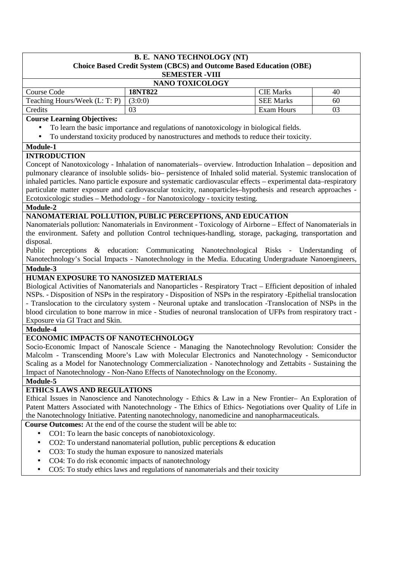| <b>B. E. NANO TECHNOLOGY (NT)</b>                                                                                                                                        |                                                                                                                                                                                                                              |                  |    |  |  |
|--------------------------------------------------------------------------------------------------------------------------------------------------------------------------|------------------------------------------------------------------------------------------------------------------------------------------------------------------------------------------------------------------------------|------------------|----|--|--|
| <b>Choice Based Credit System (CBCS) and Outcome Based Education (OBE)</b>                                                                                               |                                                                                                                                                                                                                              |                  |    |  |  |
| <b>SEMESTER -VIII</b>                                                                                                                                                    |                                                                                                                                                                                                                              |                  |    |  |  |
|                                                                                                                                                                          | NANO TOXICOLOGY                                                                                                                                                                                                              |                  |    |  |  |
| Course Code                                                                                                                                                              | <b>18NT822</b>                                                                                                                                                                                                               | <b>CIE Marks</b> | 40 |  |  |
| Teaching Hours/Week (L: T: P)                                                                                                                                            | (3:0:0)                                                                                                                                                                                                                      | <b>SEE Marks</b> | 60 |  |  |
| Credits                                                                                                                                                                  | 03                                                                                                                                                                                                                           | Exam Hours       | 03 |  |  |
| <b>Course Learning Objectives:</b>                                                                                                                                       |                                                                                                                                                                                                                              |                  |    |  |  |
|                                                                                                                                                                          | To learn the basic importance and regulations of nanotoxicology in biological fields.<br>To understand toxicity produced by nanostructures and methods to reduce their toxicity.                                             |                  |    |  |  |
|                                                                                                                                                                          |                                                                                                                                                                                                                              |                  |    |  |  |
| Module-1                                                                                                                                                                 |                                                                                                                                                                                                                              |                  |    |  |  |
| <b>INTRODUCTION</b>                                                                                                                                                      | Concept of Nanotoxicology - Inhalation of nanomaterials - overview. Introduction Inhalation - deposition and                                                                                                                 |                  |    |  |  |
|                                                                                                                                                                          | pulmonary clearance of insoluble solids- bio- persistence of Inhaled solid material. Systemic translocation of                                                                                                               |                  |    |  |  |
|                                                                                                                                                                          | inhaled particles. Nano particle exposure and systematic cardiovascular effects - experimental data-respiratory                                                                                                              |                  |    |  |  |
|                                                                                                                                                                          | particulate matter exposure and cardiovascular toxicity, nanoparticles-hypothesis and research approaches -                                                                                                                  |                  |    |  |  |
|                                                                                                                                                                          | Ecotoxicologic studies - Methodology - for Nanotoxicology - toxicity testing.                                                                                                                                                |                  |    |  |  |
| <b>Module-2</b>                                                                                                                                                          |                                                                                                                                                                                                                              |                  |    |  |  |
|                                                                                                                                                                          | NANOMATERIAL POLLUTION, PUBLIC PERCEPTIONS, AND EDUCATION                                                                                                                                                                    |                  |    |  |  |
|                                                                                                                                                                          | Nanomaterials pollution: Nanomaterials in Environment - Toxicology of Airborne – Effect of Nanomaterials in                                                                                                                  |                  |    |  |  |
|                                                                                                                                                                          | the environment. Safety and pollution Control techniques-handling, storage, packaging, transportation and                                                                                                                    |                  |    |  |  |
| disposal.                                                                                                                                                                |                                                                                                                                                                                                                              |                  |    |  |  |
|                                                                                                                                                                          | Public perceptions & education: Communicating Nanotechnological Risks - Understanding                                                                                                                                        |                  | of |  |  |
|                                                                                                                                                                          | Nanotechnology's Social Impacts - Nanotechnology in the Media. Educating Undergraduate Nanoengineers,                                                                                                                        |                  |    |  |  |
| Module-3                                                                                                                                                                 |                                                                                                                                                                                                                              |                  |    |  |  |
| HUMAN EXPOSURE TO NANOSIZED MATERIALS                                                                                                                                    |                                                                                                                                                                                                                              |                  |    |  |  |
|                                                                                                                                                                          | Biological Activities of Nanomaterials and Nanoparticles - Respiratory Tract - Efficient deposition of inhaled                                                                                                               |                  |    |  |  |
|                                                                                                                                                                          | NSPs. - Disposition of NSPs in the respiratory - Disposition of NSPs in the respiratory - Epithelial translocation                                                                                                           |                  |    |  |  |
|                                                                                                                                                                          | - Translocation to the circulatory system - Neuronal uptake and translocation -Translocation of NSPs in the<br>blood circulation to bone marrow in mice - Studies of neuronal translocation of UFPs from respiratory tract - |                  |    |  |  |
| Exposure via GI Tract and Skin.                                                                                                                                          |                                                                                                                                                                                                                              |                  |    |  |  |
| Module-4                                                                                                                                                                 |                                                                                                                                                                                                                              |                  |    |  |  |
| ECONOMIC IMPACTS OF NANOTECHNOLOGY                                                                                                                                       |                                                                                                                                                                                                                              |                  |    |  |  |
|                                                                                                                                                                          | Socio-Economic Impact of Nanoscale Science - Managing the Nanotechnology Revolution: Consider the                                                                                                                            |                  |    |  |  |
|                                                                                                                                                                          | Malcolm - Transcending Moore's Law with Molecular Electronics and Nanotechnology - Semiconductor                                                                                                                             |                  |    |  |  |
|                                                                                                                                                                          | Scaling as a Model for Nanotechnology Commercialization - Nanotechnology and Zettabits - Sustaining the                                                                                                                      |                  |    |  |  |
|                                                                                                                                                                          | Impact of Nanotechnology - Non-Nano Effects of Nanotechnology on the Economy.                                                                                                                                                |                  |    |  |  |
| Module-5                                                                                                                                                                 |                                                                                                                                                                                                                              |                  |    |  |  |
| <b>ETHICS LAWS AND REGULATIONS</b>                                                                                                                                       |                                                                                                                                                                                                                              |                  |    |  |  |
|                                                                                                                                                                          | Ethical Issues in Nanoscience and Nanotechnology - Ethics & Law in a New Frontier- An Exploration of                                                                                                                         |                  |    |  |  |
|                                                                                                                                                                          | Patent Matters Associated with Nanotechnology - The Ethics of Ethics-Negotiations over Quality of Life in                                                                                                                    |                  |    |  |  |
| the Nanotechnology Initiative. Patenting nanotechnology, nanomedicine and nanopharmaceuticals.<br>Course Outcomes: At the end of the course the student will be able to: |                                                                                                                                                                                                                              |                  |    |  |  |
|                                                                                                                                                                          |                                                                                                                                                                                                                              |                  |    |  |  |
|                                                                                                                                                                          | CO1: To learn the basic concepts of nanobiotoxicology.                                                                                                                                                                       |                  |    |  |  |
| CO2: To understand nanomaterial pollution, public perceptions & education<br>٠                                                                                           |                                                                                                                                                                                                                              |                  |    |  |  |
| $\bullet$                                                                                                                                                                | CO3: To study the human exposure to nanosized materials                                                                                                                                                                      |                  |    |  |  |
|                                                                                                                                                                          | CO4: To do risk economic impacts of nanotechnology                                                                                                                                                                           |                  |    |  |  |
|                                                                                                                                                                          | CO5: To study ethics laws and regulations of nanomaterials and their toxicity                                                                                                                                                |                  |    |  |  |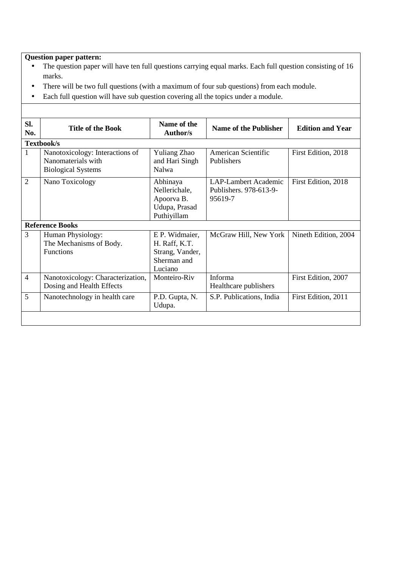# **Question paper pattern:**

- The question paper will have ten full questions carrying equal marks. Each full question consisting of 16 marks.
- There will be two full questions (with a maximum of four sub questions) from each module.
- Each full question will have sub question covering all the topics under a module.

| SI.<br>No.     | <b>Title of the Book</b>                                                           | Name of the<br><b>Author/s</b>                                               | <b>Name of the Publisher</b>                              | <b>Edition and Year</b> |  |  |
|----------------|------------------------------------------------------------------------------------|------------------------------------------------------------------------------|-----------------------------------------------------------|-------------------------|--|--|
|                | Textbook/s                                                                         |                                                                              |                                                           |                         |  |  |
| 1              | Nanotoxicology: Interactions of<br>Nanomaterials with<br><b>Biological Systems</b> | <b>Yuliang Zhao</b><br>and Hari Singh<br>Nalwa                               | American Scientific<br><b>Publishers</b>                  | First Edition, 2018     |  |  |
| $\overline{2}$ | Nano Toxicology                                                                    | Abhinaya<br>Nellerichale,<br>Apoorva B.<br>Udupa, Prasad<br>Puthiyillam      | LAP-Lambert Academic<br>Publishers. 978-613-9-<br>95619-7 | First Edition, 2018     |  |  |
|                | <b>Reference Books</b>                                                             |                                                                              |                                                           |                         |  |  |
| 3              | Human Physiology:<br>The Mechanisms of Body.<br><b>Functions</b>                   | E P. Widmaier,<br>H. Raff, K.T.<br>Strang, Vander,<br>Sherman and<br>Luciano | McGraw Hill, New York                                     | Nineth Edition, 2004    |  |  |
| $\overline{4}$ | Nanotoxicology: Characterization,<br>Dosing and Health Effects                     | Monteiro-Riv                                                                 | Informa<br>Healthcare publishers                          | First Edition, 2007     |  |  |
| 5              | Nanotechnology in health care                                                      | P.D. Gupta, N.<br>Udupa.                                                     | S.P. Publications, India                                  | First Edition, 2011     |  |  |
|                |                                                                                    |                                                                              |                                                           |                         |  |  |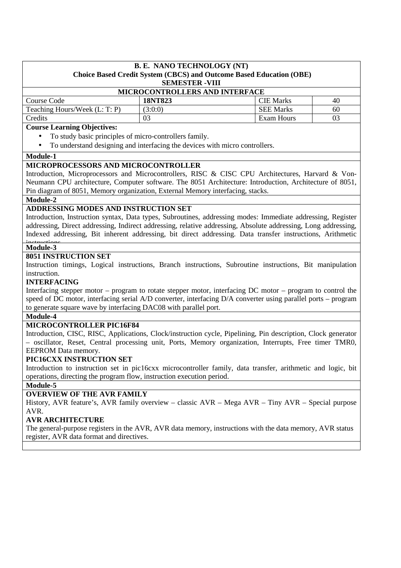| <b>B. E. NANO TECHNOLOGY (NT)</b><br><b>Choice Based Credit System (CBCS) and Outcome Based Education (OBE)</b> |                        |                  |    |  |  |
|-----------------------------------------------------------------------------------------------------------------|------------------------|------------------|----|--|--|
|                                                                                                                 | <b>SEMESTER - VIII</b> |                  |    |  |  |
| MICROCONTROLLERS AND INTERFACE                                                                                  |                        |                  |    |  |  |
| Course Code                                                                                                     | <b>18NT823</b>         | <b>CIE Marks</b> | 40 |  |  |
| Teaching Hours/Week (L: T: P)                                                                                   | (3:0:0)                | <b>SEE Marks</b> | 60 |  |  |
| Credits<br>03<br>Exam Hours<br>03                                                                               |                        |                  |    |  |  |
| Course Learning Objectives:                                                                                     |                        |                  |    |  |  |

#### **Course Learning Objectives:**

- To study basic principles of micro-controllers family.
- To understand designing and interfacing the devices with micro controllers.

#### **Module-1**

#### **MICROPROCESSORS AND MICROCONTROLLER**

Introduction, Microprocessors and Microcontrollers, RISC & CISC CPU Architectures, Harvard & Von-Neumann CPU architecture, Computer software. The 8051 Architecture: Introduction, Architecture of 8051, Pin diagram of 8051, Memory organization, External Memory interfacing, stacks.

## **Module-2**

## **ADDRESSING MODES AND INSTRUCTION SET**

Introduction, Instruction syntax, Data types, Subroutines, addressing modes: Immediate addressing, Register addressing, Direct addressing, Indirect addressing, relative addressing, Absolute addressing, Long addressing, Indexed addressing, Bit inherent addressing, bit direct addressing. Data transfer instructions, Arithmetic

## **Module-3**

## **8051 INSTRUCTION SET**

Instruction timings, Logical instructions, Branch instructions, Subroutine instructions, Bit manipulation instruction.

#### **INTERFACING**

Interfacing stepper motor – program to rotate stepper motor, interfacing DC motor – program to control the speed of DC motor, interfacing serial A/D converter, interfacing D/A converter using parallel ports – program to generate square wave by interfacing DAC08 with parallel port.

#### **Module-4**

## **MICROCONTROLLER PIC16F84**

Introduction, CISC, RISC, Applications, Clock/instruction cycle, Pipelining, Pin description, Clock generator – oscillator, Reset, Central processing unit, Ports, Memory organization, Interrupts, Free timer TMR0, EEPROM Data memory.

#### **PIC16CXX INSTRUCTION SET**

Introduction to instruction set in pic16cxx microcontroller family, data transfer, arithmetic and logic, bit operations, directing the program flow, instruction execution period.

#### **Module-5**

## **OVERVIEW OF THE AVR FAMILY**

History, AVR feature's, AVR family overview – classic AVR – Mega AVR – Tiny AVR – Special purpose AVR.

## **AVR ARCHITECTURE**

The general-purpose registers in the AVR, AVR data memory, instructions with the data memory, AVR status register, AVR data format and directives.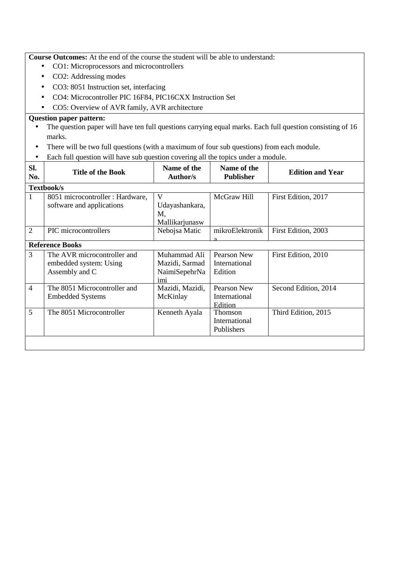**Course Outcomes:** At the end of the course the student will be able to understand:

- CO1: Microprocessors and microcontrollers
- CO2: Addressing modes
- CO3: 8051 Instruction set, interfacing
- CO4: Microcontroller PIC 16F84, PIC16CXX Instruction Set
- CO5: Overview of AVR family, AVR architecture

# **Question paper pattern:**

- The question paper will have ten full questions carrying equal marks. Each full question consisting of 16 marks.
- There will be two full questions (with a maximum of four sub questions) from each module.
- Each full question will have sub question covering all the topics under a module.

| SI.<br>No.     | <b>Title of the Book</b>         | Name of the<br><b>Author/s</b> | Name of the<br><b>Publisher</b> | <b>Edition and Year</b> |
|----------------|----------------------------------|--------------------------------|---------------------------------|-------------------------|
|                | <b>Textbook/s</b>                |                                |                                 |                         |
| 1              | 8051 microcontroller : Hardware, | V                              | McGraw Hill                     | First Edition, 2017     |
|                | software and applications        | Udayashankara,                 |                                 |                         |
|                |                                  | M,                             |                                 |                         |
|                |                                  | Mallikarjunasw                 |                                 |                         |
| $\overline{2}$ | PIC microcontrollers             | Nebojsa Matic                  | mikroElektronik                 | First Edition, 2003     |
|                | <b>Reference Books</b>           |                                |                                 |                         |
| $\overline{3}$ | The AVR microcontroller and      | Muhammad Ali                   | Pearson New                     | First Edition, 2010     |
|                | embedded system: Using           | Mazidi, Sarmad                 | International                   |                         |
|                | Assembly and C                   | NaimiSepehrNa                  | Edition                         |                         |
|                |                                  | imi                            |                                 |                         |
| $\overline{4}$ | The 8051 Microcontroller and     | Mazidi, Mazidi,                | Pearson New                     | Second Edition, 2014    |
|                | <b>Embedded Systems</b>          | McKinlay                       | International                   |                         |
|                |                                  |                                | Edition                         |                         |
| 5              | The 8051 Microcontroller         | Kenneth Ayala                  | <b>Thomson</b>                  | Third Edition, 2015     |
|                |                                  |                                | International                   |                         |
|                |                                  |                                | Publishers                      |                         |
|                |                                  |                                |                                 |                         |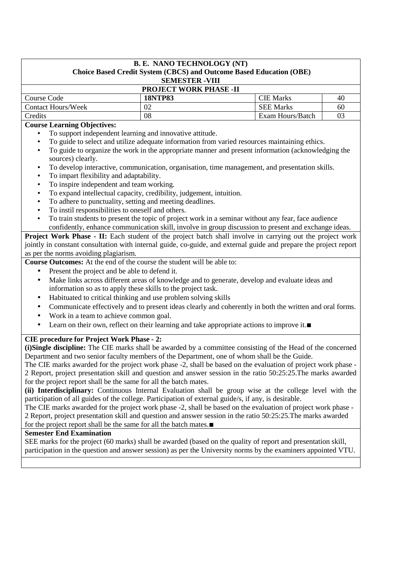## **B. E. NANO TECHNOLOGY (NT) Choice Based Credit System (CBCS) and Outcome Based Education (OBE) SEMESTER -VIII**

| <b>PROJECT WORK PHASE -II</b> |         |                  |    |  |  |
|-------------------------------|---------|------------------|----|--|--|
| Course Code                   | 18NTP83 | CIE Marks        | 40 |  |  |
| Contact Hours/Week            |         | <b>SEE Marks</b> | 60 |  |  |
| Credits                       | 08      | Exam Hours/Batch |    |  |  |

## **Course Learning Objectives:**

- To support independent learning and innovative attitude.
- To guide to select and utilize adequate information from varied resources maintaining ethics.
- To guide to organize the work in the appropriate manner and present information (acknowledging the sources) clearly.
- To develop interactive, communication, organisation, time management, and presentation skills.
- To impart flexibility and adaptability.
- To inspire independent and team working.
- To expand intellectual capacity, credibility, judgement, intuition.
- To adhere to punctuality, setting and meeting deadlines.
- To instil responsibilities to oneself and others.
- To train students to present the topic of project work in a seminar without any fear, face audience confidently, enhance communication skill, involve in group discussion to present and exchange ideas.

**Project Work Phase - II:** Each student of the project batch shall involve in carrying out the project work jointly in constant consultation with internal guide, co-guide, and external guide and prepare the project report as per the norms avoiding plagiarism.

**Course Outcomes:** At the end of the course the student will be able to:

- Present the project and be able to defend it.
- Make links across different areas of knowledge and to generate, develop and evaluate ideas and information so as to apply these skills to the project task.
- Habituated to critical thinking and use problem solving skills
- Communicate effectively and to present ideas clearly and coherently in both the written and oral forms.
- Work in a team to achieve common goal.
- Learn on their own, reflect on their learning and take appropriate actions to improve it.∎

## **CIE procedure for Project Work Phase - 2:**

**(i)Single discipline:** The CIE marks shall be awarded by a committee consisting of the Head of the concerned Department and two senior faculty members of the Department, one of whom shall be the Guide.

The CIE marks awarded for the project work phase -2, shall be based on the evaluation of project work phase - 2 Report, project presentation skill and question and answer session in the ratio 50:25:25.The marks awarded for the project report shall be the same for all the batch mates.

**(ii) Interdisciplinary:** Continuous Internal Evaluation shall be group wise at the college level with the participation of all guides of the college. Participation of external guide/s, if any, is desirable.

The CIE marks awarded for the project work phase -2, shall be based on the evaluation of project work phase - 2 Report, project presentation skill and question and answer session in the ratio 50:25:25.The marks awarded for the project report shall be the same for all the batch mates.∎

#### **Semester End Examination**

SEE marks for the project (60 marks) shall be awarded (based on the quality of report and presentation skill, participation in the question and answer session) as per the University norms by the examiners appointed VTU. ∎